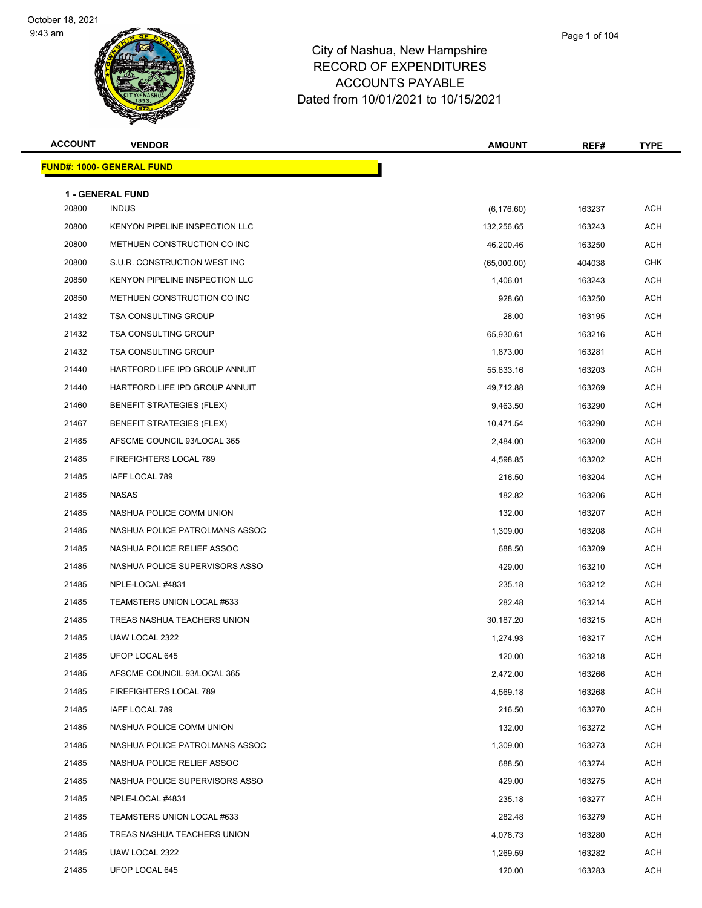

**ACCOUNT VENDOR AMOUNT REF# TYPE FUND#: 1000- GENERAL FUND 1 - GENERAL FUND** 20800 INDUS (6,176.60) 163237 ACH 20800 KENYON PIPELINE INSPECTION LLC 1999 1200 132,256.65 163243 ACH 20800 METHUEN CONSTRUCTION CO INC 46,200.46 163250 ACH 20800 S.U.R. CONSTRUCTION WEST INC (65,000.00) 404038 CHK 20850 KENYON PIPELINE INSPECTION LLC 1,406.01 1,406.01 163243 ACH 20850 METHUEN CONSTRUCTION CO INC 928.60 163250 ACH 21432 TSA CONSULTING GROUP 28.00 28.00 163195 ACH 21432 TSA CONSULTING GROUP **12.000 CONSULTING GROUP** 65,930.61 163216 ACH 21432 TSA CONSULTING GROUP 1,873.00 163281 ACH 21440 HARTFORD LIFE IPD GROUP ANNUIT CONTROL CONTROL CONTROL CONTROL CONTROL CONTROL CONTROL CONTROL CONTROL CO 21440 HARTFORD LIFE IPD GROUP ANNUIT A LOCAL CONTROL CONTROL AND MALL ASSESSED AND MALL ASSESSED A LOCAL AND MA 21460 BENEFIT STRATEGIES (FLEX) 8 and 20 and 21460 5 and 21460 9,463.50 363290 9 and 21460 9,463.50 20 and 21 21467 BENEFIT STRATEGIES (FLEX) 21467 10,471.54 163290 ACH 21485 AFSCME COUNCIL 93/LOCAL 365 2,484.00 2,484.00 163200 ACH 21485 FIREFIGHTERS LOCAL 789 2000 12000 12000 12000 12000 12000 12000 13000 14,598.85 4,598.85 463202 4CH 21485 IAFF LOCAL 789 216.50 163204 ACH 21485 NASAS 2008 ACH 2020 21485 NASAS 2008 ACH 2020 21485 NASAS 2009 2152.82 21485 2163206 2163206 2163206 216 21485 NASHUA POLICE COMM UNION 132.00 163207 ACH 21485 NASHUA POLICE PATROLMANS ASSOC 1,309.00 163208 ACH 21485 NASHUA POLICE RELIEF ASSOC 688.50 163209 ACH 21485 NASHUA POLICE SUPERVISORS ASSO 429.00 163210 ACH 21485 NPLE-LOCAL #4831 235.18 163212 ACH 21485 TEAMSTERS UNION LOCAL #633 282.48 282.48 163214 ACH 21485 TREAS NASHUA TEACHERS UNION 2008 100 2009 1030,187.20 163215 ACH 21485 UAW LOCAL 2322 1,274.93 163217 ACH 21485 UFOP LOCAL 645 120.00 163218 ACH 21485 AFSCME COUNCIL 93/LOCAL 365 2.472.00 163266 ACH 21485 FIREFIGHTERS LOCAL 789 4,569.18 163268 ACH 21485 IAFF LOCAL 789 216.50 163270 ACH 21485 NASHUA POLICE COMM UNION 132.00 163272 ACH 21485 NASHUA POLICE PATROLMANS ASSOC **1,309.00** 1,309.00 163273 ACH 21485 NASHUA POLICE RELIEF ASSOC **A CHARGIST ACH CONTROLLER ACH CONTROLLER ACH CONTROLLER ACH CONTROLLER ACH** 21485 NASHUA POLICE SUPERVISORS ASSO **120 163275 ACH** 429.00 429.00 163275 ACH 21485 NPLE-LOCAL #4831 235.18 163277 ACH 21485 TEAMSTERS UNION LOCAL #633 282.48 282.48 163279 ACH 21485 TREAS NASHUA TEACHERS UNION 4,078.73 163280 ACH 21485 UAW LOCAL 2322 1,269.59 163282 ACH

21485 UFOP LOCAL 645 120.00 163283 ACH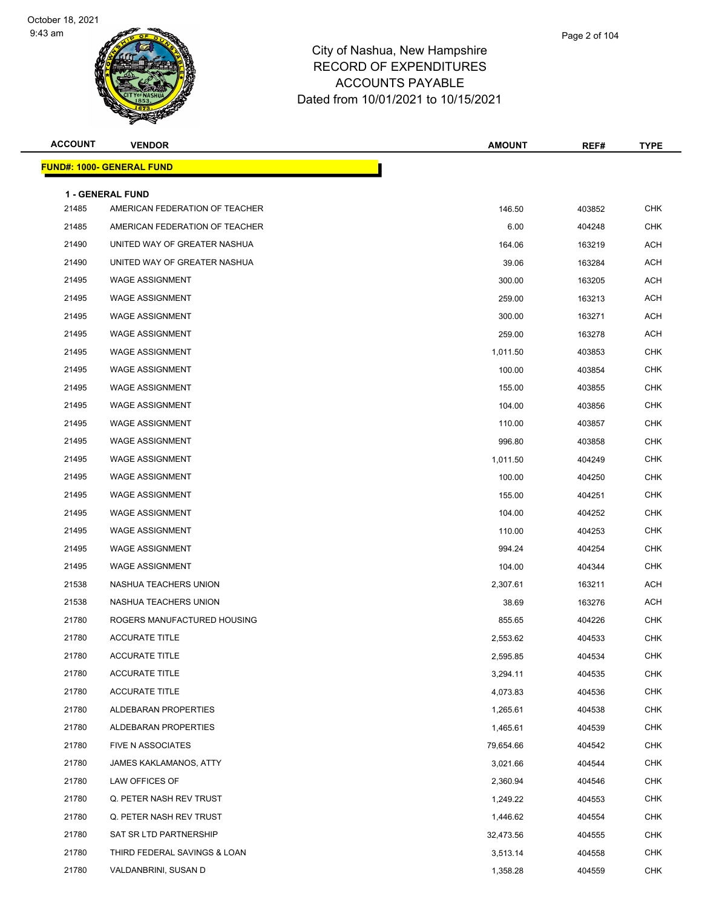

| Page 2 of 104 |  |  |  |
|---------------|--|--|--|
|---------------|--|--|--|

| <b>ACCOUNT</b> | <b>VENDOR</b>                                      | <b>AMOUNT</b> | REF#   | <b>TYPE</b> |
|----------------|----------------------------------------------------|---------------|--------|-------------|
|                | <b>FUND#: 1000- GENERAL FUND</b>                   |               |        |             |
|                |                                                    |               |        |             |
| 21485          | 1 - GENERAL FUND<br>AMERICAN FEDERATION OF TEACHER | 146.50        | 403852 | <b>CHK</b>  |
| 21485          | AMERICAN FEDERATION OF TEACHER                     | 6.00          | 404248 | <b>CHK</b>  |
| 21490          | UNITED WAY OF GREATER NASHUA                       | 164.06        | 163219 | ACH         |
| 21490          | UNITED WAY OF GREATER NASHUA                       | 39.06         | 163284 | <b>ACH</b>  |
| 21495          | <b>WAGE ASSIGNMENT</b>                             | 300.00        | 163205 | <b>ACH</b>  |
| 21495          | <b>WAGE ASSIGNMENT</b>                             | 259.00        | 163213 | ACH         |
| 21495          | <b>WAGE ASSIGNMENT</b>                             | 300.00        | 163271 | ACH         |
| 21495          | <b>WAGE ASSIGNMENT</b>                             | 259.00        | 163278 | ACH         |
| 21495          | <b>WAGE ASSIGNMENT</b>                             | 1,011.50      | 403853 | <b>CHK</b>  |
| 21495          | <b>WAGE ASSIGNMENT</b>                             | 100.00        | 403854 | <b>CHK</b>  |
| 21495          | <b>WAGE ASSIGNMENT</b>                             | 155.00        | 403855 | CHK         |
| 21495          | <b>WAGE ASSIGNMENT</b>                             | 104.00        | 403856 | <b>CHK</b>  |
| 21495          | <b>WAGE ASSIGNMENT</b>                             | 110.00        | 403857 | <b>CHK</b>  |
| 21495          | <b>WAGE ASSIGNMENT</b>                             | 996.80        | 403858 | <b>CHK</b>  |
| 21495          | <b>WAGE ASSIGNMENT</b>                             | 1,011.50      | 404249 | <b>CHK</b>  |
| 21495          | <b>WAGE ASSIGNMENT</b>                             | 100.00        | 404250 | CHK         |
| 21495          | <b>WAGE ASSIGNMENT</b>                             | 155.00        | 404251 | <b>CHK</b>  |
| 21495          | <b>WAGE ASSIGNMENT</b>                             | 104.00        | 404252 | <b>CHK</b>  |
| 21495          | <b>WAGE ASSIGNMENT</b>                             | 110.00        | 404253 | <b>CHK</b>  |
| 21495          | <b>WAGE ASSIGNMENT</b>                             | 994.24        | 404254 | <b>CHK</b>  |
| 21495          | <b>WAGE ASSIGNMENT</b>                             | 104.00        | 404344 | CHK         |
| 21538          | NASHUA TEACHERS UNION                              | 2,307.61      | 163211 | <b>ACH</b>  |
| 21538          | NASHUA TEACHERS UNION                              | 38.69         | 163276 | ACH         |
| 21780          | ROGERS MANUFACTURED HOUSING                        | 855.65        | 404226 | <b>CHK</b>  |
| 21780          | <b>ACCURATE TITLE</b>                              | 2,553.62      | 404533 | <b>CHK</b>  |
| 21780          | <b>ACCURATE TITLE</b>                              | 2,595.85      | 404534 | CHK         |
| 21780          | <b>ACCURATE TITLE</b>                              | 3,294.11      | 404535 | <b>CHK</b>  |
| 21780          | <b>ACCURATE TITLE</b>                              | 4,073.83      | 404536 | <b>CHK</b>  |
| 21780          | ALDEBARAN PROPERTIES                               | 1,265.61      | 404538 | <b>CHK</b>  |
| 21780          | ALDEBARAN PROPERTIES                               | 1,465.61      | 404539 | <b>CHK</b>  |
| 21780          | <b>FIVE N ASSOCIATES</b>                           | 79,654.66     | 404542 | <b>CHK</b>  |
| 21780          | <b>JAMES KAKLAMANOS, ATTY</b>                      | 3,021.66      | 404544 | <b>CHK</b>  |
| 21780          | LAW OFFICES OF                                     | 2,360.94      | 404546 | <b>CHK</b>  |
| 21780          | Q. PETER NASH REV TRUST                            | 1,249.22      | 404553 | <b>CHK</b>  |
| 21780          | Q. PETER NASH REV TRUST                            | 1,446.62      | 404554 | <b>CHK</b>  |
| 21780          | SAT SR LTD PARTNERSHIP                             | 32,473.56     | 404555 | <b>CHK</b>  |
| 21780          | THIRD FEDERAL SAVINGS & LOAN                       | 3,513.14      | 404558 | <b>CHK</b>  |
| 21780          | VALDANBRINI, SUSAN D                               | 1,358.28      | 404559 | CHK         |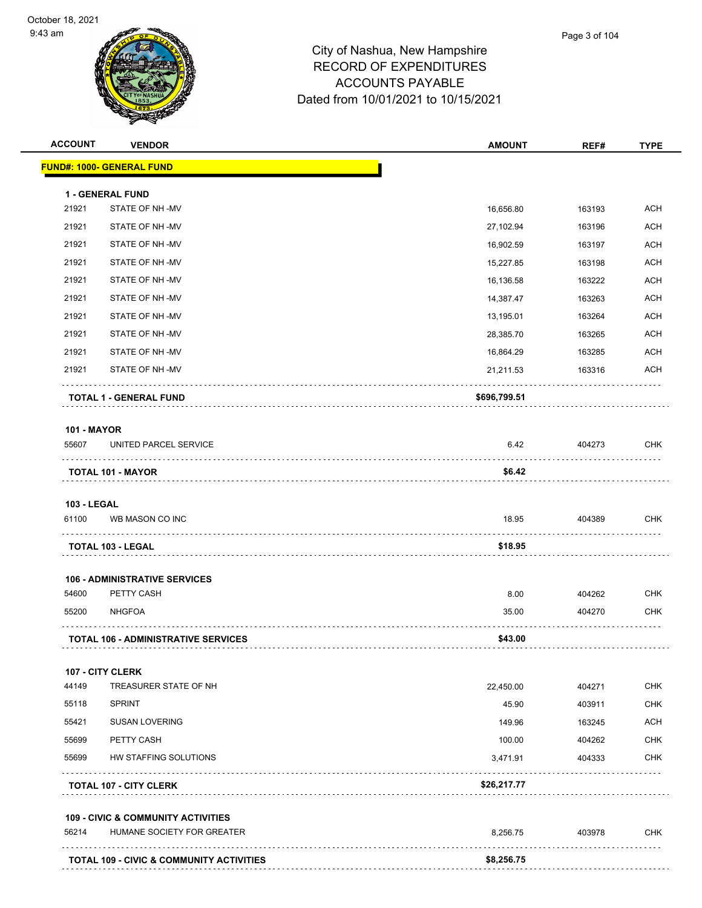

| <b>ACCOUNT</b>     | <b>VENDOR</b>                                       | <b>AMOUNT</b> | REF#   | <b>TYPE</b> |
|--------------------|-----------------------------------------------------|---------------|--------|-------------|
|                    | <b>FUND#: 1000- GENERAL FUND</b>                    |               |        |             |
|                    | <b>1 - GENERAL FUND</b>                             |               |        |             |
| 21921              | STATE OF NH-MV                                      | 16,656.80     | 163193 | <b>ACH</b>  |
| 21921              | STATE OF NH-MV                                      | 27,102.94     | 163196 | ACH         |
| 21921              | STATE OF NH-MV                                      | 16,902.59     | 163197 | ACH         |
| 21921              | STATE OF NH-MV                                      | 15,227.85     | 163198 | ACH         |
| 21921              | STATE OF NH-MV                                      | 16,136.58     | 163222 | ACH         |
| 21921              | STATE OF NH-MV                                      | 14,387.47     | 163263 | <b>ACH</b>  |
| 21921              | STATE OF NH-MV                                      | 13,195.01     | 163264 | <b>ACH</b>  |
| 21921              | STATE OF NH-MV                                      | 28,385.70     | 163265 | ACH         |
| 21921              | STATE OF NH-MV                                      | 16,864.29     | 163285 | ACH         |
| 21921              | STATE OF NH-MV                                      | 21,211.53     | 163316 | ACH         |
|                    | TOTAL 1 - GENERAL FUND                              | \$696,799.51  |        |             |
| <b>101 - MAYOR</b> |                                                     |               |        |             |
| 55607              | UNITED PARCEL SERVICE                               | 6.42          | 404273 | <b>CHK</b>  |
|                    | <b>TOTAL 101 - MAYOR</b>                            | \$6.42        |        |             |
| <b>103 - LEGAL</b> |                                                     |               |        |             |
| 61100              | WB MASON CO INC                                     | 18.95         | 404389 | CHK         |
|                    | TOTAL 103 - LEGAL                                   | \$18.95       |        |             |
|                    | <b>106 - ADMINISTRATIVE SERVICES</b>                |               |        |             |
| 54600              | PETTY CASH                                          | 8.00          | 404262 | <b>CHK</b>  |
| 55200              | <b>NHGFOA</b>                                       | 35.00         | 404270 | <b>CHK</b>  |
|                    | <b>TOTAL 106 - ADMINISTRATIVE SERVICES</b>          | \$43.00       |        |             |
|                    | 107 - CITY CLERK                                    |               |        |             |
| 44149              | TREASURER STATE OF NH                               | 22,450.00     | 404271 | <b>CHK</b>  |
| 55118              | <b>SPRINT</b>                                       | 45.90         | 403911 | <b>CHK</b>  |
| 55421              | <b>SUSAN LOVERING</b>                               | 149.96        | 163245 | <b>ACH</b>  |
| 55699              | PETTY CASH                                          | 100.00        | 404262 | <b>CHK</b>  |
| 55699              | HW STAFFING SOLUTIONS                               | 3,471.91      | 404333 | <b>CHK</b>  |
|                    | <b>TOTAL 107 - CITY CLERK</b>                       | \$26,217.77   |        |             |
|                    | <b>109 - CIVIC &amp; COMMUNITY ACTIVITIES</b>       |               |        |             |
| 56214              | HUMANE SOCIETY FOR GREATER                          | 8,256.75      | 403978 | <b>CHK</b>  |
|                    | <b>TOTAL 109 - CIVIC &amp; COMMUNITY ACTIVITIES</b> | \$8,256.75    |        |             |
|                    |                                                     |               |        |             |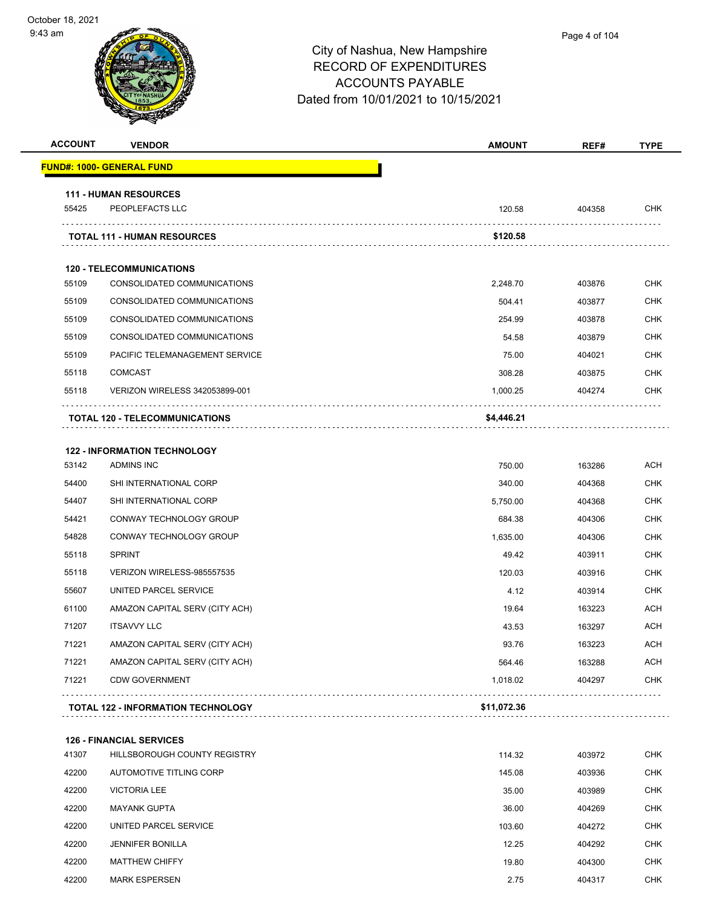| <b>ACCOUNT</b> | <b>VENDOR</b>                                   | <b>AMOUNT</b> | REF#   | <b>TYPE</b> |
|----------------|-------------------------------------------------|---------------|--------|-------------|
|                | <b>FUND#: 1000- GENERAL FUND</b>                |               |        |             |
|                |                                                 |               |        |             |
| 55425          | <b>111 - HUMAN RESOURCES</b><br>PEOPLEFACTS LLC | 120.58        | 404358 | <b>CHK</b>  |
|                | <b>TOTAL 111 - HUMAN RESOURCES</b>              | \$120.58      |        |             |
|                | <b>120 - TELECOMMUNICATIONS</b>                 |               |        |             |
| 55109          | CONSOLIDATED COMMUNICATIONS                     | 2,248.70      | 403876 | <b>CHK</b>  |
| 55109          | CONSOLIDATED COMMUNICATIONS                     | 504.41        | 403877 | <b>CHK</b>  |
| 55109          | CONSOLIDATED COMMUNICATIONS                     | 254.99        | 403878 | <b>CHK</b>  |
| 55109          | CONSOLIDATED COMMUNICATIONS                     | 54.58         | 403879 | <b>CHK</b>  |
| 55109          | PACIFIC TELEMANAGEMENT SERVICE                  | 75.00         | 404021 | <b>CHK</b>  |
| 55118          | <b>COMCAST</b>                                  | 308.28        | 403875 | <b>CHK</b>  |
| 55118          | VERIZON WIRELESS 342053899-001                  | 1,000.25      | 404274 | <b>CHK</b>  |
|                | TOTAL 120 - TELECOMMUNICATIONS                  | \$4,446.21    |        |             |
|                |                                                 |               |        |             |
|                | <b>122 - INFORMATION TECHNOLOGY</b>             |               |        |             |
| 53142          | <b>ADMINS INC</b>                               | 750.00        | 163286 | <b>ACH</b>  |
| 54400          | SHI INTERNATIONAL CORP                          | 340.00        | 404368 | <b>CHK</b>  |
| 54407          | SHI INTERNATIONAL CORP                          | 5,750.00      | 404368 | <b>CHK</b>  |
| 54421          | CONWAY TECHNOLOGY GROUP                         | 684.38        | 404306 | <b>CHK</b>  |
| 54828          | CONWAY TECHNOLOGY GROUP                         | 1,635.00      | 404306 | <b>CHK</b>  |
| 55118          | <b>SPRINT</b>                                   | 49.42         | 403911 | <b>CHK</b>  |
| 55118          | VERIZON WIRELESS-985557535                      | 120.03        | 403916 | <b>CHK</b>  |
| 55607          | UNITED PARCEL SERVICE                           | 4.12          | 403914 | <b>CHK</b>  |
| 61100          | AMAZON CAPITAL SERV (CITY ACH)                  | 19.64         | 163223 | <b>ACH</b>  |
| 71207          | <b>ITSAVVY LLC</b>                              | 43.53         | 163297 | ACH         |
| 71221          | AMAZON CAPITAL SERV (CITY ACH)                  | 93.76         | 163223 | ACH         |
| 71221          | AMAZON CAPITAL SERV (CITY ACH)                  | 564.46        | 163288 | ACH         |
| 71221          | <b>CDW GOVERNMENT</b>                           | 1,018.02      | 404297 | <b>CHK</b>  |
|                | <b>TOTAL 122 - INFORMATION TECHNOLOGY</b>       | \$11,072.36   |        |             |
|                | <b>126 - FINANCIAL SERVICES</b>                 |               |        |             |
| 41307          | HILLSBOROUGH COUNTY REGISTRY                    | 114.32        | 403972 | <b>CHK</b>  |
| 42200          | AUTOMOTIVE TITLING CORP                         | 145.08        | 403936 | CHK         |
| 42200          | <b>VICTORIA LEE</b>                             | 35.00         | 403989 | <b>CHK</b>  |
| 42200          | <b>MAYANK GUPTA</b>                             | 36.00         | 404269 | <b>CHK</b>  |
| 42200          | UNITED PARCEL SERVICE                           | 103.60        | 404272 | <b>CHK</b>  |
| 42200          | <b>JENNIFER BONILLA</b>                         | 12.25         | 404292 | <b>CHK</b>  |
| 42200          | <b>MATTHEW CHIFFY</b>                           | 19.80         | 404300 | CHK         |
| 42200          | <b>MARK ESPERSEN</b>                            | 2.75          | 404317 | <b>CHK</b>  |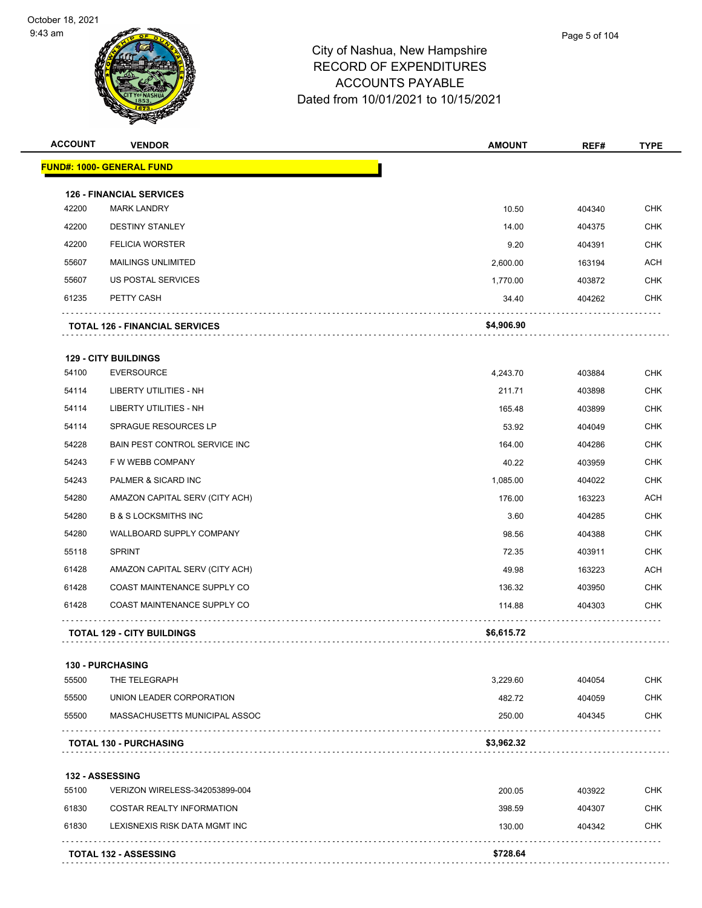

| <b>ACCOUNT</b> | <b>VENDOR</b>                         | <b>AMOUNT</b> | REF#   | <b>TYPE</b> |
|----------------|---------------------------------------|---------------|--------|-------------|
|                | <b>FUND#: 1000- GENERAL FUND</b>      |               |        |             |
|                | <b>126 - FINANCIAL SERVICES</b>       |               |        |             |
| 42200          | <b>MARK LANDRY</b>                    | 10.50         | 404340 | <b>CHK</b>  |
| 42200          | <b>DESTINY STANLEY</b>                | 14.00         | 404375 | <b>CHK</b>  |
| 42200          | <b>FELICIA WORSTER</b>                | 9.20          | 404391 | <b>CHK</b>  |
| 55607          | <b>MAILINGS UNLIMITED</b>             | 2,600.00      | 163194 | <b>ACH</b>  |
| 55607          | US POSTAL SERVICES                    | 1,770.00      | 403872 | <b>CHK</b>  |
| 61235          | PETTY CASH                            | 34.40         | 404262 | <b>CHK</b>  |
|                | <b>TOTAL 126 - FINANCIAL SERVICES</b> | \$4,906.90    |        |             |
|                | <b>129 - CITY BUILDINGS</b>           |               |        |             |
| 54100          | <b>EVERSOURCE</b>                     | 4,243.70      | 403884 | <b>CHK</b>  |
| 54114          | LIBERTY UTILITIES - NH                | 211.71        | 403898 | <b>CHK</b>  |
| 54114          | LIBERTY UTILITIES - NH                | 165.48        | 403899 | <b>CHK</b>  |
| 54114          | SPRAGUE RESOURCES LP                  | 53.92         | 404049 | <b>CHK</b>  |
| 54228          | BAIN PEST CONTROL SERVICE INC         | 164.00        | 404286 | <b>CHK</b>  |
| 54243          | F W WEBB COMPANY                      | 40.22         | 403959 | <b>CHK</b>  |
| 54243          | PALMER & SICARD INC                   | 1,085.00      | 404022 | <b>CHK</b>  |
| 54280          | AMAZON CAPITAL SERV (CITY ACH)        | 176.00        | 163223 | <b>ACH</b>  |
| 54280          | <b>B &amp; S LOCKSMITHS INC</b>       | 3.60          | 404285 | <b>CHK</b>  |
| 54280          | WALLBOARD SUPPLY COMPANY              | 98.56         | 404388 | <b>CHK</b>  |
| 55118          | <b>SPRINT</b>                         | 72.35         | 403911 | <b>CHK</b>  |
| 61428          | AMAZON CAPITAL SERV (CITY ACH)        | 49.98         | 163223 | <b>ACH</b>  |
| 61428          | COAST MAINTENANCE SUPPLY CO           | 136.32        | 403950 | <b>CHK</b>  |
| 61428          | COAST MAINTENANCE SUPPLY CO           | 114.88        | 404303 | <b>CHK</b>  |
|                | <b>TOTAL 129 - CITY BUILDINGS</b>     | \$6,615.72    |        |             |
|                | <b>130 - PURCHASING</b>               |               |        |             |
| 55500          | THE TELEGRAPH                         | 3,229.60      | 404054 | <b>CHK</b>  |
| 55500          | UNION LEADER CORPORATION              | 482.72        | 404059 | CHK         |
| 55500          | MASSACHUSETTS MUNICIPAL ASSOC         | 250.00        | 404345 | CHK         |
|                | <b>TOTAL 130 - PURCHASING</b>         | \$3,962.32    |        |             |
|                | <b>132 - ASSESSING</b>                |               |        |             |
| 55100          | VERIZON WIRELESS-342053899-004        | 200.05        | 403922 | CHK         |
| 61830          | COSTAR REALTY INFORMATION             | 398.59        | 404307 | <b>CHK</b>  |
| 61830          | LEXISNEXIS RISK DATA MGMT INC         | 130.00        | 404342 | CHK         |
|                | <b>TOTAL 132 - ASSESSING</b>          | \$728.64      |        |             |
|                |                                       |               |        |             |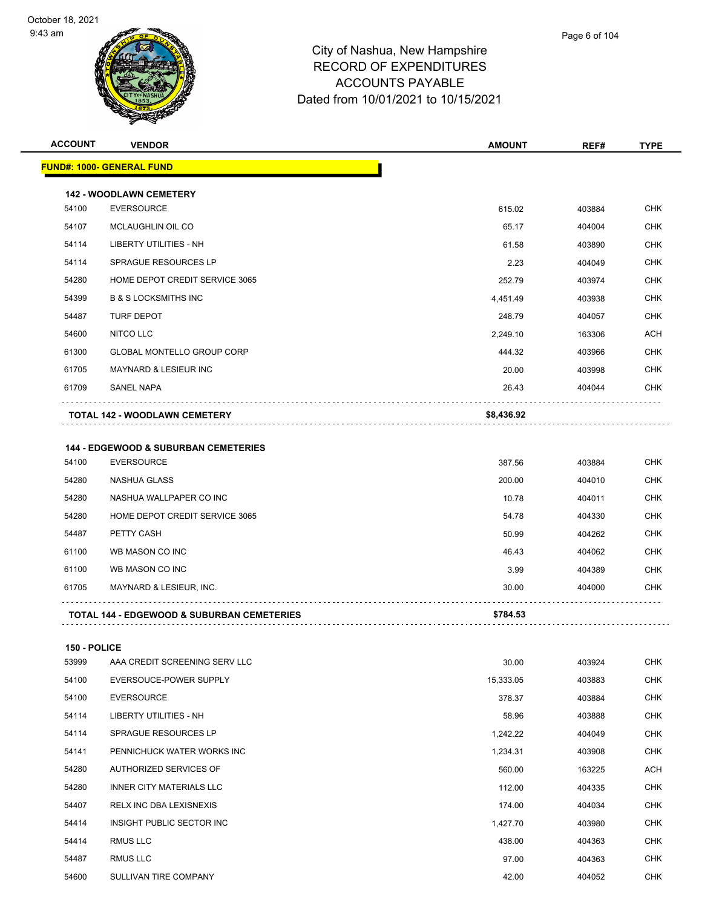

| <b>ACCOUNT</b> | <b>VENDOR</b>                                         | <b>AMOUNT</b> | REF#   | <b>TYPE</b> |
|----------------|-------------------------------------------------------|---------------|--------|-------------|
|                | <b>FUND#: 1000- GENERAL FUND</b>                      |               |        |             |
|                | <b>142 - WOODLAWN CEMETERY</b>                        |               |        |             |
| 54100          | <b>EVERSOURCE</b>                                     | 615.02        | 403884 | <b>CHK</b>  |
| 54107          | MCLAUGHLIN OIL CO                                     | 65.17         | 404004 | <b>CHK</b>  |
| 54114          | LIBERTY UTILITIES - NH                                | 61.58         | 403890 | <b>CHK</b>  |
| 54114          | SPRAGUE RESOURCES LP                                  | 2.23          | 404049 | <b>CHK</b>  |
| 54280          | HOME DEPOT CREDIT SERVICE 3065                        | 252.79        | 403974 | <b>CHK</b>  |
| 54399          | <b>B &amp; S LOCKSMITHS INC</b>                       | 4,451.49      | 403938 | <b>CHK</b>  |
| 54487          | <b>TURF DEPOT</b>                                     | 248.79        | 404057 | <b>CHK</b>  |
| 54600          | NITCO LLC                                             | 2,249.10      | 163306 | <b>ACH</b>  |
| 61300          | <b>GLOBAL MONTELLO GROUP CORP</b>                     | 444.32        | 403966 | <b>CHK</b>  |
| 61705          | MAYNARD & LESIEUR INC                                 | 20.00         | 403998 | <b>CHK</b>  |
| 61709          | SANEL NAPA                                            | 26.43         | 404044 | <b>CHK</b>  |
|                | <b>TOTAL 142 - WOODLAWN CEMETERY</b>                  | \$8,436.92    |        |             |
|                | <b>144 - EDGEWOOD &amp; SUBURBAN CEMETERIES</b>       |               |        |             |
| 54100          | <b>EVERSOURCE</b>                                     | 387.56        | 403884 | <b>CHK</b>  |
| 54280          | <b>NASHUA GLASS</b>                                   | 200.00        | 404010 | <b>CHK</b>  |
| 54280          | NASHUA WALLPAPER CO INC                               | 10.78         | 404011 | <b>CHK</b>  |
| 54280          | HOME DEPOT CREDIT SERVICE 3065                        | 54.78         | 404330 | <b>CHK</b>  |
| 54487          | PETTY CASH                                            | 50.99         | 404262 | <b>CHK</b>  |
| 61100          | WB MASON CO INC                                       | 46.43         | 404062 | <b>CHK</b>  |
| 61100          | WB MASON CO INC                                       | 3.99          | 404389 | <b>CHK</b>  |
| 61705          | MAYNARD & LESIEUR, INC.                               | 30.00         | 404000 | <b>CHK</b>  |
|                | <b>TOTAL 144 - EDGEWOOD &amp; SUBURBAN CEMETERIES</b> | \$784.53      |        |             |
|                |                                                       |               |        |             |

| 53999 | AAA CREDIT SCREENING SERV LLC  | 30.00     | 403924 | <b>CHK</b> |
|-------|--------------------------------|-----------|--------|------------|
| 54100 | EVERSOUCE-POWER SUPPLY         | 15,333.05 | 403883 | <b>CHK</b> |
| 54100 | <b>EVERSOURCE</b>              | 378.37    | 403884 | <b>CHK</b> |
| 54114 | LIBERTY UTILITIES - NH         | 58.96     | 403888 | <b>CHK</b> |
| 54114 | SPRAGUE RESOURCES LP           | 1,242.22  | 404049 | <b>CHK</b> |
| 54141 | PENNICHUCK WATER WORKS INC     | 1,234.31  | 403908 | <b>CHK</b> |
| 54280 | AUTHORIZED SERVICES OF         | 560.00    | 163225 | <b>ACH</b> |
| 54280 | INNER CITY MATERIALS LLC       | 112.00    | 404335 | <b>CHK</b> |
| 54407 | <b>RELX INC DBA LEXISNEXIS</b> | 174.00    | 404034 | <b>CHK</b> |
| 54414 | INSIGHT PUBLIC SECTOR INC      | 1,427.70  | 403980 | <b>CHK</b> |
| 54414 | <b>RMUS LLC</b>                | 438.00    | 404363 | <b>CHK</b> |
| 54487 | <b>RMUS LLC</b>                | 97.00     | 404363 | <b>CHK</b> |
| 54600 | SULLIVAN TIRE COMPANY          | 42.00     | 404052 | <b>CHK</b> |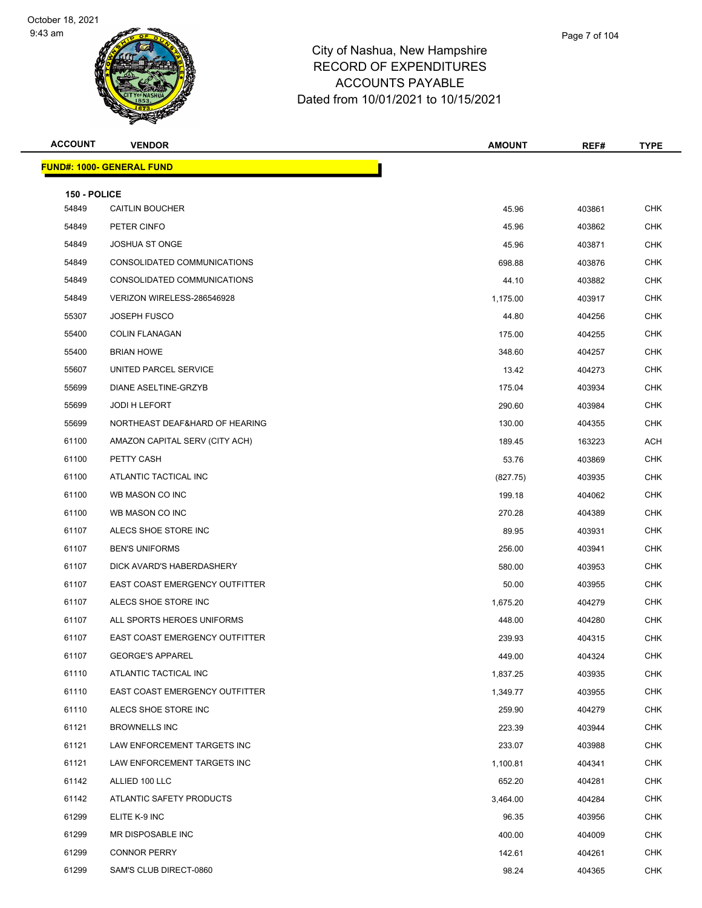

| <b>ACCOUNT</b> | <b>VENDOR</b>                         | <b>AMOUNT</b> | REF#   | TYPE       |
|----------------|---------------------------------------|---------------|--------|------------|
|                | <b>FUND#: 1000- GENERAL FUND</b>      |               |        |            |
| 150 - POLICE   |                                       |               |        |            |
| 54849          | <b>CAITLIN BOUCHER</b>                | 45.96         | 403861 | <b>CHK</b> |
| 54849          | PETER CINFO                           | 45.96         | 403862 | <b>CHK</b> |
| 54849          | <b>JOSHUA ST ONGE</b>                 | 45.96         | 403871 | <b>CHK</b> |
| 54849          | CONSOLIDATED COMMUNICATIONS           | 698.88        | 403876 | <b>CHK</b> |
| 54849          | CONSOLIDATED COMMUNICATIONS           | 44.10         | 403882 | <b>CHK</b> |
| 54849          | VERIZON WIRELESS-286546928            | 1,175.00      | 403917 | <b>CHK</b> |
| 55307          | <b>JOSEPH FUSCO</b>                   | 44.80         | 404256 | <b>CHK</b> |
| 55400          | <b>COLIN FLANAGAN</b>                 | 175.00        | 404255 | <b>CHK</b> |
| 55400          | <b>BRIAN HOWE</b>                     | 348.60        | 404257 | <b>CHK</b> |
| 55607          | UNITED PARCEL SERVICE                 | 13.42         | 404273 | <b>CHK</b> |
| 55699          | DIANE ASELTINE-GRZYB                  | 175.04        | 403934 | <b>CHK</b> |
| 55699          | JODI H LEFORT                         | 290.60        | 403984 | <b>CHK</b> |
| 55699          | NORTHEAST DEAF&HARD OF HEARING        | 130.00        | 404355 | <b>CHK</b> |
| 61100          | AMAZON CAPITAL SERV (CITY ACH)        | 189.45        | 163223 | ACH        |
| 61100          | PETTY CASH                            | 53.76         | 403869 | <b>CHK</b> |
| 61100          | ATLANTIC TACTICAL INC                 | (827.75)      | 403935 | <b>CHK</b> |
| 61100          | WB MASON CO INC                       | 199.18        | 404062 | CHK        |
| 61100          | WB MASON CO INC                       | 270.28        | 404389 | <b>CHK</b> |
| 61107          | ALECS SHOE STORE INC                  | 89.95         | 403931 | <b>CHK</b> |
| 61107          | <b>BEN'S UNIFORMS</b>                 | 256.00        | 403941 | <b>CHK</b> |
| 61107          | DICK AVARD'S HABERDASHERY             | 580.00        | 403953 | <b>CHK</b> |
| 61107          | EAST COAST EMERGENCY OUTFITTER        | 50.00         | 403955 | <b>CHK</b> |
| 61107          | ALECS SHOE STORE INC                  | 1,675.20      | 404279 | <b>CHK</b> |
| 61107          | ALL SPORTS HEROES UNIFORMS            | 448.00        | 404280 | <b>CHK</b> |
| 61107          | <b>EAST COAST EMERGENCY OUTFITTER</b> | 239.93        | 404315 | <b>CHK</b> |
| 61107          | <b>GEORGE'S APPAREL</b>               | 449.00        | 404324 | CHK        |
| 61110          | ATLANTIC TACTICAL INC                 | 1,837.25      | 403935 | CHK        |
| 61110          | EAST COAST EMERGENCY OUTFITTER        | 1,349.77      | 403955 | <b>CHK</b> |
| 61110          | ALECS SHOE STORE INC                  | 259.90        | 404279 | <b>CHK</b> |
| 61121          | <b>BROWNELLS INC</b>                  | 223.39        | 403944 | <b>CHK</b> |
| 61121          | LAW ENFORCEMENT TARGETS INC           | 233.07        | 403988 | <b>CHK</b> |
| 61121          | LAW ENFORCEMENT TARGETS INC           | 1,100.81      | 404341 | CHK        |
| 61142          | ALLIED 100 LLC                        | 652.20        | 404281 | <b>CHK</b> |
| 61142          | ATLANTIC SAFETY PRODUCTS              | 3,464.00      | 404284 | <b>CHK</b> |
| 61299          | ELITE K-9 INC                         | 96.35         | 403956 | <b>CHK</b> |
| 61299          | MR DISPOSABLE INC                     | 400.00        | 404009 | <b>CHK</b> |
| 61299          | <b>CONNOR PERRY</b>                   | 142.61        | 404261 | CHK        |
| 61299          | SAM'S CLUB DIRECT-0860                | 98.24         | 404365 | <b>CHK</b> |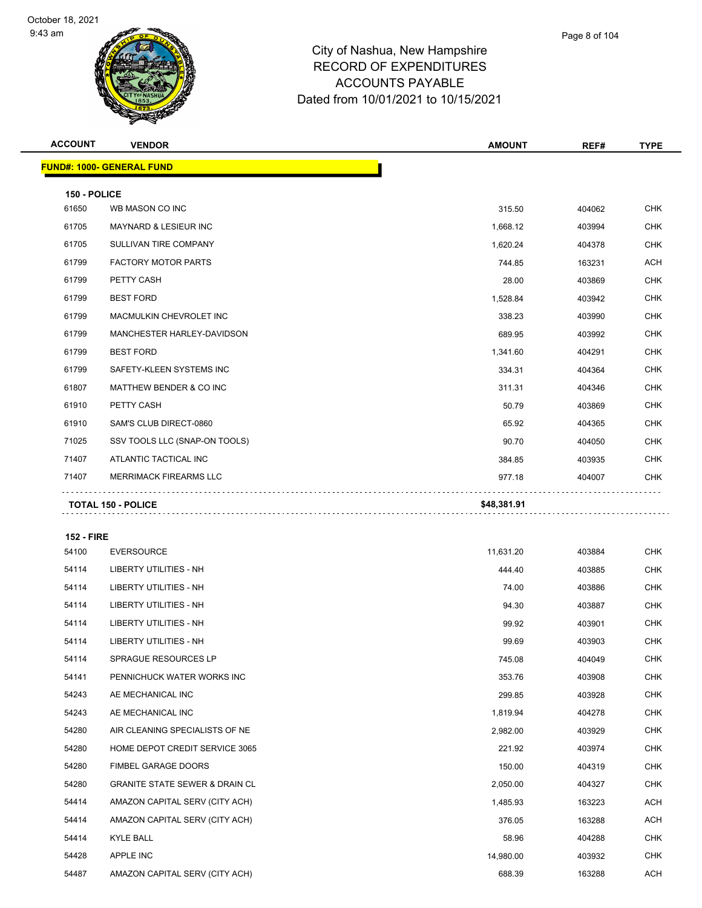**FUND#: 100** 

9:43 am



#### City of Nashua, New Hampshire RECORD OF EXPENDITURES ACCOUNTS PAYABLE Dated from 10/01/2021 to 10/15/2021

|              | $\mathbf{z}$<br>ॼ                |               |        |             |
|--------------|----------------------------------|---------------|--------|-------------|
| ACCOUNT      | <b>VENDOR</b>                    | <b>AMOUNT</b> | REF#   | <b>TYPE</b> |
|              | <u> IND#: 1000- GENERAL FUND</u> |               |        |             |
| 150 - POLICE |                                  |               |        |             |
| 61650        | WB MASON CO INC                  | 315.50        | 404062 | <b>CHK</b>  |
| 61705        | <b>MAYNARD &amp; LESIEUR INC</b> | 1,668.12      | 403994 | <b>CHK</b>  |
| 61705        | SULLIVAN TIRE COMPANY            | 1,620.24      | 404378 | <b>CHK</b>  |
| 61799        | <b>FACTORY MOTOR PARTS</b>       | 744.85        | 163231 | <b>ACH</b>  |
| 61799        | PETTY CASH                       | 28.00         | 403869 | <b>CHK</b>  |
| 61799        | <b>BEST FORD</b>                 | 1,528.84      | 403942 | <b>CHK</b>  |
| 61799        | MACMULKIN CHEVROLET INC          | 338.23        | 403990 | <b>CHK</b>  |
| 61799        | MANCHESTER HARLEY-DAVIDSON       | 689.95        | 403992 | <b>CHK</b>  |
| 61799        | <b>BEST FORD</b>                 | 1,341.60      | 404291 | <b>CHK</b>  |
| 61799        | SAFETY-KLEEN SYSTEMS INC         | 334.31        | 404364 | <b>CHK</b>  |

er 61807 MATTHEW BENDER & CO INC And the State of Matter of the State of Australian State of Australian State of Australian State of CHK PETTY CASH 50.79 403869 CHK SAM'S CLUB DIRECT-0860 65.92 404365 CHK SSV TOOLS LLC (SNAP-ON TOOLS) 90.70 404050 CHK THE TREASURE TO A TELEVISION OF THE SERVE THE STATE OF THE STATE OF THE STATE OF THE STATE OF THE STATE OF THE STATE OF THE STATE OF THE STATE OF THE STATE OF THE STATE OF THE STATE OF THE STATE OF THE STATE OF THE STATE O MERRIMACK FIREARMS LLC 977.18 404007 CHK

**TOTAL 150 - POLICE \$48,381.91**

#### **152 - FIRE**

| 54100 | <b>EVERSOURCE</b>                         | 11,631.20 | 403884 | <b>CHK</b> |
|-------|-------------------------------------------|-----------|--------|------------|
| 54114 | LIBERTY UTILITIES - NH                    | 444.40    | 403885 | <b>CHK</b> |
| 54114 | LIBERTY UTILITIES - NH                    | 74.00     | 403886 | <b>CHK</b> |
| 54114 | <b>LIBERTY UTILITIES - NH</b>             | 94.30     | 403887 | <b>CHK</b> |
| 54114 | LIBERTY UTILITIES - NH                    | 99.92     | 403901 | <b>CHK</b> |
| 54114 | LIBERTY UTILITIES - NH                    | 99.69     | 403903 | <b>CHK</b> |
| 54114 | <b>SPRAGUE RESOURCES LP</b>               | 745.08    | 404049 | <b>CHK</b> |
| 54141 | PENNICHUCK WATER WORKS INC                | 353.76    | 403908 | <b>CHK</b> |
| 54243 | AE MECHANICAL INC                         | 299.85    | 403928 | <b>CHK</b> |
| 54243 | AE MECHANICAL INC                         | 1,819.94  | 404278 | <b>CHK</b> |
| 54280 | AIR CLEANING SPECIALISTS OF NE            | 2,982.00  | 403929 | <b>CHK</b> |
| 54280 | HOME DEPOT CREDIT SERVICE 3065            | 221.92    | 403974 | <b>CHK</b> |
| 54280 | FIMBEL GARAGE DOORS                       | 150.00    | 404319 | <b>CHK</b> |
| 54280 | <b>GRANITE STATE SEWER &amp; DRAIN CL</b> | 2,050.00  | 404327 | <b>CHK</b> |
| 54414 | AMAZON CAPITAL SERV (CITY ACH)            | 1,485.93  | 163223 | ACH        |
| 54414 | AMAZON CAPITAL SERV (CITY ACH)            | 376.05    | 163288 | ACH        |
| 54414 | <b>KYLE BALL</b>                          | 58.96     | 404288 | <b>CHK</b> |
| 54428 | APPLE INC                                 | 14,980.00 | 403932 | <b>CHK</b> |
| 54487 | AMAZON CAPITAL SERV (CITY ACH)            | 688.39    | 163288 | ACH        |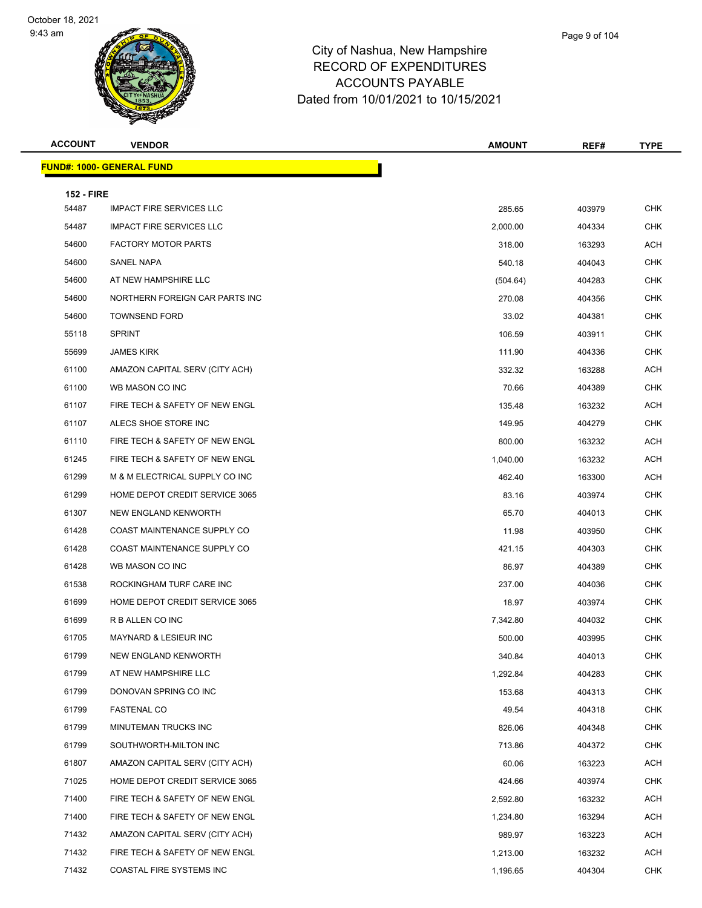

| Page 9 of 104 |
|---------------|
|               |

| <b>ACCOUNT</b>             | <b>VENDOR</b>                    | <b>AMOUNT</b>      | REF#   | <b>TYPE</b>       |
|----------------------------|----------------------------------|--------------------|--------|-------------------|
|                            | <b>FUND#: 1000- GENERAL FUND</b> |                    |        |                   |
|                            |                                  |                    |        |                   |
| <b>152 - FIRE</b><br>54487 | <b>IMPACT FIRE SERVICES LLC</b>  | 285.65             | 403979 | <b>CHK</b>        |
| 54487                      | <b>IMPACT FIRE SERVICES LLC</b>  | 2,000.00           | 404334 | <b>CHK</b>        |
| 54600                      | <b>FACTORY MOTOR PARTS</b>       | 318.00             | 163293 | ACH               |
| 54600                      | SANEL NAPA                       | 540.18             | 404043 | <b>CHK</b>        |
| 54600                      | AT NEW HAMPSHIRE LLC             |                    | 404283 | <b>CHK</b>        |
| 54600                      | NORTHERN FOREIGN CAR PARTS INC   | (504.64)<br>270.08 | 404356 | <b>CHK</b>        |
| 54600                      | <b>TOWNSEND FORD</b>             | 33.02              | 404381 | <b>CHK</b>        |
| 55118                      | <b>SPRINT</b>                    | 106.59             | 403911 | <b>CHK</b>        |
| 55699                      | <b>JAMES KIRK</b>                | 111.90             | 404336 | <b>CHK</b>        |
| 61100                      | AMAZON CAPITAL SERV (CITY ACH)   | 332.32             |        | ACH               |
|                            | WB MASON CO INC                  | 70.66              | 163288 | <b>CHK</b>        |
| 61100<br>61107             | FIRE TECH & SAFETY OF NEW ENGL   |                    | 404389 | ACH               |
| 61107                      | ALECS SHOE STORE INC             | 135.48             | 163232 | <b>CHK</b>        |
| 61110                      | FIRE TECH & SAFETY OF NEW ENGL   | 149.95             | 404279 | ACH               |
| 61245                      | FIRE TECH & SAFETY OF NEW ENGL   | 800.00             | 163232 | ACH               |
|                            |                                  | 1,040.00           | 163232 |                   |
| 61299                      | M & M ELECTRICAL SUPPLY CO INC   | 462.40             | 163300 | ACH<br>CHK        |
| 61299<br>61307             | HOME DEPOT CREDIT SERVICE 3065   | 83.16              | 403974 | <b>CHK</b>        |
| 61428                      | NEW ENGLAND KENWORTH             | 65.70              | 404013 |                   |
|                            | COAST MAINTENANCE SUPPLY CO      | 11.98              | 403950 | CHK<br><b>CHK</b> |
| 61428                      | COAST MAINTENANCE SUPPLY CO      | 421.15             | 404303 |                   |
| 61428                      | WB MASON CO INC                  | 86.97              | 404389 | <b>CHK</b>        |
| 61538                      | ROCKINGHAM TURF CARE INC         | 237.00             | 404036 | CHK               |
| 61699                      | HOME DEPOT CREDIT SERVICE 3065   | 18.97              | 403974 | <b>CHK</b>        |
| 61699                      | R B ALLEN CO INC                 | 7,342.80           | 404032 | <b>CHK</b>        |
| 61705                      | <b>MAYNARD &amp; LESIEUR INC</b> | 500.00             | 403995 | <b>CHK</b>        |
| 61799                      | NEW ENGLAND KENWORTH             | 340.84             | 404013 | <b>CHK</b>        |
| 61799                      | AT NEW HAMPSHIRE LLC             | 1,292.84           | 404283 | CHK               |
| 61799                      | DONOVAN SPRING CO INC            | 153.68             | 404313 | <b>CHK</b>        |
| 61799                      | <b>FASTENAL CO</b>               | 49.54              | 404318 | <b>CHK</b>        |
| 61799                      | MINUTEMAN TRUCKS INC             | 826.06             | 404348 | <b>CHK</b>        |
| 61799                      | SOUTHWORTH-MILTON INC            | 713.86             | 404372 | CHK               |
| 61807                      | AMAZON CAPITAL SERV (CITY ACH)   | 60.06              | 163223 | ACH               |
| 71025                      | HOME DEPOT CREDIT SERVICE 3065   | 424.66             | 403974 | <b>CHK</b>        |
| 71400                      | FIRE TECH & SAFETY OF NEW ENGL   | 2,592.80           | 163232 | ACH               |
| 71400                      | FIRE TECH & SAFETY OF NEW ENGL   | 1,234.80           | 163294 | ACH               |
| 71432                      | AMAZON CAPITAL SERV (CITY ACH)   | 989.97             | 163223 | ACH               |
| 71432                      | FIRE TECH & SAFETY OF NEW ENGL   | 1,213.00           | 163232 | ACH               |
| 71432                      | COASTAL FIRE SYSTEMS INC         | 1,196.65           | 404304 | <b>CHK</b>        |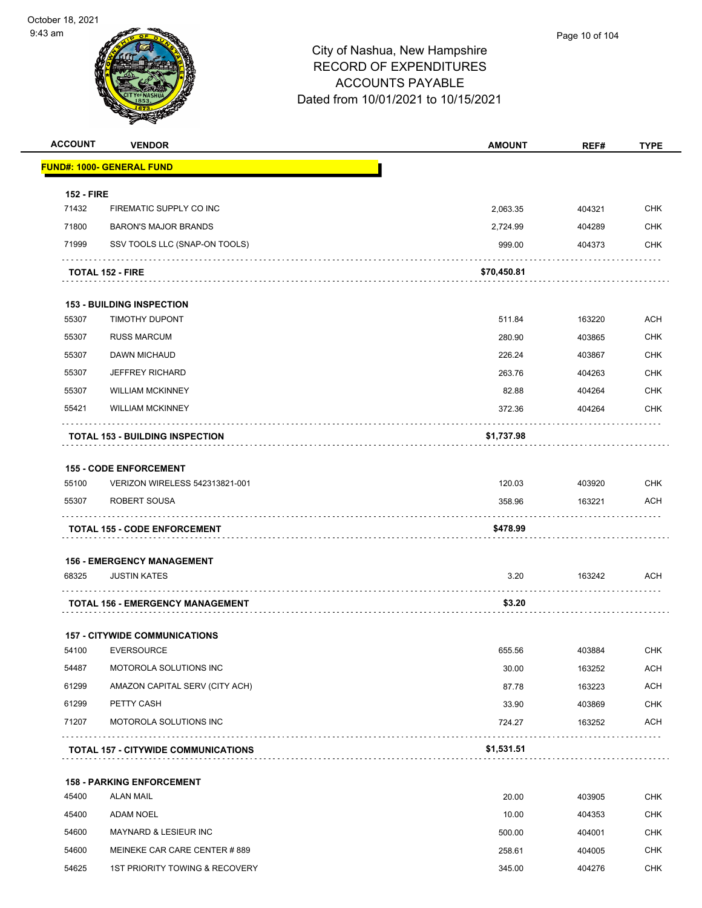| <b>ACCOUNT</b>    | <b>VENDOR</b>                              | <b>AMOUNT</b> | REF#   | <b>TYPE</b> |
|-------------------|--------------------------------------------|---------------|--------|-------------|
|                   | <b>FUND#: 1000- GENERAL FUND</b>           |               |        |             |
| <b>152 - FIRE</b> |                                            |               |        |             |
| 71432             | FIREMATIC SUPPLY CO INC                    | 2,063.35      | 404321 | <b>CHK</b>  |
| 71800             | <b>BARON'S MAJOR BRANDS</b>                | 2,724.99      | 404289 | <b>CHK</b>  |
| 71999             | SSV TOOLS LLC (SNAP-ON TOOLS)              | 999.00        | 404373 | <b>CHK</b>  |
|                   | <b>TOTAL 152 - FIRE</b>                    | \$70,450.81   |        |             |
|                   | <b>153 - BUILDING INSPECTION</b>           |               |        |             |
| 55307             | <b>TIMOTHY DUPONT</b>                      | 511.84        | 163220 | <b>ACH</b>  |
| 55307             | <b>RUSS MARCUM</b>                         | 280.90        | 403865 | <b>CHK</b>  |
| 55307             | DAWN MICHAUD                               | 226.24        | 403867 | <b>CHK</b>  |
| 55307             | <b>JEFFREY RICHARD</b>                     | 263.76        | 404263 | <b>CHK</b>  |
| 55307             | <b>WILLIAM MCKINNEY</b>                    | 82.88         | 404264 | <b>CHK</b>  |
| 55421             | <b>WILLIAM MCKINNEY</b>                    | 372.36        | 404264 | <b>CHK</b>  |
|                   |                                            |               |        |             |
|                   | <b>TOTAL 153 - BUILDING INSPECTION</b>     | \$1,737.98    |        |             |
|                   | <b>155 - CODE ENFORCEMENT</b>              |               |        |             |
| 55100             | VERIZON WIRELESS 542313821-001             | 120.03        | 403920 | <b>CHK</b>  |
| 55307             | ROBERT SOUSA                               | 358.96        | 163221 | <b>ACH</b>  |
|                   | <b>TOTAL 155 - CODE ENFORCEMENT</b>        | \$478.99      |        |             |
|                   |                                            |               |        |             |
|                   | <b>156 - EMERGENCY MANAGEMENT</b>          |               |        |             |
| 68325             | <b>JUSTIN KATES</b>                        | 3.20          | 163242 | ACH         |
|                   | <b>TOTAL 156 - EMERGENCY MANAGEMENT</b>    | \$3.20        |        |             |
|                   | <b>157 - CITYWIDE COMMUNICATIONS</b>       |               |        |             |
| 54100             | <b>EVERSOURCE</b>                          | 655.56        | 403884 | <b>CHK</b>  |
| 54487             | MOTOROLA SOLUTIONS INC                     | 30.00         | 163252 | <b>ACH</b>  |
| 61299             | AMAZON CAPITAL SERV (CITY ACH)             | 87.78         | 163223 | <b>ACH</b>  |
| 61299             | PETTY CASH                                 | 33.90         | 403869 | <b>CHK</b>  |
| 71207             | MOTOROLA SOLUTIONS INC                     | 724.27        | 163252 | <b>ACH</b>  |
|                   |                                            |               |        |             |
|                   | <b>TOTAL 157 - CITYWIDE COMMUNICATIONS</b> | \$1,531.51    |        |             |
|                   | <b>158 - PARKING ENFORCEMENT</b>           |               |        |             |
| 45400             | <b>ALAN MAIL</b>                           | 20.00         | 403905 | <b>CHK</b>  |
| 45400             | <b>ADAM NOEL</b>                           | 10.00         | 404353 | <b>CHK</b>  |
| 54600             | MAYNARD & LESIEUR INC                      | 500.00        | 404001 | <b>CHK</b>  |
| 54600             | MEINEKE CAR CARE CENTER #889               | 258.61        | 404005 | <b>CHK</b>  |
|                   |                                            |               |        |             |
| 54625             | 1ST PRIORITY TOWING & RECOVERY             | 345.00        | 404276 | CHK         |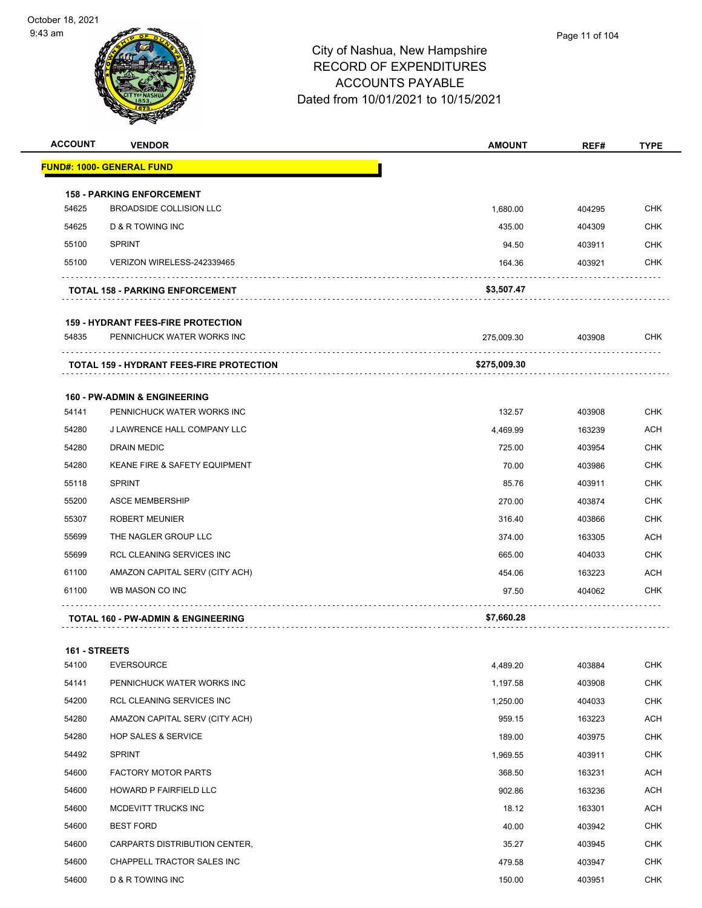

| <b>ACCOUNT</b> | <b>VENDOR</b>                                   | <b>AMOUNT</b> | REF#   | <b>TYPE</b> |
|----------------|-------------------------------------------------|---------------|--------|-------------|
|                | <b>FUND#: 1000- GENERAL FUND</b>                |               |        |             |
|                | <b>158 - PARKING ENFORCEMENT</b>                |               |        |             |
| 54625          | <b>BROADSIDE COLLISION LLC</b>                  | 1,680.00      | 404295 | <b>CHK</b>  |
| 54625          | D & R TOWING INC                                | 435.00        | 404309 | <b>CHK</b>  |
| 55100          | <b>SPRINT</b>                                   | 94.50         | 403911 | <b>CHK</b>  |
| 55100          | VERIZON WIRELESS-242339465                      | 164.36        | 403921 | <b>CHK</b>  |
|                | <b>TOTAL 158 - PARKING ENFORCEMENT</b>          | \$3,507.47    |        |             |
|                | <b>159 - HYDRANT FEES-FIRE PROTECTION</b>       |               |        |             |
| 54835          | PENNICHUCK WATER WORKS INC                      | 275,009.30    | 403908 | <b>CHK</b>  |
|                | <b>TOTAL 159 - HYDRANT FEES-FIRE PROTECTION</b> | \$275,009.30  |        |             |
|                | <b>160 - PW-ADMIN &amp; ENGINEERING</b>         |               |        |             |
| 54141          | PENNICHUCK WATER WORKS INC                      | 132.57        | 403908 | <b>CHK</b>  |
| 54280          | J LAWRENCE HALL COMPANY LLC                     | 4.469.99      | 163239 | ACH         |
| 54280          | <b>DRAIN MEDIC</b>                              | 725.00        | 403954 | <b>CHK</b>  |
| 54280          | KEANE FIRE & SAFETY EQUIPMENT                   | 70.00         | 403986 | <b>CHK</b>  |
| 55118          | <b>SPRINT</b>                                   | 85.76         | 403911 | <b>CHK</b>  |
| 55200          | <b>ASCE MEMBERSHIP</b>                          | 270.00        | 403874 | <b>CHK</b>  |
| 55307          | <b>ROBERT MEUNIER</b>                           | 316.40        | 403866 | <b>CHK</b>  |
| 55699          | THE NAGLER GROUP LLC                            | 374.00        | 163305 | ACH         |
| 55699          | RCL CLEANING SERVICES INC                       | 665.00        | 404033 | <b>CHK</b>  |
| 61100          | AMAZON CAPITAL SERV (CITY ACH)                  | 454.06        | 163223 | <b>ACH</b>  |
| 61100          | WB MASON CO INC                                 | 97.50         | 404062 | <b>CHK</b>  |
|                | <b>TOTAL 160 - PW-ADMIN &amp; ENGINEERING</b>   | \$7,660.28    | .      |             |
| 161 - STREETS  |                                                 |               |        |             |
| 54100          | <b>EVERSOURCE</b>                               | 4,489.20      | 403884 | <b>CHK</b>  |
| 54141          | PENNICHUCK WATER WORKS INC                      | 1,197.58      | 403908 | <b>CHK</b>  |
| 54200          | RCL CLEANING SERVICES INC                       | 1,250.00      | 404033 | <b>CHK</b>  |
| 54280          | AMAZON CAPITAL SERV (CITY ACH)                  | 959.15        | 163223 | ACH         |
| 54280          | <b>HOP SALES &amp; SERVICE</b>                  | 189.00        | 403975 | <b>CHK</b>  |
| 54492          | <b>SPRINT</b>                                   | 1,969.55      | 403911 | <b>CHK</b>  |
| 54600          | <b>FACTORY MOTOR PARTS</b>                      | 368.50        | 163231 | <b>ACH</b>  |
| 54600          | HOWARD P FAIRFIELD LLC                          | 902.86        | 163236 | <b>ACH</b>  |
| 54600          | MCDEVITT TRUCKS INC                             | 18.12         | 163301 | <b>ACH</b>  |
| 54600          | <b>BEST FORD</b>                                | 40.00         | 403942 | <b>CHK</b>  |
| 54600          | CARPARTS DISTRIBUTION CENTER,                   | 35.27         | 403945 | <b>CHK</b>  |
| 54600          | CHAPPELL TRACTOR SALES INC                      | 479.58        | 403947 | <b>CHK</b>  |
| 54600          | D & R TOWING INC                                | 150.00        | 403951 | <b>CHK</b>  |
|                |                                                 |               |        |             |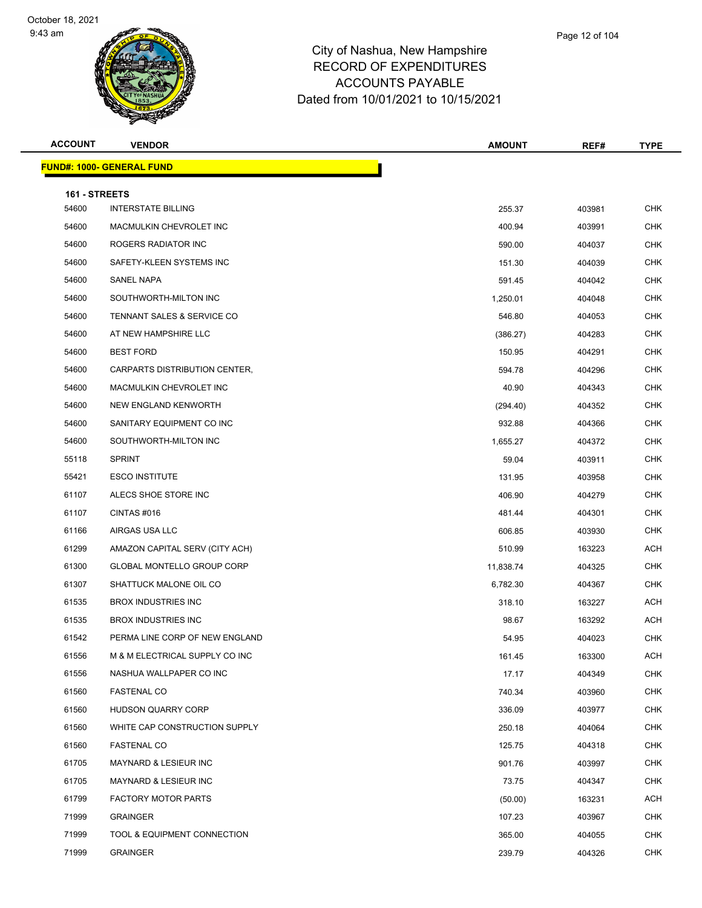

|       | Page 12 of 104 |  |
|-------|----------------|--|
| nire. |                |  |
| ro.   |                |  |

| <b>ACCOUNT</b>         | <b>VENDOR</b>                    | <b>AMOUNT</b> | REF#   | <b>TYPE</b> |
|------------------------|----------------------------------|---------------|--------|-------------|
|                        | <b>FUND#: 1000- GENERAL FUND</b> |               |        |             |
|                        |                                  |               |        |             |
| 161 - STREETS<br>54600 | <b>INTERSTATE BILLING</b>        | 255.37        | 403981 | <b>CHK</b>  |
| 54600                  | MACMULKIN CHEVROLET INC          | 400.94        | 403991 | <b>CHK</b>  |
| 54600                  | ROGERS RADIATOR INC              | 590.00        | 404037 | <b>CHK</b>  |
| 54600                  | SAFETY-KLEEN SYSTEMS INC         | 151.30        | 404039 | <b>CHK</b>  |
| 54600                  | SANEL NAPA                       | 591.45        | 404042 | <b>CHK</b>  |
| 54600                  | SOUTHWORTH-MILTON INC            |               | 404048 | <b>CHK</b>  |
| 54600                  | TENNANT SALES & SERVICE CO       | 1,250.01      | 404053 | CHK         |
|                        | AT NEW HAMPSHIRE LLC             | 546.80        |        | <b>CHK</b>  |
| 54600                  |                                  | (386.27)      | 404283 |             |
| 54600                  | <b>BEST FORD</b>                 | 150.95        | 404291 | <b>CHK</b>  |
| 54600                  | CARPARTS DISTRIBUTION CENTER,    | 594.78        | 404296 | <b>CHK</b>  |
| 54600                  | MACMULKIN CHEVROLET INC          | 40.90         | 404343 | <b>CHK</b>  |
| 54600                  | <b>NEW ENGLAND KENWORTH</b>      | (294.40)      | 404352 | <b>CHK</b>  |
| 54600                  | SANITARY EQUIPMENT CO INC        | 932.88        | 404366 | <b>CHK</b>  |
| 54600                  | SOUTHWORTH-MILTON INC            | 1,655.27      | 404372 | <b>CHK</b>  |
| 55118                  | <b>SPRINT</b>                    | 59.04         | 403911 | <b>CHK</b>  |
| 55421                  | <b>ESCO INSTITUTE</b>            | 131.95        | 403958 | <b>CHK</b>  |
| 61107                  | ALECS SHOE STORE INC             | 406.90        | 404279 | <b>CHK</b>  |
| 61107                  | CINTAS#016                       | 481.44        | 404301 | <b>CHK</b>  |
| 61166                  | AIRGAS USA LLC                   | 606.85        | 403930 | <b>CHK</b>  |
| 61299                  | AMAZON CAPITAL SERV (CITY ACH)   | 510.99        | 163223 | ACH         |
| 61300                  | GLOBAL MONTELLO GROUP CORP       | 11,838.74     | 404325 | <b>CHK</b>  |
| 61307                  | SHATTUCK MALONE OIL CO           | 6,782.30      | 404367 | <b>CHK</b>  |
| 61535                  | <b>BROX INDUSTRIES INC</b>       | 318.10        | 163227 | <b>ACH</b>  |
| 61535                  | <b>BROX INDUSTRIES INC</b>       | 98.67         | 163292 | <b>ACH</b>  |
| 61542                  | PERMA LINE CORP OF NEW ENGLAND   | 54.95         | 404023 | <b>CHK</b>  |
| 61556                  | M & M ELECTRICAL SUPPLY CO INC   | 161.45        | 163300 | ACH         |
| 61556                  | NASHUA WALLPAPER CO INC          | 17.17         | 404349 | <b>CHK</b>  |
| 61560                  | <b>FASTENAL CO</b>               | 740.34        | 403960 | <b>CHK</b>  |
| 61560                  | <b>HUDSON QUARRY CORP</b>        | 336.09        | 403977 | <b>CHK</b>  |
| 61560                  | WHITE CAP CONSTRUCTION SUPPLY    | 250.18        | 404064 | <b>CHK</b>  |
| 61560                  | <b>FASTENAL CO</b>               | 125.75        | 404318 | <b>CHK</b>  |
| 61705                  | MAYNARD & LESIEUR INC            | 901.76        | 403997 | CHK         |
| 61705                  | MAYNARD & LESIEUR INC            | 73.75         | 404347 | <b>CHK</b>  |
| 61799                  | <b>FACTORY MOTOR PARTS</b>       | (50.00)       | 163231 | ACH         |
| 71999                  | <b>GRAINGER</b>                  | 107.23        | 403967 | <b>CHK</b>  |
| 71999                  | TOOL & EQUIPMENT CONNECTION      | 365.00        | 404055 | <b>CHK</b>  |
| 71999                  | <b>GRAINGER</b>                  | 239.79        | 404326 | <b>CHK</b>  |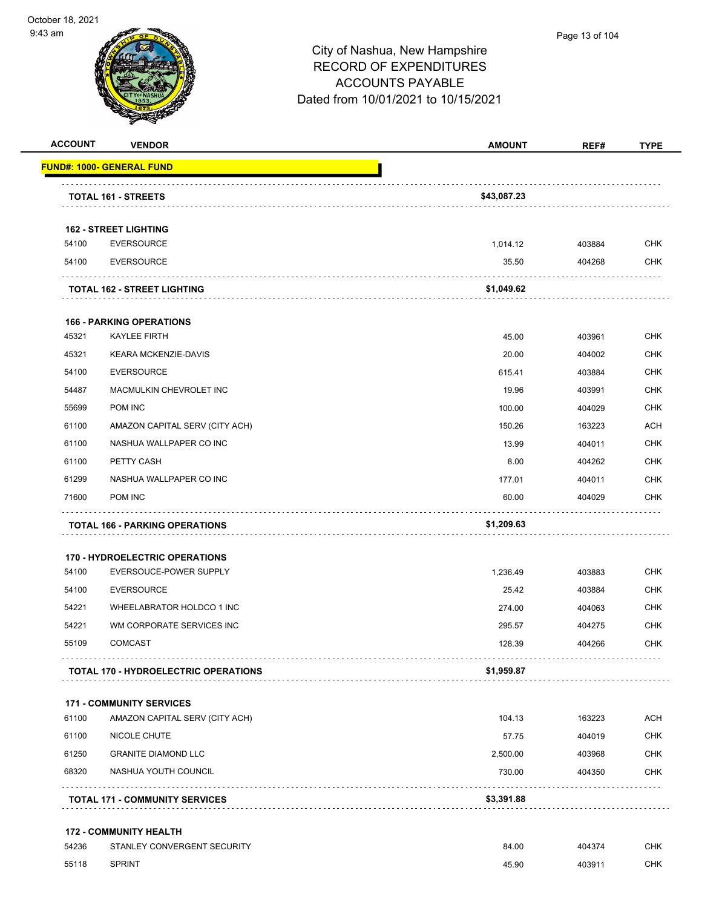



| <b>ACCOUNT</b> | <b>VENDOR</b>                                                | <b>AMOUNT</b> | REF#   | <b>TYPE</b> |
|----------------|--------------------------------------------------------------|---------------|--------|-------------|
|                | <u> FUND#: 1000- GENERAL FUND</u>                            |               |        |             |
|                | TOTAL 161 - STREETS                                          | \$43,087.23   |        |             |
|                | <b>162 - STREET LIGHTING</b>                                 |               |        |             |
| 54100          | <b>EVERSOURCE</b>                                            | 1,014.12      | 403884 | <b>CHK</b>  |
| 54100          | <b>EVERSOURCE</b>                                            | 35.50         | 404268 | <b>CHK</b>  |
|                | <b>TOTAL 162 - STREET LIGHTING</b>                           | \$1,049.62    |        |             |
|                | <b>166 - PARKING OPERATIONS</b>                              |               |        |             |
| 45321          | <b>KAYLEE FIRTH</b>                                          | 45.00         | 403961 | <b>CHK</b>  |
| 45321          | KEARA MCKENZIE-DAVIS                                         | 20.00         | 404002 | <b>CHK</b>  |
| 54100          | <b>EVERSOURCE</b>                                            | 615.41        | 403884 | <b>CHK</b>  |
| 54487          | MACMULKIN CHEVROLET INC                                      | 19.96         | 403991 | <b>CHK</b>  |
| 55699          | POM INC                                                      | 100.00        | 404029 | <b>CHK</b>  |
| 61100          | AMAZON CAPITAL SERV (CITY ACH)                               | 150.26        | 163223 | <b>ACH</b>  |
| 61100          | NASHUA WALLPAPER CO INC                                      | 13.99         | 404011 | <b>CHK</b>  |
| 61100          | PETTY CASH                                                   | 8.00          | 404262 | <b>CHK</b>  |
| 61299          | NASHUA WALLPAPER CO INC                                      | 177.01        | 404011 | <b>CHK</b>  |
| 71600          | <b>POM INC</b>                                               | 60.00         | 404029 | <b>CHK</b>  |
|                | <b>TOTAL 166 - PARKING OPERATIONS</b>                        | \$1,209.63    |        |             |
|                | <b>170 - HYDROELECTRIC OPERATIONS</b>                        |               |        |             |
| 54100          | EVERSOUCE-POWER SUPPLY                                       | 1,236.49      | 403883 | <b>CHK</b>  |
| 54100          | <b>EVERSOURCE</b>                                            | 25.42         | 403884 | <b>CHK</b>  |
| 54221          | WHEELABRATOR HOLDCO 1 INC                                    | 274.00        | 404063 | <b>CHK</b>  |
| 54221          | WM CORPORATE SERVICES INC                                    | 295.57        | 404275 | <b>CHK</b>  |
| 55109          | <b>COMCAST</b>                                               | 128.39        | 404266 | <b>CHK</b>  |
|                | <b>TOTAL 170 - HYDROELECTRIC OPERATIONS</b>                  | \$1,959.87    |        |             |
|                | <b>171 - COMMUNITY SERVICES</b>                              |               |        |             |
| 61100          | AMAZON CAPITAL SERV (CITY ACH)                               | 104.13        | 163223 | ACH         |
| 61100          | NICOLE CHUTE                                                 | 57.75         | 404019 | <b>CHK</b>  |
| 61250          | <b>GRANITE DIAMOND LLC</b>                                   | 2,500.00      | 403968 | <b>CHK</b>  |
| 68320          | NASHUA YOUTH COUNCIL                                         | 730.00        | 404350 | <b>CHK</b>  |
|                | <b>TOTAL 171 - COMMUNITY SERVICES</b>                        | \$3,391.88    |        | .           |
|                |                                                              |               |        |             |
| 54236          | <b>172 - COMMUNITY HEALTH</b><br>STANLEY CONVERGENT SECURITY | 84.00         | 404374 | <b>CHK</b>  |
| 55118          | <b>SPRINT</b>                                                |               |        | <b>CHK</b>  |
|                |                                                              | 45.90         | 403911 |             |
|                |                                                              |               |        |             |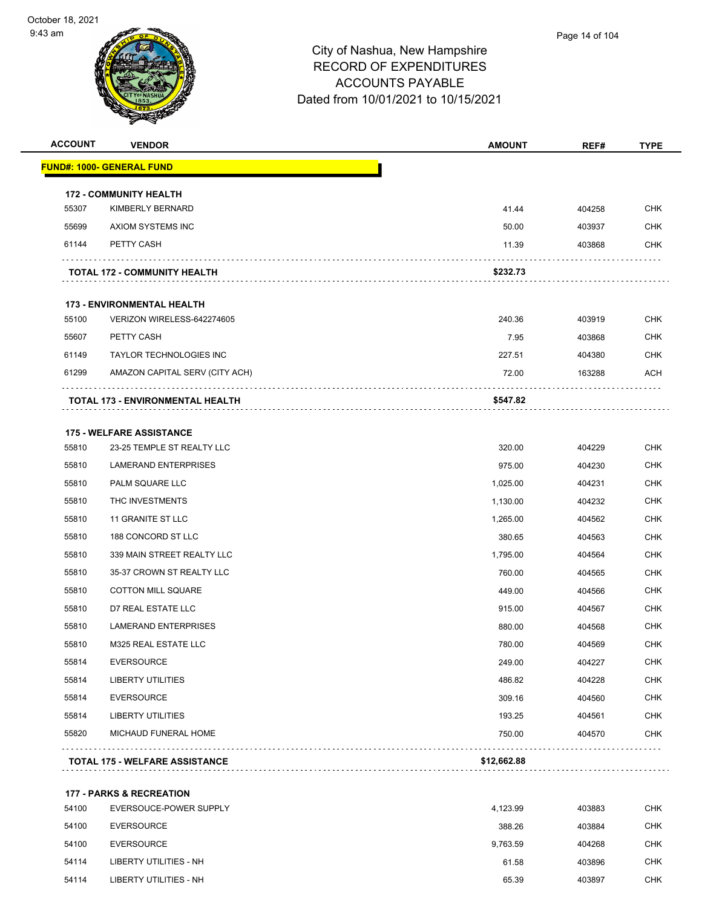

| <b>ACCOUNT</b> | <b>VENDOR</b>                                                 | <b>AMOUNT</b> | REF#   | <b>TYPE</b> |
|----------------|---------------------------------------------------------------|---------------|--------|-------------|
|                | <b>FUND#: 1000- GENERAL FUND</b>                              |               |        |             |
|                | <b>172 - COMMUNITY HEALTH</b>                                 |               |        |             |
| 55307          | KIMBERLY BERNARD                                              | 41.44         | 404258 | <b>CHK</b>  |
| 55699          | AXIOM SYSTEMS INC                                             | 50.00         | 403937 | <b>CHK</b>  |
| 61144          | PETTY CASH                                                    | 11.39         | 403868 | <b>CHK</b>  |
|                | <b>TOTAL 172 - COMMUNITY HEALTH</b>                           | \$232.73      |        |             |
|                | <b>173 - ENVIRONMENTAL HEALTH</b>                             |               |        |             |
| 55100          | VERIZON WIRELESS-642274605                                    | 240.36        | 403919 | <b>CHK</b>  |
| 55607          | PETTY CASH                                                    | 7.95          | 403868 | <b>CHK</b>  |
| 61149          | TAYLOR TECHNOLOGIES INC                                       | 227.51        | 404380 | CHK         |
| 61299          | AMAZON CAPITAL SERV (CITY ACH)                                | 72.00         | 163288 | ACH         |
|                | TOTAL 173 - ENVIRONMENTAL HEALTH                              | \$547.82      |        |             |
|                |                                                               |               |        |             |
| 55810          | <b>175 - WELFARE ASSISTANCE</b><br>23-25 TEMPLE ST REALTY LLC | 320.00        | 404229 | <b>CHK</b>  |
| 55810          | <b>LAMERAND ENTERPRISES</b>                                   | 975.00        | 404230 | <b>CHK</b>  |
| 55810          | PALM SQUARE LLC                                               | 1,025.00      | 404231 | <b>CHK</b>  |
| 55810          | THC INVESTMENTS                                               | 1,130.00      | 404232 | <b>CHK</b>  |
| 55810          | 11 GRANITE ST LLC                                             | 1,265.00      | 404562 | CHK         |
| 55810          | 188 CONCORD ST LLC                                            | 380.65        | 404563 | <b>CHK</b>  |
| 55810          | 339 MAIN STREET REALTY LLC                                    | 1,795.00      | 404564 | <b>CHK</b>  |
| 55810          | 35-37 CROWN ST REALTY LLC                                     | 760.00        | 404565 | <b>CHK</b>  |
| 55810          | <b>COTTON MILL SQUARE</b>                                     | 449.00        | 404566 | <b>CHK</b>  |
| 55810          | D7 REAL ESTATE LLC                                            | 915.00        | 404567 | <b>CHK</b>  |
| 55810          | LAMERAND ENTERPRISES                                          | 880.00        | 404568 | <b>CHK</b>  |
| 55810          | M325 REAL ESTATE LLC                                          | 780.00        | 404569 | <b>CHK</b>  |
| 55814          | <b>EVERSOURCE</b>                                             | 249.00        | 404227 | <b>CHK</b>  |
| 55814          | LIBERTY UTILITIES                                             | 486.82        | 404228 | <b>CHK</b>  |
| 55814          | <b>EVERSOURCE</b>                                             | 309.16        | 404560 | <b>CHK</b>  |
| 55814          | LIBERTY UTILITIES                                             | 193.25        | 404561 | <b>CHK</b>  |
| 55820          | MICHAUD FUNERAL HOME                                          | 750.00        | 404570 | <b>CHK</b>  |
|                | <b>TOTAL 175 - WELFARE ASSISTANCE</b>                         | \$12,662.88   |        |             |
|                |                                                               |               |        |             |
|                | <b>177 - PARKS &amp; RECREATION</b>                           |               |        |             |
| 54100          | EVERSOUCE-POWER SUPPLY                                        | 4,123.99      | 403883 | <b>CHK</b>  |
| 54100          | <b>EVERSOURCE</b>                                             | 388.26        | 403884 | <b>CHK</b>  |
| 54100          | <b>EVERSOURCE</b>                                             | 9,763.59      | 404268 | <b>CHK</b>  |
| 54114          | LIBERTY UTILITIES - NH                                        | 61.58         | 403896 | <b>CHK</b>  |

LIBERTY UTILITIES - NH 65.39 403897 CHK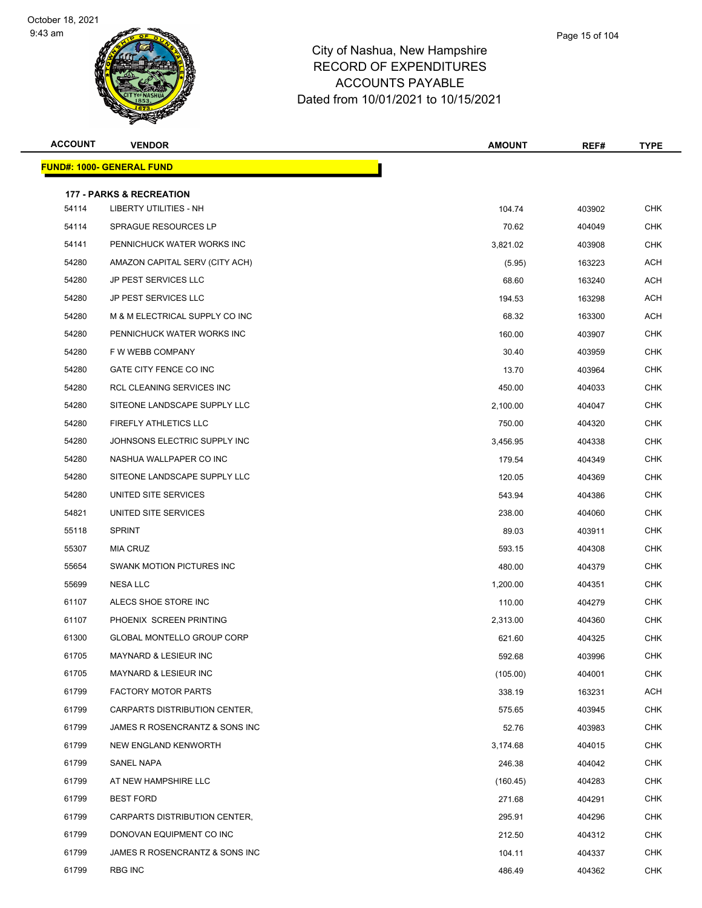

| <b>ACCOUNT</b> | <b>VENDOR</b>                       | <b>AMOUNT</b> | REF#   | TYPE       |
|----------------|-------------------------------------|---------------|--------|------------|
|                | <b>FUND#: 1000- GENERAL FUND</b>    |               |        |            |
|                | <b>177 - PARKS &amp; RECREATION</b> |               |        |            |
| 54114          | <b>LIBERTY UTILITIES - NH</b>       | 104.74        | 403902 | <b>CHK</b> |
| 54114          | SPRAGUE RESOURCES LP                | 70.62         | 404049 | <b>CHK</b> |
| 54141          | PENNICHUCK WATER WORKS INC          | 3,821.02      | 403908 | <b>CHK</b> |
| 54280          | AMAZON CAPITAL SERV (CITY ACH)      | (5.95)        | 163223 | <b>ACH</b> |
| 54280          | <b>JP PEST SERVICES LLC</b>         | 68.60         | 163240 | <b>ACH</b> |
| 54280          | JP PEST SERVICES LLC                | 194.53        | 163298 | ACH        |
| 54280          | M & M ELECTRICAL SUPPLY CO INC      | 68.32         | 163300 | ACH        |
| 54280          | PENNICHUCK WATER WORKS INC          | 160.00        | 403907 | <b>CHK</b> |
| 54280          | F W WEBB COMPANY                    | 30.40         | 403959 | <b>CHK</b> |
| 54280          | GATE CITY FENCE CO INC              | 13.70         | 403964 | <b>CHK</b> |
| 54280          | RCL CLEANING SERVICES INC           | 450.00        | 404033 | <b>CHK</b> |
| 54280          | SITEONE LANDSCAPE SUPPLY LLC        | 2,100.00      | 404047 | <b>CHK</b> |
| 54280          | FIREFLY ATHLETICS LLC               | 750.00        | 404320 | <b>CHK</b> |
| 54280          | JOHNSONS ELECTRIC SUPPLY INC        | 3,456.95      | 404338 | <b>CHK</b> |
| 54280          | NASHUA WALLPAPER CO INC             | 179.54        | 404349 | <b>CHK</b> |
| 54280          | SITEONE LANDSCAPE SUPPLY LLC        | 120.05        | 404369 | <b>CHK</b> |
| 54280          | UNITED SITE SERVICES                | 543.94        | 404386 | <b>CHK</b> |
| 54821          | UNITED SITE SERVICES                | 238.00        | 404060 | <b>CHK</b> |
| 55118          | <b>SPRINT</b>                       | 89.03         | 403911 | <b>CHK</b> |
| 55307          | <b>MIA CRUZ</b>                     | 593.15        | 404308 | <b>CHK</b> |
| 55654          | SWANK MOTION PICTURES INC           | 480.00        | 404379 | <b>CHK</b> |
| 55699          | <b>NESA LLC</b>                     | 1,200.00      | 404351 | <b>CHK</b> |
| 61107          | ALECS SHOE STORE INC                | 110.00        | 404279 | <b>CHK</b> |
| 61107          | PHOENIX SCREEN PRINTING             | 2,313.00      | 404360 | <b>CHK</b> |
| 61300          | <b>GLOBAL MONTELLO GROUP CORP</b>   | 621.60        | 404325 | <b>CHK</b> |
| 61705          | MAYNARD & LESIEUR INC               | 592.68        | 403996 | <b>CHK</b> |
| 61705          | <b>MAYNARD &amp; LESIEUR INC</b>    | (105.00)      | 404001 | <b>CHK</b> |
| 61799          | FACTORY MOTOR PARTS                 | 338.19        | 163231 | <b>ACH</b> |
| 61799          | CARPARTS DISTRIBUTION CENTER,       | 575.65        | 403945 | <b>CHK</b> |
| 61799          | JAMES R ROSENCRANTZ & SONS INC      | 52.76         | 403983 | <b>CHK</b> |
| 61799          | NEW ENGLAND KENWORTH                | 3,174.68      | 404015 | <b>CHK</b> |
| 61799          | SANEL NAPA                          | 246.38        | 404042 | CHK        |
| 61799          | AT NEW HAMPSHIRE LLC                | (160.45)      | 404283 | <b>CHK</b> |
| 61799          | <b>BEST FORD</b>                    | 271.68        | 404291 | <b>CHK</b> |
| 61799          | CARPARTS DISTRIBUTION CENTER,       | 295.91        | 404296 | <b>CHK</b> |
| 61799          | DONOVAN EQUIPMENT CO INC            | 212.50        | 404312 | <b>CHK</b> |
| 61799          | JAMES R ROSENCRANTZ & SONS INC      | 104.11        | 404337 | <b>CHK</b> |
| 61799          | <b>RBG INC</b>                      | 486.49        | 404362 | <b>CHK</b> |
|                |                                     |               |        |            |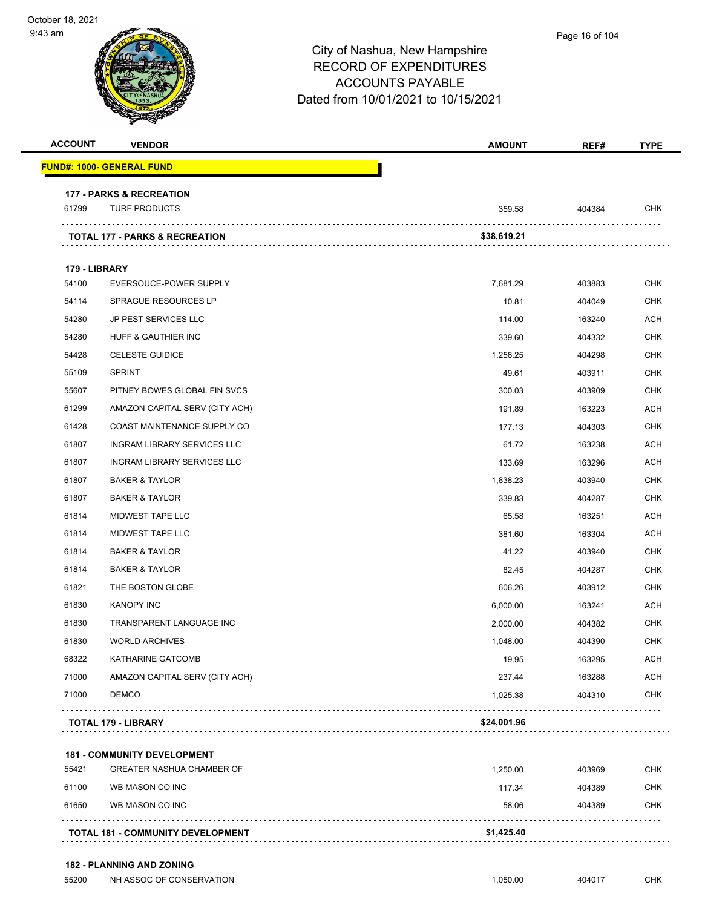| <b>ACCOUNT</b> | <b>VENDOR</b>                       | <b>AMOUNT</b> | REF#   | <b>TYPE</b> |
|----------------|-------------------------------------|---------------|--------|-------------|
|                | <u> FUND#: 1000- GENERAL FUND</u>   |               |        |             |
|                | <b>177 - PARKS &amp; RECREATION</b> |               |        |             |
| 61799          | <b>TURF PRODUCTS</b>                | 359.58        | 404384 | <b>CHK</b>  |
|                | TOTAL 177 - PARKS & RECREATION      | \$38,619.21   |        |             |
|                |                                     |               |        |             |
| 179 - LIBRARY  |                                     |               |        |             |
| 54100          | EVERSOUCE-POWER SUPPLY              | 7,681.29      | 403883 | <b>CHK</b>  |
| 54114          | <b>SPRAGUE RESOURCES LP</b>         | 10.81         | 404049 | <b>CHK</b>  |
| 54280          | JP PEST SERVICES LLC                | 114.00        | 163240 | <b>ACH</b>  |
| 54280          | HUFF & GAUTHIER INC                 | 339.60        | 404332 | <b>CHK</b>  |
| 54428          | <b>CELESTE GUIDICE</b>              | 1,256.25      | 404298 | <b>CHK</b>  |
| 55109          | <b>SPRINT</b>                       | 49.61         | 403911 | <b>CHK</b>  |
| 55607          | PITNEY BOWES GLOBAL FIN SVCS        | 300.03        | 403909 | <b>CHK</b>  |
| 61299          | AMAZON CAPITAL SERV (CITY ACH)      | 191.89        | 163223 | <b>ACH</b>  |
| 61428          | COAST MAINTENANCE SUPPLY CO         | 177.13        | 404303 | <b>CHK</b>  |
| 61807          | INGRAM LIBRARY SERVICES LLC         | 61.72         | 163238 | <b>ACH</b>  |
| 61807          | INGRAM LIBRARY SERVICES LLC         | 133.69        | 163296 | <b>ACH</b>  |
| 61807          | <b>BAKER &amp; TAYLOR</b>           | 1,838.23      | 403940 | <b>CHK</b>  |
| 61807          | <b>BAKER &amp; TAYLOR</b>           | 339.83        | 404287 | <b>CHK</b>  |
| 61814          | MIDWEST TAPE LLC                    | 65.58         | 163251 | <b>ACH</b>  |
| 61814          | MIDWEST TAPE LLC                    | 381.60        | 163304 | <b>ACH</b>  |
| 61814          | <b>BAKER &amp; TAYLOR</b>           | 41.22         | 403940 | <b>CHK</b>  |
| 61814          | <b>BAKER &amp; TAYLOR</b>           | 82.45         | 404287 | <b>CHK</b>  |
| 61821          | THE BOSTON GLOBE                    | 606.26        | 403912 | <b>CHK</b>  |
| 61830          | <b>KANOPY INC</b>                   | 6,000.00      | 163241 | ACH         |
| 61830          | TRANSPARENT LANGUAGE INC            | 2,000.00      | 404382 | <b>CHK</b>  |
| 61830          | <b>WORLD ARCHIVES</b>               | 1,048.00      | 404390 | <b>CHK</b>  |
| 68322          | KATHARINE GATCOMB                   | 19.95         | 163295 | <b>ACH</b>  |
| 71000          | AMAZON CAPITAL SERV (CITY ACH)      | 237.44        | 163288 | <b>ACH</b>  |
| 71000          | <b>DEMCO</b>                        | 1,025.38      | 404310 | <b>CHK</b>  |
|                | <b>TOTAL 179 - LIBRARY</b>          | \$24,001.96   |        |             |

|       | <b>TOTAL 181 - COMMUNITY DEVELOPMENT</b> | \$1,425.40 |        |            |
|-------|------------------------------------------|------------|--------|------------|
| 61650 | WB MASON CO INC                          | 58.06      | 404389 | <b>CHK</b> |
| 61100 | WB MASON CO INC                          | 117.34     | 404389 | <b>CHK</b> |
| 55421 | <b>GREATER NASHUA CHAMBER OF</b>         | 1.250.00   | 403969 | <b>CHK</b> |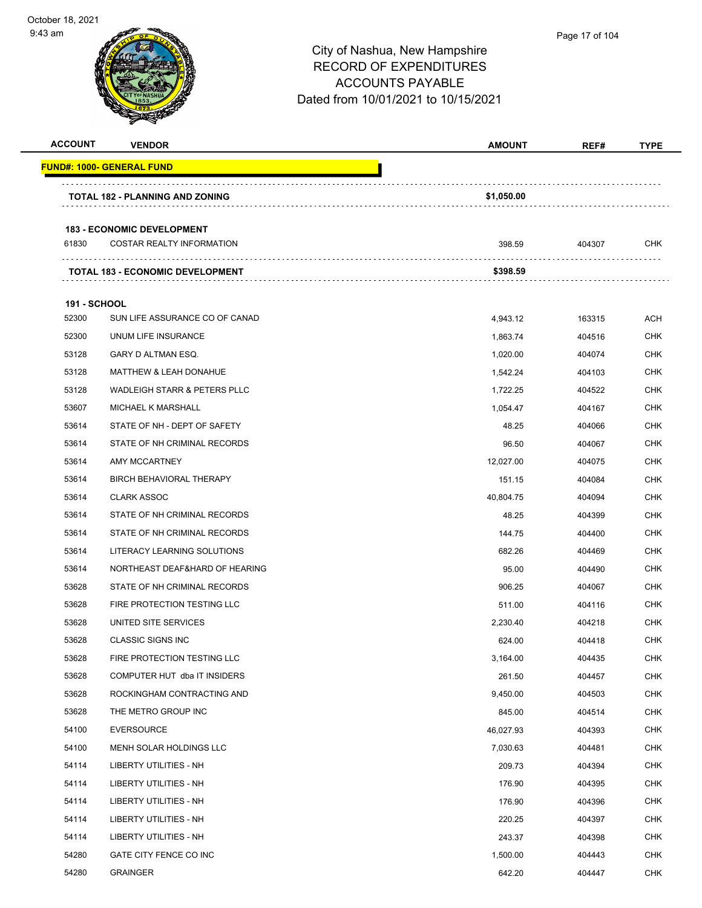

| <b>ACCOUNT</b>      | <b>VENDOR</b>                           | <b>AMOUNT</b> | REF#   | <b>TYPE</b> |
|---------------------|-----------------------------------------|---------------|--------|-------------|
|                     | <u> FUND#: 1000- GENERAL FUND</u>       |               |        |             |
|                     | <b>TOTAL 182 - PLANNING AND ZONING</b>  | \$1,050.00    |        |             |
|                     |                                         |               |        |             |
|                     | <b>183 - ECONOMIC DEVELOPMENT</b>       |               |        |             |
| 61830               | <b>COSTAR REALTY INFORMATION</b>        | 398.59        | 404307 | CHK         |
|                     | <b>TOTAL 183 - ECONOMIC DEVELOPMENT</b> | \$398.59      |        |             |
| <b>191 - SCHOOL</b> |                                         |               |        |             |
| 52300               | SUN LIFE ASSURANCE CO OF CANAD          | 4,943.12      | 163315 | <b>ACH</b>  |
| 52300               | UNUM LIFE INSURANCE                     | 1,863.74      | 404516 | <b>CHK</b>  |
| 53128               | GARY D ALTMAN ESQ.                      | 1,020.00      | 404074 | CHK         |
| 53128               | <b>MATTHEW &amp; LEAH DONAHUE</b>       | 1,542.24      | 404103 | CHK         |
| 53128               | WADLEIGH STARR & PETERS PLLC            | 1,722.25      | 404522 | CHK         |
| 53607               | <b>MICHAEL K MARSHALL</b>               | 1,054.47      | 404167 | <b>CHK</b>  |
| 53614               | STATE OF NH - DEPT OF SAFETY            | 48.25         | 404066 | CHK         |
| 53614               | STATE OF NH CRIMINAL RECORDS            | 96.50         | 404067 | <b>CHK</b>  |
| 53614               | AMY MCCARTNEY                           | 12,027.00     | 404075 | CHK         |
| 53614               | BIRCH BEHAVIORAL THERAPY                | 151.15        | 404084 | CHK         |
| 53614               | <b>CLARK ASSOC</b>                      | 40,804.75     | 404094 | <b>CHK</b>  |
| 53614               | STATE OF NH CRIMINAL RECORDS            | 48.25         | 404399 | CHK         |
| 53614               | STATE OF NH CRIMINAL RECORDS            | 144.75        | 404400 | CHK         |
| 53614               | LITERACY LEARNING SOLUTIONS             | 682.26        | 404469 | CHK         |
| 53614               | NORTHEAST DEAF&HARD OF HEARING          | 95.00         | 404490 | CHK         |
| 53628               | STATE OF NH CRIMINAL RECORDS            | 906.25        | 404067 | CHK         |
| 53628               | FIRE PROTECTION TESTING LLC             | 511.00        | 404116 | CHK         |
| 53628               | UNITED SITE SERVICES                    | 2,230.40      | 404218 | CHK         |
| 53628               | <b>CLASSIC SIGNS INC</b>                | 624.00        | 404418 | CHK         |
| 53628               | FIRE PROTECTION TESTING LLC             | 3,164.00      | 404435 | <b>CHK</b>  |
| 53628               | COMPUTER HUT dba IT INSIDERS            | 261.50        | 404457 | <b>CHK</b>  |
| 53628               | ROCKINGHAM CONTRACTING AND              | 9,450.00      | 404503 | <b>CHK</b>  |
| 53628               | THE METRO GROUP INC                     | 845.00        | 404514 | <b>CHK</b>  |
| 54100               | <b>EVERSOURCE</b>                       | 46,027.93     | 404393 | <b>CHK</b>  |
| 54100               | MENH SOLAR HOLDINGS LLC                 | 7,030.63      | 404481 | CHK         |
| 54114               | <b>LIBERTY UTILITIES - NH</b>           | 209.73        | 404394 | <b>CHK</b>  |
| 54114               | LIBERTY UTILITIES - NH                  | 176.90        | 404395 | <b>CHK</b>  |
| 54114               | LIBERTY UTILITIES - NH                  | 176.90        | 404396 | <b>CHK</b>  |
| 54114               | LIBERTY UTILITIES - NH                  | 220.25        | 404397 | <b>CHK</b>  |
| 54114               | LIBERTY UTILITIES - NH                  | 243.37        | 404398 | CHK         |
| 54280               | GATE CITY FENCE CO INC                  | 1,500.00      | 404443 | <b>CHK</b>  |
| 54280               | <b>GRAINGER</b>                         | 642.20        | 404447 | <b>CHK</b>  |
|                     |                                         |               |        |             |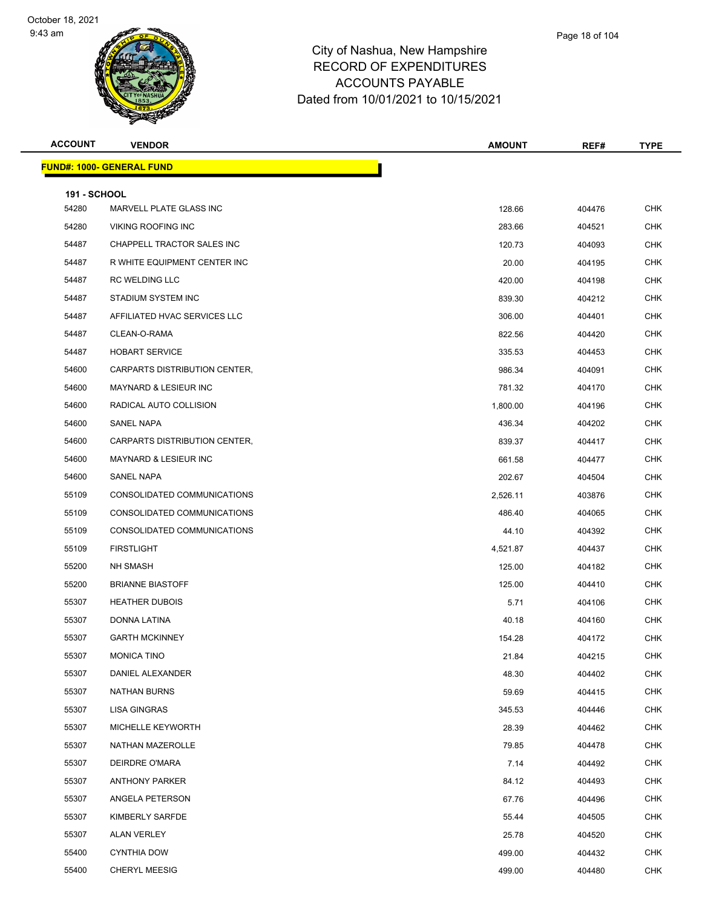

| Page 18 of 104 |  |
|----------------|--|
|                |  |

| <b>ACCOUNT</b>               | <b>VENDOR</b>                          | <b>AMOUNT</b> | REF#   | <b>TYPE</b> |
|------------------------------|----------------------------------------|---------------|--------|-------------|
|                              | <mark>FUND#: 1000- GENERAL FUND</mark> |               |        |             |
|                              |                                        |               |        |             |
| <b>191 - SCHOOL</b><br>54280 | MARVELL PLATE GLASS INC                | 128.66        | 404476 | <b>CHK</b>  |
| 54280                        | <b>VIKING ROOFING INC</b>              | 283.66        | 404521 | <b>CHK</b>  |
| 54487                        | CHAPPELL TRACTOR SALES INC             | 120.73        | 404093 | <b>CHK</b>  |
| 54487                        | R WHITE EQUIPMENT CENTER INC           | 20.00         | 404195 | <b>CHK</b>  |
| 54487                        | RC WELDING LLC                         | 420.00        | 404198 | <b>CHK</b>  |
| 54487                        | STADIUM SYSTEM INC                     | 839.30        | 404212 | <b>CHK</b>  |
| 54487                        | AFFILIATED HVAC SERVICES LLC           | 306.00        | 404401 | <b>CHK</b>  |
| 54487                        | CLEAN-O-RAMA                           | 822.56        | 404420 | CHK         |
| 54487                        | <b>HOBART SERVICE</b>                  | 335.53        | 404453 | <b>CHK</b>  |
| 54600                        | CARPARTS DISTRIBUTION CENTER,          | 986.34        | 404091 | <b>CHK</b>  |
| 54600                        | <b>MAYNARD &amp; LESIEUR INC</b>       | 781.32        | 404170 | <b>CHK</b>  |
| 54600                        | RADICAL AUTO COLLISION                 | 1,800.00      | 404196 | <b>CHK</b>  |
| 54600                        | <b>SANEL NAPA</b>                      | 436.34        | 404202 | CHK         |
| 54600                        | CARPARTS DISTRIBUTION CENTER,          | 839.37        | 404417 | <b>CHK</b>  |
| 54600                        | MAYNARD & LESIEUR INC                  | 661.58        | 404477 | <b>CHK</b>  |
| 54600                        | SANEL NAPA                             | 202.67        | 404504 | <b>CHK</b>  |
| 55109                        | CONSOLIDATED COMMUNICATIONS            | 2,526.11      | 403876 | <b>CHK</b>  |
| 55109                        | CONSOLIDATED COMMUNICATIONS            | 486.40        | 404065 | CHK         |
| 55109                        | CONSOLIDATED COMMUNICATIONS            | 44.10         | 404392 | <b>CHK</b>  |
| 55109                        | <b>FIRSTLIGHT</b>                      | 4,521.87      | 404437 | <b>CHK</b>  |
| 55200                        | NH SMASH                               | 125.00        | 404182 | <b>CHK</b>  |
| 55200                        | <b>BRIANNE BIASTOFF</b>                | 125.00        | 404410 | <b>CHK</b>  |
| 55307                        | <b>HEATHER DUBOIS</b>                  | 5.71          | 404106 | CHK         |
| 55307                        | DONNA LATINA                           | 40.18         | 404160 | <b>CHK</b>  |
| 55307                        | <b>GARTH MCKINNEY</b>                  | 154.28        | 404172 | <b>CHK</b>  |
| 55307                        | <b>MONICA TINO</b>                     | 21.84         | 404215 | <b>CHK</b>  |
| 55307                        | DANIEL ALEXANDER                       | 48.30         | 404402 | <b>CHK</b>  |
| 55307                        | <b>NATHAN BURNS</b>                    | 59.69         | 404415 | CHK         |
| 55307                        | <b>LISA GINGRAS</b>                    | 345.53        | 404446 | <b>CHK</b>  |
| 55307                        | MICHELLE KEYWORTH                      | 28.39         | 404462 | <b>CHK</b>  |
| 55307                        | NATHAN MAZEROLLE                       | 79.85         | 404478 | <b>CHK</b>  |
| 55307                        | DEIRDRE O'MARA                         | 7.14          | 404492 | <b>CHK</b>  |
| 55307                        | <b>ANTHONY PARKER</b>                  | 84.12         | 404493 | CHK         |
| 55307                        | ANGELA PETERSON                        | 67.76         | 404496 | <b>CHK</b>  |
| 55307                        | KIMBERLY SARFDE                        | 55.44         | 404505 | <b>CHK</b>  |
| 55307                        | <b>ALAN VERLEY</b>                     | 25.78         | 404520 | <b>CHK</b>  |
| 55400                        | <b>CYNTHIA DOW</b>                     | 499.00        | 404432 | <b>CHK</b>  |
| 55400                        | <b>CHERYL MEESIG</b>                   | 499.00        | 404480 | <b>CHK</b>  |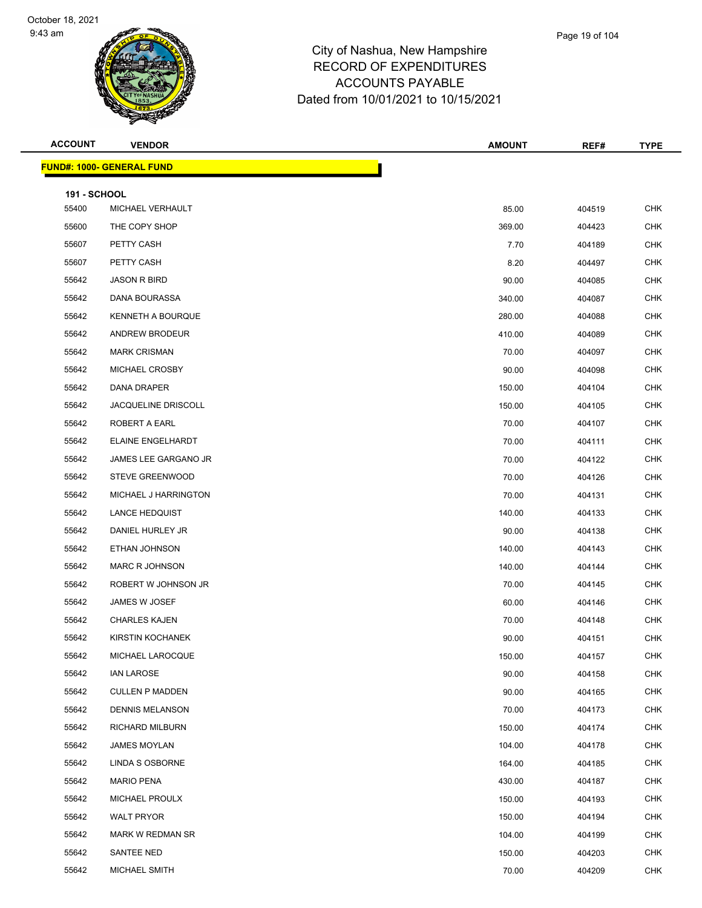

| <b>ACCOUNT</b>      | <b>VENDOR</b>                    | <b>AMOUNT</b> | REF#   | <b>TYPE</b> |
|---------------------|----------------------------------|---------------|--------|-------------|
|                     | <b>FUND#: 1000- GENERAL FUND</b> |               |        |             |
| <b>191 - SCHOOL</b> |                                  |               |        |             |
| 55400               | MICHAEL VERHAULT                 | 85.00         | 404519 | <b>CHK</b>  |
| 55600               | THE COPY SHOP                    | 369.00        | 404423 | <b>CHK</b>  |
| 55607               | PETTY CASH                       | 7.70          | 404189 | <b>CHK</b>  |
| 55607               | PETTY CASH                       | 8.20          | 404497 | CHK         |
| 55642               | <b>JASON R BIRD</b>              | 90.00         | 404085 | <b>CHK</b>  |
| 55642               | DANA BOURASSA                    | 340.00        | 404087 | <b>CHK</b>  |
| 55642               | KENNETH A BOURQUE                | 280.00        | 404088 | <b>CHK</b>  |
| 55642               | ANDREW BRODEUR                   | 410.00        | 404089 | <b>CHK</b>  |
| 55642               | <b>MARK CRISMAN</b>              | 70.00         | 404097 | CHK         |
| 55642               | MICHAEL CROSBY                   | 90.00         | 404098 | <b>CHK</b>  |
| 55642               | DANA DRAPER                      | 150.00        | 404104 | <b>CHK</b>  |
| 55642               | <b>JACQUELINE DRISCOLL</b>       | 150.00        | 404105 | <b>CHK</b>  |
| 55642               | ROBERT A EARL                    | 70.00         | 404107 | <b>CHK</b>  |
| 55642               | ELAINE ENGELHARDT                | 70.00         | 404111 | CHK         |
| 55642               | JAMES LEE GARGANO JR             | 70.00         | 404122 | <b>CHK</b>  |
| 55642               | <b>STEVE GREENWOOD</b>           | 70.00         | 404126 | <b>CHK</b>  |
| 55642               | MICHAEL J HARRINGTON             | 70.00         | 404131 | CHK         |
| 55642               | <b>LANCE HEDQUIST</b>            | 140.00        | 404133 | <b>CHK</b>  |
| 55642               | DANIEL HURLEY JR                 | 90.00         | 404138 | CHK         |
| 55642               | ETHAN JOHNSON                    | 140.00        | 404143 | <b>CHK</b>  |
| 55642               | MARC R JOHNSON                   | 140.00        | 404144 | <b>CHK</b>  |
| 55642               | ROBERT W JOHNSON JR              | 70.00         | 404145 | CHK         |
| 55642               | JAMES W JOSEF                    | 60.00         | 404146 | <b>CHK</b>  |
| 55642               | <b>CHARLES KAJEN</b>             | 70.00         | 404148 | CHK         |
| 55642               | KIRSTIN KOCHANEK                 | 90.00         | 404151 | <b>CHK</b>  |
| 55642               | MICHAEL LAROCQUE                 | 150.00        | 404157 | CHK         |
| 55642               | <b>IAN LAROSE</b>                | 90.00         | 404158 | <b>CHK</b>  |
| 55642               | <b>CULLEN P MADDEN</b>           | 90.00         | 404165 | <b>CHK</b>  |
| 55642               | <b>DENNIS MELANSON</b>           | 70.00         | 404173 | CHK         |
| 55642               | RICHARD MILBURN                  | 150.00        | 404174 | <b>CHK</b>  |
| 55642               | <b>JAMES MOYLAN</b>              | 104.00        | 404178 | <b>CHK</b>  |
| 55642               | LINDA S OSBORNE                  | 164.00        | 404185 | <b>CHK</b>  |
| 55642               | <b>MARIO PENA</b>                | 430.00        | 404187 | <b>CHK</b>  |
| 55642               | MICHAEL PROULX                   | 150.00        | 404193 | CHK         |
| 55642               | WALT PRYOR                       | 150.00        | 404194 | <b>CHK</b>  |
| 55642               | MARK W REDMAN SR                 | 104.00        | 404199 | <b>CHK</b>  |
| 55642               | SANTEE NED                       | 150.00        | 404203 | <b>CHK</b>  |
| 55642               | MICHAEL SMITH                    | 70.00         | 404209 | <b>CHK</b>  |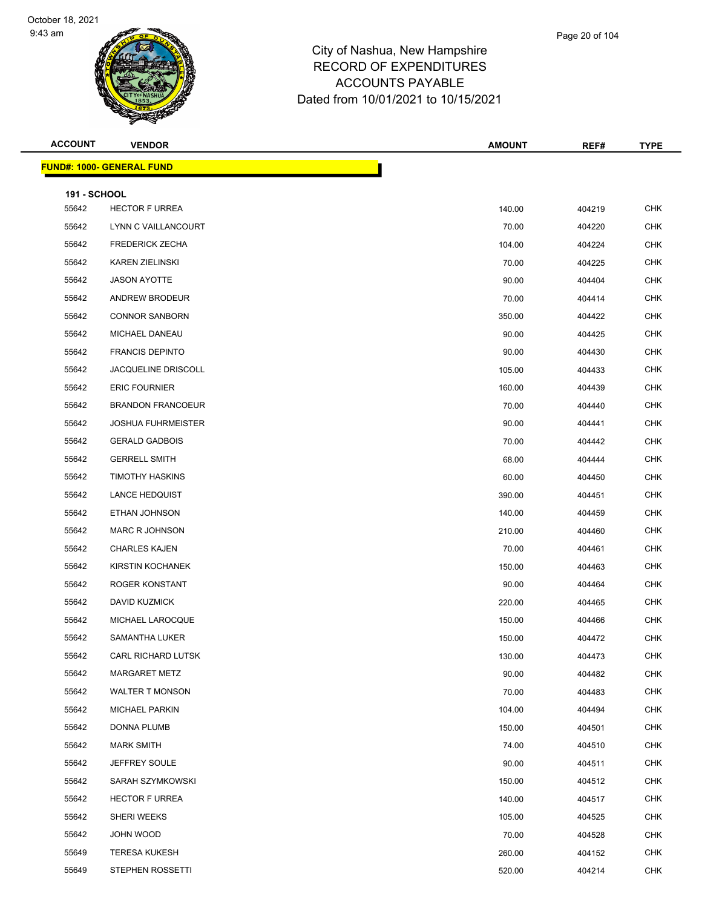

### City of Nashua, New Hamp RECORD OF EXPENDITI ACCOUNTS PAYABLE Dated from 10/01/2021 to 10/15/2021

| pshire |  |  |
|--------|--|--|
| URES   |  |  |
|        |  |  |

Page 20 of 104

| <b>ACCOUNT</b>      | <b>VENDOR</b>                    | <b>AMOUNT</b> | REF#   | <b>TYPE</b> |
|---------------------|----------------------------------|---------------|--------|-------------|
|                     | <b>FUND#: 1000- GENERAL FUND</b> |               |        |             |
| <b>191 - SCHOOL</b> |                                  |               |        |             |
| 55642               | <b>HECTOR F URREA</b>            | 140.00        | 404219 | <b>CHK</b>  |
| 55642               | LYNN C VAILLANCOURT              | 70.00         | 404220 | <b>CHK</b>  |
| 55642               | <b>FREDERICK ZECHA</b>           | 104.00        | 404224 | <b>CHK</b>  |
| 55642               | <b>KAREN ZIELINSKI</b>           | 70.00         | 404225 | <b>CHK</b>  |
| 55642               | <b>JASON AYOTTE</b>              | 90.00         | 404404 | <b>CHK</b>  |
| 55642               | ANDREW BRODEUR                   | 70.00         | 404414 | <b>CHK</b>  |
| 55642               | <b>CONNOR SANBORN</b>            | 350.00        | 404422 | <b>CHK</b>  |
| 55642               | MICHAEL DANEAU                   | 90.00         | 404425 | <b>CHK</b>  |
| 55642               | <b>FRANCIS DEPINTO</b>           | 90.00         | 404430 | <b>CHK</b>  |
| 55642               | <b>JACQUELINE DRISCOLL</b>       | 105.00        | 404433 | <b>CHK</b>  |
| 55642               | <b>ERIC FOURNIER</b>             | 160.00        | 404439 | <b>CHK</b>  |
| 55642               | <b>BRANDON FRANCOEUR</b>         | 70.00         | 404440 | <b>CHK</b>  |
| 55642               | <b>JOSHUA FUHRMEISTER</b>        | 90.00         | 404441 | <b>CHK</b>  |
| 55642               | <b>GERALD GADBOIS</b>            | 70.00         | 404442 | <b>CHK</b>  |
| 55642               | <b>GERRELL SMITH</b>             | 68.00         | 404444 | <b>CHK</b>  |
| 55642               | <b>TIMOTHY HASKINS</b>           | 60.00         | 404450 | <b>CHK</b>  |
| 55642               | <b>LANCE HEDQUIST</b>            | 390.00        | 404451 | <b>CHK</b>  |
| 55642               | ETHAN JOHNSON                    | 140.00        | 404459 | <b>CHK</b>  |
| 55642               | <b>MARC R JOHNSON</b>            | 210.00        | 404460 | <b>CHK</b>  |
| 55642               | <b>CHARLES KAJEN</b>             | 70.00         | 404461 | <b>CHK</b>  |
| 55642               | KIRSTIN KOCHANEK                 | 150.00        | 404463 | <b>CHK</b>  |
| 55642               | ROGER KONSTANT                   | 90.00         | 404464 | <b>CHK</b>  |
| 55642               | <b>DAVID KUZMICK</b>             | 220.00        | 404465 | <b>CHK</b>  |
| 55642               | MICHAEL LAROCQUE                 | 150.00        | 404466 | <b>CHK</b>  |
| 55642               | SAMANTHA LUKER                   | 150.00        | 404472 | <b>CHK</b>  |
| 55642               | CARL RICHARD LUTSK               | 130.00        | 404473 | CHK         |
| 55642               | <b>MARGARET METZ</b>             | 90.00         | 404482 | <b>CHK</b>  |
| 55642               | <b>WALTER T MONSON</b>           | 70.00         | 404483 | <b>CHK</b>  |
| 55642               | MICHAEL PARKIN                   | 104.00        | 404494 | <b>CHK</b>  |
| 55642               | DONNA PLUMB                      | 150.00        | 404501 | CHK         |
| 55642               | <b>MARK SMITH</b>                | 74.00         | 404510 | <b>CHK</b>  |
| 55642               | JEFFREY SOULE                    | 90.00         | 404511 | CHK         |
| 55642               | SARAH SZYMKOWSKI                 | 150.00        | 404512 | <b>CHK</b>  |
| 55642               | <b>HECTOR F URREA</b>            | 140.00        | 404517 | <b>CHK</b>  |
| 55642               | SHERI WEEKS                      | 105.00        | 404525 | CHK         |
| 55642               | JOHN WOOD                        | 70.00         | 404528 | <b>CHK</b>  |
| 55649               | <b>TERESA KUKESH</b>             | 260.00        | 404152 | <b>CHK</b>  |
| 55649               | STEPHEN ROSSETTI                 | 520.00        | 404214 | <b>CHK</b>  |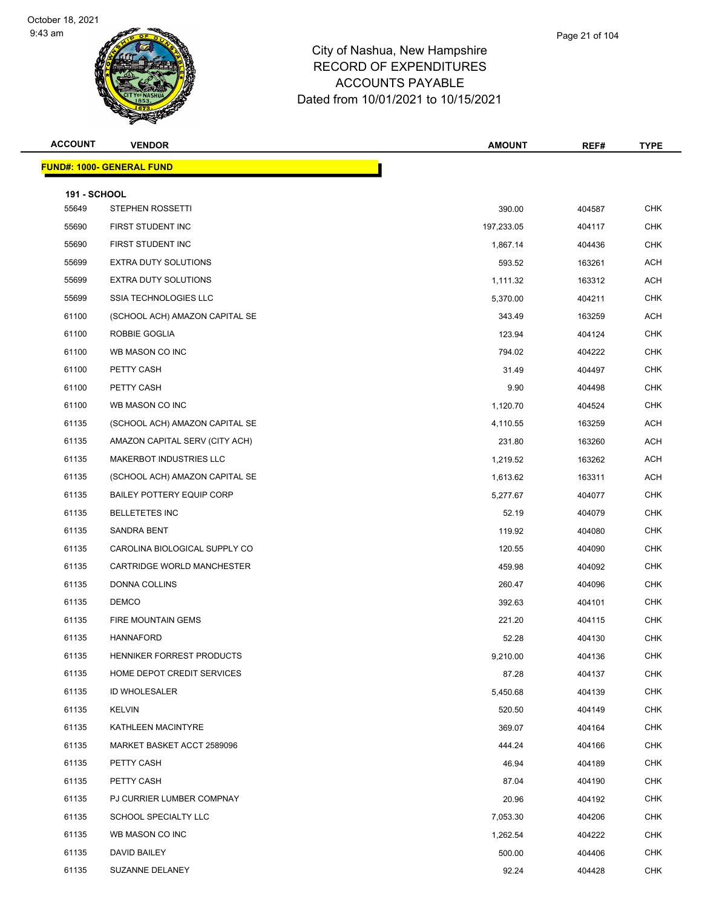

| Page 21 of 104 |  |
|----------------|--|
|                |  |

| <b>ACCOUNT</b>      | <b>VENDOR</b>                    | <b>AMOUNT</b> | REF#   | <b>TYPE</b> |
|---------------------|----------------------------------|---------------|--------|-------------|
|                     | <b>FUND#: 1000- GENERAL FUND</b> |               |        |             |
| <b>191 - SCHOOL</b> |                                  |               |        |             |
| 55649               | <b>STEPHEN ROSSETTI</b>          | 390.00        | 404587 | <b>CHK</b>  |
| 55690               | FIRST STUDENT INC                | 197,233.05    | 404117 | <b>CHK</b>  |
| 55690               | FIRST STUDENT INC                | 1,867.14      | 404436 | <b>CHK</b>  |
| 55699               | EXTRA DUTY SOLUTIONS             | 593.52        | 163261 | <b>ACH</b>  |
| 55699               | <b>EXTRA DUTY SOLUTIONS</b>      | 1,111.32      | 163312 | ACH         |
| 55699               | SSIA TECHNOLOGIES LLC            | 5,370.00      | 404211 | <b>CHK</b>  |
| 61100               | (SCHOOL ACH) AMAZON CAPITAL SE   | 343.49        | 163259 | ACH         |
| 61100               | ROBBIE GOGLIA                    | 123.94        | 404124 | <b>CHK</b>  |
| 61100               | WB MASON CO INC                  | 794.02        | 404222 | <b>CHK</b>  |
| 61100               | PETTY CASH                       | 31.49         | 404497 | <b>CHK</b>  |
| 61100               | PETTY CASH                       | 9.90          | 404498 | <b>CHK</b>  |
| 61100               | WB MASON CO INC                  | 1,120.70      | 404524 | <b>CHK</b>  |
| 61135               | (SCHOOL ACH) AMAZON CAPITAL SE   | 4,110.55      | 163259 | ACH         |
| 61135               | AMAZON CAPITAL SERV (CITY ACH)   | 231.80        | 163260 | <b>ACH</b>  |
| 61135               | MAKERBOT INDUSTRIES LLC          | 1,219.52      | 163262 | ACH         |
| 61135               | (SCHOOL ACH) AMAZON CAPITAL SE   | 1,613.62      | 163311 | ACH         |
| 61135               | <b>BAILEY POTTERY EQUIP CORP</b> | 5,277.67      | 404077 | <b>CHK</b>  |
| 61135               | <b>BELLETETES INC</b>            | 52.19         | 404079 | <b>CHK</b>  |
| 61135               | SANDRA BENT                      | 119.92        | 404080 | <b>CHK</b>  |
| 61135               | CAROLINA BIOLOGICAL SUPPLY CO    | 120.55        | 404090 | <b>CHK</b>  |
| 61135               | CARTRIDGE WORLD MANCHESTER       | 459.98        | 404092 | <b>CHK</b>  |
| 61135               | DONNA COLLINS                    | 260.47        | 404096 | <b>CHK</b>  |
| 61135               | <b>DEMCO</b>                     | 392.63        | 404101 | <b>CHK</b>  |
| 61135               | <b>FIRE MOUNTAIN GEMS</b>        | 221.20        | 404115 | <b>CHK</b>  |
| 61135               | <b>HANNAFORD</b>                 | 52.28         | 404130 | CHK         |
| 61135               | HENNIKER FORREST PRODUCTS        | 9,210.00      | 404136 | <b>CHK</b>  |
| 61135               | HOME DEPOT CREDIT SERVICES       | 87.28         | 404137 | <b>CHK</b>  |
| 61135               | <b>ID WHOLESALER</b>             | 5,450.68      | 404139 | <b>CHK</b>  |
| 61135               | <b>KELVIN</b>                    | 520.50        | 404149 | <b>CHK</b>  |
| 61135               | KATHLEEN MACINTYRE               | 369.07        | 404164 | CHK         |
| 61135               | MARKET BASKET ACCT 2589096       | 444.24        | 404166 | <b>CHK</b>  |
| 61135               | PETTY CASH                       | 46.94         | 404189 | CHK         |
| 61135               | PETTY CASH                       | 87.04         | 404190 | <b>CHK</b>  |
| 61135               | PJ CURRIER LUMBER COMPNAY        | 20.96         | 404192 | <b>CHK</b>  |
| 61135               | SCHOOL SPECIALTY LLC             | 7,053.30      | 404206 | CHK         |
| 61135               | WB MASON CO INC                  | 1,262.54      | 404222 | <b>CHK</b>  |
| 61135               | DAVID BAILEY                     | 500.00        | 404406 | <b>CHK</b>  |
| 61135               | SUZANNE DELANEY                  | 92.24         | 404428 | <b>CHK</b>  |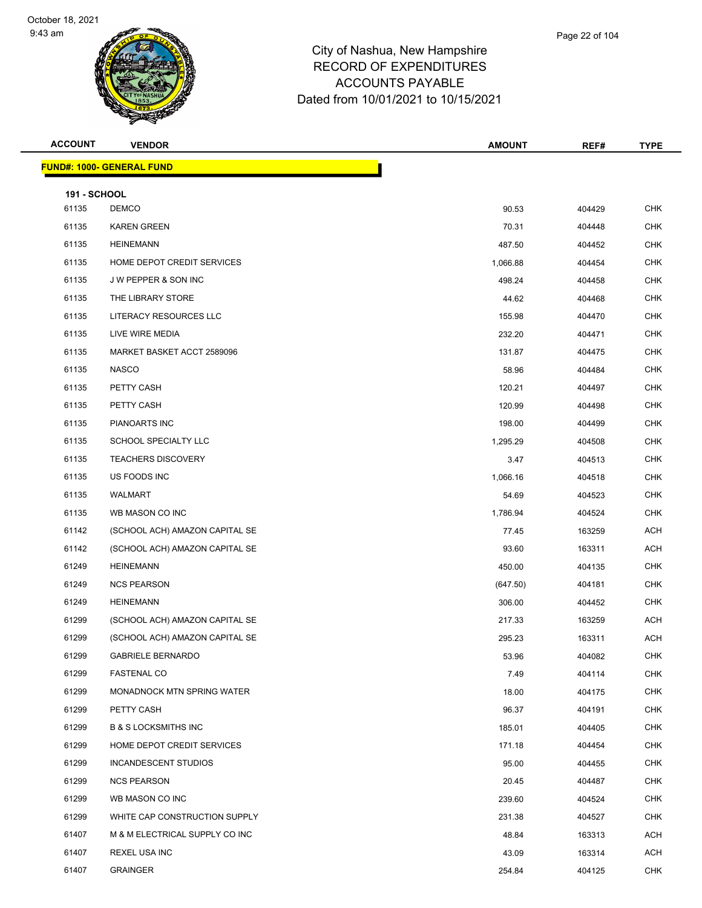

| <b>ACCOUNT</b>        | <b>VENDOR</b>                    | <b>AMOUNT</b> | REF#   | <b>TYPE</b> |
|-----------------------|----------------------------------|---------------|--------|-------------|
|                       | <b>FUND#: 1000- GENERAL FUND</b> |               |        |             |
|                       |                                  |               |        |             |
| 191 - SCHOOL<br>61135 | <b>DEMCO</b>                     | 90.53         | 404429 | <b>CHK</b>  |
| 61135                 | <b>KAREN GREEN</b>               | 70.31         | 404448 | <b>CHK</b>  |
| 61135                 | <b>HEINEMANN</b>                 | 487.50        | 404452 | <b>CHK</b>  |
| 61135                 | HOME DEPOT CREDIT SERVICES       | 1,066.88      | 404454 | <b>CHK</b>  |
| 61135                 | J W PEPPER & SON INC             | 498.24        | 404458 | <b>CHK</b>  |
| 61135                 | THE LIBRARY STORE                | 44.62         | 404468 | <b>CHK</b>  |
| 61135                 | LITERACY RESOURCES LLC           | 155.98        | 404470 | <b>CHK</b>  |
| 61135                 | LIVE WIRE MEDIA                  | 232.20        | 404471 | <b>CHK</b>  |
| 61135                 | MARKET BASKET ACCT 2589096       | 131.87        | 404475 | <b>CHK</b>  |
| 61135                 | <b>NASCO</b>                     | 58.96         | 404484 | <b>CHK</b>  |
| 61135                 | PETTY CASH                       | 120.21        | 404497 | <b>CHK</b>  |
| 61135                 | PETTY CASH                       | 120.99        | 404498 | <b>CHK</b>  |
| 61135                 | PIANOARTS INC                    | 198.00        | 404499 | <b>CHK</b>  |
| 61135                 | SCHOOL SPECIALTY LLC             | 1,295.29      | 404508 | <b>CHK</b>  |
| 61135                 | <b>TEACHERS DISCOVERY</b>        | 3.47          | 404513 | <b>CHK</b>  |
| 61135                 | US FOODS INC                     | 1,066.16      | 404518 | <b>CHK</b>  |
| 61135                 | WALMART                          | 54.69         | 404523 | <b>CHK</b>  |
| 61135                 | WB MASON CO INC                  | 1,786.94      | 404524 | <b>CHK</b>  |
| 61142                 | (SCHOOL ACH) AMAZON CAPITAL SE   | 77.45         | 163259 | <b>ACH</b>  |
| 61142                 | (SCHOOL ACH) AMAZON CAPITAL SE   | 93.60         | 163311 | <b>ACH</b>  |
| 61249                 | <b>HEINEMANN</b>                 | 450.00        | 404135 | <b>CHK</b>  |
| 61249                 | <b>NCS PEARSON</b>               | (647.50)      | 404181 | <b>CHK</b>  |
| 61249                 | <b>HEINEMANN</b>                 | 306.00        | 404452 | <b>CHK</b>  |
| 61299                 | (SCHOOL ACH) AMAZON CAPITAL SE   | 217.33        | 163259 | <b>ACH</b>  |
| 61299                 | (SCHOOL ACH) AMAZON CAPITAL SE   | 295.23        | 163311 | <b>ACH</b>  |
| 61299                 | <b>GABRIELE BERNARDO</b>         | 53.96         | 404082 | <b>CHK</b>  |
| 61299                 | <b>FASTENAL CO</b>               | 7.49          | 404114 | <b>CHK</b>  |
| 61299                 | MONADNOCK MTN SPRING WATER       | 18.00         | 404175 | <b>CHK</b>  |
| 61299                 | PETTY CASH                       | 96.37         | 404191 | <b>CHK</b>  |
| 61299                 | <b>B &amp; S LOCKSMITHS INC</b>  | 185.01        | 404405 | <b>CHK</b>  |
| 61299                 | HOME DEPOT CREDIT SERVICES       | 171.18        | 404454 | <b>CHK</b>  |
| 61299                 | INCANDESCENT STUDIOS             | 95.00         | 404455 | <b>CHK</b>  |
| 61299                 | <b>NCS PEARSON</b>               | 20.45         | 404487 | <b>CHK</b>  |
| 61299                 | WB MASON CO INC                  | 239.60        | 404524 | <b>CHK</b>  |
| 61299                 | WHITE CAP CONSTRUCTION SUPPLY    | 231.38        | 404527 | CHK         |
| 61407                 | M & M ELECTRICAL SUPPLY CO INC   | 48.84         | 163313 | ACH         |
| 61407                 | REXEL USA INC                    | 43.09         | 163314 | ACH         |
| 61407                 | <b>GRAINGER</b>                  | 254.84        | 404125 | <b>CHK</b>  |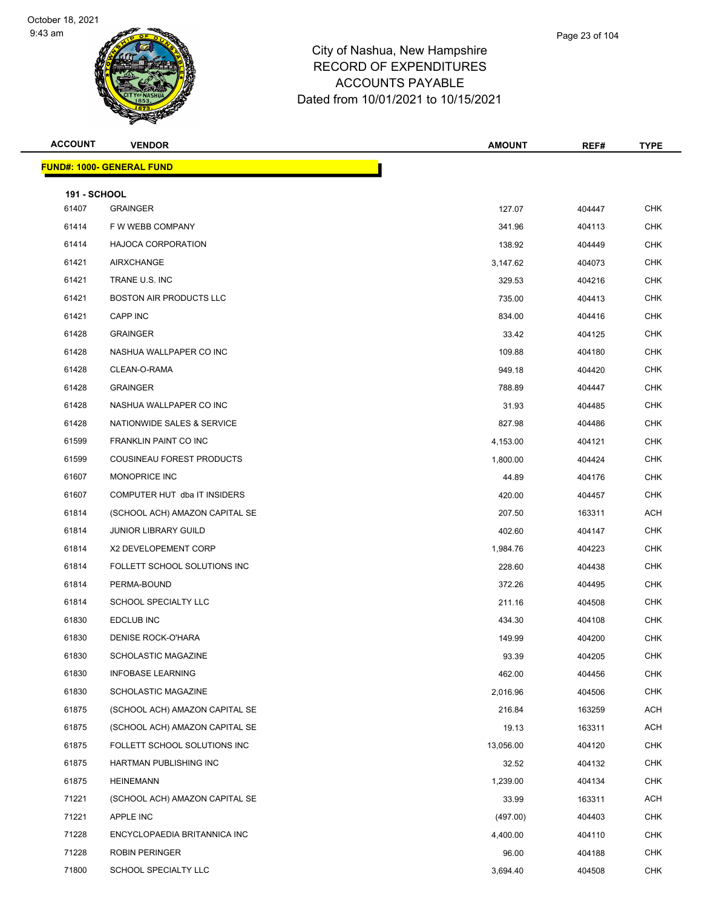

**FUND#: 1000- GENERAL FUND**

|              |                                 | <u>Daled IIOIII TUJU IZUZ I lO TUJ IJJZUZ I</u> |        |             |
|--------------|---------------------------------|-------------------------------------------------|--------|-------------|
| ACCOUNT      | <b>VENDOR</b>                   | <b>AMOUNT</b>                                   | REF#   | <b>TYPE</b> |
|              | <b>JND#: 1000- GENERAL FUND</b> |                                                 |        |             |
| 191 - SCHOOL |                                 |                                                 |        |             |
| 61407        | <b>GRAINGER</b>                 | 127.07                                          | 404447 | <b>CHK</b>  |
| 61414        | F W WEBB COMPANY                | 341.96                                          | 404113 | <b>CHK</b>  |
| 61414        | <b>HAJOCA CORPORATION</b>       | 138.92                                          | 404449 | <b>CHK</b>  |
| 61421        | AIRXCHANGE                      | 3,147.62                                        | 404073 | <b>CHK</b>  |
| 61421        | TRANE U.S. INC                  | 329.53                                          | 404216 | <b>CHK</b>  |
| 61421        | <b>BOSTON AIR PRODUCTS LLC</b>  | 735.00                                          | 404413 | <b>CHK</b>  |
| 61421        | <b>CAPP INC</b>                 | 834.00                                          | 404416 | <b>CHK</b>  |
| 61428        | <b>GRAINGER</b>                 | 33.42                                           | 404125 | <b>CHK</b>  |
| 61428        | NASHUA WALLPAPER CO INC         | 109.88                                          | 404180 | <b>CHK</b>  |
| 61428        | CLEAN-O-RAMA                    | 949.18                                          | 404420 | <b>CHK</b>  |
| 61428        | <b>GRAINGER</b>                 | 788.89                                          | 404447 | <b>CHK</b>  |
| 61428        | NASHUA WALLPAPER CO INC         | 31.93                                           | 404485 | <b>CHK</b>  |
| 61428        | NATIONWIDE SALES & SERVICE      | 827.98                                          | 404486 | <b>CHK</b>  |
| 61599        | FRANKLIN PAINT CO INC           | 4,153.00                                        | 404121 | <b>CHK</b>  |
| 61599        | COUSINEAU FOREST PRODUCTS       | 1,800.00                                        | 404424 | <b>CHK</b>  |
| 61607        | MONOPRICE INC                   | 44.89                                           | 404176 | <b>CHK</b>  |
| 61607        | COMPUTER HUT dba IT INSIDERS    | 420.00                                          | 404457 | <b>CHK</b>  |
| 61814        | (SCHOOL ACH) AMAZON CAPITAL SE  | 207.50                                          | 163311 | <b>ACH</b>  |
| 61814        | JUNIOR LIBRARY GUILD            | 402.60                                          | 404147 | <b>CHK</b>  |
| 61814        | X2 DEVELOPEMENT CORP            | 1,984.76                                        | 404223 | <b>CHK</b>  |
| 61814        | FOLLETT SCHOOL SOLUTIONS INC    | 228.60                                          | 404438 | <b>CHK</b>  |

| 61599 | FRANKLIN PAINT CO INC          | 4,153.00  | 404121 | <b>CHK</b> |
|-------|--------------------------------|-----------|--------|------------|
| 61599 | COUSINEAU FOREST PRODUCTS      | 1,800.00  | 404424 | <b>CHK</b> |
| 61607 | MONOPRICE INC                  | 44.89     | 404176 | <b>CHK</b> |
| 61607 | COMPUTER HUT dba IT INSIDERS   | 420.00    | 404457 | <b>CHK</b> |
| 61814 | (SCHOOL ACH) AMAZON CAPITAL SE | 207.50    | 163311 | <b>ACH</b> |
| 61814 | <b>JUNIOR LIBRARY GUILD</b>    | 402.60    | 404147 | <b>CHK</b> |
| 61814 | X2 DEVELOPEMENT CORP           | 1,984.76  | 404223 | <b>CHK</b> |
| 61814 | FOLLETT SCHOOL SOLUTIONS INC   | 228.60    | 404438 | <b>CHK</b> |
| 61814 | PERMA-BOUND                    | 372.26    | 404495 | <b>CHK</b> |
| 61814 | SCHOOL SPECIALTY LLC           | 211.16    | 404508 | <b>CHK</b> |
| 61830 | <b>EDCLUB INC</b>              | 434.30    | 404108 | <b>CHK</b> |
| 61830 | <b>DENISE ROCK-O'HARA</b>      | 149.99    | 404200 | <b>CHK</b> |
| 61830 | <b>SCHOLASTIC MAGAZINE</b>     | 93.39     | 404205 | <b>CHK</b> |
| 61830 | <b>INFOBASE LEARNING</b>       | 462.00    | 404456 | <b>CHK</b> |
| 61830 | <b>SCHOLASTIC MAGAZINE</b>     | 2,016.96  | 404506 | <b>CHK</b> |
| 61875 | (SCHOOL ACH) AMAZON CAPITAL SE | 216.84    | 163259 | <b>ACH</b> |
| 61875 | (SCHOOL ACH) AMAZON CAPITAL SE | 19.13     | 163311 | <b>ACH</b> |
| 61875 | FOLLETT SCHOOL SOLUTIONS INC   | 13,056.00 | 404120 | <b>CHK</b> |
| 61875 | HARTMAN PUBLISHING INC         | 32.52     | 404132 | <b>CHK</b> |
| 61875 | <b>HEINEMANN</b>               | 1,239.00  | 404134 | <b>CHK</b> |
| 71221 | (SCHOOL ACH) AMAZON CAPITAL SE | 33.99     | 163311 | <b>ACH</b> |
| 71221 | <b>APPLE INC</b>               | (497.00)  | 404403 | <b>CHK</b> |
| 71228 | ENCYCLOPAEDIA BRITANNICA INC   | 4,400.00  | 404110 | <b>CHK</b> |
| 71228 | <b>ROBIN PERINGER</b>          | 96.00     | 404188 | <b>CHK</b> |
| 71800 | <b>SCHOOL SPECIALTY LLC</b>    | 3,694.40  | 404508 | <b>CHK</b> |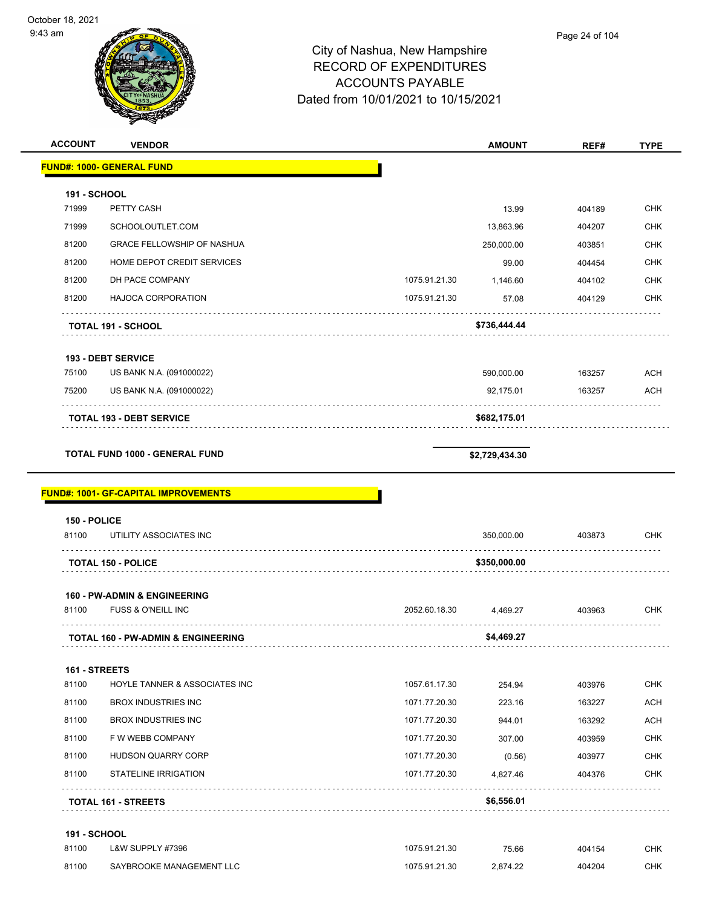

| <b>ACCOUNT</b>      | <b>VENDOR</b>                                 |               | <b>AMOUNT</b>  | REF#   | <b>TYPE</b> |
|---------------------|-----------------------------------------------|---------------|----------------|--------|-------------|
|                     | <u> FUND#: 1000- GENERAL FUND</u>             |               |                |        |             |
| <b>191 - SCHOOL</b> |                                               |               |                |        |             |
| 71999               | PETTY CASH                                    |               | 13.99          | 404189 | <b>CHK</b>  |
| 71999               | SCHOOLOUTLET.COM                              |               | 13,863.96      | 404207 | <b>CHK</b>  |
| 81200               | <b>GRACE FELLOWSHIP OF NASHUA</b>             |               | 250,000.00     | 403851 | <b>CHK</b>  |
| 81200               | HOME DEPOT CREDIT SERVICES                    |               | 99.00          | 404454 | <b>CHK</b>  |
| 81200               | DH PACE COMPANY                               | 1075.91.21.30 | 1,146.60       | 404102 | CHK         |
| 81200               | <b>HAJOCA CORPORATION</b>                     | 1075.91.21.30 | 57.08          | 404129 | <b>CHK</b>  |
|                     | <b>TOTAL 191 - SCHOOL</b>                     |               | \$736,444.44   |        |             |
|                     | 193 - DEBT SERVICE                            |               |                |        |             |
| 75100               | US BANK N.A. (091000022)                      |               | 590,000.00     | 163257 | <b>ACH</b>  |
| 75200               | US BANK N.A. (091000022)                      |               | 92,175.01      | 163257 | <b>ACH</b>  |
|                     | <b>TOTAL 193 - DEBT SERVICE</b>               |               | \$682,175.01   |        |             |
|                     | <b>TOTAL FUND 1000 - GENERAL FUND</b>         |               | \$2,729,434.30 |        |             |
|                     | <b>FUND#: 1001- GF-CAPITAL IMPROVEMENTS</b>   |               |                |        |             |
| 150 - POLICE        |                                               |               |                |        |             |
| 81100               | UTILITY ASSOCIATES INC                        |               | 350,000.00     | 403873 | <b>CHK</b>  |
|                     |                                               |               |                |        |             |
|                     | <b>TOTAL 150 - POLICE</b>                     |               | \$350,000.00   |        |             |
|                     | <b>160 - PW-ADMIN &amp; ENGINEERING</b>       |               |                |        |             |
| 81100               | <b>FUSS &amp; O'NEILL INC</b>                 | 2052.60.18.30 | 4,469.27       | 403963 | CHK         |
|                     | <b>TOTAL 160 - PW-ADMIN &amp; ENGINEERING</b> |               | \$4,469.27     |        |             |
| 161 - STREETS       |                                               |               |                |        |             |
| 81100               | HOYLE TANNER & ASSOCIATES INC                 | 1057.61.17.30 | 254.94         | 403976 | <b>CHK</b>  |
| 81100               | <b>BROX INDUSTRIES INC</b>                    | 1071.77.20.30 | 223.16         | 163227 | ACH         |
| 81100               | <b>BROX INDUSTRIES INC</b>                    | 1071.77.20.30 | 944.01         | 163292 | ACH         |
| 81100               | F W WEBB COMPANY                              | 1071.77.20.30 | 307.00         | 403959 | CHK         |
| 81100               | <b>HUDSON QUARRY CORP</b>                     | 1071.77.20.30 | (0.56)         | 403977 | <b>CHK</b>  |
| 81100               | <b>STATELINE IRRIGATION</b>                   | 1071.77.20.30 | 4,827.46       | 404376 | CHK         |
|                     | <b>TOTAL 161 - STREETS</b>                    |               | \$6,556.01     |        |             |
| 191 - SCHOOL        |                                               |               |                |        |             |
| 81100               | L&W SUPPLY #7396                              | 1075.91.21.30 | 75.66          | 404154 | <b>CHK</b>  |
| 81100               | SAYBROOKE MANAGEMENT LLC                      | 1075.91.21.30 | 2,874.22       | 404204 | <b>CHK</b>  |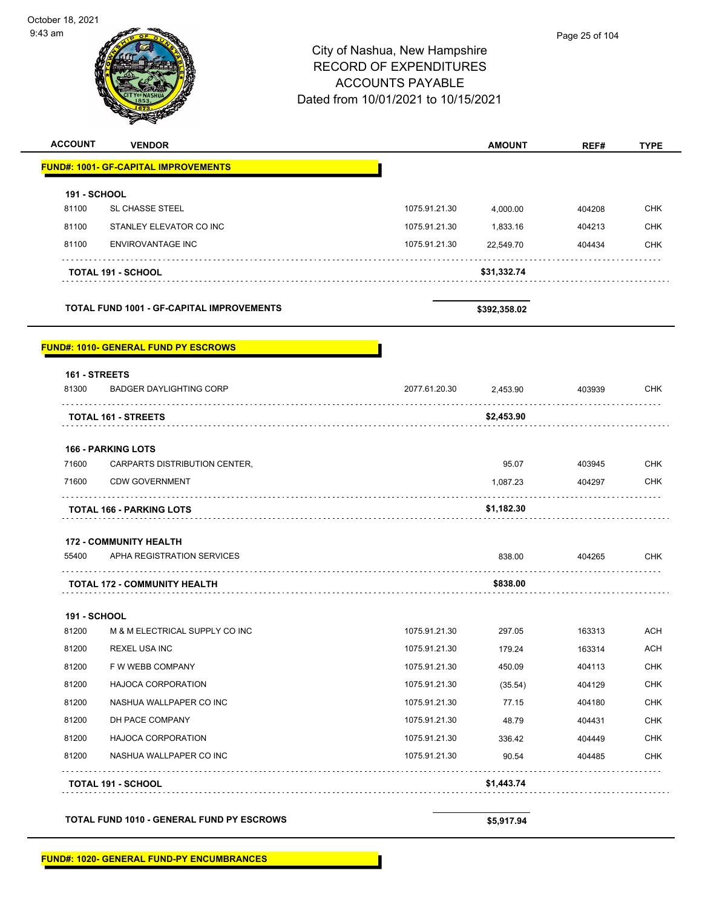October 18, 2021 9:43 am Page 25 of 104City of Nashua, New Hampshire RECORD OF EXPENDITURES ACCOUNTS PAYABLE Dated from 10/01/2021 to 10/15/2021 **ACCOUNT VENDOR AMOUNT REF# TYPE FUND#: 1001- GF-CAPITAL IMPROVEMENTS 191 - SCHOOL** 81100 SL CHASSE STEEL 2000.00 CHK 81100 STANLEY ELEVATOR CO INC **1075.91.21.30** 1,833.16 404213 CHK 81100 ENVIROVANTAGE INC 1075.91.21.30 22,549.70 404434 CHK **TOTAL 191 - SCHOOL \$31,332.74 TOTAL FUND 1001 - GF-CAPITAL IMPROVEMENTS \$392,358.02 FUND#: 1010- GENERAL FUND PY ESCROWS 161 - STREETS** 81300 BADGER DAYLIGHTING CORP 2077.61.20.30 2,453.90 403939 CHK **TOTAL 161 - STREETS \$2,453.90 166 - PARKING LOTS** 71600 CARPARTS DISTRIBUTION CENTER, 95.07 403945 CHK 71600 CDW GOVERNMENT 1,087.23 404297 CHK **TOTAL 166 - PARKING LOTS \$1,182.30 172 - COMMUNITY HEALTH** 55400 APHA REGISTRATION SERVICES 838.00 404265 CHK . . . . . . . . . . . <u>. . . . . . . . . . . . . .</u> . . . . . . . . . **TOTAL 172 - COMMUNITY HEALTH \$838.00 191 - SCHOOL** 81200 M & M ELECTRICAL SUPPLY CO INC 1075.91.21.30 297.05 163313 ACH 81200 REXEL USA INC 1075.91.21.30 179.24 163314 ACH 81200 F W WEBB COMPANY CHK COMENCE COMPANY CHK CHK 1075.91.21.30 450.09 404113 CHK 81200 HAJOCA CORPORATION 1075.91.21.30 (35.54) 404129 CHK 81200 NASHUA WALLPAPER CO INC 1075.91.21.30 77.15 404180 CHK 81200 DH PACE COMPANY 1075.91.21.30 48.79 404431 CHK 81200 HAJOCA CORPORATION 1075.91.21.30 336.42 404449 CHK 81200 NASHUA WALLPAPER CO INC 1075.91.21.30 90.54 404485 CHK . . . . . . . . . . . . . . . . . . . . . . . . . . . . **TOTAL 191 - SCHOOL \$1,443.74**

**TOTAL FUND 1010 - GENERAL FUND PY ESCROWS \$5,917.94**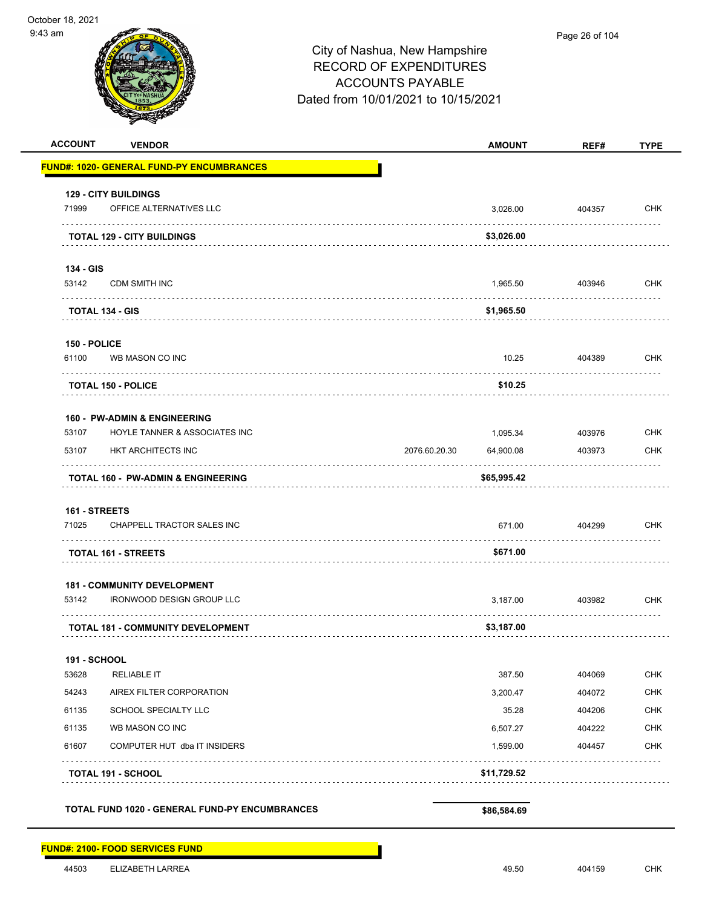| <b>ACCOUNT</b>      | <b>VENDOR</b>                                         | <b>AMOUNT</b>              | REF#        | <b>TYPE</b> |
|---------------------|-------------------------------------------------------|----------------------------|-------------|-------------|
|                     | <b>FUND#: 1020- GENERAL FUND-PY ENCUMBRANCES</b>      |                            |             |             |
|                     | <b>129 - CITY BUILDINGS</b>                           |                            |             |             |
| 71999               | OFFICE ALTERNATIVES LLC                               | 3,026.00                   | 404357      | <b>CHK</b>  |
|                     | <b>TOTAL 129 - CITY BUILDINGS</b>                     | \$3,026.00                 | .           | .           |
| 134 - GIS           |                                                       |                            |             |             |
| 53142               | CDM SMITH INC                                         | 1,965.50                   | 403946      | CHK         |
|                     | <b>TOTAL 134 - GIS</b>                                | \$1,965.50                 |             |             |
| 150 - POLICE        |                                                       |                            |             |             |
| 61100               | WB MASON CO INC                                       | 10.25                      | 404389      | <b>CHK</b>  |
|                     | <b>TOTAL 150 - POLICE</b>                             | \$10.25                    |             |             |
|                     | <b>160 - PW-ADMIN &amp; ENGINEERING</b>               |                            |             |             |
| 53107               | HOYLE TANNER & ASSOCIATES INC                         | 1,095.34                   | 403976      | <b>CHK</b>  |
| 53107               | HKT ARCHITECTS INC                                    | 2076.60.20.30<br>64,900.08 | 403973      | <b>CHK</b>  |
|                     | <b>TOTAL 160 - PW-ADMIN &amp; ENGINEERING</b>         | \$65,995.42                |             |             |
| 161 - STREETS       |                                                       |                            |             |             |
| 71025               | CHAPPELL TRACTOR SALES INC<br>.                       | 671.00                     | 404299<br>. | <b>CHK</b>  |
|                     | <b>TOTAL 161 - STREETS</b>                            | \$671.00                   |             |             |
|                     | <b>181 - COMMUNITY DEVELOPMENT</b>                    |                            |             |             |
| 53142               | <b>IRONWOOD DESIGN GROUP LLC</b>                      | 3,187.00                   | 403982      | <b>CHK</b>  |
|                     | <b>TOTAL 181 - COMMUNITY DEVELOPMENT</b>              | \$3,187.00                 |             |             |
| <b>191 - SCHOOL</b> |                                                       |                            |             |             |
| 53628               | <b>RELIABLE IT</b>                                    | 387.50                     | 404069      | CHK         |
| 54243               | AIREX FILTER CORPORATION                              | 3,200.47                   | 404072      | <b>CHK</b>  |
| 61135               | SCHOOL SPECIALTY LLC                                  | 35.28                      | 404206      | <b>CHK</b>  |
| 61135               | WB MASON CO INC                                       | 6,507.27                   | 404222      | <b>CHK</b>  |
| 61607               | COMPUTER HUT dba IT INSIDERS                          | 1,599.00                   | 404457      | <b>CHK</b>  |
|                     | <b>TOTAL 191 - SCHOOL</b>                             | \$11,729.52                |             |             |
|                     | <b>TOTAL FUND 1020 - GENERAL FUND-PY ENCUMBRANCES</b> | \$86,584.69                |             |             |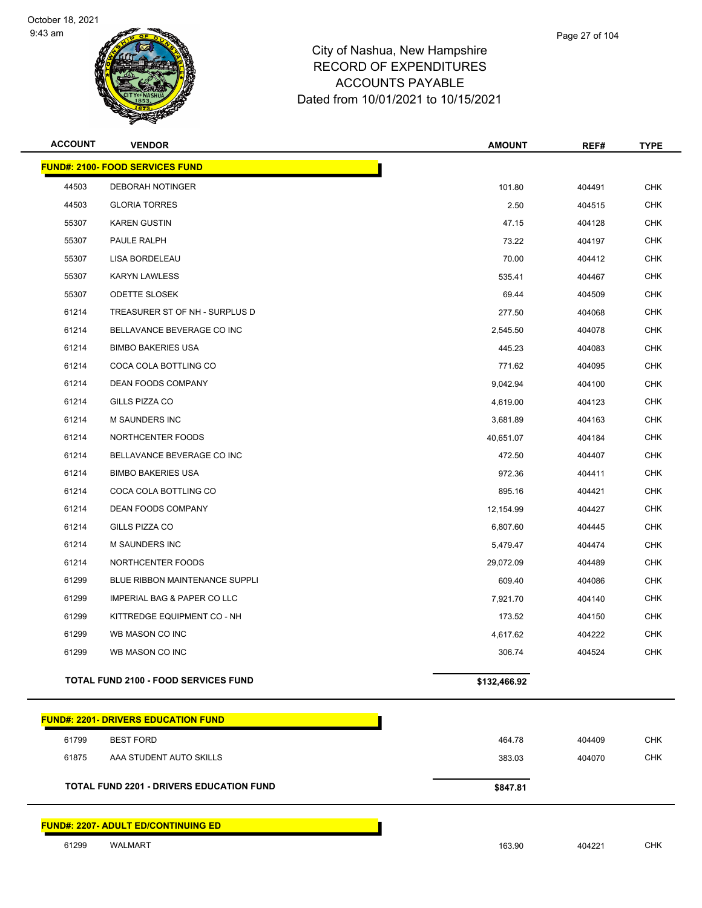



| <b>ACCOUNT</b> | <b>VENDOR</b>                                   | <b>AMOUNT</b> | REF#   | <b>TYPE</b> |
|----------------|-------------------------------------------------|---------------|--------|-------------|
|                | <b>FUND#: 2100- FOOD SERVICES FUND</b>          |               |        |             |
| 44503          | DEBORAH NOTINGER                                | 101.80        | 404491 | <b>CHK</b>  |
| 44503          | <b>GLORIA TORRES</b>                            | 2.50          | 404515 | <b>CHK</b>  |
| 55307          | <b>KAREN GUSTIN</b>                             | 47.15         | 404128 | <b>CHK</b>  |
| 55307          | PAULE RALPH                                     | 73.22         | 404197 | <b>CHK</b>  |
| 55307          | LISA BORDELEAU                                  | 70.00         | 404412 | <b>CHK</b>  |
| 55307          | <b>KARYN LAWLESS</b>                            | 535.41        | 404467 | <b>CHK</b>  |
| 55307          | <b>ODETTE SLOSEK</b>                            | 69.44         | 404509 | <b>CHK</b>  |
| 61214          | TREASURER ST OF NH - SURPLUS D                  | 277.50        | 404068 | CHK         |
| 61214          | BELLAVANCE BEVERAGE CO INC                      | 2,545.50      | 404078 | <b>CHK</b>  |
| 61214          | <b>BIMBO BAKERIES USA</b>                       | 445.23        | 404083 | <b>CHK</b>  |
| 61214          | COCA COLA BOTTLING CO                           | 771.62        | 404095 | <b>CHK</b>  |
| 61214          | <b>DEAN FOODS COMPANY</b>                       | 9,042.94      | 404100 | <b>CHK</b>  |
| 61214          | GILLS PIZZA CO                                  | 4,619.00      | 404123 | CHK         |
| 61214          | <b>M SAUNDERS INC</b>                           | 3,681.89      | 404163 | <b>CHK</b>  |
| 61214          | NORTHCENTER FOODS                               | 40,651.07     | 404184 | <b>CHK</b>  |
| 61214          | BELLAVANCE BEVERAGE CO INC                      | 472.50        | 404407 | <b>CHK</b>  |
| 61214          | <b>BIMBO BAKERIES USA</b>                       | 972.36        | 404411 | <b>CHK</b>  |
| 61214          | COCA COLA BOTTLING CO                           | 895.16        | 404421 | CHK         |
| 61214          | DEAN FOODS COMPANY                              | 12,154.99     | 404427 | <b>CHK</b>  |
| 61214          | GILLS PIZZA CO                                  | 6,807.60      | 404445 | <b>CHK</b>  |
| 61214          | M SAUNDERS INC                                  | 5,479.47      | 404474 | <b>CHK</b>  |
| 61214          | NORTHCENTER FOODS                               | 29,072.09     | 404489 | <b>CHK</b>  |
| 61299          | BLUE RIBBON MAINTENANCE SUPPLI                  | 609.40        | 404086 | <b>CHK</b>  |
| 61299          | IMPERIAL BAG & PAPER CO LLC                     | 7,921.70      | 404140 | <b>CHK</b>  |
| 61299          | KITTREDGE EQUIPMENT CO - NH                     | 173.52        | 404150 | CHK         |
| 61299          | WB MASON CO INC                                 | 4,617.62      | 404222 | <b>CHK</b>  |
| 61299          | WB MASON CO INC                                 | 306.74        | 404524 | <b>CHK</b>  |
|                | <b>TOTAL FUND 2100 - FOOD SERVICES FUND</b>     | \$132,466.92  |        |             |
|                | <b>FUND#: 2201- DRIVERS EDUCATION FUND</b>      |               |        |             |
| 61799          | <b>BEST FORD</b>                                | 464.78        | 404409 | CHK         |
| 61875          | AAA STUDENT AUTO SKILLS                         | 383.03        | 404070 | <b>CHK</b>  |
|                | <b>TOTAL FUND 2201 - DRIVERS EDUCATION FUND</b> | \$847.81      |        |             |
|                | FUND#: 2207- ADULT ED/CONTINUING ED             |               |        |             |
| 61299          | WALMART                                         | 163.90        | 404221 | <b>CHK</b>  |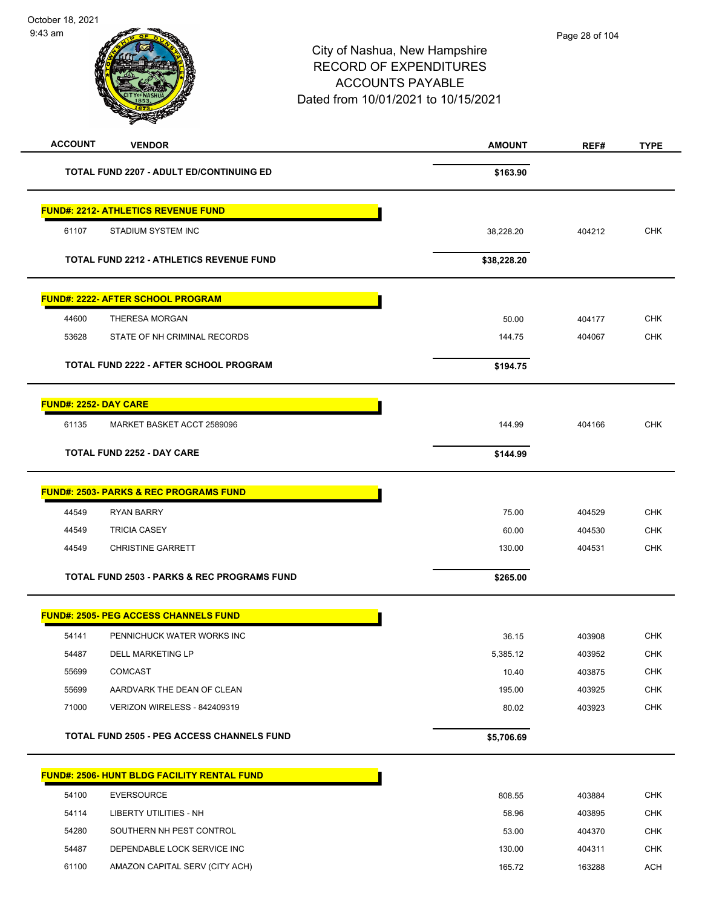| October 18, 2021<br>$9:43$ am<br>City of Nashua, New Hampshire<br><b>RECORD OF EXPENDITURES</b><br><b>ACCOUNTS PAYABLE</b><br>Dated from 10/01/2021 to 10/15/2021 |                                                        | Page 28 of 104 |        |             |
|-------------------------------------------------------------------------------------------------------------------------------------------------------------------|--------------------------------------------------------|----------------|--------|-------------|
| <b>ACCOUNT</b>                                                                                                                                                    | <b>VENDOR</b>                                          | <b>AMOUNT</b>  | REF#   | <b>TYPE</b> |
|                                                                                                                                                                   | <b>TOTAL FUND 2207 - ADULT ED/CONTINUING ED</b>        | \$163.90       |        |             |
|                                                                                                                                                                   | <b>FUND#: 2212- ATHLETICS REVENUE FUND</b>             |                |        |             |
| 61107                                                                                                                                                             | STADIUM SYSTEM INC                                     | 38,228.20      | 404212 | <b>CHK</b>  |
|                                                                                                                                                                   | <b>TOTAL FUND 2212 - ATHLETICS REVENUE FUND</b>        | \$38,228.20    |        |             |
|                                                                                                                                                                   | FUND#: 2222- AFTER SCHOOL PROGRAM                      |                |        |             |
| 44600                                                                                                                                                             | THERESA MORGAN                                         | 50.00          | 404177 | <b>CHK</b>  |
| 53628                                                                                                                                                             | STATE OF NH CRIMINAL RECORDS                           | 144.75         | 404067 | <b>CHK</b>  |
|                                                                                                                                                                   | TOTAL FUND 2222 - AFTER SCHOOL PROGRAM                 | \$194.75       |        |             |
| <b>FUND#: 2252- DAY CARE</b>                                                                                                                                      |                                                        |                |        |             |
| 61135                                                                                                                                                             | MARKET BASKET ACCT 2589096                             | 144.99         | 404166 | <b>CHK</b>  |
|                                                                                                                                                                   | <b>TOTAL FUND 2252 - DAY CARE</b>                      | \$144.99       |        |             |
|                                                                                                                                                                   | <b>FUND#: 2503- PARKS &amp; REC PROGRAMS FUND</b>      |                |        |             |
| 44549                                                                                                                                                             | <b>RYAN BARRY</b>                                      | 75.00          | 404529 | CHK         |
| 44549                                                                                                                                                             | <b>TRICIA CASEY</b>                                    | 60.00          | 404530 | <b>CHK</b>  |
| 44549                                                                                                                                                             | <b>CHRISTINE GARRETT</b>                               | 130.00         | 404531 | <b>CHK</b>  |
|                                                                                                                                                                   | <b>TOTAL FUND 2503 - PARKS &amp; REC PROGRAMS FUND</b> | \$265.00       |        |             |
|                                                                                                                                                                   | <b>FUND#: 2505- PEG ACCESS CHANNELS FUND</b>           |                |        |             |
| 54141                                                                                                                                                             | PENNICHUCK WATER WORKS INC                             | 36.15          | 403908 | <b>CHK</b>  |
| 54487                                                                                                                                                             | DELL MARKETING LP                                      | 5,385.12       | 403952 | <b>CHK</b>  |
| 55699                                                                                                                                                             | <b>COMCAST</b>                                         | 10.40          | 403875 | <b>CHK</b>  |
| 55699                                                                                                                                                             | AARDVARK THE DEAN OF CLEAN                             | 195.00         | 403925 | <b>CHK</b>  |
| 71000                                                                                                                                                             | VERIZON WIRELESS - 842409319                           | 80.02          | 403923 | <b>CHK</b>  |
|                                                                                                                                                                   | <b>TOTAL FUND 2505 - PEG ACCESS CHANNELS FUND</b>      | \$5,706.69     |        |             |
|                                                                                                                                                                   | <b>FUND#: 2506- HUNT BLDG FACILITY RENTAL FUND</b>     |                |        |             |
| 54100                                                                                                                                                             | <b>EVERSOURCE</b>                                      | 808.55         | 403884 | <b>CHK</b>  |
| 54114                                                                                                                                                             | LIBERTY UTILITIES - NH                                 | 58.96          | 403895 | <b>CHK</b>  |

54280 SOUTHERN NH PEST CONTROL SALL CONTROL CHK STATES AND THE STATES AND THE STATES OF SALL CHANGES AND STATES AND THE STATES OF STATES AND THE STATES OF STATES AND THE STATES OF STATES AND THE STATES OF STATES AND THE ST 54487 DEPENDABLE LOCK SERVICE INC<br>
CHK 61100 AMAZON CAPITAL SERV (CITY ACH) **165.72** 163288 ACH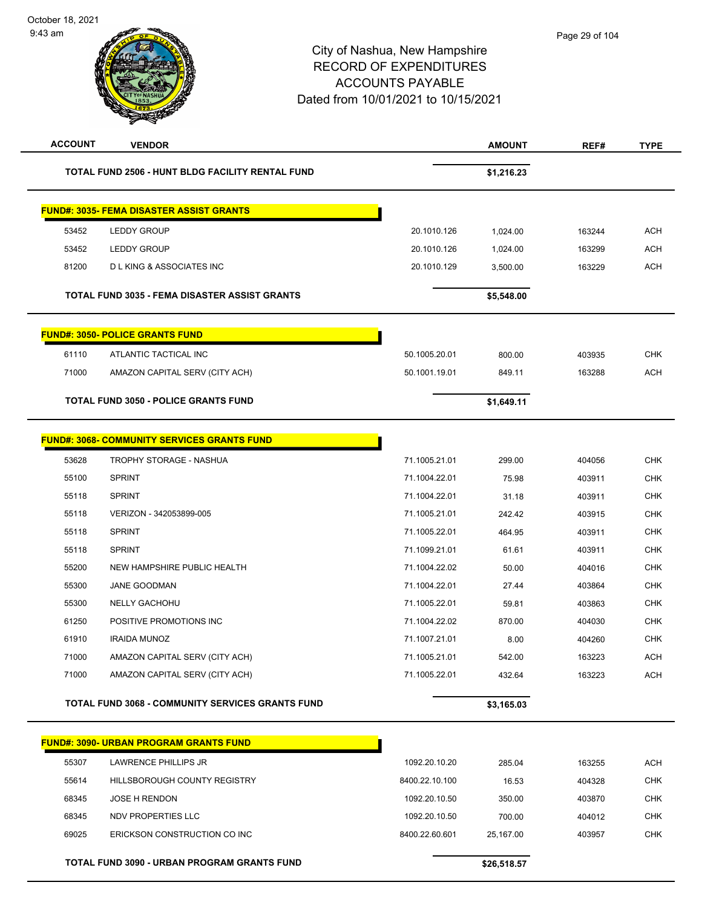| <b>ACCOUNT</b> | <b>VENDOR</b>                                        |                | <b>AMOUNT</b> | REF#   | <b>TYPE</b> |
|----------------|------------------------------------------------------|----------------|---------------|--------|-------------|
|                | TOTAL FUND 2506 - HUNT BLDG FACILITY RENTAL FUND     |                | \$1,216.23    |        |             |
|                | <b>FUND#: 3035- FEMA DISASTER ASSIST GRANTS</b>      |                |               |        |             |
| 53452          | <b>LEDDY GROUP</b>                                   | 20.1010.126    | 1,024.00      | 163244 | <b>ACH</b>  |
| 53452          | <b>LEDDY GROUP</b>                                   | 20.1010.126    | 1,024.00      | 163299 | <b>ACH</b>  |
| 81200          | <b>DLKING &amp; ASSOCIATES INC</b>                   | 20.1010.129    | 3,500.00      | 163229 | <b>ACH</b>  |
|                | <b>TOTAL FUND 3035 - FEMA DISASTER ASSIST GRANTS</b> |                | \$5,548.00    |        |             |
|                | <b>FUND#: 3050- POLICE GRANTS FUND</b>               |                |               |        |             |
| 61110          | ATLANTIC TACTICAL INC                                | 50.1005.20.01  | 800.00        | 403935 | <b>CHK</b>  |
| 71000          | AMAZON CAPITAL SERV (CITY ACH)                       | 50.1001.19.01  | 849.11        | 163288 | <b>ACH</b>  |
|                | <b>TOTAL FUND 3050 - POLICE GRANTS FUND</b>          |                | \$1,649.11    |        |             |
|                | <b>FUND#: 3068- COMMUNITY SERVICES GRANTS FUND</b>   |                |               |        |             |
| 53628          | <b>TROPHY STORAGE - NASHUA</b>                       | 71.1005.21.01  | 299.00        | 404056 | <b>CHK</b>  |
| 55100          | <b>SPRINT</b>                                        | 71.1004.22.01  | 75.98         | 403911 | <b>CHK</b>  |
| 55118          | <b>SPRINT</b>                                        | 71.1004.22.01  | 31.18         | 403911 | <b>CHK</b>  |
| 55118          | VERIZON - 342053899-005                              | 71.1005.21.01  | 242.42        | 403915 | <b>CHK</b>  |
| 55118          | <b>SPRINT</b>                                        | 71.1005.22.01  | 464.95        | 403911 | <b>CHK</b>  |
| 55118          | <b>SPRINT</b>                                        | 71.1099.21.01  | 61.61         | 403911 | CHK         |
| 55200          | NEW HAMPSHIRE PUBLIC HEALTH                          | 71.1004.22.02  | 50.00         | 404016 | <b>CHK</b>  |
| 55300          | JANE GOODMAN                                         | 71.1004.22.01  | 27.44         | 403864 | <b>CHK</b>  |
| 55300          | NELLY GACHOHU                                        | 71.1005.22.01  | 59.81         | 403863 | <b>CHK</b>  |
| 61250          | POSITIVE PROMOTIONS INC                              | 71.1004.22.02  | 870.00        | 404030 | <b>CHK</b>  |
| 61910          | <b>IRAIDA MUNOZ</b>                                  | 71.1007.21.01  | 8.00          | 404260 | <b>CHK</b>  |
| 71000          | AMAZON CAPITAL SERV (CITY ACH)                       | 71.1005.21.01  | 542.00        | 163223 | <b>ACH</b>  |
| 71000          | AMAZON CAPITAL SERV (CITY ACH)                       | 71.1005.22.01  | 432.64        | 163223 | <b>ACH</b>  |
|                | TOTAL FUND 3068 - COMMUNITY SERVICES GRANTS FUND     |                | \$3,165.03    |        |             |
|                | <b>FUND#: 3090- URBAN PROGRAM GRANTS FUND</b>        |                |               |        |             |
| 55307          | LAWRENCE PHILLIPS JR                                 | 1092.20.10.20  | 285.04        | 163255 | <b>ACH</b>  |
| 55614          | HILLSBOROUGH COUNTY REGISTRY                         | 8400.22.10.100 | 16.53         | 404328 | <b>CHK</b>  |
| 68345          | <b>JOSE H RENDON</b>                                 | 1092.20.10.50  | 350.00        | 403870 | CHK         |
| 68345          | NDV PROPERTIES LLC                                   | 1092.20.10.50  | 700.00        | 404012 | <b>CHK</b>  |
| 69025          | ERICKSON CONSTRUCTION CO INC                         | 8400.22.60.601 | 25,167.00     | 403957 | <b>CHK</b>  |
|                | TOTAL FUND 3090 - URBAN PROGRAM GRANTS FUND          |                | \$26,518.57   |        |             |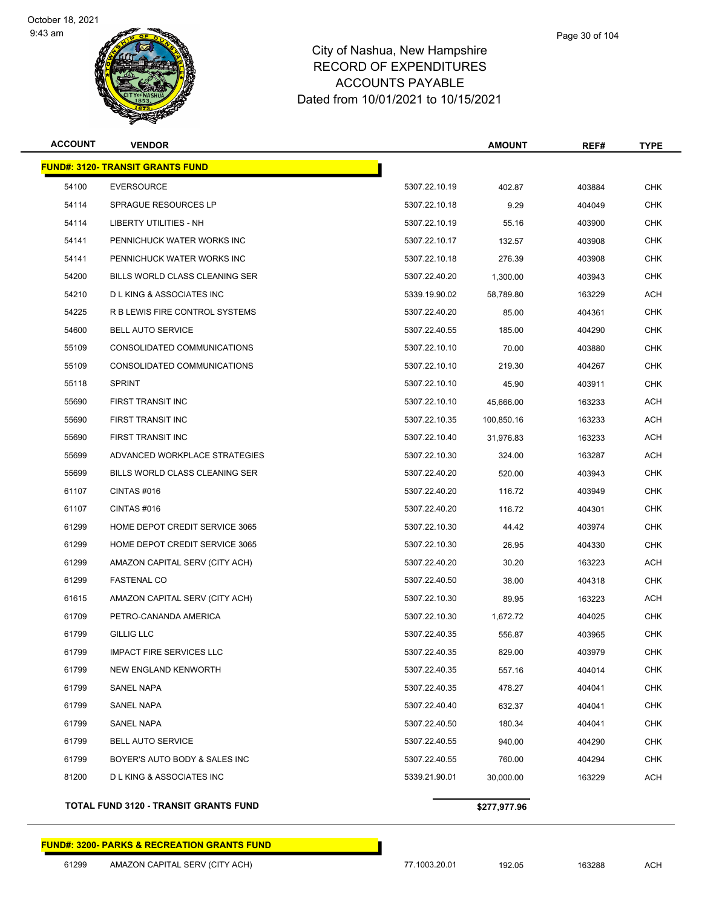

| <b>ACCOUNT</b> | <b>VENDOR</b>                           |               | <b>AMOUNT</b> | REF#   | <b>TYPE</b> |
|----------------|-----------------------------------------|---------------|---------------|--------|-------------|
|                | <b>FUND#: 3120- TRANSIT GRANTS FUND</b> |               |               |        |             |
| 54100          | <b>EVERSOURCE</b>                       | 5307.22.10.19 | 402.87        | 403884 | <b>CHK</b>  |
| 54114          | <b>SPRAGUE RESOURCES LP</b>             | 5307.22.10.18 | 9.29          | 404049 | <b>CHK</b>  |
| 54114          | LIBERTY UTILITIES - NH                  | 5307.22.10.19 | 55.16         | 403900 | CHK         |
| 54141          | PENNICHUCK WATER WORKS INC              | 5307.22.10.17 | 132.57        | 403908 | <b>CHK</b>  |
| 54141          | PENNICHUCK WATER WORKS INC              | 5307.22.10.18 | 276.39        | 403908 | <b>CHK</b>  |
| 54200          | <b>BILLS WORLD CLASS CLEANING SER</b>   | 5307.22.40.20 | 1,300.00      | 403943 | <b>CHK</b>  |
| 54210          | <b>DLKING &amp; ASSOCIATES INC</b>      | 5339.19.90.02 | 58,789.80     | 163229 | <b>ACH</b>  |
| 54225          | R B LEWIS FIRE CONTROL SYSTEMS          | 5307.22.40.20 | 85.00         | 404361 | CHK         |
| 54600          | <b>BELL AUTO SERVICE</b>                | 5307.22.40.55 | 185.00        | 404290 | <b>CHK</b>  |
| 55109          | CONSOLIDATED COMMUNICATIONS             | 5307.22.10.10 | 70.00         | 403880 | <b>CHK</b>  |
| 55109          | CONSOLIDATED COMMUNICATIONS             | 5307.22.10.10 | 219.30        | 404267 | <b>CHK</b>  |
| 55118          | <b>SPRINT</b>                           | 5307.22.10.10 | 45.90         | 403911 | <b>CHK</b>  |
| 55690          | <b>FIRST TRANSIT INC</b>                | 5307.22.10.10 | 45,666.00     | 163233 | ACH         |
| 55690          | <b>FIRST TRANSIT INC</b>                | 5307.22.10.35 | 100,850.16    | 163233 | <b>ACH</b>  |
| 55690          | FIRST TRANSIT INC                       | 5307.22.10.40 | 31,976.83     | 163233 | ACH         |
| 55699          | ADVANCED WORKPLACE STRATEGIES           | 5307.22.10.30 | 324.00        | 163287 | <b>ACH</b>  |
| 55699          | BILLS WORLD CLASS CLEANING SER          | 5307.22.40.20 | 520.00        | 403943 | <b>CHK</b>  |
| 61107          | CINTAS#016                              | 5307.22.40.20 | 116.72        | 403949 | CHK         |
| 61107          | CINTAS#016                              | 5307.22.40.20 | 116.72        | 404301 | <b>CHK</b>  |
| 61299          | HOME DEPOT CREDIT SERVICE 3065          | 5307.22.10.30 | 44.42         | 403974 | <b>CHK</b>  |
| 61299          | HOME DEPOT CREDIT SERVICE 3065          | 5307.22.10.30 | 26.95         | 404330 | <b>CHK</b>  |
| 61299          | AMAZON CAPITAL SERV (CITY ACH)          | 5307.22.40.20 | 30.20         | 163223 | <b>ACH</b>  |
| 61299          | <b>FASTENAL CO</b>                      | 5307.22.40.50 | 38.00         | 404318 | CHK         |
| 61615          | AMAZON CAPITAL SERV (CITY ACH)          | 5307.22.10.30 | 89.95         | 163223 | <b>ACH</b>  |
| 61709          | PETRO-CANANDA AMERICA                   | 5307.22.10.30 | 1,672.72      | 404025 | <b>CHK</b>  |
| 61799          | <b>GILLIG LLC</b>                       | 5307.22.40.35 | 556.87        | 403965 | <b>CHK</b>  |
| 61799          | <b>IMPACT FIRE SERVICES LLC</b>         | 5307.22.40.35 | 829.00        | 403979 | <b>CHK</b>  |
| 61799          | <b>NEW ENGLAND KENWORTH</b>             | 5307.22.40.35 | 557.16        | 404014 | CHK         |
| 61799          | SANEL NAPA                              | 5307.22.40.35 | 478.27        | 404041 | <b>CHK</b>  |
| 61799          | SANEL NAPA                              | 5307.22.40.40 | 632.37        | 404041 | <b>CHK</b>  |
| 61799          | SANEL NAPA                              | 5307.22.40.50 | 180.34        | 404041 | <b>CHK</b>  |
| 61799          | <b>BELL AUTO SERVICE</b>                | 5307.22.40.55 | 940.00        | 404290 | <b>CHK</b>  |
| 61799          | BOYER'S AUTO BODY & SALES INC           | 5307.22.40.55 | 760.00        | 404294 | CHK         |
| 81200          | <b>D L KING &amp; ASSOCIATES INC</b>    | 5339.21.90.01 | 30,000.00     | 163229 | ACH         |
|                |                                         |               |               |        |             |

#### **TOTAL FUND 3120 - TRANSIT GRANTS FUND \$277,977.96**

#### **FUND#: 3200- PARKS & RECREATION GRANTS FUND**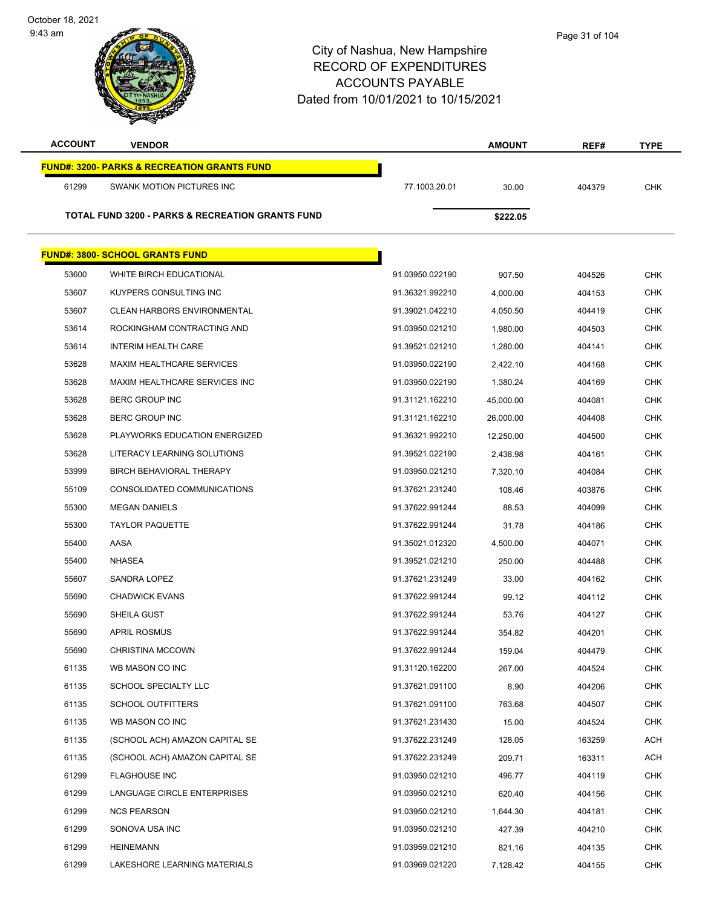9:43 am

| <b>ACCOUNT</b> | <b>VENDOR</b>                                               |                 | <b>AMOUNT</b> | REF#   | <b>TYPE</b> |
|----------------|-------------------------------------------------------------|-----------------|---------------|--------|-------------|
|                | <b>FUND#: 3200- PARKS &amp; RECREATION GRANTS FUND</b>      |                 |               |        |             |
| 61299          | SWANK MOTION PICTURES INC                                   | 77.1003.20.01   | 30.00         | 404379 | <b>CHK</b>  |
|                | <b>TOTAL FUND 3200 - PARKS &amp; RECREATION GRANTS FUND</b> |                 | \$222.05      |        |             |
|                |                                                             |                 |               |        |             |
|                | <b>FUND#: 3800- SCHOOL GRANTS FUND</b>                      |                 |               |        |             |
| 53600          | WHITE BIRCH EDUCATIONAL                                     | 91.03950.022190 | 907.50        | 404526 | <b>CHK</b>  |
| 53607          | KUYPERS CONSULTING INC                                      | 91.36321.992210 | 4,000.00      | 404153 | <b>CHK</b>  |
| 53607          | <b>CLEAN HARBORS ENVIRONMENTAL</b>                          | 91.39021.042210 | 4,050.50      | 404419 | <b>CHK</b>  |
| 53614          | ROCKINGHAM CONTRACTING AND                                  | 91.03950.021210 | 1,980.00      | 404503 | <b>CHK</b>  |
| 53614          | INTERIM HEALTH CARE                                         | 91.39521.021210 | 1,280.00      | 404141 | <b>CHK</b>  |
| 53628          | <b>MAXIM HEALTHCARE SERVICES</b>                            | 91.03950.022190 | 2,422.10      | 404168 | <b>CHK</b>  |
| 53628          | MAXIM HEALTHCARE SERVICES INC                               | 91.03950.022190 | 1,380.24      | 404169 | CHK         |
| 53628          | BERC GROUP INC                                              | 91.31121.162210 | 45,000.00     | 404081 | <b>CHK</b>  |
| 53628          | <b>BERC GROUP INC</b>                                       | 91.31121.162210 | 26,000.00     | 404408 | <b>CHK</b>  |
| 53628          | PLAYWORKS EDUCATION ENERGIZED                               | 91.36321.992210 | 12,250.00     | 404500 | <b>CHK</b>  |
| 53628          | LITERACY LEARNING SOLUTIONS                                 | 91.39521.022190 | 2,438.98      | 404161 | <b>CHK</b>  |
| 53999          | BIRCH BEHAVIORAL THERAPY                                    | 91.03950.021210 | 7,320.10      | 404084 | <b>CHK</b>  |
| 55109          | CONSOLIDATED COMMUNICATIONS                                 | 91.37621.231240 | 108.46        | 403876 | <b>CHK</b>  |
| 55300          | <b>MEGAN DANIELS</b>                                        | 91.37622.991244 | 88.53         | 404099 | <b>CHK</b>  |
| 55300          | <b>TAYLOR PAQUETTE</b>                                      | 91.37622.991244 | 31.78         | 404186 | <b>CHK</b>  |
| 55400          | AASA                                                        | 91.35021.012320 | 4,500.00      | 404071 | <b>CHK</b>  |
| 55400          | NHASEA                                                      | 91.39521.021210 | 250.00        | 404488 | CHK         |
| 55607          | SANDRA LOPEZ                                                | 91.37621.231249 | 33.00         | 404162 | <b>CHK</b>  |
| 55690          | <b>CHADWICK EVANS</b>                                       | 91.37622.991244 | 99.12         | 404112 | <b>CHK</b>  |
| 55690          | SHEILA GUST                                                 | 91.37622.991244 | 53.76         | 404127 | CHK         |
| 55690          | <b>APRIL ROSMUS</b>                                         | 91.37622.991244 | 354.82        | 404201 | <b>CHK</b>  |
| 55690          | <b>CHRISTINA MCCOWN</b>                                     | 91.37622.991244 | 159.04        | 404479 | CHK         |
| 61135          | WB MASON CO INC                                             | 91.31120.162200 | 267.00        | 404524 | <b>CHK</b>  |
| 61135          | <b>SCHOOL SPECIALTY LLC</b>                                 | 91.37621.091100 | 8.90          | 404206 | <b>CHK</b>  |
| 61135          | <b>SCHOOL OUTFITTERS</b>                                    | 91.37621.091100 | 763.68        | 404507 | <b>CHK</b>  |
| 61135          | WB MASON CO INC                                             | 91.37621.231430 | 15.00         | 404524 | <b>CHK</b>  |
| 61135          | (SCHOOL ACH) AMAZON CAPITAL SE                              | 91.37622.231249 | 128.05        | 163259 | <b>ACH</b>  |
| 61135          | (SCHOOL ACH) AMAZON CAPITAL SE                              | 91.37622.231249 | 209.71        | 163311 | <b>ACH</b>  |
| 61299          | <b>FLAGHOUSE INC</b>                                        | 91.03950.021210 | 496.77        | 404119 | <b>CHK</b>  |
| 61299          | LANGUAGE CIRCLE ENTERPRISES                                 | 91.03950.021210 | 620.40        | 404156 | <b>CHK</b>  |
| 61299          | <b>NCS PEARSON</b>                                          | 91.03950.021210 | 1,644.30      | 404181 | <b>CHK</b>  |
| 61299          | SONOVA USA INC                                              | 91.03950.021210 | 427.39        | 404210 | <b>CHK</b>  |
| 61299          | <b>HEINEMANN</b>                                            | 91.03959.021210 | 821.16        | 404135 | <b>CHK</b>  |
| 61299          | LAKESHORE LEARNING MATERIALS                                | 91.03969.021220 | 7,128.42      | 404155 | <b>CHK</b>  |
|                |                                                             |                 |               |        |             |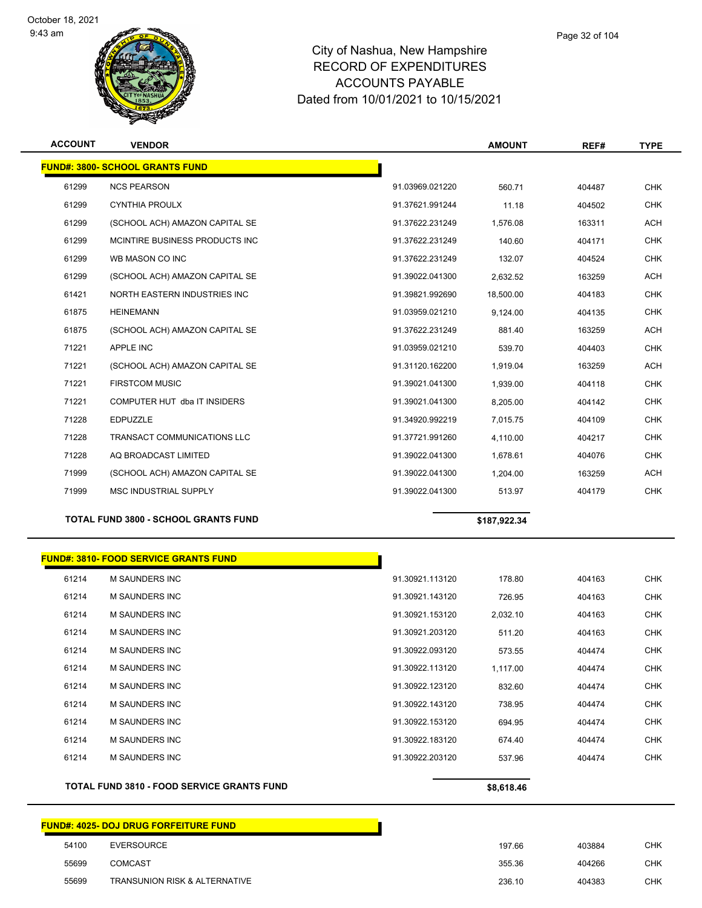

| <b>ACCOUNT</b> | <b>VENDOR</b>                          |                 | <b>AMOUNT</b> | REF#   | <b>TYPE</b> |
|----------------|----------------------------------------|-----------------|---------------|--------|-------------|
|                | <b>FUND#: 3800- SCHOOL GRANTS FUND</b> |                 |               |        |             |
| 61299          | <b>NCS PEARSON</b>                     | 91.03969.021220 | 560.71        | 404487 | <b>CHK</b>  |
| 61299          | <b>CYNTHIA PROULX</b>                  | 91.37621.991244 | 11.18         | 404502 | <b>CHK</b>  |
| 61299          | (SCHOOL ACH) AMAZON CAPITAL SE         | 91.37622.231249 | 1,576.08      | 163311 | <b>ACH</b>  |
| 61299          | MCINTIRE BUSINESS PRODUCTS INC.        | 91.37622.231249 | 140.60        | 404171 | <b>CHK</b>  |
| 61299          | WB MASON CO INC                        | 91.37622.231249 | 132.07        | 404524 | <b>CHK</b>  |
| 61299          | (SCHOOL ACH) AMAZON CAPITAL SE         | 91.39022.041300 | 2,632.52      | 163259 | <b>ACH</b>  |
| 61421          | NORTH EASTERN INDUSTRIES INC           | 91.39821.992690 | 18,500.00     | 404183 | <b>CHK</b>  |
| 61875          | <b>HEINEMANN</b>                       | 91.03959.021210 | 9,124.00      | 404135 | <b>CHK</b>  |
| 61875          | (SCHOOL ACH) AMAZON CAPITAL SE         | 91.37622.231249 | 881.40        | 163259 | <b>ACH</b>  |
| 71221          | APPLE INC                              | 91.03959.021210 | 539.70        | 404403 | <b>CHK</b>  |
| 71221          | (SCHOOL ACH) AMAZON CAPITAL SE         | 91.31120.162200 | 1,919.04      | 163259 | <b>ACH</b>  |
| 71221          | <b>FIRSTCOM MUSIC</b>                  | 91.39021.041300 | 1,939.00      | 404118 | <b>CHK</b>  |
| 71221          | COMPUTER HUT dba IT INSIDERS           | 91.39021.041300 | 8.205.00      | 404142 | <b>CHK</b>  |
| 71228          | <b>EDPUZZLE</b>                        | 91.34920.992219 | 7,015.75      | 404109 | <b>CHK</b>  |
| 71228          | <b>TRANSACT COMMUNICATIONS LLC</b>     | 91.37721.991260 | 4,110.00      | 404217 | <b>CHK</b>  |
| 71228          | AQ BROADCAST LIMITED                   | 91.39022.041300 | 1,678.61      | 404076 | <b>CHK</b>  |
| 71999          | (SCHOOL ACH) AMAZON CAPITAL SE         | 91.39022.041300 | 1,204.00      | 163259 | ACH         |
| 71999          | <b>MSC INDUSTRIAL SUPPLY</b>           | 91.39022.041300 | 513.97        | 404179 | <b>CHK</b>  |
|                |                                        |                 |               |        |             |

**TOTAL FUND 3800 - SCHOOL GRANTS FUND \$187,922.34** 

|       | <b>FUND#: 3810- FOOD SERVICE GRANTS FUND</b>      |                 |            |        |            |
|-------|---------------------------------------------------|-----------------|------------|--------|------------|
| 61214 | <b>M SAUNDERS INC</b>                             | 91.30921.113120 | 178.80     | 404163 | <b>CHK</b> |
| 61214 | <b>M SAUNDERS INC</b>                             | 91.30921.143120 | 726.95     | 404163 | <b>CHK</b> |
| 61214 | <b>M SAUNDERS INC</b>                             | 91.30921.153120 | 2,032.10   | 404163 | <b>CHK</b> |
| 61214 | <b>M SAUNDERS INC</b>                             | 91.30921.203120 | 511.20     | 404163 | <b>CHK</b> |
| 61214 | <b>M SAUNDERS INC</b>                             | 91.30922.093120 | 573.55     | 404474 | <b>CHK</b> |
| 61214 | <b>M SAUNDERS INC</b>                             | 91.30922.113120 | 1,117.00   | 404474 | <b>CHK</b> |
| 61214 | <b>M SAUNDERS INC</b>                             | 91.30922.123120 | 832.60     | 404474 | <b>CHK</b> |
| 61214 | <b>M SAUNDERS INC</b>                             | 91.30922.143120 | 738.95     | 404474 | <b>CHK</b> |
| 61214 | <b>M SAUNDERS INC</b>                             | 91.30922.153120 | 694.95     | 404474 | <b>CHK</b> |
| 61214 | <b>M SAUNDERS INC</b>                             | 91.30922.183120 | 674.40     | 404474 | <b>CHK</b> |
| 61214 | <b>M SAUNDERS INC</b>                             | 91.30922.203120 | 537.96     | 404474 | <b>CHK</b> |
|       | <b>TOTAL FUND 3810 - FOOD SERVICE GRANTS FUND</b> |                 | \$8,618.46 |        |            |

## **FUND#: 4025- DOJ DRUG FORFEITURE FUND**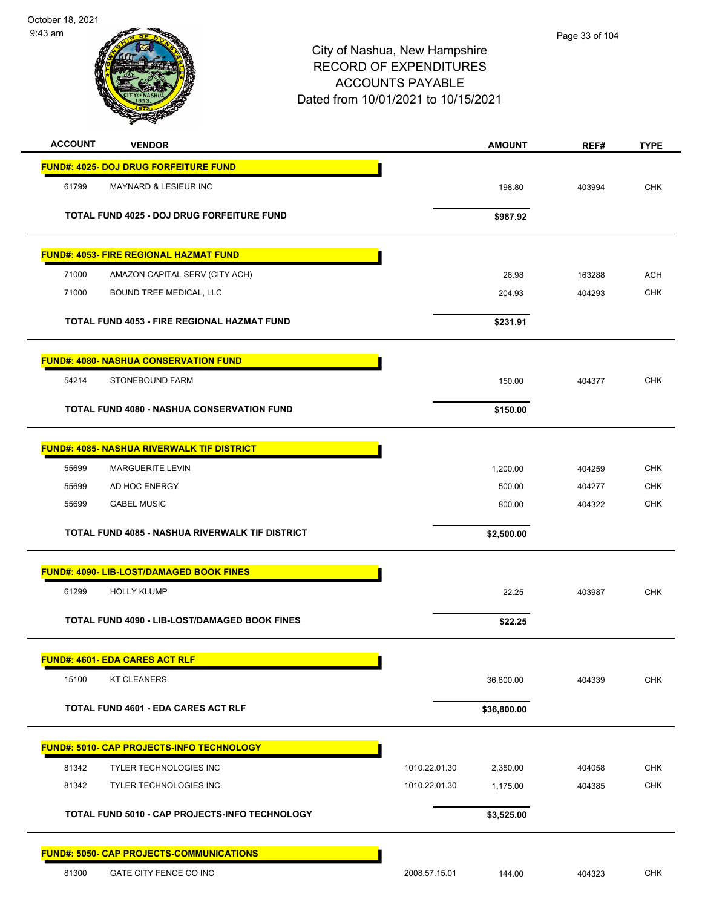

| <b>ACCOUNT</b><br><b>VENDOR</b>                                           |                                | <b>AMOUNT</b> | REF#             | <b>TYPE</b>              |
|---------------------------------------------------------------------------|--------------------------------|---------------|------------------|--------------------------|
| <b>FUND#: 4025- DOJ DRUG FORFEITURE FUND</b>                              |                                |               |                  |                          |
| 61799<br>MAYNARD & LESIEUR INC                                            |                                | 198.80        | 403994           | <b>CHK</b>               |
|                                                                           |                                |               |                  |                          |
| TOTAL FUND 4025 - DOJ DRUG FORFEITURE FUND                                |                                | \$987.92      |                  |                          |
| <b>FUND#: 4053- FIRE REGIONAL HAZMAT FUND</b>                             |                                |               |                  |                          |
| 71000<br>AMAZON CAPITAL SERV (CITY ACH)                                   |                                | 26.98         | 163288           | <b>ACH</b>               |
| 71000<br>BOUND TREE MEDICAL, LLC                                          |                                | 204.93        | 404293           | <b>CHK</b>               |
| <b>TOTAL FUND 4053 - FIRE REGIONAL HAZMAT FUND</b>                        |                                | \$231.91      |                  |                          |
|                                                                           |                                |               |                  |                          |
| <b>FUND#: 4080- NASHUA CONSERVATION FUND</b>                              |                                |               |                  |                          |
| STONEBOUND FARM<br>54214                                                  |                                | 150.00        | 404377           | <b>CHK</b>               |
| <b>TOTAL FUND 4080 - NASHUA CONSERVATION FUND</b>                         |                                | \$150.00      |                  |                          |
|                                                                           |                                |               |                  |                          |
| <b>FUND#: 4085- NASHUA RIVERWALK TIF DISTRICT</b>                         |                                |               |                  |                          |
| 55699<br><b>MARGUERITE LEVIN</b>                                          |                                | 1,200.00      | 404259           | <b>CHK</b>               |
| 55699<br>AD HOC ENERGY                                                    |                                | 500.00        | 404277           | <b>CHK</b><br><b>CHK</b> |
| 55699<br><b>GABEL MUSIC</b>                                               |                                | 800.00        | 404322           |                          |
| <b>TOTAL FUND 4085 - NASHUA RIVERWALK TIF DISTRICT</b>                    |                                | \$2,500.00    |                  |                          |
| <b>FUND#: 4090- LIB-LOST/DAMAGED BOOK FINES</b>                           |                                |               |                  |                          |
| 61299<br><b>HOLLY KLUMP</b>                                               |                                | 22.25         | 403987           | <b>CHK</b>               |
| TOTAL FUND 4090 - LIB-LOST/DAMAGED BOOK FINES                             |                                | \$22.25       |                  |                          |
|                                                                           |                                |               |                  |                          |
| <b>FUND#: 4601- EDA CARES ACT RLF</b>                                     |                                |               |                  |                          |
| 15100<br><b>KT CLEANERS</b>                                               |                                | 36,800.00     | 404339           | <b>CHK</b>               |
| <b>TOTAL FUND 4601 - EDA CARES ACT RLF</b>                                |                                | \$36,800.00   |                  |                          |
|                                                                           |                                |               |                  |                          |
| <b>FUND#: 5010- CAP PROJECTS-INFO TECHNOLOGY</b>                          |                                |               |                  |                          |
| 81342<br><b>TYLER TECHNOLOGIES INC</b><br>81342<br>TYLER TECHNOLOGIES INC | 1010.22.01.30<br>1010.22.01.30 | 2,350.00      | 404058<br>404385 | <b>CHK</b><br>CHK        |
|                                                                           |                                | 1,175.00      |                  |                          |
| TOTAL FUND 5010 - CAP PROJECTS-INFO TECHNOLOGY                            |                                | \$3,525.00    |                  |                          |
| <b>FUND#: 5050- CAP PROJECTS-COMMUNICATIONS</b>                           |                                |               |                  |                          |
| 81300<br>GATE CITY FENCE CO INC                                           | 2008.57.15.01                  | 144.00        | 404323           | CHK                      |
|                                                                           |                                |               |                  |                          |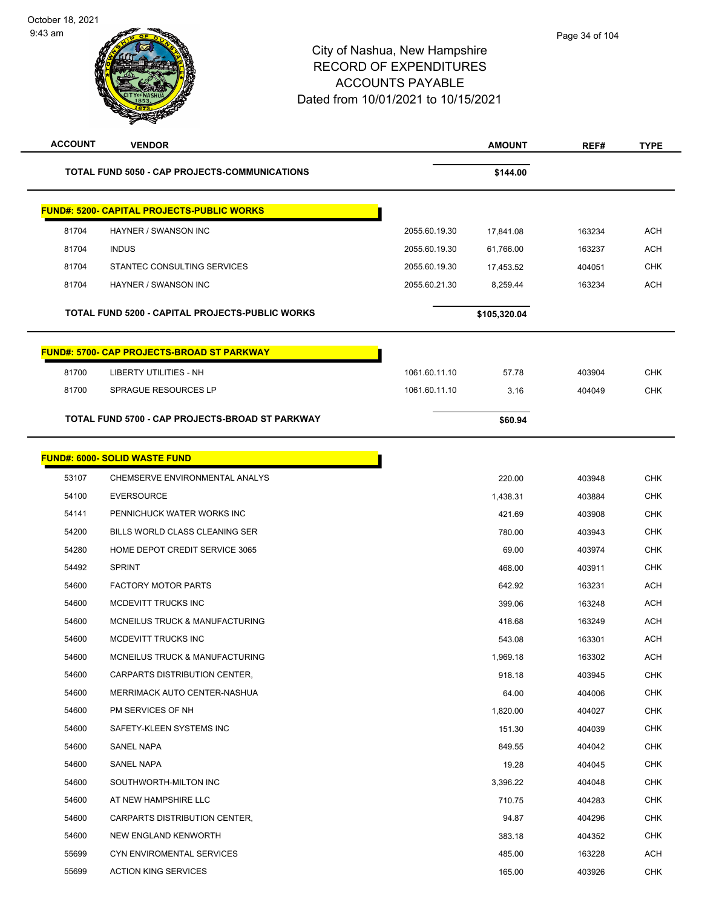| <b>ACCOUNT</b> | <b>VENDOR</b>                                        |               | <b>AMOUNT</b> | REF#   | <b>TYPE</b> |
|----------------|------------------------------------------------------|---------------|---------------|--------|-------------|
|                | <b>TOTAL FUND 5050 - CAP PROJECTS-COMMUNICATIONS</b> |               | \$144.00      |        |             |
|                | <b>FUND#: 5200- CAPITAL PROJECTS-PUBLIC WORKS</b>    |               |               |        |             |
| 81704          | HAYNER / SWANSON INC                                 | 2055.60.19.30 | 17,841.08     | 163234 | <b>ACH</b>  |
| 81704          | <b>INDUS</b>                                         | 2055.60.19.30 | 61,766.00     | 163237 | <b>ACH</b>  |
| 81704          | STANTEC CONSULTING SERVICES                          | 2055.60.19.30 | 17,453.52     | 404051 | CHK         |
| 81704          | HAYNER / SWANSON INC                                 | 2055.60.21.30 | 8.259.44      | 163234 | <b>ACH</b>  |
|                | TOTAL FUND 5200 - CAPITAL PROJECTS-PUBLIC WORKS      |               | \$105,320.04  |        |             |
|                | <b>FUND#: 5700- CAP PROJECTS-BROAD ST PARKWAY</b>    |               |               |        |             |
| 81700          | <b>LIBERTY UTILITIES - NH</b>                        | 1061.60.11.10 | 57.78         | 403904 | <b>CHK</b>  |
| 81700          | SPRAGUE RESOURCES LP                                 | 1061.60.11.10 | 3.16          | 404049 | <b>CHK</b>  |
|                | TOTAL FUND 5700 - CAP PROJECTS-BROAD ST PARKWAY      |               | \$60.94       |        |             |
|                | <b>FUND#: 6000- SOLID WASTE FUND</b>                 |               |               |        |             |
| 53107          | CHEMSERVE ENVIRONMENTAL ANALYS                       |               | 220.00        | 403948 | <b>CHK</b>  |
| 54100          | <b>EVERSOURCE</b>                                    |               | 1,438.31      | 403884 | <b>CHK</b>  |
| 54141          | PENNICHUCK WATER WORKS INC                           |               | 421.69        | 403908 | <b>CHK</b>  |
| 54200          | BILLS WORLD CLASS CLEANING SER                       |               | 780.00        | 403943 | <b>CHK</b>  |
| 54280          | HOME DEPOT CREDIT SERVICE 3065                       |               | 69.00         | 403974 | <b>CHK</b>  |
| 54492          | <b>SPRINT</b>                                        |               | 468.00        | 403911 | <b>CHK</b>  |
| 54600          | <b>FACTORY MOTOR PARTS</b>                           |               | 642.92        | 163231 | <b>ACH</b>  |
| 54600          | MCDEVITT TRUCKS INC                                  |               | 399.06        | 163248 | ACH         |
| 54600          | MCNEILUS TRUCK & MANUFACTURING                       |               | 418.68        | 163249 | ACH         |
| 54600          | MCDEVITT TRUCKS INC                                  |               | 543.08        | 163301 | <b>ACH</b>  |
| 54600          | MCNEILUS TRUCK & MANUFACTURING                       |               | 1,969.18      | 163302 | ACH         |
| 54600          | CARPARTS DISTRIBUTION CENTER,                        |               | 918.18        | 403945 | <b>CHK</b>  |
| 54600          | MERRIMACK AUTO CENTER-NASHUA                         |               | 64.00         | 404006 | <b>CHK</b>  |
| 54600          | PM SERVICES OF NH                                    |               | 1,820.00      | 404027 | CHK         |
| 54600          | SAFETY-KLEEN SYSTEMS INC                             |               | 151.30        | 404039 | <b>CHK</b>  |
| 54600          | <b>SANEL NAPA</b>                                    |               | 849.55        | 404042 | CHK         |
| 54600          | <b>SANEL NAPA</b>                                    |               | 19.28         | 404045 | <b>CHK</b>  |
| 54600          | SOUTHWORTH-MILTON INC                                |               | 3,396.22      | 404048 | <b>CHK</b>  |
| 54600          | AT NEW HAMPSHIRE LLC                                 |               | 710.75        | 404283 | CHK         |
| 54600          | CARPARTS DISTRIBUTION CENTER,                        |               | 94.87         | 404296 | CHK         |
| 54600          | NEW ENGLAND KENWORTH                                 |               | 383.18        | 404352 | CHK         |
| 55699          | CYN ENVIROMENTAL SERVICES                            |               | 485.00        | 163228 | ACH         |
| 55699          | <b>ACTION KING SERVICES</b>                          |               | 165.00        | 403926 | <b>CHK</b>  |
|                |                                                      |               |               |        |             |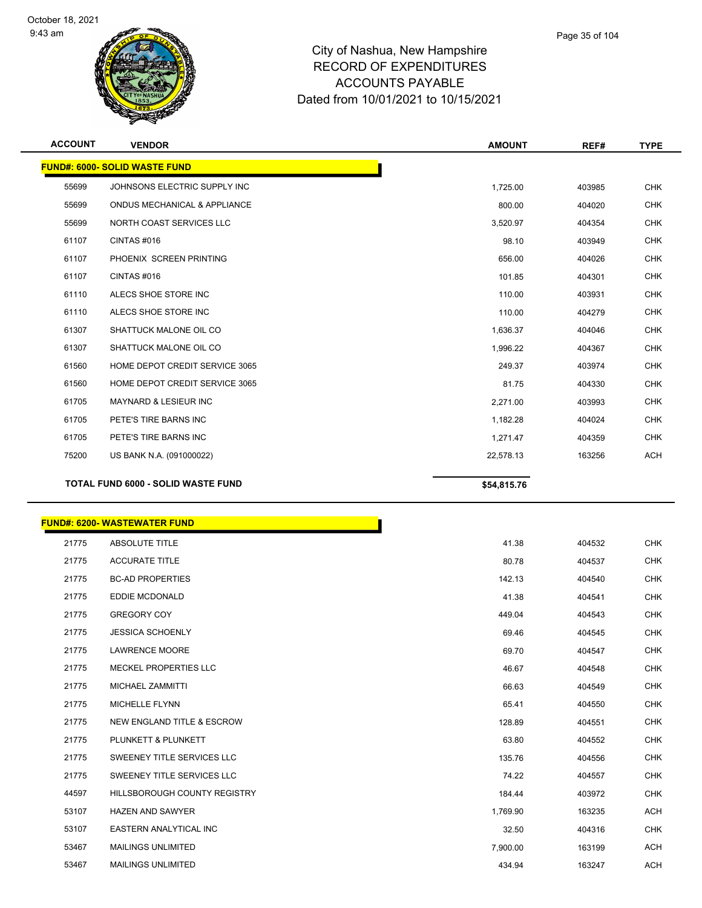

| <b>ACCOUNT</b> | <b>VENDOR</b>                             | <b>AMOUNT</b> | REF#   | <b>TYPE</b> |
|----------------|-------------------------------------------|---------------|--------|-------------|
|                | <b>FUND#: 6000- SOLID WASTE FUND</b>      |               |        |             |
| 55699          | JOHNSONS ELECTRIC SUPPLY INC              | 1,725.00      | 403985 | <b>CHK</b>  |
| 55699          | ONDUS MECHANICAL & APPLIANCE              | 800.00        | 404020 | <b>CHK</b>  |
| 55699          | NORTH COAST SERVICES LLC                  | 3,520.97      | 404354 | <b>CHK</b>  |
| 61107          | CINTAS#016                                | 98.10         | 403949 | <b>CHK</b>  |
| 61107          | PHOENIX SCREEN PRINTING                   | 656.00        | 404026 | <b>CHK</b>  |
| 61107          | <b>CINTAS #016</b>                        | 101.85        | 404301 | <b>CHK</b>  |
| 61110          | ALECS SHOE STORE INC                      | 110.00        | 403931 | <b>CHK</b>  |
| 61110          | ALECS SHOE STORE INC                      | 110.00        | 404279 | <b>CHK</b>  |
| 61307          | SHATTUCK MALONE OIL CO                    | 1,636.37      | 404046 | <b>CHK</b>  |
| 61307          | SHATTUCK MALONE OIL CO                    | 1,996.22      | 404367 | <b>CHK</b>  |
| 61560          | HOME DEPOT CREDIT SERVICE 3065            | 249.37        | 403974 | <b>CHK</b>  |
| 61560          | HOME DEPOT CREDIT SERVICE 3065            | 81.75         | 404330 | <b>CHK</b>  |
| 61705          | <b>MAYNARD &amp; LESIEUR INC</b>          | 2,271.00      | 403993 | <b>CHK</b>  |
| 61705          | PETE'S TIRE BARNS INC                     | 1,182.28      | 404024 | <b>CHK</b>  |
| 61705          | PETE'S TIRE BARNS INC                     | 1,271.47      | 404359 | <b>CHK</b>  |
| 75200          | US BANK N.A. (091000022)                  | 22,578.13     | 163256 | <b>ACH</b>  |
|                | <b>TOTAL FUND 6000 - SOLID WASTE FUND</b> | \$54,815.76   |        |             |

#### **FUND#: 6200- WASTEWATER FUND**

| 21775 | <b>ABSOLUTE TITLE</b>                 | 41.38    | 404532 | <b>CHK</b> |
|-------|---------------------------------------|----------|--------|------------|
| 21775 | <b>ACCURATE TITLE</b>                 | 80.78    | 404537 | <b>CHK</b> |
| 21775 | <b>BC-AD PROPERTIES</b>               | 142.13   | 404540 | <b>CHK</b> |
| 21775 | EDDIE MCDONALD                        | 41.38    | 404541 | <b>CHK</b> |
| 21775 | <b>GREGORY COY</b>                    | 449.04   | 404543 | <b>CHK</b> |
| 21775 | <b>JESSICA SCHOENLY</b>               | 69.46    | 404545 | <b>CHK</b> |
| 21775 | <b>LAWRENCE MOORE</b>                 | 69.70    | 404547 | <b>CHK</b> |
| 21775 | <b>MECKEL PROPERTIES LLC</b>          | 46.67    | 404548 | <b>CHK</b> |
| 21775 | MICHAEL ZAMMITTI                      | 66.63    | 404549 | <b>CHK</b> |
| 21775 | <b>MICHELLE FLYNN</b>                 | 65.41    | 404550 | <b>CHK</b> |
| 21775 | <b>NEW ENGLAND TITLE &amp; ESCROW</b> | 128.89   | 404551 | <b>CHK</b> |
| 21775 | PLUNKETT & PLUNKETT                   | 63.80    | 404552 | <b>CHK</b> |
| 21775 | SWEENEY TITLE SERVICES LLC            | 135.76   | 404556 | <b>CHK</b> |
| 21775 | SWEENEY TITLE SERVICES LLC            | 74.22    | 404557 | <b>CHK</b> |
| 44597 | HILLSBOROUGH COUNTY REGISTRY          | 184.44   | 403972 | <b>CHK</b> |
| 53107 | <b>HAZEN AND SAWYER</b>               | 1,769.90 | 163235 | ACH        |
| 53107 | EASTERN ANALYTICAL INC                | 32.50    | 404316 | <b>CHK</b> |
| 53467 | <b>MAILINGS UNLIMITED</b>             | 7,900.00 | 163199 | ACH        |
| 53467 | <b>MAILINGS UNLIMITED</b>             | 434.94   | 163247 | ACH        |

Г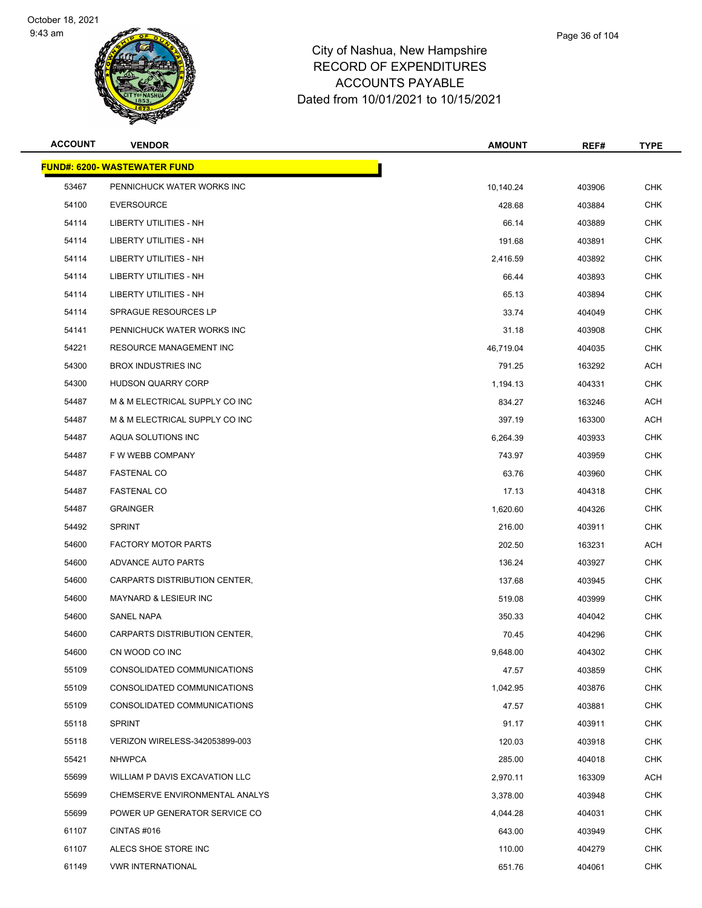



|   | Page 36 of 104 |  |
|---|----------------|--|
| е |                |  |
| ∍ |                |  |

| <b>ACCOUNT</b> | <b>VENDOR</b>                       | <b>AMOUNT</b> | REF#   | <b>TYPE</b> |
|----------------|-------------------------------------|---------------|--------|-------------|
|                | <b>FUND#: 6200- WASTEWATER FUND</b> |               |        |             |
| 53467          | PENNICHUCK WATER WORKS INC          | 10,140.24     | 403906 | <b>CHK</b>  |
| 54100          | <b>EVERSOURCE</b>                   | 428.68        | 403884 | <b>CHK</b>  |
| 54114          | LIBERTY UTILITIES - NH              | 66.14         | 403889 | <b>CHK</b>  |
| 54114          | LIBERTY UTILITIES - NH              | 191.68        | 403891 | <b>CHK</b>  |
| 54114          | LIBERTY UTILITIES - NH              | 2,416.59      | 403892 | <b>CHK</b>  |
| 54114          | LIBERTY UTILITIES - NH              | 66.44         | 403893 | <b>CHK</b>  |
| 54114          | <b>LIBERTY UTILITIES - NH</b>       | 65.13         | 403894 | <b>CHK</b>  |
| 54114          | SPRAGUE RESOURCES LP                | 33.74         | 404049 | <b>CHK</b>  |
| 54141          | PENNICHUCK WATER WORKS INC          | 31.18         | 403908 | <b>CHK</b>  |
| 54221          | <b>RESOURCE MANAGEMENT INC</b>      | 46,719.04     | 404035 | <b>CHK</b>  |
| 54300          | <b>BROX INDUSTRIES INC</b>          | 791.25        | 163292 | <b>ACH</b>  |
| 54300          | <b>HUDSON QUARRY CORP</b>           | 1,194.13      | 404331 | <b>CHK</b>  |
| 54487          | M & M ELECTRICAL SUPPLY CO INC      | 834.27        | 163246 | ACH         |
| 54487          | M & M ELECTRICAL SUPPLY CO INC      | 397.19        | 163300 | ACH         |
| 54487          | AQUA SOLUTIONS INC                  | 6,264.39      | 403933 | <b>CHK</b>  |
| 54487          | F W WEBB COMPANY                    | 743.97        | 403959 | <b>CHK</b>  |
| 54487          | <b>FASTENAL CO</b>                  | 63.76         | 403960 | <b>CHK</b>  |
| 54487          | <b>FASTENAL CO</b>                  | 17.13         | 404318 | <b>CHK</b>  |
| 54487          | <b>GRAINGER</b>                     | 1,620.60      | 404326 | <b>CHK</b>  |
| 54492          | <b>SPRINT</b>                       | 216.00        | 403911 | <b>CHK</b>  |
| 54600          | <b>FACTORY MOTOR PARTS</b>          | 202.50        | 163231 | <b>ACH</b>  |
| 54600          | ADVANCE AUTO PARTS                  | 136.24        | 403927 | <b>CHK</b>  |
| 54600          | CARPARTS DISTRIBUTION CENTER,       | 137.68        | 403945 | <b>CHK</b>  |
| 54600          | <b>MAYNARD &amp; LESIEUR INC</b>    | 519.08        | 403999 | <b>CHK</b>  |
| 54600          | SANEL NAPA                          | 350.33        | 404042 | <b>CHK</b>  |
| 54600          | CARPARTS DISTRIBUTION CENTER.       | 70.45         | 404296 | <b>CHK</b>  |
| 54600          | CN WOOD CO INC                      | 9,648.00      | 404302 | <b>CHK</b>  |
| 55109          | CONSOLIDATED COMMUNICATIONS         | 47.57         | 403859 | CHK         |
| 55109          | CONSOLIDATED COMMUNICATIONS         | 1,042.95      | 403876 | <b>CHK</b>  |
| 55109          | CONSOLIDATED COMMUNICATIONS         | 47.57         | 403881 | CHK         |
| 55118          | <b>SPRINT</b>                       | 91.17         | 403911 | <b>CHK</b>  |
| 55118          | VERIZON WIRELESS-342053899-003      | 120.03        | 403918 | <b>CHK</b>  |
| 55421          | <b>NHWPCA</b>                       | 285.00        | 404018 | <b>CHK</b>  |
| 55699          | WILLIAM P DAVIS EXCAVATION LLC      | 2,970.11      | 163309 | ACH         |
| 55699          | CHEMSERVE ENVIRONMENTAL ANALYS      | 3,378.00      | 403948 | <b>CHK</b>  |
| 55699          | POWER UP GENERATOR SERVICE CO       | 4,044.28      | 404031 | <b>CHK</b>  |
| 61107          | CINTAS #016                         | 643.00        | 403949 | <b>CHK</b>  |
| 61107          | ALECS SHOE STORE INC                | 110.00        | 404279 | <b>CHK</b>  |
| 61149          | <b>VWR INTERNATIONAL</b>            | 651.76        | 404061 | <b>CHK</b>  |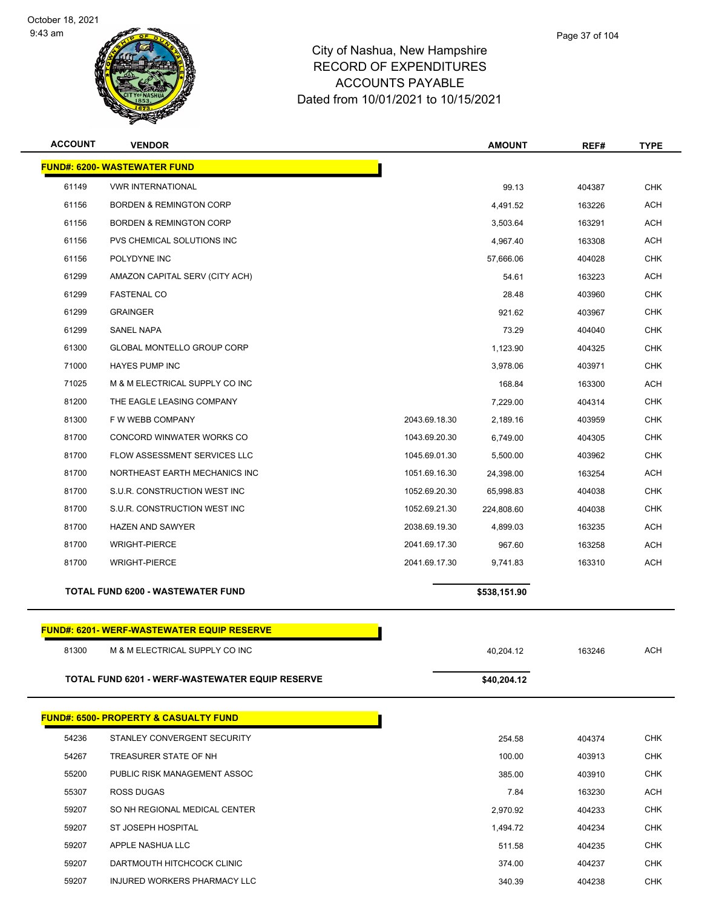



| <b>ACCOUNT</b> | <b>VENDOR</b>                                    |               | <b>AMOUNT</b> | REF#   | <b>TYPE</b> |
|----------------|--------------------------------------------------|---------------|---------------|--------|-------------|
|                | <b>FUND#: 6200- WASTEWATER FUND</b>              |               |               |        |             |
| 61149          | <b>VWR INTERNATIONAL</b>                         |               | 99.13         | 404387 | <b>CHK</b>  |
| 61156          | <b>BORDEN &amp; REMINGTON CORP</b>               |               | 4,491.52      | 163226 | <b>ACH</b>  |
| 61156          | <b>BORDEN &amp; REMINGTON CORP</b>               |               | 3,503.64      | 163291 | ACH         |
| 61156          | PVS CHEMICAL SOLUTIONS INC                       |               | 4,967.40      | 163308 | <b>ACH</b>  |
| 61156          | POLYDYNE INC                                     |               | 57,666.06     | 404028 | <b>CHK</b>  |
| 61299          | AMAZON CAPITAL SERV (CITY ACH)                   |               | 54.61         | 163223 | <b>ACH</b>  |
| 61299          | <b>FASTENAL CO</b>                               |               | 28.48         | 403960 | <b>CHK</b>  |
| 61299          | <b>GRAINGER</b>                                  |               | 921.62        | 403967 | CHK         |
| 61299          | <b>SANEL NAPA</b>                                |               | 73.29         | 404040 | <b>CHK</b>  |
| 61300          | <b>GLOBAL MONTELLO GROUP CORP</b>                |               | 1,123.90      | 404325 | <b>CHK</b>  |
| 71000          | <b>HAYES PUMP INC</b>                            |               | 3,978.06      | 403971 | <b>CHK</b>  |
| 71025          | M & M ELECTRICAL SUPPLY CO INC                   |               | 168.84        | 163300 | <b>ACH</b>  |
| 81200          | THE EAGLE LEASING COMPANY                        |               | 7,229.00      | 404314 | <b>CHK</b>  |
| 81300          | F W WEBB COMPANY                                 | 2043.69.18.30 | 2,189.16      | 403959 | <b>CHK</b>  |
| 81700          | CONCORD WINWATER WORKS CO                        | 1043.69.20.30 | 6,749.00      | 404305 | <b>CHK</b>  |
| 81700          | FLOW ASSESSMENT SERVICES LLC                     | 1045.69.01.30 | 5,500.00      | 403962 | <b>CHK</b>  |
| 81700          | NORTHEAST EARTH MECHANICS INC                    | 1051.69.16.30 | 24,398.00     | 163254 | <b>ACH</b>  |
| 81700          | S.U.R. CONSTRUCTION WEST INC                     | 1052.69.20.30 | 65,998.83     | 404038 | CHK         |
| 81700          | S.U.R. CONSTRUCTION WEST INC                     | 1052.69.21.30 | 224,808.60    | 404038 | <b>CHK</b>  |
| 81700          | <b>HAZEN AND SAWYER</b>                          | 2038.69.19.30 | 4,899.03      | 163235 | ACH         |
| 81700          | <b>WRIGHT-PIERCE</b>                             | 2041.69.17.30 | 967.60        | 163258 | <b>ACH</b>  |
| 81700          | <b>WRIGHT-PIERCE</b>                             | 2041.69.17.30 | 9,741.83      | 163310 | <b>ACH</b>  |
|                | <b>TOTAL FUND 6200 - WASTEWATER FUND</b>         |               | \$538,151.90  |        |             |
|                | <b>FUND#: 6201-WERF-WASTEWATER EQUIP RESERVE</b> |               |               |        |             |
| 81300          | M & M ELECTRICAL SUPPLY CO INC                   |               | 40,204.12     | 163246 | ACH         |
|                | TOTAL FUND 6201 - WERF-WASTEWATER EQUIP RESERVE  |               | \$40,204.12   |        |             |
|                | <b>FUND#: 6500- PROPERTY &amp; CASUALTY FUND</b> |               |               |        |             |
| 54236          | STANLEY CONVERGENT SECURITY                      |               | 254.58        | 404374 | <b>CHK</b>  |
| 54267          | TREASURER STATE OF NH                            |               | 100.00        | 403913 | <b>CHK</b>  |
| 55200          | PUBLIC RISK MANAGEMENT ASSOC                     |               | 385.00        | 403910 | CHK         |
| 55307          | ROSS DUGAS                                       |               | 7.84          | 163230 | ACH         |
| 59207          | SO NH REGIONAL MEDICAL CENTER                    |               | 2,970.92      | 404233 | <b>CHK</b>  |
| 59207          | ST JOSEPH HOSPITAL                               |               | 1,494.72      | 404234 | <b>CHK</b>  |
| 59207          | APPLE NASHUA LLC                                 |               | 511.58        | 404235 | CHK         |
| 59207          | DARTMOUTH HITCHCOCK CLINIC                       |               | 374.00        | 404237 | <b>CHK</b>  |
| 59207          | INJURED WORKERS PHARMACY LLC                     |               | 340.39        | 404238 | <b>CHK</b>  |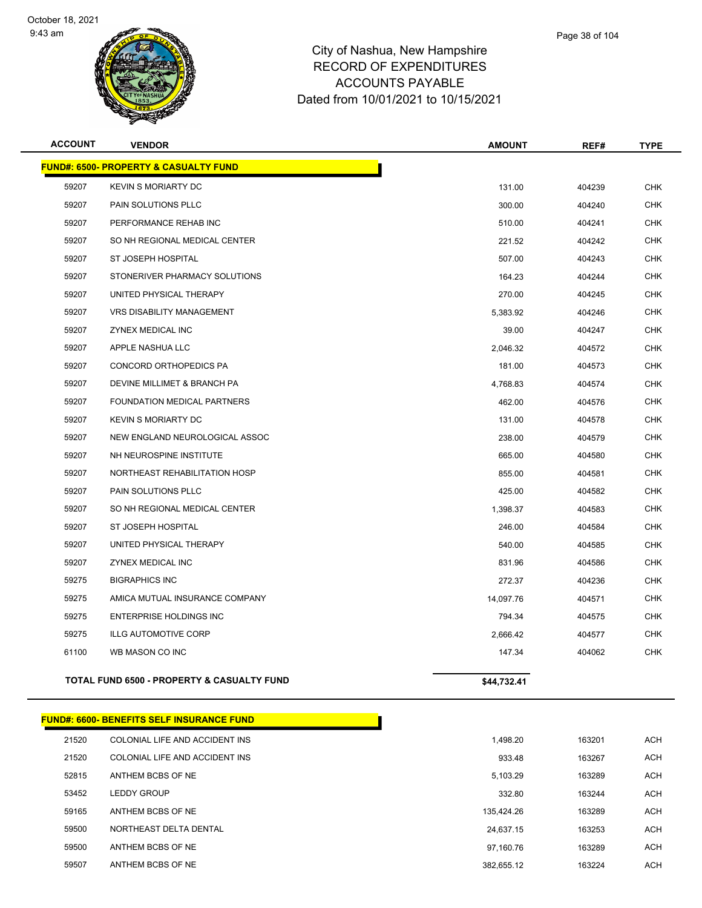



| <b>FUND#: 6500- PROPERTY &amp; CASUALTY FUND</b><br>59207<br><b>KEVIN S MORIARTY DC</b> | 131.00      |        |            |
|-----------------------------------------------------------------------------------------|-------------|--------|------------|
|                                                                                         |             |        |            |
|                                                                                         |             | 404239 | <b>CHK</b> |
| 59207<br>PAIN SOLUTIONS PLLC                                                            | 300.00      | 404240 | <b>CHK</b> |
| 59207<br>PERFORMANCE REHAB INC                                                          | 510.00      | 404241 | <b>CHK</b> |
| 59207<br>SO NH REGIONAL MEDICAL CENTER                                                  | 221.52      | 404242 | <b>CHK</b> |
| 59207<br>ST JOSEPH HOSPITAL                                                             | 507.00      | 404243 | <b>CHK</b> |
| 59207<br>STONERIVER PHARMACY SOLUTIONS                                                  | 164.23      | 404244 | <b>CHK</b> |
| 59207<br>UNITED PHYSICAL THERAPY                                                        | 270.00      | 404245 | <b>CHK</b> |
| 59207<br><b>VRS DISABILITY MANAGEMENT</b>                                               | 5,383.92    | 404246 | <b>CHK</b> |
| 59207<br>ZYNEX MEDICAL INC                                                              | 39.00       | 404247 | <b>CHK</b> |
| 59207<br>APPLE NASHUA LLC                                                               | 2,046.32    | 404572 | <b>CHK</b> |
| 59207<br>CONCORD ORTHOPEDICS PA                                                         | 181.00      | 404573 | <b>CHK</b> |
| 59207<br>DEVINE MILLIMET & BRANCH PA                                                    | 4,768.83    | 404574 | <b>CHK</b> |
| 59207<br>FOUNDATION MEDICAL PARTNERS                                                    | 462.00      | 404576 | <b>CHK</b> |
| 59207<br><b>KEVIN S MORIARTY DC</b>                                                     | 131.00      | 404578 | <b>CHK</b> |
| 59207<br>NEW ENGLAND NEUROLOGICAL ASSOC                                                 | 238.00      | 404579 | <b>CHK</b> |
| 59207<br>NH NEUROSPINE INSTITUTE                                                        | 665.00      | 404580 | <b>CHK</b> |
| 59207<br>NORTHEAST REHABILITATION HOSP                                                  | 855.00      | 404581 | <b>CHK</b> |
| 59207<br><b>PAIN SOLUTIONS PLLC</b>                                                     | 425.00      | 404582 | <b>CHK</b> |
| 59207<br>SO NH REGIONAL MEDICAL CENTER                                                  | 1,398.37    | 404583 | <b>CHK</b> |
| 59207<br>ST JOSEPH HOSPITAL                                                             | 246.00      | 404584 | <b>CHK</b> |
| 59207<br>UNITED PHYSICAL THERAPY                                                        | 540.00      | 404585 | <b>CHK</b> |
| 59207<br>ZYNEX MEDICAL INC                                                              | 831.96      | 404586 | <b>CHK</b> |
| 59275<br><b>BIGRAPHICS INC</b>                                                          | 272.37      | 404236 | <b>CHK</b> |
| 59275<br>AMICA MUTUAL INSURANCE COMPANY                                                 | 14,097.76   | 404571 | <b>CHK</b> |
| 59275<br><b>ENTERPRISE HOLDINGS INC</b>                                                 | 794.34      | 404575 | <b>CHK</b> |
| 59275<br><b>ILLG AUTOMOTIVE CORP</b>                                                    | 2,666.42    | 404577 | <b>CHK</b> |
| 61100<br>WB MASON CO INC                                                                | 147.34      | 404062 | <b>CHK</b> |
| TOTAL FUND 6500 - PROPERTY & CASUALTY FUND                                              | \$44,732.41 |        |            |

|       | <b>FUND#: 6600- BENEFITS SELF INSURANCE FUND</b> |            |
|-------|--------------------------------------------------|------------|
| 21520 | COLONIAL LIFE AND ACCIDENT INS                   | 1.498.20   |
| 21520 | COLONIAL LIFE AND ACCIDENT INS                   | 933.48     |
| 52815 | ANTHEM BCBS OF NE                                | 5,103.29   |
| 53452 | <b>LEDDY GROUP</b>                               | 332.80     |
| 59165 | ANTHEM BCBS OF NE                                | 135.424.26 |
| 59500 | NORTHEAST DELTA DENTAL                           | 24.637.15  |
| 59500 | ANTHEM BCBS OF NE                                | 97.160.76  |
| 59507 | ANTHEM BCBS OF NE                                | 382.655.12 |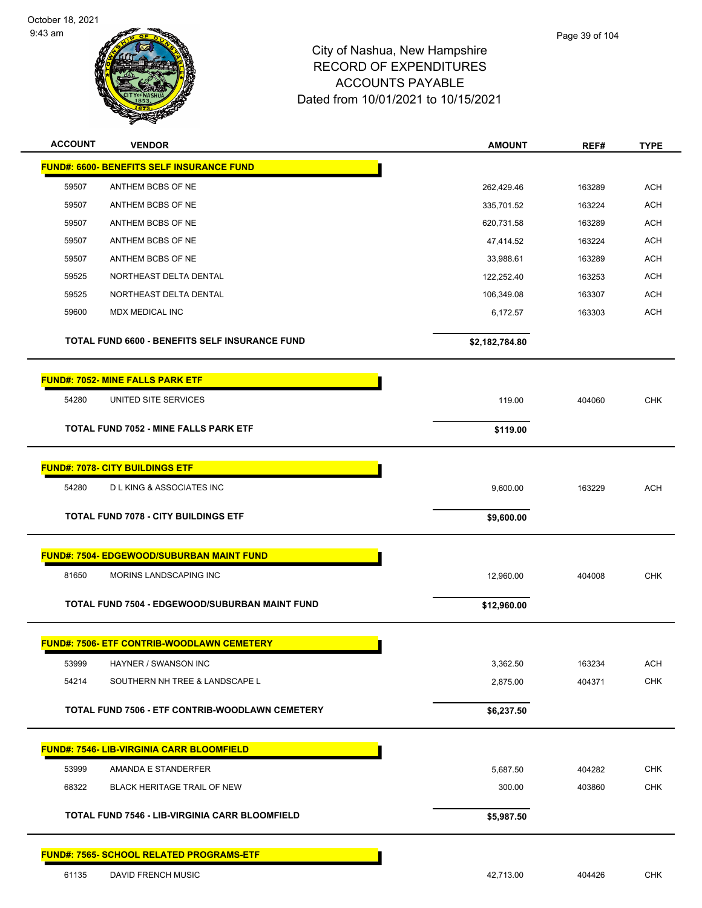

| <b>ACCOUNT</b> | <b>VENDOR</b>                                         | <b>AMOUNT</b>  | REF#   | <b>TYPE</b> |
|----------------|-------------------------------------------------------|----------------|--------|-------------|
|                | <b>FUND#: 6600- BENEFITS SELF INSURANCE FUND</b>      |                |        |             |
| 59507          | ANTHEM BCBS OF NE                                     | 262,429.46     | 163289 | <b>ACH</b>  |
| 59507          | ANTHEM BCBS OF NE                                     | 335,701.52     | 163224 | <b>ACH</b>  |
| 59507          | ANTHEM BCBS OF NE                                     | 620,731.58     | 163289 | <b>ACH</b>  |
| 59507          | ANTHEM BCBS OF NE                                     | 47,414.52      | 163224 | <b>ACH</b>  |
| 59507          | ANTHEM BCBS OF NE                                     | 33,988.61      | 163289 | <b>ACH</b>  |
| 59525          | NORTHEAST DELTA DENTAL                                | 122,252.40     | 163253 | <b>ACH</b>  |
| 59525          | NORTHEAST DELTA DENTAL                                | 106,349.08     | 163307 | <b>ACH</b>  |
| 59600          | MDX MEDICAL INC                                       | 6,172.57       | 163303 | <b>ACH</b>  |
|                | TOTAL FUND 6600 - BENEFITS SELF INSURANCE FUND        | \$2,182,784.80 |        |             |
|                | <b>FUND#: 7052- MINE FALLS PARK ETF</b>               |                |        |             |
| 54280          | UNITED SITE SERVICES                                  | 119.00         | 404060 | <b>CHK</b>  |
|                | <b>TOTAL FUND 7052 - MINE FALLS PARK ETF</b>          | \$119.00       |        |             |
|                |                                                       |                |        |             |
|                | <b>FUND#: 7078- CITY BUILDINGS ETF</b>                |                |        |             |
| 54280          | <b>DLKING &amp; ASSOCIATES INC</b>                    | 9,600.00       | 163229 | <b>ACH</b>  |
|                | <b>TOTAL FUND 7078 - CITY BUILDINGS ETF</b>           | \$9,600.00     |        |             |
|                | <b>FUND#: 7504- EDGEWOOD/SUBURBAN MAINT FUND</b>      |                |        |             |
| 81650          | MORINS LANDSCAPING INC                                | 12,960.00      | 404008 | <b>CHK</b>  |
|                | TOTAL FUND 7504 - EDGEWOOD/SUBURBAN MAINT FUND        | \$12,960.00    |        |             |
|                | <b>FUND#: 7506- ETF CONTRIB-WOODLAWN CEMETERY</b>     |                |        |             |
| 53999          | HAYNER / SWANSON INC                                  | 3,362.50       | 163234 | <b>ACH</b>  |
| 54214          | SOUTHERN NH TREE & LANDSCAPE L                        | 2,875.00       | 404371 | <b>CHK</b>  |
|                | TOTAL FUND 7506 - ETF CONTRIB-WOODLAWN CEMETERY       | \$6,237.50     |        |             |
|                | <b>FUND#: 7546- LIB-VIRGINIA CARR BLOOMFIELD</b>      |                |        |             |
| 53999          | AMANDA E STANDERFER                                   | 5,687.50       | 404282 | <b>CHK</b>  |
| 68322          | BLACK HERITAGE TRAIL OF NEW                           | 300.00         | 403860 | <b>CHK</b>  |
|                |                                                       |                |        |             |
|                | <b>TOTAL FUND 7546 - LIB-VIRGINIA CARR BLOOMFIELD</b> | \$5,987.50     |        |             |
|                | FUND#: 7565- SCHOOL RELATED PROGRAMS-ETF              |                |        |             |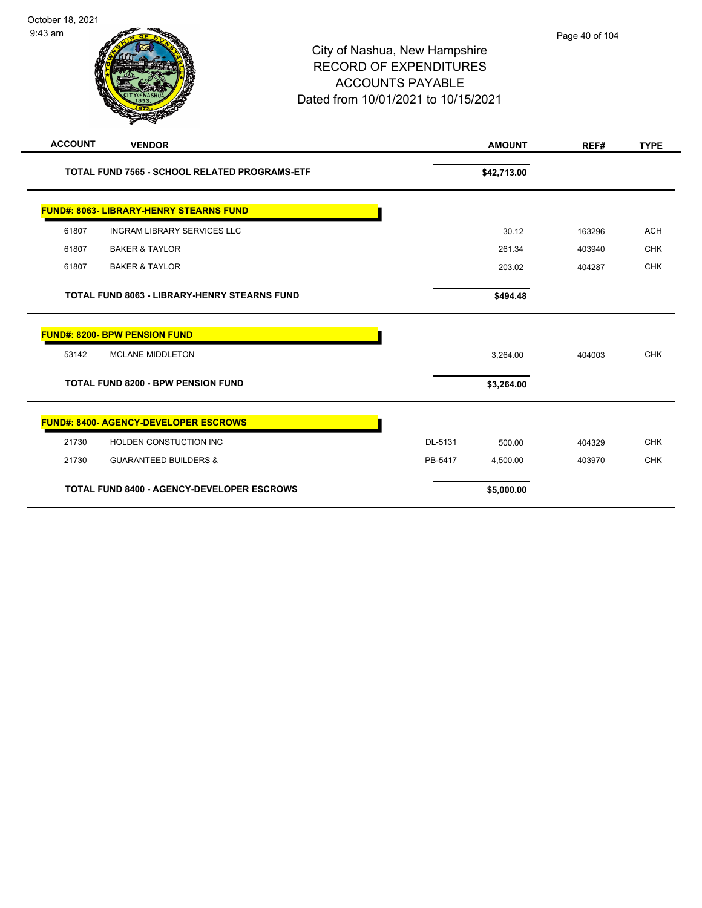| <b>ACCOUNT</b> | <b>VENDOR</b>                                       |         | <b>AMOUNT</b> | REF#   | <b>TYPE</b> |
|----------------|-----------------------------------------------------|---------|---------------|--------|-------------|
|                | TOTAL FUND 7565 - SCHOOL RELATED PROGRAMS-ETF       |         | \$42,713.00   |        |             |
|                | <b>FUND#: 8063- LIBRARY-HENRY STEARNS FUND</b>      |         |               |        |             |
| 61807          | <b>INGRAM LIBRARY SERVICES LLC</b>                  |         | 30.12         | 163296 | <b>ACH</b>  |
| 61807          | <b>BAKER &amp; TAYLOR</b>                           |         | 261.34        | 403940 | <b>CHK</b>  |
| 61807          | <b>BAKER &amp; TAYLOR</b>                           |         | 203.02        | 404287 | <b>CHK</b>  |
|                | <b>TOTAL FUND 8063 - LIBRARY-HENRY STEARNS FUND</b> |         | \$494.48      |        |             |
|                | <b>FUND#: 8200- BPW PENSION FUND</b>                |         |               |        |             |
| 53142          | <b>MCLANE MIDDLETON</b>                             |         | 3,264.00      | 404003 | <b>CHK</b>  |
|                | <b>TOTAL FUND 8200 - BPW PENSION FUND</b>           |         | \$3,264.00    |        |             |
|                | <b>FUND#: 8400- AGENCY-DEVELOPER ESCROWS</b>        |         |               |        |             |
| 21730          | HOLDEN CONSTUCTION INC                              | DL-5131 | 500.00        | 404329 | <b>CHK</b>  |
| 21730          | <b>GUARANTEED BUILDERS &amp;</b>                    | PB-5417 | 4,500.00      | 403970 | <b>CHK</b>  |
|                | <b>TOTAL FUND 8400 - AGENCY-DEVELOPER ESCROWS</b>   |         | \$5,000.00    |        |             |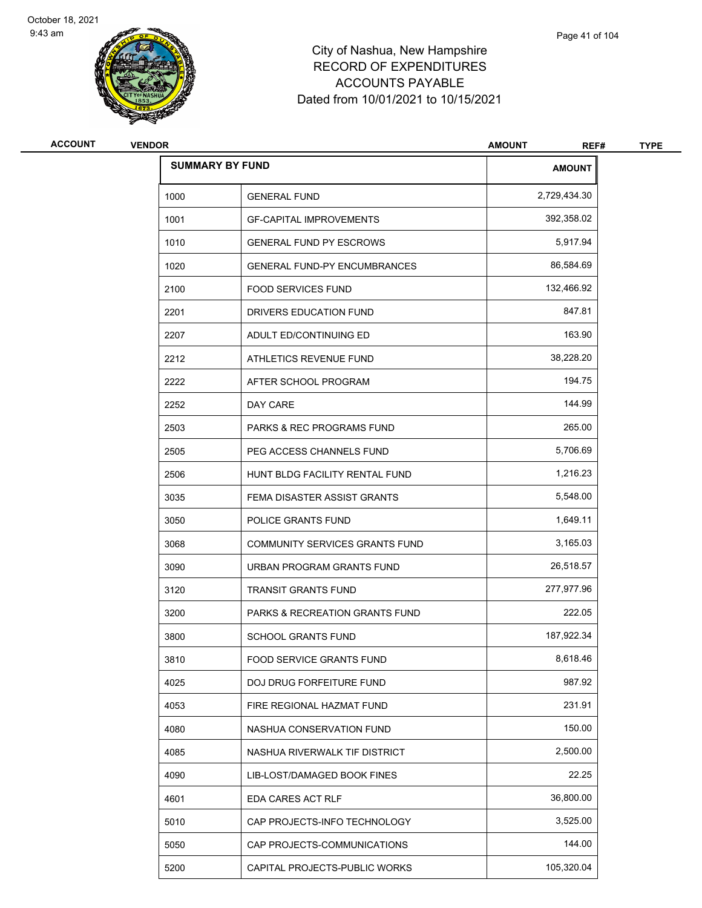



| <b>ACCOUNT</b> | <b>VENDOR</b> |                                      | <b>AMOUNT</b><br>REF# | <b>TYPE</b> |
|----------------|---------------|--------------------------------------|-----------------------|-------------|
|                |               | <b>SUMMARY BY FUND</b>               | <b>AMOUNT</b>         |             |
|                | 1000          | <b>GENERAL FUND</b>                  | 2,729,434.30          |             |
|                | 1001          | <b>GF-CAPITAL IMPROVEMENTS</b>       | 392,358.02            |             |
|                | 1010          | <b>GENERAL FUND PY ESCROWS</b>       | 5,917.94              |             |
|                | 1020          | <b>GENERAL FUND-PY ENCUMBRANCES</b>  | 86,584.69             |             |
|                | 2100          | <b>FOOD SERVICES FUND</b>            | 132,466.92            |             |
|                | 2201          | DRIVERS EDUCATION FUND               | 847.81                |             |
|                | 2207          | ADULT ED/CONTINUING ED               | 163.90                |             |
|                | 2212          | ATHLETICS REVENUE FUND               | 38,228.20             |             |
|                | 2222          | AFTER SCHOOL PROGRAM                 | 194.75                |             |
|                | 2252          | DAY CARE                             | 144.99                |             |
|                | 2503          | <b>PARKS &amp; REC PROGRAMS FUND</b> | 265.00                |             |
|                | 2505          | PEG ACCESS CHANNELS FUND             | 5,706.69              |             |
|                | 2506          | HUNT BLDG FACILITY RENTAL FUND       | 1,216.23              |             |
|                | 3035          | FEMA DISASTER ASSIST GRANTS          | 5,548.00              |             |
|                | 3050          | POLICE GRANTS FUND                   | 1,649.11              |             |
|                | 3068          | COMMUNITY SERVICES GRANTS FUND       | 3,165.03              |             |
|                | 3090          | URBAN PROGRAM GRANTS FUND            | 26,518.57             |             |
|                | 3120          | <b>TRANSIT GRANTS FUND</b>           | 277,977.96            |             |
|                | 3200          | PARKS & RECREATION GRANTS FUND       | 222.05                |             |
|                | 3800          | <b>SCHOOL GRANTS FUND</b>            | 187,922.34            |             |
|                | 3810          | FOOD SERVICE GRANTS FUND             | 8,618.46              |             |
|                | 4025          | DOJ DRUG FORFEITURE FUND             | 987.92                |             |
|                | 4053          | FIRE REGIONAL HAZMAT FUND            | 231.91                |             |
|                | 4080          | NASHUA CONSERVATION FUND             | 150.00                |             |
|                | 4085          | NASHUA RIVERWALK TIF DISTRICT        | 2,500.00              |             |
|                | 4090          | LIB-LOST/DAMAGED BOOK FINES          | 22.25                 |             |
|                | 4601          | EDA CARES ACT RLF                    | 36,800.00             |             |
|                | 5010          | CAP PROJECTS-INFO TECHNOLOGY         | 3,525.00              |             |
|                | 5050          | CAP PROJECTS-COMMUNICATIONS          | 144.00                |             |
|                | 5200          | CAPITAL PROJECTS-PUBLIC WORKS        | 105,320.04            |             |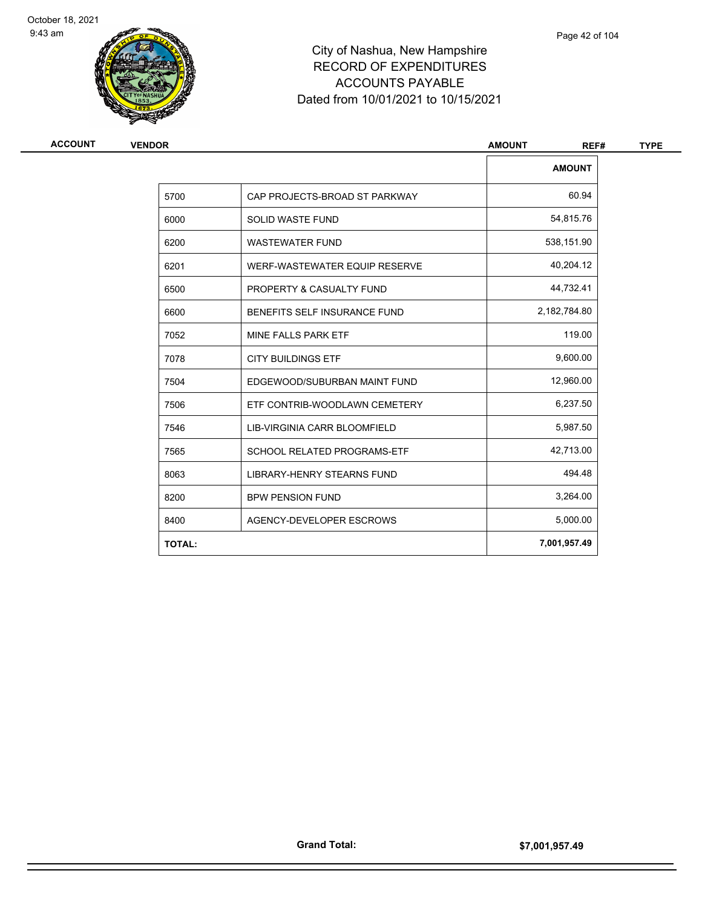



| <b>ACCOUNT</b> |
|----------------|
|----------------|

| ACCOUNT | <b>VENDOR</b> |                                    | <b>AMOUNT</b><br>REF# | <b>TYPE</b> |
|---------|---------------|------------------------------------|-----------------------|-------------|
|         |               |                                    | <b>AMOUNT</b>         |             |
|         | 5700          | CAP PROJECTS-BROAD ST PARKWAY      | 60.94                 |             |
|         | 6000          | <b>SOLID WASTE FUND</b>            | 54,815.76             |             |
|         | 6200          | <b>WASTEWATER FUND</b>             | 538,151.90            |             |
|         | 6201          | WERF-WASTEWATER EQUIP RESERVE      | 40,204.12             |             |
|         | 6500          | PROPERTY & CASUALTY FUND           | 44,732.41             |             |
|         | 6600          | BENEFITS SELF INSURANCE FUND       | 2,182,784.80          |             |
|         | 7052          | MINE FALLS PARK ETF                | 119.00                |             |
|         | 7078          | <b>CITY BUILDINGS ETF</b>          | 9,600.00              |             |
|         | 7504          | EDGEWOOD/SUBURBAN MAINT FUND       | 12,960.00             |             |
|         | 7506          | ETF CONTRIB-WOODLAWN CEMETERY      | 6,237.50              |             |
|         | 7546          | LIB-VIRGINIA CARR BLOOMFIELD       | 5,987.50              |             |
|         | 7565          | <b>SCHOOL RELATED PROGRAMS-ETF</b> | 42,713.00             |             |
|         | 8063          | <b>LIBRARY-HENRY STEARNS FUND</b>  | 494.48                |             |
|         | 8200          | <b>BPW PENSION FUND</b>            | 3,264.00              |             |
|         | 8400          | AGENCY-DEVELOPER ESCROWS           | 5,000.00              |             |
|         | <b>TOTAL:</b> |                                    | 7,001,957.49          |             |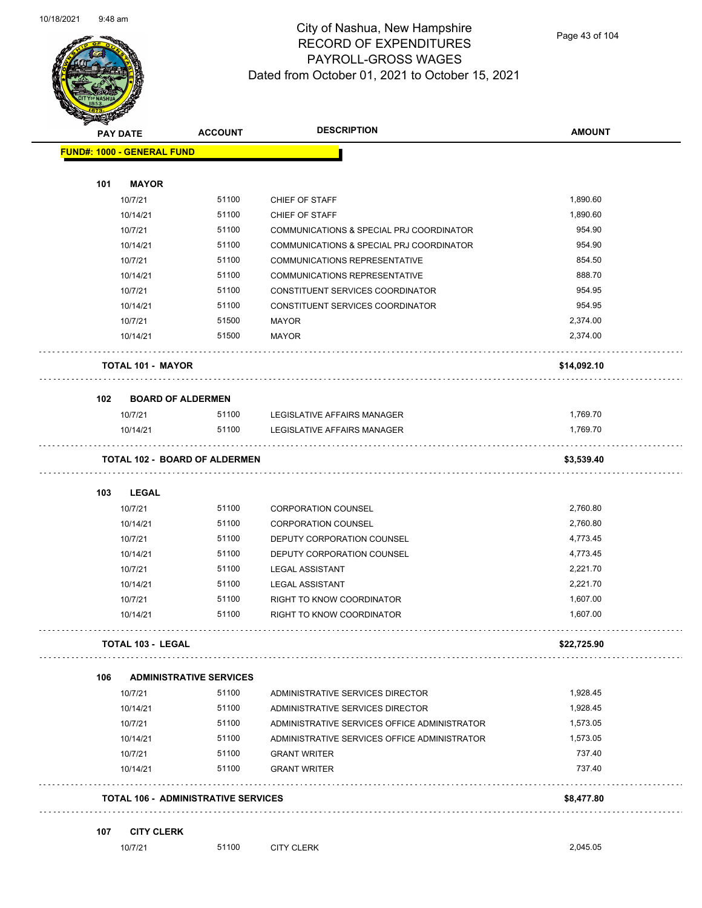

Page 43 of 104

|     | <b>PAY DATE</b>                   | <b>ACCOUNT</b>                             | <b>DESCRIPTION</b>                           | <b>AMOUNT</b> |
|-----|-----------------------------------|--------------------------------------------|----------------------------------------------|---------------|
|     | <b>FUND#: 1000 - GENERAL FUND</b> |                                            |                                              |               |
|     |                                   |                                            |                                              |               |
| 101 | <b>MAYOR</b><br>10/7/21           | 51100                                      | CHIEF OF STAFF                               | 1,890.60      |
|     | 10/14/21                          | 51100                                      | CHIEF OF STAFF                               | 1,890.60      |
|     | 10/7/21                           | 51100                                      | COMMUNICATIONS & SPECIAL PRJ COORDINATOR     | 954.90        |
|     | 10/14/21                          | 51100                                      | COMMUNICATIONS & SPECIAL PRJ COORDINATOR     | 954.90        |
|     | 10/7/21                           | 51100                                      | <b>COMMUNICATIONS REPRESENTATIVE</b>         | 854.50        |
|     | 10/14/21                          | 51100                                      | <b>COMMUNICATIONS REPRESENTATIVE</b>         | 888.70        |
|     | 10/7/21                           | 51100                                      | CONSTITUENT SERVICES COORDINATOR             | 954.95        |
|     | 10/14/21                          | 51100                                      | CONSTITUENT SERVICES COORDINATOR             | 954.95        |
|     | 10/7/21                           | 51500                                      | <b>MAYOR</b>                                 | 2,374.00      |
|     | 10/14/21                          | 51500                                      | MAYOR                                        | 2,374.00      |
|     | <b>TOTAL 101 - MAYOR</b>          |                                            |                                              | \$14,092.10   |
| 102 |                                   | <b>BOARD OF ALDERMEN</b>                   |                                              |               |
|     | 10/7/21                           | 51100                                      | LEGISLATIVE AFFAIRS MANAGER                  | 1,769.70      |
|     | 10/14/21                          | 51100                                      | <b>LEGISLATIVE AFFAIRS MANAGER</b>           | 1,769.70      |
|     |                                   | <b>TOTAL 102 - BOARD OF ALDERMEN</b>       |                                              | \$3,539.40    |
|     |                                   |                                            |                                              |               |
| 103 | <b>LEGAL</b>                      |                                            |                                              |               |
|     | 10/7/21                           | 51100                                      | <b>CORPORATION COUNSEL</b>                   | 2,760.80      |
|     | 10/14/21                          | 51100                                      | <b>CORPORATION COUNSEL</b>                   | 2,760.80      |
|     | 10/7/21                           | 51100                                      | DEPUTY CORPORATION COUNSEL                   | 4,773.45      |
|     | 10/14/21                          | 51100                                      | DEPUTY CORPORATION COUNSEL                   | 4,773.45      |
|     | 10/7/21                           | 51100                                      | <b>LEGAL ASSISTANT</b>                       | 2,221.70      |
|     | 10/14/21                          | 51100                                      | <b>LEGAL ASSISTANT</b>                       | 2,221.70      |
|     | 10/7/21                           | 51100                                      | RIGHT TO KNOW COORDINATOR                    | 1,607.00      |
|     | 10/14/21                          | 51100                                      | RIGHT TO KNOW COORDINATOR                    | 1,607.00      |
|     | <b>TOTAL 103 - LEGAL</b>          |                                            |                                              | \$22,725.90   |
| 106 |                                   | <b>ADMINISTRATIVE SERVICES</b>             |                                              |               |
|     | 10/7/21                           | 51100                                      | ADMINISTRATIVE SERVICES DIRECTOR             | 1,928.45      |
|     | 10/14/21                          | 51100                                      | ADMINISTRATIVE SERVICES DIRECTOR             | 1,928.45      |
|     | 10/7/21                           | 51100                                      | ADMINISTRATIVE SERVICES OFFICE ADMINISTRATOR | 1,573.05      |
|     | 10/14/21                          | 51100                                      | ADMINISTRATIVE SERVICES OFFICE ADMINISTRATOR | 1,573.05      |
|     | 10/7/21                           | 51100                                      | <b>GRANT WRITER</b>                          | 737.40        |
|     | 10/14/21                          | 51100                                      | <b>GRANT WRITER</b>                          | 737.40        |
|     |                                   | <b>TOTAL 106 - ADMINISTRATIVE SERVICES</b> |                                              | \$8,477.80    |
| 107 | <b>CITY CLERK</b>                 |                                            |                                              |               |
|     | 10/7/21                           | 51100                                      | <b>CITY CLERK</b>                            | 2,045.05      |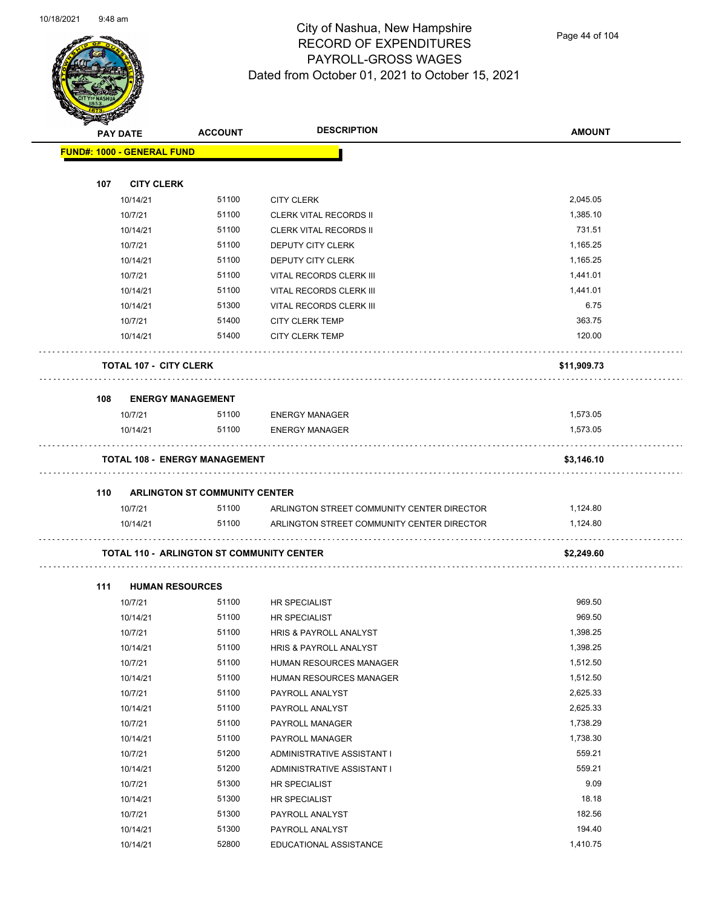

Page 44 of 104

| $\blacktriangleleft$ . | <b>PAY DATE</b>                                  | <b>ACCOUNT</b>                       | <b>DESCRIPTION</b>                                             | <b>AMOUNT</b> |
|------------------------|--------------------------------------------------|--------------------------------------|----------------------------------------------------------------|---------------|
|                        | <b>FUND#: 1000 - GENERAL FUND</b>                |                                      |                                                                |               |
|                        |                                                  |                                      |                                                                |               |
| 107                    | <b>CITY CLERK</b>                                | 51100                                |                                                                | 2,045.05      |
|                        | 10/14/21                                         | 51100                                | <b>CITY CLERK</b>                                              | 1,385.10      |
|                        | 10/7/21<br>10/14/21                              | 51100                                | <b>CLERK VITAL RECORDS II</b><br><b>CLERK VITAL RECORDS II</b> | 731.51        |
|                        | 10/7/21                                          | 51100                                | <b>DEPUTY CITY CLERK</b>                                       | 1,165.25      |
|                        | 10/14/21                                         | 51100                                |                                                                | 1,165.25      |
|                        |                                                  | 51100                                | DEPUTY CITY CLERK                                              | 1,441.01      |
|                        | 10/7/21                                          | 51100                                | VITAL RECORDS CLERK III                                        | 1,441.01      |
|                        | 10/14/21                                         |                                      | VITAL RECORDS CLERK III                                        |               |
|                        | 10/14/21                                         | 51300                                | VITAL RECORDS CLERK III                                        | 6.75          |
|                        | 10/7/21                                          | 51400                                | <b>CITY CLERK TEMP</b>                                         | 363.75        |
|                        | 10/14/21                                         | 51400                                | <b>CITY CLERK TEMP</b>                                         | 120.00        |
|                        | <b>TOTAL 107 - CITY CLERK</b>                    |                                      |                                                                | \$11,909.73   |
| 108                    | <b>ENERGY MANAGEMENT</b>                         |                                      |                                                                |               |
|                        | 10/7/21                                          | 51100                                | <b>ENERGY MANAGER</b>                                          | 1,573.05      |
|                        | 10/14/21                                         | 51100                                | <b>ENERGY MANAGER</b>                                          | 1,573.05      |
|                        | <b>TOTAL 108 - ENERGY MANAGEMENT</b>             |                                      |                                                                | \$3,146.10    |
| 110                    |                                                  | <b>ARLINGTON ST COMMUNITY CENTER</b> |                                                                |               |
|                        | 10/7/21                                          | 51100                                | ARLINGTON STREET COMMUNITY CENTER DIRECTOR                     | 1,124.80      |
|                        | 10/14/21                                         | 51100                                | ARLINGTON STREET COMMUNITY CENTER DIRECTOR                     | 1,124.80      |
|                        | <b>TOTAL 110 - ARLINGTON ST COMMUNITY CENTER</b> |                                      |                                                                | \$2,249.60    |
| 111                    | <b>HUMAN RESOURCES</b>                           |                                      |                                                                |               |
|                        | 10/7/21                                          | 51100                                | <b>HR SPECIALIST</b>                                           | 969.50        |
|                        | 10/14/21                                         | 51100                                | <b>HR SPECIALIST</b>                                           | 969.50        |
|                        | 10/7/21                                          | 51100                                | <b>HRIS &amp; PAYROLL ANALYST</b>                              | 1,398.25      |
|                        | 10/14/21                                         | 51100                                | HRIS & PAYROLL ANALYST                                         | 1,398.25      |
|                        | 10/7/21                                          | 51100                                | HUMAN RESOURCES MANAGER                                        | 1,512.50      |
|                        | 10/14/21                                         | 51100                                | HUMAN RESOURCES MANAGER                                        | 1,512.50      |
|                        | 10/7/21                                          | 51100                                | PAYROLL ANALYST                                                | 2,625.33      |
|                        | 10/14/21                                         | 51100                                | PAYROLL ANALYST                                                | 2,625.33      |
|                        | 10/7/21                                          | 51100                                | PAYROLL MANAGER                                                | 1,738.29      |
|                        | 10/14/21                                         | 51100                                | PAYROLL MANAGER                                                | 1,738.30      |
|                        | 10/7/21                                          | 51200                                | ADMINISTRATIVE ASSISTANT I                                     | 559.21        |
|                        | 10/14/21                                         | 51200                                | ADMINISTRATIVE ASSISTANT I                                     | 559.21        |
|                        | 10/7/21                                          | 51300                                | HR SPECIALIST                                                  | 9.09          |
|                        | 10/14/21                                         | 51300                                | HR SPECIALIST                                                  | 18.18         |
|                        | 10/7/21                                          | 51300                                | PAYROLL ANALYST                                                | 182.56        |
|                        | 10/14/21                                         | 51300                                | PAYROLL ANALYST                                                | 194.40        |

10/14/21 52800 EDUCATIONAL ASSISTANCE 1,410.75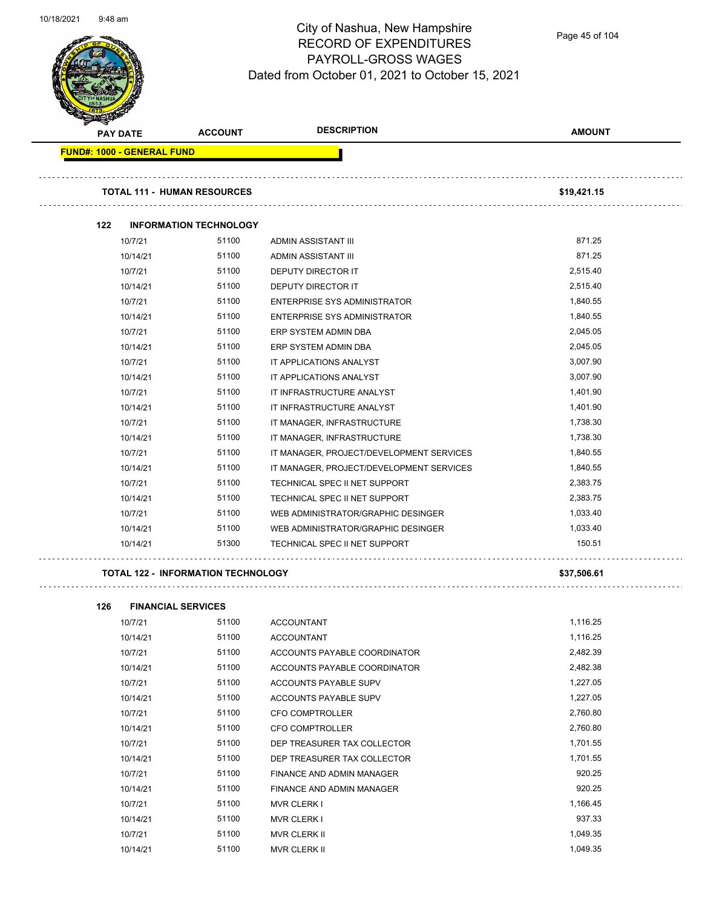

Page 45 of 104

| <b>PAY DATE</b> |          | <b>ACCOUNT</b>                     | <b>DESCRIPTION</b>                       | <b>AMOUNT</b> |
|-----------------|----------|------------------------------------|------------------------------------------|---------------|
|                 |          | <b>FUND#: 1000 - GENERAL FUND</b>  |                                          |               |
|                 |          | <b>TOTAL 111 - HUMAN RESOURCES</b> |                                          | \$19,421.15   |
| 122             |          | <b>INFORMATION TECHNOLOGY</b>      |                                          |               |
|                 | 10/7/21  | 51100                              | ADMIN ASSISTANT III                      | 871.25        |
|                 | 10/14/21 | 51100                              | ADMIN ASSISTANT III                      | 871.25        |
|                 | 10/7/21  | 51100                              | DEPUTY DIRECTOR IT                       | 2,515.40      |
|                 | 10/14/21 | 51100                              | <b>DEPUTY DIRECTOR IT</b>                | 2,515.40      |
|                 | 10/7/21  | 51100                              | <b>ENTERPRISE SYS ADMINISTRATOR</b>      | 1,840.55      |
|                 | 10/14/21 | 51100                              | <b>ENTERPRISE SYS ADMINISTRATOR</b>      | 1,840.55      |
|                 | 10/7/21  | 51100                              | ERP SYSTEM ADMIN DBA                     | 2,045.05      |
|                 | 10/14/21 | 51100                              | ERP SYSTEM ADMIN DBA                     | 2,045.05      |
|                 | 10/7/21  | 51100                              | IT APPLICATIONS ANALYST                  | 3,007.90      |
|                 | 10/14/21 | 51100                              | IT APPLICATIONS ANALYST                  | 3,007.90      |
|                 | 10/7/21  | 51100                              | IT INFRASTRUCTURE ANALYST                | 1,401.90      |
|                 | 10/14/21 | 51100                              | IT INFRASTRUCTURE ANALYST                | 1,401.90      |
|                 | 10/7/21  | 51100                              | IT MANAGER, INFRASTRUCTURE               | 1,738.30      |
|                 | 10/14/21 | 51100                              | IT MANAGER, INFRASTRUCTURE               | 1,738.30      |
|                 | 10/7/21  | 51100                              | IT MANAGER, PROJECT/DEVELOPMENT SERVICES | 1,840.55      |
|                 | 10/14/21 | 51100                              | IT MANAGER, PROJECT/DEVELOPMENT SERVICES | 1,840.55      |
|                 | 10/7/21  | 51100                              | TECHNICAL SPEC II NET SUPPORT            | 2,383.75      |
|                 | 10/14/21 | 51100                              | TECHNICAL SPEC II NET SUPPORT            | 2,383.75      |
|                 | 10/7/21  | 51100                              | WEB ADMINISTRATOR/GRAPHIC DESINGER       | 1,033.40      |
|                 | 10/14/21 | 51100                              | WEB ADMINISTRATOR/GRAPHIC DESINGER       | 1,033.40      |
|                 | 10/14/21 | 51300                              | TECHNICAL SPEC II NET SUPPORT            | 150.51        |

### **TOTAL 122 - INFORMATION TECHNOLOGY \$37,506.61**

| 126 | <b>FINANCIAL SERVICES</b> |       |                              |          |  |  |  |
|-----|---------------------------|-------|------------------------------|----------|--|--|--|
|     | 10/7/21                   | 51100 | <b>ACCOUNTANT</b>            | 1,116.25 |  |  |  |
|     | 10/14/21                  | 51100 | <b>ACCOUNTANT</b>            | 1,116.25 |  |  |  |
|     | 10/7/21                   | 51100 | ACCOUNTS PAYABLE COORDINATOR | 2,482.39 |  |  |  |
|     | 10/14/21                  | 51100 | ACCOUNTS PAYABLE COORDINATOR | 2,482.38 |  |  |  |
|     | 10/7/21                   | 51100 | <b>ACCOUNTS PAYABLE SUPV</b> | 1,227.05 |  |  |  |
|     | 10/14/21                  | 51100 | <b>ACCOUNTS PAYABLE SUPV</b> | 1,227.05 |  |  |  |
|     | 10/7/21                   | 51100 | <b>CFO COMPTROLLER</b>       | 2,760.80 |  |  |  |
|     | 10/14/21                  | 51100 | <b>CFO COMPTROLLER</b>       | 2,760.80 |  |  |  |
|     | 10/7/21                   | 51100 | DEP TREASURER TAX COLLECTOR  | 1,701.55 |  |  |  |
|     | 10/14/21                  | 51100 | DEP TREASURER TAX COLLECTOR  | 1,701.55 |  |  |  |
|     | 10/7/21                   | 51100 | FINANCE AND ADMIN MANAGER    | 920.25   |  |  |  |
|     | 10/14/21                  | 51100 | FINANCE AND ADMIN MANAGER    | 920.25   |  |  |  |
|     | 10/7/21                   | 51100 | <b>MVR CLERK I</b>           | 1,166.45 |  |  |  |
|     | 10/14/21                  | 51100 | <b>MVR CLERK I</b>           | 937.33   |  |  |  |
|     | 10/7/21                   | 51100 | <b>MVR CLERK II</b>          | 1,049.35 |  |  |  |
|     | 10/14/21                  | 51100 | <b>MVR CLERK II</b>          | 1.049.35 |  |  |  |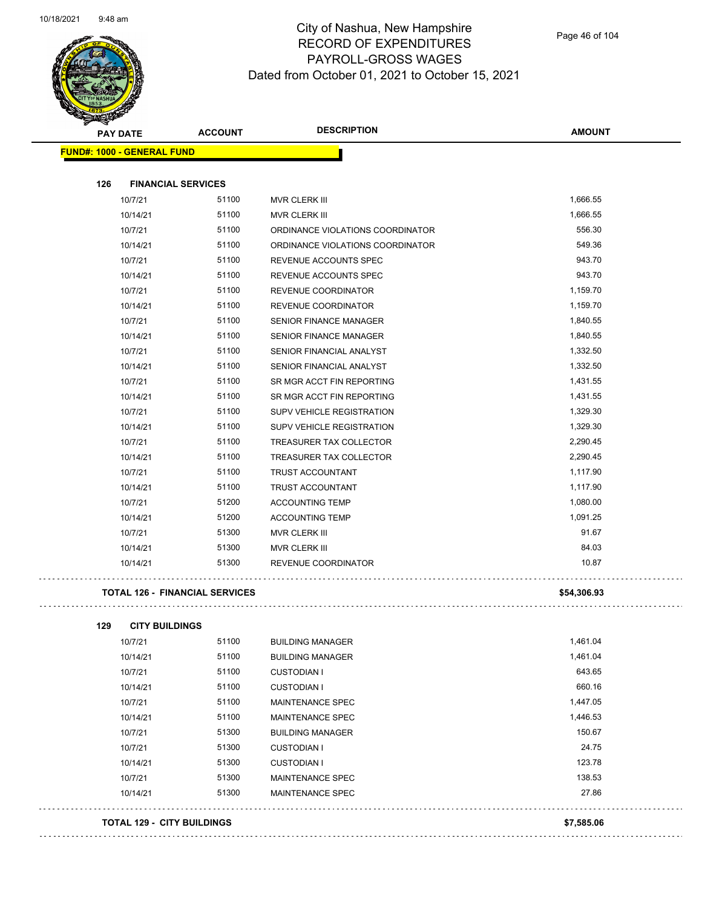

| <b>PAY DATE</b>                   | <b>ACCOUNT</b>                        | <b>DESCRIPTION</b>               | <b>AMOUNT</b> |
|-----------------------------------|---------------------------------------|----------------------------------|---------------|
| <b>FUND#: 1000 - GENERAL FUND</b> |                                       |                                  |               |
| 126                               | <b>FINANCIAL SERVICES</b>             |                                  |               |
| 10/7/21                           | 51100                                 | MVR CLERK III                    | 1,666.55      |
| 10/14/21                          | 51100                                 | MVR CLERK III                    | 1,666.55      |
| 10/7/21                           | 51100                                 | ORDINANCE VIOLATIONS COORDINATOR | 556.30        |
| 10/14/21                          | 51100                                 | ORDINANCE VIOLATIONS COORDINATOR | 549.36        |
| 10/7/21                           | 51100                                 | REVENUE ACCOUNTS SPEC            | 943.70        |
| 10/14/21                          | 51100                                 | REVENUE ACCOUNTS SPEC            | 943.70        |
| 10/7/21                           | 51100                                 | REVENUE COORDINATOR              | 1,159.70      |
| 10/14/21                          | 51100                                 | REVENUE COORDINATOR              | 1,159.70      |
| 10/7/21                           | 51100                                 | <b>SENIOR FINANCE MANAGER</b>    | 1,840.55      |
| 10/14/21                          | 51100                                 | <b>SENIOR FINANCE MANAGER</b>    | 1,840.55      |
| 10/7/21                           | 51100                                 | SENIOR FINANCIAL ANALYST         | 1,332.50      |
| 10/14/21                          | 51100                                 | SENIOR FINANCIAL ANALYST         | 1,332.50      |
| 10/7/21                           | 51100                                 | SR MGR ACCT FIN REPORTING        | 1,431.55      |
| 10/14/21                          | 51100                                 | SR MGR ACCT FIN REPORTING        | 1,431.55      |
| 10/7/21                           | 51100                                 | SUPV VEHICLE REGISTRATION        | 1,329.30      |
| 10/14/21                          | 51100                                 | <b>SUPV VEHICLE REGISTRATION</b> | 1,329.30      |
| 10/7/21                           | 51100                                 | TREASURER TAX COLLECTOR          | 2,290.45      |
| 10/14/21                          | 51100                                 | TREASURER TAX COLLECTOR          | 2,290.45      |
| 10/7/21                           | 51100                                 | TRUST ACCOUNTANT                 | 1,117.90      |
| 10/14/21                          | 51100                                 | <b>TRUST ACCOUNTANT</b>          | 1,117.90      |
| 10/7/21                           | 51200                                 | <b>ACCOUNTING TEMP</b>           | 1,080.00      |
| 10/14/21                          | 51200                                 | <b>ACCOUNTING TEMP</b>           | 1,091.25      |
| 10/7/21                           | 51300                                 | MVR CLERK III                    | 91.67         |
| 10/14/21                          | 51300                                 | MVR CLERK III                    | 84.03         |
| 10/14/21                          | 51300                                 | REVENUE COORDINATOR              | 10.87         |
|                                   | <b>TOTAL 126 - FINANCIAL SERVICES</b> |                                  | \$54,306.93   |
| 129<br><b>CITY BUILDINGS</b>      |                                       |                                  |               |
| 10/7/21                           | 51100                                 | <b>BUILDING MANAGER</b>          | 1,461.04      |
| 10/14/21                          | 51100                                 | <b>BUILDING MANAGER</b>          | 1,461.04      |
| 10/7/21                           | 51100                                 | <b>CUSTODIAN I</b>               | 643.65        |
| 10/14/21                          | 51100                                 | <b>CUSTODIAN I</b>               | 660.16        |
| 10/7/21                           | 51100                                 | MAINTENANCE SPEC                 | 1,447.05      |
| 10/14/21                          | 51100                                 | MAINTENANCE SPEC                 | 1,446.53      |
| 10/7/21                           | 51300                                 | <b>BUILDING MANAGER</b>          | 150.67        |
| 10/7/21                           | 51300                                 | <b>CUSTODIAN I</b>               | 24.75         |
| 10/14/21                          | 51300                                 | <b>CUSTODIAN I</b>               | 123.78        |
| 10/7/21                           | 51300                                 | MAINTENANCE SPEC                 | 138.53        |
| 10/14/21                          | 51300                                 | MAINTENANCE SPEC                 | 27.86         |
| <b>TOTAL 129 - CITY BUILDINGS</b> |                                       |                                  | \$7,585.06    |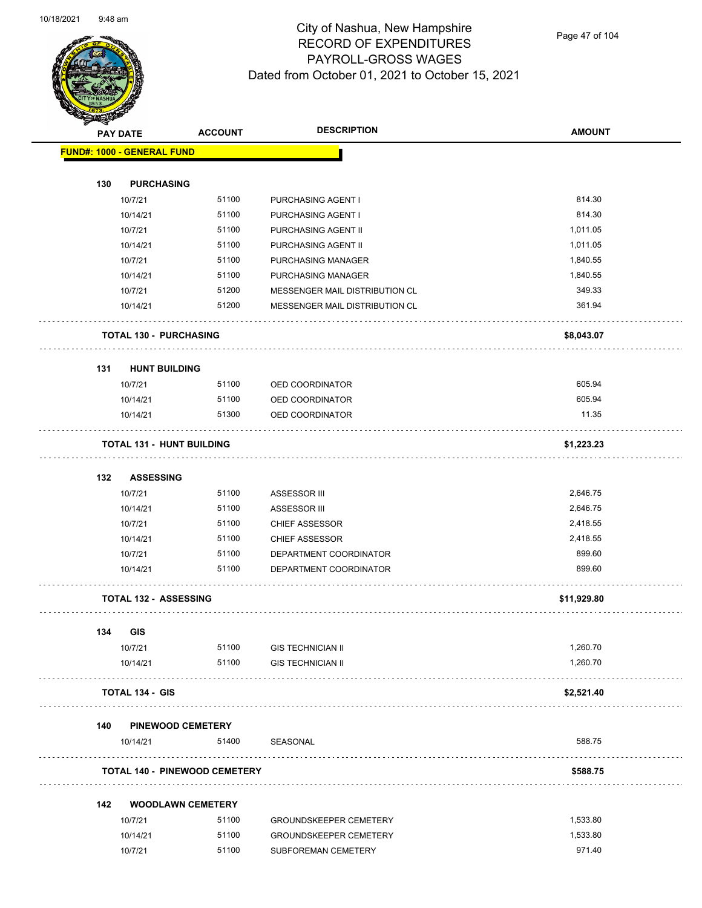

Page 47 of 104

| <b>Dunday</b> | <b>PAY DATE</b>                      | <b>ACCOUNT</b> | <b>DESCRIPTION</b>                                   | <b>AMOUNT</b> |
|---------------|--------------------------------------|----------------|------------------------------------------------------|---------------|
|               | <b>FUND#: 1000 - GENERAL FUND</b>    |                |                                                      |               |
|               |                                      |                |                                                      |               |
| 130           | <b>PURCHASING</b>                    |                |                                                      |               |
|               | 10/7/21                              | 51100          | PURCHASING AGENT I                                   | 814.30        |
|               | 10/14/21                             | 51100          | PURCHASING AGENT I                                   | 814.30        |
|               | 10/7/21                              | 51100          | PURCHASING AGENT II                                  | 1,011.05      |
|               | 10/14/21                             | 51100          | PURCHASING AGENT II                                  | 1,011.05      |
|               | 10/7/21                              | 51100          | <b>PURCHASING MANAGER</b>                            | 1,840.55      |
|               | 10/14/21                             | 51100          | PURCHASING MANAGER                                   | 1,840.55      |
|               | 10/7/21                              | 51200          | MESSENGER MAIL DISTRIBUTION CL                       | 349.33        |
|               | 10/14/21                             | 51200          | MESSENGER MAIL DISTRIBUTION CL                       | 361.94        |
|               | <b>TOTAL 130 - PURCHASING</b>        |                |                                                      | \$8,043.07    |
| 131           | <b>HUNT BUILDING</b>                 |                |                                                      |               |
|               | 10/7/21                              | 51100          | OED COORDINATOR                                      | 605.94        |
|               | 10/14/21                             | 51100          | OED COORDINATOR                                      | 605.94        |
|               | 10/14/21                             | 51300          | <b>OED COORDINATOR</b>                               | 11.35         |
|               | <b>TOTAL 131 - HUNT BUILDING</b>     |                |                                                      | \$1,223.23    |
|               |                                      |                |                                                      |               |
| 132           | <b>ASSESSING</b><br>10/7/21          | 51100          |                                                      | 2,646.75      |
|               | 10/14/21                             | 51100          | ASSESSOR III<br><b>ASSESSOR III</b>                  | 2,646.75      |
|               | 10/7/21                              | 51100          | <b>CHIEF ASSESSOR</b>                                | 2,418.55      |
|               | 10/14/21                             | 51100          | <b>CHIEF ASSESSOR</b>                                | 2,418.55      |
|               | 10/7/21                              | 51100          | DEPARTMENT COORDINATOR                               | 899.60        |
|               | 10/14/21                             | 51100          | DEPARTMENT COORDINATOR                               | 899.60        |
|               | <b>TOTAL 132 - ASSESSING</b>         |                |                                                      | \$11,929.80   |
|               |                                      |                |                                                      |               |
| 134           | <b>GIS</b>                           |                |                                                      | 1,260.70      |
|               | 10/7/21<br>10/14/21                  | 51100<br>51100 | <b>GIS TECHNICIAN II</b><br><b>GIS TECHNICIAN II</b> | 1,260.70      |
|               | <b>TOTAL 134 - GIS</b>               |                |                                                      | \$2,521.40    |
|               |                                      |                |                                                      |               |
| 140           | <b>PINEWOOD CEMETERY</b>             |                |                                                      |               |
|               | 10/14/21                             | 51400 SEASONAL |                                                      | 588.75        |
|               | <b>TOTAL 140 - PINEWOOD CEMETERY</b> |                |                                                      | \$588.75      |
| 142           | <b>WOODLAWN CEMETERY</b>             |                |                                                      |               |
|               | 10/7/21                              | 51100          | <b>GROUNDSKEEPER CEMETERY</b>                        | 1,533.80      |
|               | 10/14/21                             | 51100          | <b>GROUNDSKEEPER CEMETERY</b>                        | 1,533.80      |
|               | 10/7/21                              | 51100          | SUBFOREMAN CEMETERY                                  | 971.40        |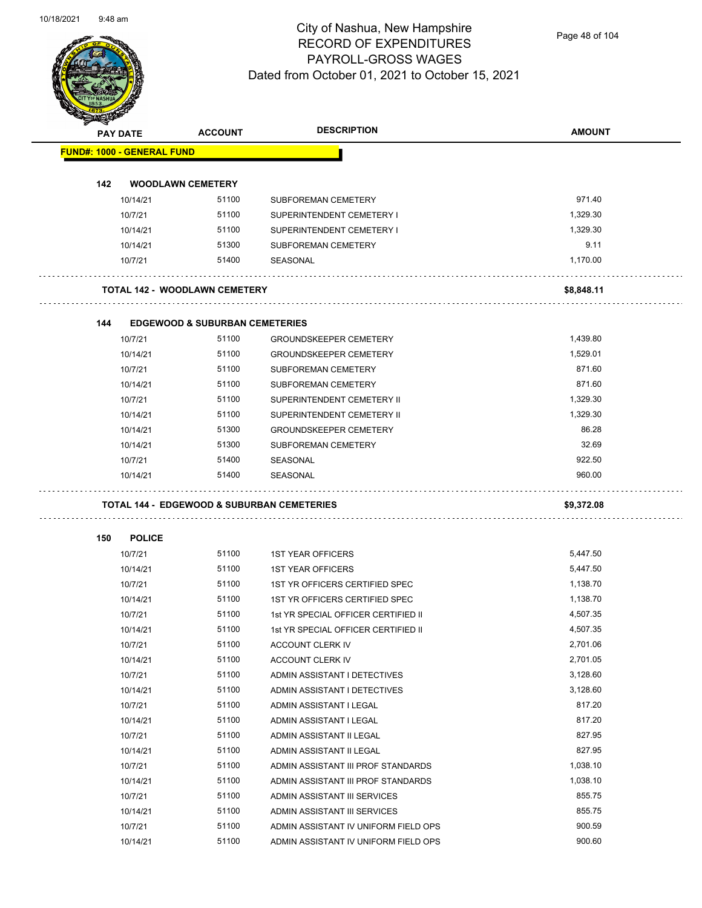

Page 48 of 104

|     | <b>PAY DATE</b>                   | <b>ACCOUNT</b>                            | <b>DESCRIPTION</b>                                                           | <b>AMOUNT</b>    |
|-----|-----------------------------------|-------------------------------------------|------------------------------------------------------------------------------|------------------|
|     | <b>FUND#: 1000 - GENERAL FUND</b> |                                           |                                                                              |                  |
| 142 | <b>WOODLAWN CEMETERY</b>          |                                           |                                                                              |                  |
|     | 10/14/21                          | 51100                                     | <b>SUBFOREMAN CEMETERY</b>                                                   | 971.40           |
|     | 10/7/21                           | 51100                                     | SUPERINTENDENT CEMETERY I                                                    | 1,329.30         |
|     | 10/14/21                          | 51100                                     | SUPERINTENDENT CEMETERY I                                                    | 1,329.30         |
|     | 10/14/21                          | 51300                                     | SUBFOREMAN CEMETERY                                                          | 9.11             |
|     | 10/7/21                           | 51400                                     | SEASONAL                                                                     | 1,170.00         |
|     |                                   | <b>TOTAL 142 - WOODLAWN CEMETERY</b>      |                                                                              | \$8,848.11       |
| 144 |                                   | <b>EDGEWOOD &amp; SUBURBAN CEMETERIES</b> |                                                                              |                  |
|     | 10/7/21                           | 51100                                     | <b>GROUNDSKEEPER CEMETERY</b>                                                | 1,439.80         |
|     | 10/14/21                          | 51100                                     | <b>GROUNDSKEEPER CEMETERY</b>                                                | 1,529.01         |
|     | 10/7/21                           | 51100                                     | SUBFOREMAN CEMETERY                                                          | 871.60           |
|     | 10/14/21                          | 51100                                     | <b>SUBFOREMAN CEMETERY</b>                                                   | 871.60           |
|     | 10/7/21                           | 51100                                     | SUPERINTENDENT CEMETERY II                                                   | 1,329.30         |
|     | 10/14/21                          | 51100                                     | SUPERINTENDENT CEMETERY II                                                   | 1,329.30         |
|     | 10/14/21                          | 51300                                     | <b>GROUNDSKEEPER CEMETERY</b>                                                | 86.28            |
|     | 10/14/21                          | 51300                                     | SUBFOREMAN CEMETERY                                                          | 32.69            |
|     | 10/7/21                           | 51400                                     | SEASONAL                                                                     | 922.50           |
|     | 10/14/21                          | 51400                                     | SEASONAL                                                                     | 960.00           |
|     |                                   |                                           | <b>TOTAL 144 - EDGEWOOD &amp; SUBURBAN CEMETERIES</b>                        | \$9,372.08       |
| 150 | <b>POLICE</b>                     |                                           |                                                                              |                  |
|     | 10/7/21                           | 51100                                     | <b>1ST YEAR OFFICERS</b>                                                     | 5,447.50         |
|     | 10/14/21                          | 51100                                     | <b>1ST YEAR OFFICERS</b>                                                     | 5,447.50         |
|     | 10/7/21                           | 51100                                     | 1ST YR OFFICERS CERTIFIED SPEC                                               | 1,138.70         |
|     | 10/14/21                          | 51100                                     | 1ST YR OFFICERS CERTIFIED SPEC                                               | 1,138.70         |
|     | 10/7/21                           | 51100                                     | 1st YR SPECIAL OFFICER CERTIFIED II                                          | 4,507.35         |
|     | 10/14/21                          | 51100                                     | 1st YR SPECIAL OFFICER CERTIFIED II                                          | 4,507.35         |
|     | 10/7/21                           | 51100                                     | ACCOUNT CLERK IV                                                             | 2,701.06         |
|     | 10/14/21                          | 51100                                     | ACCOUNT CLERK IV                                                             | 2,701.05         |
|     |                                   |                                           |                                                                              |                  |
|     | 10/7/21                           | 51100                                     | ADMIN ASSISTANT I DETECTIVES                                                 | 3,128.60         |
|     | 10/14/21                          | 51100                                     | ADMIN ASSISTANT I DETECTIVES                                                 | 3,128.60         |
|     | 10/7/21                           | 51100                                     | ADMIN ASSISTANT I LEGAL                                                      | 817.20           |
|     | 10/14/21                          | 51100                                     | ADMIN ASSISTANT I LEGAL                                                      | 817.20           |
|     | 10/7/21                           | 51100                                     | ADMIN ASSISTANT II LEGAL                                                     | 827.95           |
|     | 10/14/21                          | 51100                                     | ADMIN ASSISTANT II LEGAL                                                     | 827.95           |
|     | 10/7/21                           | 51100                                     | ADMIN ASSISTANT III PROF STANDARDS                                           | 1,038.10         |
|     | 10/14/21                          | 51100                                     | ADMIN ASSISTANT III PROF STANDARDS                                           | 1,038.10         |
|     | 10/7/21                           | 51100                                     | ADMIN ASSISTANT III SERVICES                                                 | 855.75           |
|     | 10/14/21                          | 51100                                     | ADMIN ASSISTANT III SERVICES                                                 | 855.75           |
|     | 10/7/21<br>10/14/21               | 51100<br>51100                            | ADMIN ASSISTANT IV UNIFORM FIELD OPS<br>ADMIN ASSISTANT IV UNIFORM FIELD OPS | 900.59<br>900.60 |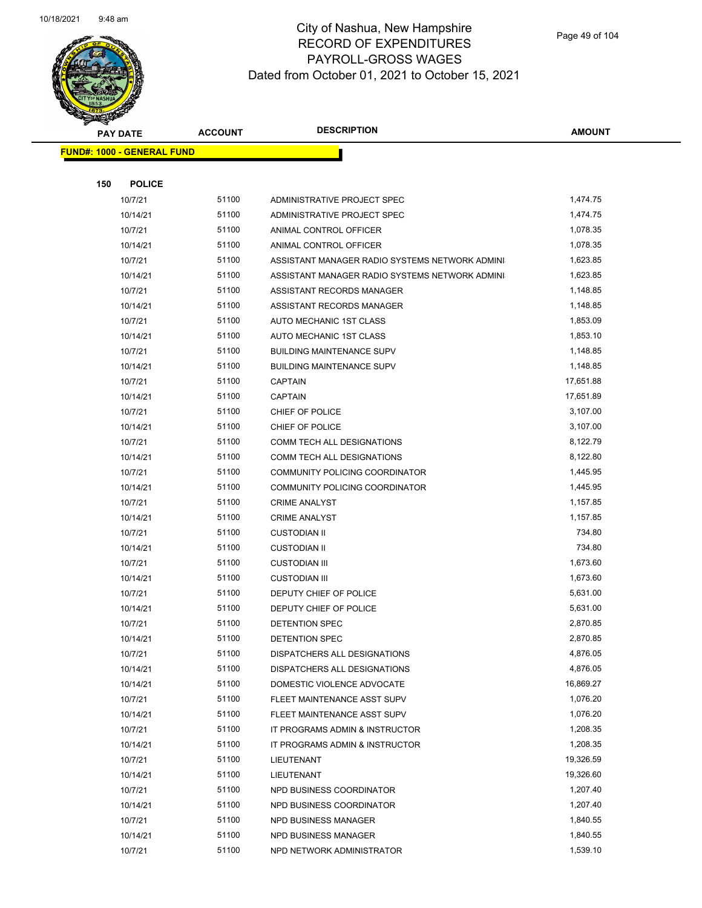

Page 49 of 104

|     | <b>PAY DATE</b>                   | <b>ACCOUNT</b> | <b>DESCRIPTION</b>                                               | <b>AMOUNT</b>        |
|-----|-----------------------------------|----------------|------------------------------------------------------------------|----------------------|
|     | <b>FUND#: 1000 - GENERAL FUND</b> |                |                                                                  |                      |
|     |                                   |                |                                                                  |                      |
| 150 | <b>POLICE</b>                     |                |                                                                  |                      |
|     | 10/7/21                           | 51100          | ADMINISTRATIVE PROJECT SPEC                                      | 1,474.75             |
|     | 10/14/21                          | 51100          | ADMINISTRATIVE PROJECT SPEC                                      | 1,474.75             |
|     | 10/7/21                           | 51100          | ANIMAL CONTROL OFFICER                                           | 1,078.35             |
|     | 10/14/21                          | 51100          | ANIMAL CONTROL OFFICER                                           | 1,078.35             |
|     | 10/7/21                           | 51100          | ASSISTANT MANAGER RADIO SYSTEMS NETWORK ADMINI                   | 1,623.85             |
|     | 10/14/21                          | 51100          | ASSISTANT MANAGER RADIO SYSTEMS NETWORK ADMINI                   | 1,623.85             |
|     | 10/7/21                           | 51100          | ASSISTANT RECORDS MANAGER                                        | 1,148.85             |
|     | 10/14/21                          | 51100          | ASSISTANT RECORDS MANAGER                                        | 1,148.85             |
|     | 10/7/21                           | 51100          | AUTO MECHANIC 1ST CLASS                                          | 1,853.09             |
|     | 10/14/21                          | 51100          | AUTO MECHANIC 1ST CLASS                                          | 1,853.10             |
|     | 10/7/21                           | 51100          | <b>BUILDING MAINTENANCE SUPV</b>                                 | 1,148.85             |
|     | 10/14/21                          | 51100          | <b>BUILDING MAINTENANCE SUPV</b>                                 | 1,148.85             |
|     | 10/7/21                           | 51100          | <b>CAPTAIN</b>                                                   | 17,651.88            |
|     | 10/14/21                          | 51100          | <b>CAPTAIN</b>                                                   | 17,651.89            |
|     | 10/7/21                           | 51100          | CHIEF OF POLICE                                                  | 3,107.00             |
|     | 10/14/21                          | 51100          | CHIEF OF POLICE                                                  | 3,107.00             |
|     | 10/7/21                           | 51100          | COMM TECH ALL DESIGNATIONS                                       | 8,122.79             |
|     | 10/14/21                          | 51100          | COMM TECH ALL DESIGNATIONS                                       | 8,122.80             |
|     | 10/7/21                           | 51100          | COMMUNITY POLICING COORDINATOR                                   | 1,445.95             |
|     | 10/14/21                          | 51100          | COMMUNITY POLICING COORDINATOR                                   | 1,445.95             |
|     | 10/7/21                           | 51100          | <b>CRIME ANALYST</b>                                             | 1,157.85             |
|     | 10/14/21                          | 51100          | <b>CRIME ANALYST</b>                                             | 1,157.85             |
|     | 10/7/21                           | 51100          | <b>CUSTODIAN II</b>                                              | 734.80               |
|     | 10/14/21                          | 51100          | <b>CUSTODIAN II</b>                                              | 734.80               |
|     | 10/7/21                           | 51100          | <b>CUSTODIAN III</b>                                             | 1,673.60             |
|     | 10/14/21                          | 51100          | <b>CUSTODIAN III</b>                                             | 1,673.60             |
|     | 10/7/21                           | 51100          | DEPUTY CHIEF OF POLICE                                           | 5,631.00             |
|     | 10/14/21                          | 51100          | DEPUTY CHIEF OF POLICE                                           | 5,631.00             |
|     | 10/7/21                           | 51100          | DETENTION SPEC                                                   | 2,870.85             |
|     | 10/14/21                          | 51100          | DETENTION SPEC                                                   | 2,870.85             |
|     | 10/7/21                           | 51100          | DISPATCHERS ALL DESIGNATIONS                                     | 4,876.05             |
|     | 10/14/21                          | 51100          | DISPATCHERS ALL DESIGNATIONS                                     | 4,876.05             |
|     | 10/14/21                          | 51100          | DOMESTIC VIOLENCE ADVOCATE                                       | 16,869.27            |
|     | 10/7/21                           | 51100<br>51100 | FLEET MAINTENANCE ASST SUPV                                      | 1,076.20<br>1,076.20 |
|     | 10/14/21                          | 51100          | FLEET MAINTENANCE ASST SUPV                                      | 1,208.35             |
|     | 10/7/21<br>10/14/21               | 51100          | IT PROGRAMS ADMIN & INSTRUCTOR<br>IT PROGRAMS ADMIN & INSTRUCTOR | 1,208.35             |
|     | 10/7/21                           | 51100          | LIEUTENANT                                                       | 19,326.59            |
|     | 10/14/21                          | 51100          | <b>LIEUTENANT</b>                                                | 19,326.60            |
|     | 10/7/21                           | 51100          | NPD BUSINESS COORDINATOR                                         | 1,207.40             |
|     | 10/14/21                          | 51100          | NPD BUSINESS COORDINATOR                                         | 1,207.40             |
|     | 10/7/21                           | 51100          | <b>NPD BUSINESS MANAGER</b>                                      | 1,840.55             |
|     | 10/14/21                          | 51100          | NPD BUSINESS MANAGER                                             | 1,840.55             |
|     | 10/7/21                           | 51100          | NPD NETWORK ADMINISTRATOR                                        | 1,539.10             |
|     |                                   |                |                                                                  |                      |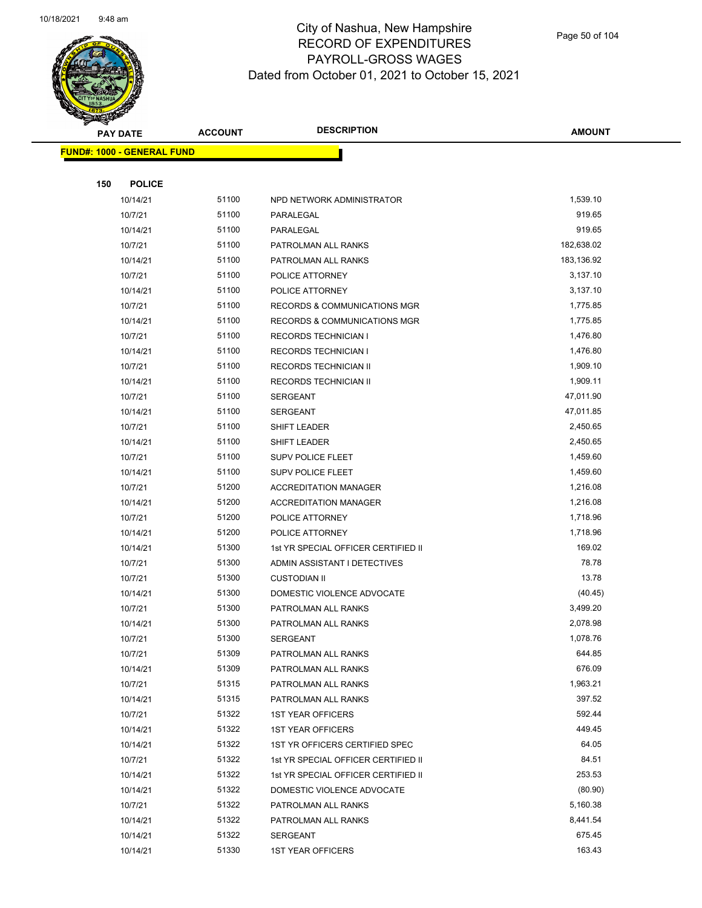

Page 50 of 104

|     | <b>PAY DATE</b>                   | <b>ACCOUNT</b> | <b>DESCRIPTION</b>                      | <b>AMOUNT</b> |
|-----|-----------------------------------|----------------|-----------------------------------------|---------------|
|     | <b>FUND#: 1000 - GENERAL FUND</b> |                |                                         |               |
|     |                                   |                |                                         |               |
| 150 | <b>POLICE</b>                     |                |                                         |               |
|     | 10/14/21                          | 51100          | NPD NETWORK ADMINISTRATOR               | 1,539.10      |
|     | 10/7/21                           | 51100          | PARALEGAL                               | 919.65        |
|     | 10/14/21                          | 51100          | PARALEGAL                               | 919.65        |
|     | 10/7/21                           | 51100          | PATROLMAN ALL RANKS                     | 182,638.02    |
|     | 10/14/21                          | 51100          | PATROLMAN ALL RANKS                     | 183,136.92    |
|     | 10/7/21                           | 51100          | POLICE ATTORNEY                         | 3,137.10      |
|     | 10/14/21                          | 51100          | POLICE ATTORNEY                         | 3,137.10      |
|     | 10/7/21                           | 51100          | <b>RECORDS &amp; COMMUNICATIONS MGR</b> | 1,775.85      |
|     | 10/14/21                          | 51100          | RECORDS & COMMUNICATIONS MGR            | 1,775.85      |
|     | 10/7/21                           | 51100          | <b>RECORDS TECHNICIAN I</b>             | 1,476.80      |
|     | 10/14/21                          | 51100          | <b>RECORDS TECHNICIAN I</b>             | 1,476.80      |
|     | 10/7/21                           | 51100          | RECORDS TECHNICIAN II                   | 1,909.10      |
|     | 10/14/21                          | 51100          | RECORDS TECHNICIAN II                   | 1,909.11      |
|     | 10/7/21                           | 51100          | <b>SERGEANT</b>                         | 47,011.90     |
|     | 10/14/21                          | 51100          | <b>SERGEANT</b>                         | 47,011.85     |
|     | 10/7/21                           | 51100          | <b>SHIFT LEADER</b>                     | 2,450.65      |
|     | 10/14/21                          | 51100          | <b>SHIFT LEADER</b>                     | 2,450.65      |
|     | 10/7/21                           | 51100          | SUPV POLICE FLEET                       | 1,459.60      |
|     | 10/14/21                          | 51100          | <b>SUPV POLICE FLEET</b>                | 1,459.60      |
|     | 10/7/21                           | 51200          | <b>ACCREDITATION MANAGER</b>            | 1,216.08      |
|     | 10/14/21                          | 51200          | <b>ACCREDITATION MANAGER</b>            | 1,216.08      |
|     | 10/7/21                           | 51200          | POLICE ATTORNEY                         | 1,718.96      |
|     | 10/14/21                          | 51200          | POLICE ATTORNEY                         | 1,718.96      |
|     | 10/14/21                          | 51300          | 1st YR SPECIAL OFFICER CERTIFIED II     | 169.02        |
|     | 10/7/21                           | 51300          | ADMIN ASSISTANT I DETECTIVES            | 78.78         |
|     | 10/7/21                           | 51300          | <b>CUSTODIAN II</b>                     | 13.78         |
|     | 10/14/21                          | 51300          | DOMESTIC VIOLENCE ADVOCATE              | (40.45)       |
|     | 10/7/21                           | 51300          | PATROLMAN ALL RANKS                     | 3,499.20      |
|     | 10/14/21                          | 51300          | PATROLMAN ALL RANKS                     | 2,078.98      |
|     | 10/7/21                           | 51300          | SERGEANT                                | 1,078.76      |
|     | 10/7/21                           | 51309          | PATROLMAN ALL RANKS                     | 644.85        |
|     | 10/14/21                          | 51309          | PATROLMAN ALL RANKS                     | 676.09        |
|     | 10/7/21                           | 51315          | PATROLMAN ALL RANKS                     | 1,963.21      |
|     | 10/14/21                          | 51315          | PATROLMAN ALL RANKS                     | 397.52        |
|     | 10/7/21                           | 51322          | <b>1ST YEAR OFFICERS</b>                | 592.44        |
|     | 10/14/21                          | 51322          | <b>1ST YEAR OFFICERS</b>                | 449.45        |
|     | 10/14/21                          | 51322          | 1ST YR OFFICERS CERTIFIED SPEC          | 64.05         |
|     | 10/7/21                           | 51322          | 1st YR SPECIAL OFFICER CERTIFIED II     | 84.51         |
|     | 10/14/21                          | 51322          | 1st YR SPECIAL OFFICER CERTIFIED II     | 253.53        |
|     | 10/14/21                          | 51322          | DOMESTIC VIOLENCE ADVOCATE              | (80.90)       |
|     | 10/7/21                           | 51322          | PATROLMAN ALL RANKS                     | 5,160.38      |
|     | 10/14/21                          | 51322          | PATROLMAN ALL RANKS                     | 8,441.54      |
|     | 10/14/21                          | 51322          | <b>SERGEANT</b>                         | 675.45        |
|     | 10/14/21                          | 51330          | <b>1ST YEAR OFFICERS</b>                | 163.43        |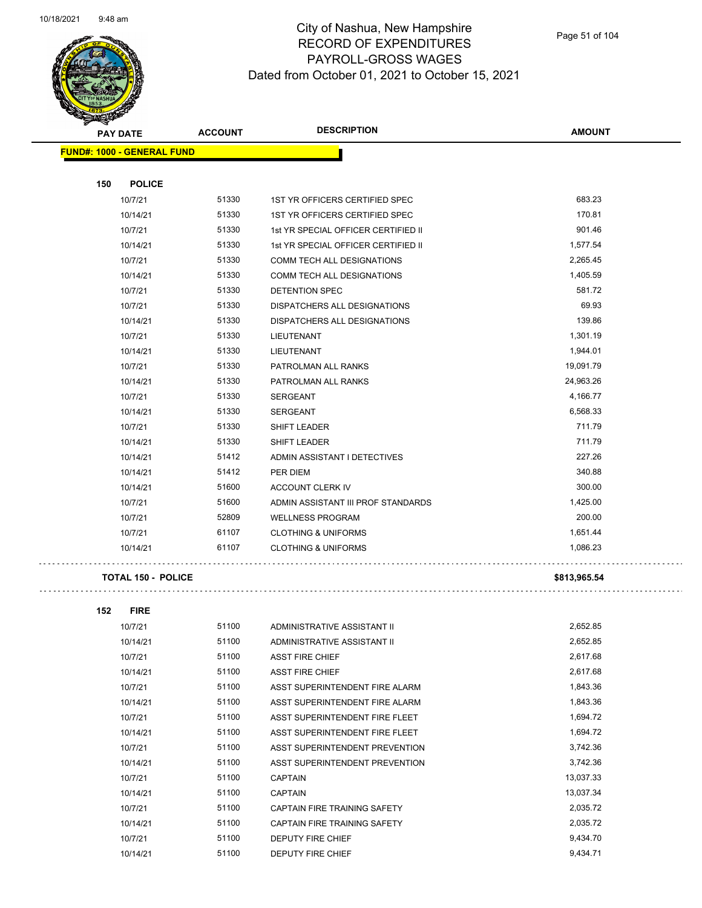

### City of Nashua, New Hampshire RECORD OF EXPENDITURES PAYROLL-GROSS WAGES Dated from October 01, 2021 to October 15, 2021

Page 51 of 104

| <b>FUND#: 1000 - GENERAL FUND</b><br>150<br><b>POLICE</b><br>51330<br>683.23<br>10/7/21<br>1ST YR OFFICERS CERTIFIED SPEC<br>170.81<br>51330<br>1ST YR OFFICERS CERTIFIED SPEC<br>10/14/21<br>901.46<br>10/7/21<br>51330<br>1st YR SPECIAL OFFICER CERTIFIED II<br>51330<br>1,577.54<br>10/14/21<br>1st YR SPECIAL OFFICER CERTIFIED II<br>51330<br>2,265.45<br>10/7/21<br>COMM TECH ALL DESIGNATIONS<br>51330<br>1,405.59<br>10/14/21<br>COMM TECH ALL DESIGNATIONS<br>51330<br>581.72<br>10/7/21<br>DETENTION SPEC<br>69.93<br>10/7/21<br>51330<br>DISPATCHERS ALL DESIGNATIONS<br>51330<br>139.86<br>10/14/21<br>DISPATCHERS ALL DESIGNATIONS<br>51330<br>1,301.19<br>10/7/21<br><b>LIEUTENANT</b><br>51330<br>1,944.01<br>10/14/21<br>LIEUTENANT<br>51330<br>19,091.79<br>10/7/21<br>PATROLMAN ALL RANKS<br>51330<br>24,963.26<br>10/14/21<br>PATROLMAN ALL RANKS<br>51330<br>4,166.77<br>10/7/21<br><b>SERGEANT</b><br>51330<br>6,568.33<br>10/14/21<br><b>SERGEANT</b><br>51330<br>711.79<br>10/7/21<br>SHIFT LEADER<br>51330<br>711.79<br>10/14/21<br>SHIFT LEADER<br>227.26<br>51412<br>10/14/21<br>ADMIN ASSISTANT I DETECTIVES<br>51412<br>340.88<br>10/14/21<br>PER DIEM<br>51600<br>300.00<br>10/14/21<br>ACCOUNT CLERK IV<br>51600<br>1,425.00<br>10/7/21<br>ADMIN ASSISTANT III PROF STANDARDS<br>52809<br>200.00<br>10/7/21<br><b>WELLNESS PROGRAM</b><br>61107<br><b>CLOTHING &amp; UNIFORMS</b><br>1,651.44<br>10/7/21<br>61107<br><b>CLOTHING &amp; UNIFORMS</b><br>1,086.23<br>10/14/21<br><b>TOTAL 150 - POLICE</b><br>\$813,965.54<br>152<br><b>FIRE</b><br>51100<br>2,652.85<br>10/7/21<br>ADMINISTRATIVE ASSISTANT II<br>51100<br>2,652.85<br>10/14/21<br>ADMINISTRATIVE ASSISTANT II<br>51100<br>2,617.68<br>10/7/21<br><b>ASST FIRE CHIEF</b><br>51100<br>2,617.68<br>10/14/21<br><b>ASST FIRE CHIEF</b><br>10/7/21<br>51100<br>1,843.36<br>ASST SUPERINTENDENT FIRE ALARM | <b>PAY DATE</b> | <b>ACCOUNT</b> | <b>DESCRIPTION</b> | <b>AMOUNT</b> |
|-----------------------------------------------------------------------------------------------------------------------------------------------------------------------------------------------------------------------------------------------------------------------------------------------------------------------------------------------------------------------------------------------------------------------------------------------------------------------------------------------------------------------------------------------------------------------------------------------------------------------------------------------------------------------------------------------------------------------------------------------------------------------------------------------------------------------------------------------------------------------------------------------------------------------------------------------------------------------------------------------------------------------------------------------------------------------------------------------------------------------------------------------------------------------------------------------------------------------------------------------------------------------------------------------------------------------------------------------------------------------------------------------------------------------------------------------------------------------------------------------------------------------------------------------------------------------------------------------------------------------------------------------------------------------------------------------------------------------------------------------------------------------------------------------------------------------------------------------------------------------------------------------------|-----------------|----------------|--------------------|---------------|
|                                                                                                                                                                                                                                                                                                                                                                                                                                                                                                                                                                                                                                                                                                                                                                                                                                                                                                                                                                                                                                                                                                                                                                                                                                                                                                                                                                                                                                                                                                                                                                                                                                                                                                                                                                                                                                                                                                     |                 |                |                    |               |
|                                                                                                                                                                                                                                                                                                                                                                                                                                                                                                                                                                                                                                                                                                                                                                                                                                                                                                                                                                                                                                                                                                                                                                                                                                                                                                                                                                                                                                                                                                                                                                                                                                                                                                                                                                                                                                                                                                     |                 |                |                    |               |
|                                                                                                                                                                                                                                                                                                                                                                                                                                                                                                                                                                                                                                                                                                                                                                                                                                                                                                                                                                                                                                                                                                                                                                                                                                                                                                                                                                                                                                                                                                                                                                                                                                                                                                                                                                                                                                                                                                     |                 |                |                    |               |
|                                                                                                                                                                                                                                                                                                                                                                                                                                                                                                                                                                                                                                                                                                                                                                                                                                                                                                                                                                                                                                                                                                                                                                                                                                                                                                                                                                                                                                                                                                                                                                                                                                                                                                                                                                                                                                                                                                     |                 |                |                    |               |
|                                                                                                                                                                                                                                                                                                                                                                                                                                                                                                                                                                                                                                                                                                                                                                                                                                                                                                                                                                                                                                                                                                                                                                                                                                                                                                                                                                                                                                                                                                                                                                                                                                                                                                                                                                                                                                                                                                     |                 |                |                    |               |
|                                                                                                                                                                                                                                                                                                                                                                                                                                                                                                                                                                                                                                                                                                                                                                                                                                                                                                                                                                                                                                                                                                                                                                                                                                                                                                                                                                                                                                                                                                                                                                                                                                                                                                                                                                                                                                                                                                     |                 |                |                    |               |
|                                                                                                                                                                                                                                                                                                                                                                                                                                                                                                                                                                                                                                                                                                                                                                                                                                                                                                                                                                                                                                                                                                                                                                                                                                                                                                                                                                                                                                                                                                                                                                                                                                                                                                                                                                                                                                                                                                     |                 |                |                    |               |
|                                                                                                                                                                                                                                                                                                                                                                                                                                                                                                                                                                                                                                                                                                                                                                                                                                                                                                                                                                                                                                                                                                                                                                                                                                                                                                                                                                                                                                                                                                                                                                                                                                                                                                                                                                                                                                                                                                     |                 |                |                    |               |
|                                                                                                                                                                                                                                                                                                                                                                                                                                                                                                                                                                                                                                                                                                                                                                                                                                                                                                                                                                                                                                                                                                                                                                                                                                                                                                                                                                                                                                                                                                                                                                                                                                                                                                                                                                                                                                                                                                     |                 |                |                    |               |
|                                                                                                                                                                                                                                                                                                                                                                                                                                                                                                                                                                                                                                                                                                                                                                                                                                                                                                                                                                                                                                                                                                                                                                                                                                                                                                                                                                                                                                                                                                                                                                                                                                                                                                                                                                                                                                                                                                     |                 |                |                    |               |
|                                                                                                                                                                                                                                                                                                                                                                                                                                                                                                                                                                                                                                                                                                                                                                                                                                                                                                                                                                                                                                                                                                                                                                                                                                                                                                                                                                                                                                                                                                                                                                                                                                                                                                                                                                                                                                                                                                     |                 |                |                    |               |
|                                                                                                                                                                                                                                                                                                                                                                                                                                                                                                                                                                                                                                                                                                                                                                                                                                                                                                                                                                                                                                                                                                                                                                                                                                                                                                                                                                                                                                                                                                                                                                                                                                                                                                                                                                                                                                                                                                     |                 |                |                    |               |
|                                                                                                                                                                                                                                                                                                                                                                                                                                                                                                                                                                                                                                                                                                                                                                                                                                                                                                                                                                                                                                                                                                                                                                                                                                                                                                                                                                                                                                                                                                                                                                                                                                                                                                                                                                                                                                                                                                     |                 |                |                    |               |
|                                                                                                                                                                                                                                                                                                                                                                                                                                                                                                                                                                                                                                                                                                                                                                                                                                                                                                                                                                                                                                                                                                                                                                                                                                                                                                                                                                                                                                                                                                                                                                                                                                                                                                                                                                                                                                                                                                     |                 |                |                    |               |
|                                                                                                                                                                                                                                                                                                                                                                                                                                                                                                                                                                                                                                                                                                                                                                                                                                                                                                                                                                                                                                                                                                                                                                                                                                                                                                                                                                                                                                                                                                                                                                                                                                                                                                                                                                                                                                                                                                     |                 |                |                    |               |
|                                                                                                                                                                                                                                                                                                                                                                                                                                                                                                                                                                                                                                                                                                                                                                                                                                                                                                                                                                                                                                                                                                                                                                                                                                                                                                                                                                                                                                                                                                                                                                                                                                                                                                                                                                                                                                                                                                     |                 |                |                    |               |
|                                                                                                                                                                                                                                                                                                                                                                                                                                                                                                                                                                                                                                                                                                                                                                                                                                                                                                                                                                                                                                                                                                                                                                                                                                                                                                                                                                                                                                                                                                                                                                                                                                                                                                                                                                                                                                                                                                     |                 |                |                    |               |
|                                                                                                                                                                                                                                                                                                                                                                                                                                                                                                                                                                                                                                                                                                                                                                                                                                                                                                                                                                                                                                                                                                                                                                                                                                                                                                                                                                                                                                                                                                                                                                                                                                                                                                                                                                                                                                                                                                     |                 |                |                    |               |
|                                                                                                                                                                                                                                                                                                                                                                                                                                                                                                                                                                                                                                                                                                                                                                                                                                                                                                                                                                                                                                                                                                                                                                                                                                                                                                                                                                                                                                                                                                                                                                                                                                                                                                                                                                                                                                                                                                     |                 |                |                    |               |
|                                                                                                                                                                                                                                                                                                                                                                                                                                                                                                                                                                                                                                                                                                                                                                                                                                                                                                                                                                                                                                                                                                                                                                                                                                                                                                                                                                                                                                                                                                                                                                                                                                                                                                                                                                                                                                                                                                     |                 |                |                    |               |
|                                                                                                                                                                                                                                                                                                                                                                                                                                                                                                                                                                                                                                                                                                                                                                                                                                                                                                                                                                                                                                                                                                                                                                                                                                                                                                                                                                                                                                                                                                                                                                                                                                                                                                                                                                                                                                                                                                     |                 |                |                    |               |
|                                                                                                                                                                                                                                                                                                                                                                                                                                                                                                                                                                                                                                                                                                                                                                                                                                                                                                                                                                                                                                                                                                                                                                                                                                                                                                                                                                                                                                                                                                                                                                                                                                                                                                                                                                                                                                                                                                     |                 |                |                    |               |
|                                                                                                                                                                                                                                                                                                                                                                                                                                                                                                                                                                                                                                                                                                                                                                                                                                                                                                                                                                                                                                                                                                                                                                                                                                                                                                                                                                                                                                                                                                                                                                                                                                                                                                                                                                                                                                                                                                     |                 |                |                    |               |
|                                                                                                                                                                                                                                                                                                                                                                                                                                                                                                                                                                                                                                                                                                                                                                                                                                                                                                                                                                                                                                                                                                                                                                                                                                                                                                                                                                                                                                                                                                                                                                                                                                                                                                                                                                                                                                                                                                     |                 |                |                    |               |
|                                                                                                                                                                                                                                                                                                                                                                                                                                                                                                                                                                                                                                                                                                                                                                                                                                                                                                                                                                                                                                                                                                                                                                                                                                                                                                                                                                                                                                                                                                                                                                                                                                                                                                                                                                                                                                                                                                     |                 |                |                    |               |
|                                                                                                                                                                                                                                                                                                                                                                                                                                                                                                                                                                                                                                                                                                                                                                                                                                                                                                                                                                                                                                                                                                                                                                                                                                                                                                                                                                                                                                                                                                                                                                                                                                                                                                                                                                                                                                                                                                     |                 |                |                    |               |
|                                                                                                                                                                                                                                                                                                                                                                                                                                                                                                                                                                                                                                                                                                                                                                                                                                                                                                                                                                                                                                                                                                                                                                                                                                                                                                                                                                                                                                                                                                                                                                                                                                                                                                                                                                                                                                                                                                     |                 |                |                    |               |
|                                                                                                                                                                                                                                                                                                                                                                                                                                                                                                                                                                                                                                                                                                                                                                                                                                                                                                                                                                                                                                                                                                                                                                                                                                                                                                                                                                                                                                                                                                                                                                                                                                                                                                                                                                                                                                                                                                     |                 |                |                    |               |
|                                                                                                                                                                                                                                                                                                                                                                                                                                                                                                                                                                                                                                                                                                                                                                                                                                                                                                                                                                                                                                                                                                                                                                                                                                                                                                                                                                                                                                                                                                                                                                                                                                                                                                                                                                                                                                                                                                     |                 |                |                    |               |
|                                                                                                                                                                                                                                                                                                                                                                                                                                                                                                                                                                                                                                                                                                                                                                                                                                                                                                                                                                                                                                                                                                                                                                                                                                                                                                                                                                                                                                                                                                                                                                                                                                                                                                                                                                                                                                                                                                     |                 |                |                    |               |
|                                                                                                                                                                                                                                                                                                                                                                                                                                                                                                                                                                                                                                                                                                                                                                                                                                                                                                                                                                                                                                                                                                                                                                                                                                                                                                                                                                                                                                                                                                                                                                                                                                                                                                                                                                                                                                                                                                     |                 |                |                    |               |
|                                                                                                                                                                                                                                                                                                                                                                                                                                                                                                                                                                                                                                                                                                                                                                                                                                                                                                                                                                                                                                                                                                                                                                                                                                                                                                                                                                                                                                                                                                                                                                                                                                                                                                                                                                                                                                                                                                     |                 |                |                    |               |
|                                                                                                                                                                                                                                                                                                                                                                                                                                                                                                                                                                                                                                                                                                                                                                                                                                                                                                                                                                                                                                                                                                                                                                                                                                                                                                                                                                                                                                                                                                                                                                                                                                                                                                                                                                                                                                                                                                     |                 |                |                    |               |
| 51100<br>1,843.36<br>10/14/21<br>ASST SUPERINTENDENT FIRE ALARM                                                                                                                                                                                                                                                                                                                                                                                                                                                                                                                                                                                                                                                                                                                                                                                                                                                                                                                                                                                                                                                                                                                                                                                                                                                                                                                                                                                                                                                                                                                                                                                                                                                                                                                                                                                                                                     |                 |                |                    |               |
| 51100<br>1,694.72<br>10/7/21<br>ASST SUPERINTENDENT FIRE FLEET                                                                                                                                                                                                                                                                                                                                                                                                                                                                                                                                                                                                                                                                                                                                                                                                                                                                                                                                                                                                                                                                                                                                                                                                                                                                                                                                                                                                                                                                                                                                                                                                                                                                                                                                                                                                                                      |                 |                |                    |               |

| 52 | <b>FIRE</b> |       |                                     |           |
|----|-------------|-------|-------------------------------------|-----------|
|    | 10/7/21     | 51100 | ADMINISTRATIVE ASSISTANT II         | 2,652.85  |
|    | 10/14/21    | 51100 | ADMINISTRATIVE ASSISTANT II         | 2,652.85  |
|    | 10/7/21     | 51100 | <b>ASST FIRE CHIEF</b>              | 2,617.68  |
|    | 10/14/21    | 51100 | <b>ASST FIRE CHIEF</b>              | 2,617.68  |
|    | 10/7/21     | 51100 | ASST SUPERINTENDENT FIRE ALARM      | 1,843.36  |
|    | 10/14/21    | 51100 | ASST SUPERINTENDENT FIRE ALARM      | 1,843.36  |
|    | 10/7/21     | 51100 | ASST SUPERINTENDENT FIRE FLEET      | 1,694.72  |
|    | 10/14/21    | 51100 | ASST SUPERINTENDENT FIRE FLEET      | 1,694.72  |
|    | 10/7/21     | 51100 | ASST SUPERINTENDENT PREVENTION      | 3,742.36  |
|    | 10/14/21    | 51100 | ASST SUPERINTENDENT PREVENTION      | 3,742.36  |
|    | 10/7/21     | 51100 | <b>CAPTAIN</b>                      | 13,037.33 |
|    | 10/14/21    | 51100 | <b>CAPTAIN</b>                      | 13,037.34 |
|    | 10/7/21     | 51100 | CAPTAIN FIRE TRAINING SAFFTY        | 2,035.72  |
|    | 10/14/21    | 51100 | <b>CAPTAIN FIRE TRAINING SAFETY</b> | 2,035.72  |
|    | 10/7/21     | 51100 | <b>DEPUTY FIRE CHIEF</b>            | 9,434.70  |
|    | 10/14/21    | 51100 | <b>DEPUTY FIRE CHIEF</b>            | 9.434.71  |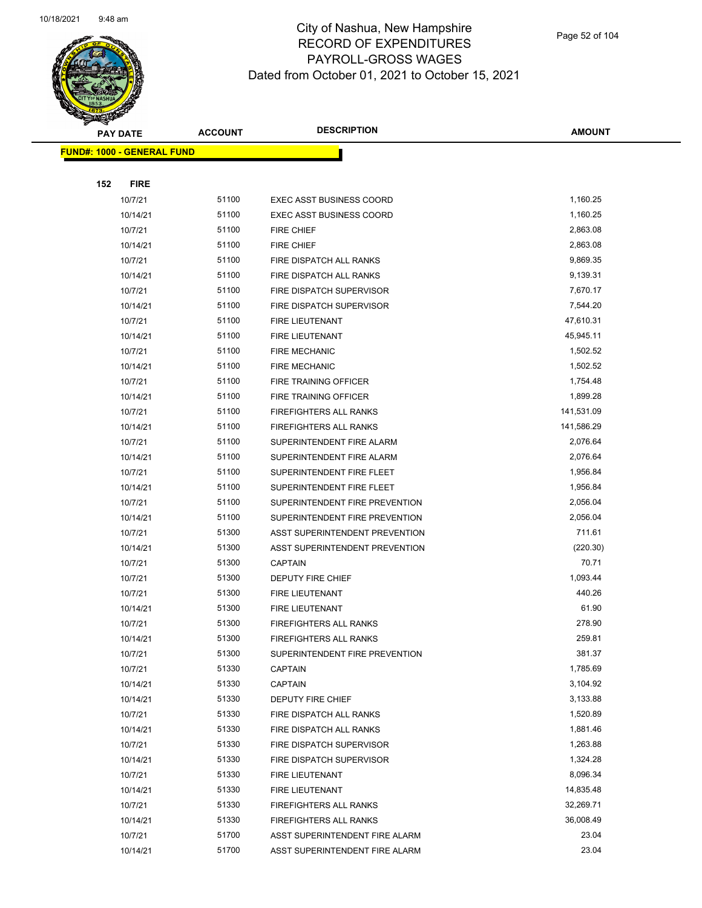

**AMOUNT**

|     | <u> FUND#: 1000 - GENERAL FUND</u> |       |                                 |            |
|-----|------------------------------------|-------|---------------------------------|------------|
|     |                                    |       |                                 |            |
| 152 | <b>FIRE</b>                        |       |                                 |            |
|     | 10/7/21                            | 51100 | <b>EXEC ASST BUSINESS COORD</b> | 1,160.25   |
|     | 10/14/21                           | 51100 | <b>EXEC ASST BUSINESS COORD</b> | 1,160.25   |
|     | 10/7/21                            | 51100 | <b>FIRE CHIEF</b>               | 2,863.08   |
|     | 10/14/21                           | 51100 | <b>FIRE CHIEF</b>               | 2,863.08   |
|     | 10/7/21                            | 51100 | FIRE DISPATCH ALL RANKS         | 9,869.35   |
|     | 10/14/21                           | 51100 | FIRE DISPATCH ALL RANKS         | 9,139.31   |
|     | 10/7/21                            | 51100 | FIRE DISPATCH SUPERVISOR        | 7,670.17   |
|     | 10/14/21                           | 51100 | FIRE DISPATCH SUPERVISOR        | 7,544.20   |
|     | 10/7/21                            | 51100 | FIRE LIEUTENANT                 | 47,610.31  |
|     | 10/14/21                           | 51100 | FIRE LIEUTENANT                 | 45,945.11  |
|     | 10/7/21                            | 51100 | <b>FIRE MECHANIC</b>            | 1,502.52   |
|     | 10/14/21                           | 51100 | <b>FIRE MECHANIC</b>            | 1,502.52   |
|     | 10/7/21                            | 51100 | <b>FIRE TRAINING OFFICER</b>    | 1,754.48   |
|     | 10/14/21                           | 51100 | FIRE TRAINING OFFICER           | 1,899.28   |
|     | 10/7/21                            | 51100 | <b>FIREFIGHTERS ALL RANKS</b>   | 141,531.09 |
|     | 10/14/21                           | 51100 | <b>FIREFIGHTERS ALL RANKS</b>   | 141,586.29 |
|     | 10/7/21                            | 51100 | SUPERINTENDENT FIRE ALARM       | 2,076.64   |
|     | 10/14/21                           | 51100 | SUPERINTENDENT FIRE ALARM       | 2,076.64   |
|     | 10/7/21                            | 51100 | SUPERINTENDENT FIRE FLEET       | 1,956.84   |
|     | 10/14/21                           | 51100 | SUPERINTENDENT FIRE FLEET       | 1,956.84   |
|     | 10/7/21                            | 51100 | SUPERINTENDENT FIRE PREVENTION  | 2,056.04   |
|     | 10/14/21                           | 51100 | SUPERINTENDENT FIRE PREVENTION  | 2,056.04   |
|     | 10/7/21                            | 51300 | ASST SUPERINTENDENT PREVENTION  | 711.61     |
|     | 10/14/21                           | 51300 | ASST SUPERINTENDENT PREVENTION  | (220.30)   |
|     | 10/7/21                            | 51300 | <b>CAPTAIN</b>                  | 70.71      |
|     | 10/7/21                            | 51300 | DEPUTY FIRE CHIEF               | 1,093.44   |
|     | 10/7/21                            | 51300 | <b>FIRE LIEUTENANT</b>          | 440.26     |
|     | 10/14/21                           | 51300 | FIRE LIEUTENANT                 | 61.90      |
|     | 10/7/21                            | 51300 | <b>FIREFIGHTERS ALL RANKS</b>   | 278.90     |
|     | 10/14/21                           | 51300 | <b>FIREFIGHTERS ALL RANKS</b>   | 259.81     |
|     | 10/7/21                            | 51300 | SUPERINTENDENT FIRE PREVENTION  | 381.37     |
|     | 10/7/21                            | 51330 | <b>CAPTAIN</b>                  | 1,785.69   |
|     | 10/14/21                           | 51330 | <b>CAPTAIN</b>                  | 3,104.92   |
|     | 10/14/21                           | 51330 | DEPUTY FIRE CHIEF               | 3,133.88   |
|     | 10/7/21                            | 51330 | FIRE DISPATCH ALL RANKS         | 1,520.89   |
|     | 10/14/21                           | 51330 | FIRE DISPATCH ALL RANKS         | 1,881.46   |
|     | 10/7/21                            | 51330 | FIRE DISPATCH SUPERVISOR        | 1,263.88   |
|     | 10/14/21                           | 51330 | FIRE DISPATCH SUPERVISOR        | 1,324.28   |
|     | 10/7/21                            | 51330 | FIRE LIEUTENANT                 | 8,096.34   |
|     | 10/14/21                           | 51330 | FIRE LIEUTENANT                 | 14,835.48  |
|     | 10/7/21                            | 51330 | <b>FIREFIGHTERS ALL RANKS</b>   | 32,269.71  |
|     | 10/14/21                           | 51330 | <b>FIREFIGHTERS ALL RANKS</b>   | 36,008.49  |
|     | 10/7/21                            | 51700 | ASST SUPERINTENDENT FIRE ALARM  | 23.04      |
|     | 10/14/21                           | 51700 | ASST SUPERINTENDENT FIRE ALARM  | 23.04      |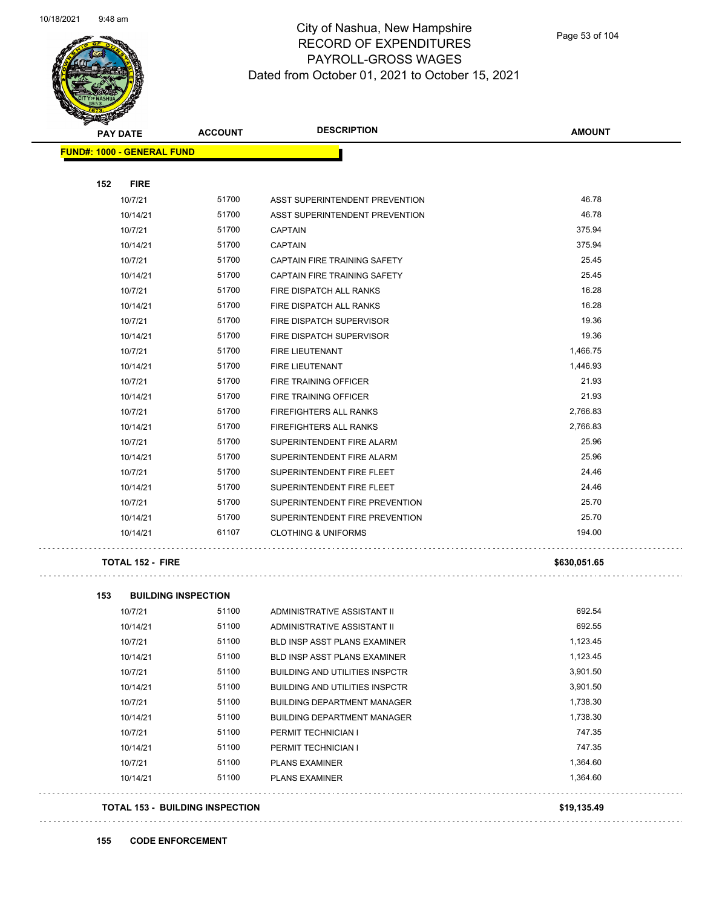

Page 53 of 104

| <b>PAY DATE</b>                   | <b>ACCOUNT</b> | <b>DESCRIPTION</b>             | <b>AMOUNT</b> |
|-----------------------------------|----------------|--------------------------------|---------------|
| <b>FUND#: 1000 - GENERAL FUND</b> |                |                                |               |
|                                   |                |                                |               |
| 152<br><b>FIRE</b>                |                |                                |               |
| 10/7/21                           | 51700          | ASST SUPERINTENDENT PREVENTION | 46.78         |
| 10/14/21                          | 51700          | ASST SUPERINTENDENT PREVENTION | 46.78         |
| 10/7/21                           | 51700          | <b>CAPTAIN</b>                 | 375.94        |
| 10/14/21                          | 51700          | <b>CAPTAIN</b>                 | 375.94        |
| 10/7/21                           | 51700          | CAPTAIN FIRE TRAINING SAFETY   | 25.45         |
| 10/14/21                          | 51700          | CAPTAIN FIRE TRAINING SAFETY   | 25.45         |
| 10/7/21                           | 51700          | FIRE DISPATCH ALL RANKS        | 16.28         |
| 10/14/21                          | 51700          | FIRE DISPATCH ALL RANKS        | 16.28         |
| 10/7/21                           | 51700          | FIRE DISPATCH SUPERVISOR       | 19.36         |
| 10/14/21                          | 51700          | FIRE DISPATCH SUPERVISOR       | 19.36         |
| 10/7/21                           | 51700          | FIRE LIEUTENANT                | 1,466.75      |
| 10/14/21                          | 51700          | FIRE LIEUTENANT                | 1,446.93      |
| 10/7/21                           | 51700          | <b>FIRE TRAINING OFFICER</b>   | 21.93         |
| 10/14/21                          | 51700          | FIRE TRAINING OFFICER          | 21.93         |
| 10/7/21                           | 51700          | <b>FIREFIGHTERS ALL RANKS</b>  | 2,766.83      |
| 10/14/21                          | 51700          | <b>FIREFIGHTERS ALL RANKS</b>  | 2.766.83      |
| 10/7/21                           | 51700          | SUPERINTENDENT FIRE ALARM      | 25.96         |
| 10/14/21                          | 51700          | SUPERINTENDENT FIRE ALARM      | 25.96         |
| 10/7/21                           | 51700          | SUPERINTENDENT FIRE FLEET      | 24.46         |
| 10/14/21                          | 51700          | SUPERINTENDENT FIRE FLEET      | 24.46         |
| 10/7/21                           | 51700          | SUPERINTENDENT FIRE PREVENTION | 25.70         |
| 10/14/21                          | 51700          | SUPERINTENDENT FIRE PREVENTION | 25.70         |
| 10/14/21                          | 61107          | <b>CLOTHING &amp; UNIFORMS</b> | 194.00        |
| <b>TOTAL 152 - FIRE</b>           |                |                                | \$630,051.65  |

. . . . . . . . . . . . . . . . . . .

 $\Box$  .

. . . . . . . . . . . . .

الدعاء

| 153<br><b>BUILDING INSPECTION</b> |       |                                       |          |
|-----------------------------------|-------|---------------------------------------|----------|
| 10/7/21                           | 51100 | ADMINISTRATIVE ASSISTANT II           | 692.54   |
| 10/14/21                          | 51100 | ADMINISTRATIVE ASSISTANT II           | 692.55   |
| 10/7/21                           | 51100 | <b>BLD INSP ASST PLANS EXAMINER</b>   | 1,123.45 |
| 10/14/21                          | 51100 | <b>BLD INSP ASST PLANS EXAMINER</b>   | 1,123.45 |
| 10/7/21                           | 51100 | <b>BUILDING AND UTILITIES INSPCTR</b> | 3,901.50 |
| 10/14/21                          | 51100 | <b>BUILDING AND UTILITIES INSPCTR</b> | 3,901.50 |
| 10/7/21                           | 51100 | <b>BUILDING DEPARTMENT MANAGER</b>    | 1,738.30 |
| 10/14/21                          | 51100 | <b>BUILDING DEPARTMENT MANAGER</b>    | 1,738.30 |
| 10/7/21                           | 51100 | PERMIT TECHNICIAN I                   | 747.35   |
| 10/14/21                          | 51100 | PERMIT TECHNICIAN I                   | 747.35   |
| 10/7/21                           | 51100 | <b>PLANS EXAMINER</b>                 | 1,364.60 |
| 10/14/21                          | 51100 | <b>PLANS EXAMINER</b>                 | 1,364.60 |

### **TOTAL 153 - BUILDING INSPECTION \$19,135.49**

. . . . . . . . . . .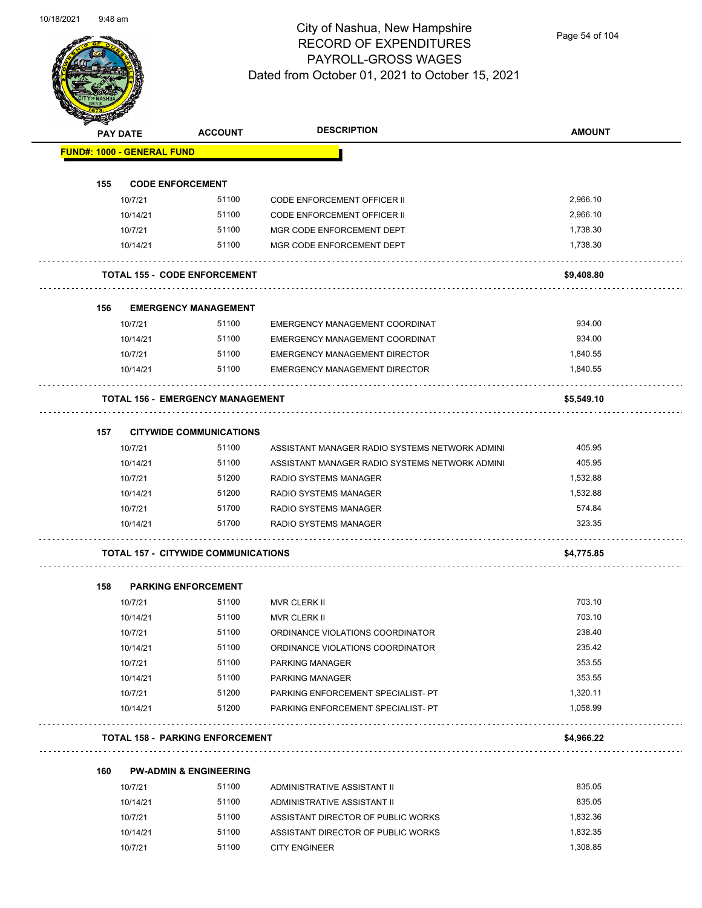

Page 54 of 104

|     | <b>PAY DATE</b>                   | <b>ACCOUNT</b>                             | <b>DESCRIPTION</b>                             | <b>AMOUNT</b> |
|-----|-----------------------------------|--------------------------------------------|------------------------------------------------|---------------|
|     | <b>FUND#: 1000 - GENERAL FUND</b> |                                            |                                                |               |
| 155 |                                   | <b>CODE ENFORCEMENT</b>                    |                                                |               |
|     | 10/7/21                           | 51100                                      | CODE ENFORCEMENT OFFICER II                    | 2,966.10      |
|     | 10/14/21                          | 51100                                      | <b>CODE ENFORCEMENT OFFICER II</b>             | 2,966.10      |
|     | 10/7/21                           | 51100                                      | MGR CODE ENFORCEMENT DEPT                      | 1,738.30      |
|     | 10/14/21                          | 51100                                      | MGR CODE ENFORCEMENT DEPT                      | 1,738.30      |
|     |                                   | <b>TOTAL 155 - CODE ENFORCEMENT</b>        |                                                | \$9,408.80    |
|     |                                   |                                            |                                                |               |
| 156 |                                   | <b>EMERGENCY MANAGEMENT</b>                |                                                |               |
|     | 10/7/21                           | 51100                                      | EMERGENCY MANAGEMENT COORDINAT                 | 934.00        |
|     | 10/14/21                          | 51100                                      | EMERGENCY MANAGEMENT COORDINAT                 | 934.00        |
|     | 10/7/21                           | 51100                                      | <b>EMERGENCY MANAGEMENT DIRECTOR</b>           | 1,840.55      |
|     | 10/14/21                          | 51100                                      | <b>EMERGENCY MANAGEMENT DIRECTOR</b>           | 1,840.55      |
|     |                                   | <b>TOTAL 156 - EMERGENCY MANAGEMENT</b>    |                                                | \$5,549.10    |
| 157 |                                   | <b>CITYWIDE COMMUNICATIONS</b>             |                                                |               |
|     | 10/7/21                           | 51100                                      | ASSISTANT MANAGER RADIO SYSTEMS NETWORK ADMINI | 405.95        |
|     | 10/14/21                          | 51100                                      | ASSISTANT MANAGER RADIO SYSTEMS NETWORK ADMINI | 405.95        |
|     | 10/7/21                           | 51200                                      | RADIO SYSTEMS MANAGER                          | 1,532.88      |
|     | 10/14/21                          | 51200                                      | <b>RADIO SYSTEMS MANAGER</b>                   | 1,532.88      |
|     | 10/7/21                           | 51700                                      | <b>RADIO SYSTEMS MANAGER</b>                   | 574.84        |
|     | 10/14/21                          | 51700                                      | <b>RADIO SYSTEMS MANAGER</b>                   | 323.35        |
|     |                                   | <b>TOTAL 157 - CITYWIDE COMMUNICATIONS</b> |                                                | \$4,775.85    |
| 158 |                                   | <b>PARKING ENFORCEMENT</b>                 |                                                |               |
|     | 10/7/21                           | 51100                                      | <b>MVR CLERK II</b>                            | 703.10        |
|     | 10/14/21                          | 51100                                      | <b>MVR CLERK II</b>                            | 703.10        |
|     | 10/7/21                           | 51100                                      | ORDINANCE VIOLATIONS COORDINATOR               | 238.40        |
|     | 10/14/21                          | 51100                                      | ORDINANCE VIOLATIONS COORDINATOR               | 235.42        |
|     | 10/7/21                           | 51100                                      | PARKING MANAGER                                | 353.55        |
|     | 10/14/21                          | 51100                                      | PARKING MANAGER                                | 353.55        |
|     | 10/7/21                           | 51200                                      | PARKING ENFORCEMENT SPECIALIST- PT             | 1,320.11      |
|     | 10/14/21                          | 51200                                      | PARKING ENFORCEMENT SPECIALIST- PT             | 1,058.99      |
|     |                                   | <b>TOTAL 158 - PARKING ENFORCEMENT</b>     |                                                | \$4,966.22    |
| 160 |                                   | <b>PW-ADMIN &amp; ENGINEERING</b>          |                                                |               |
|     | 10/7/21                           | 51100                                      | ADMINISTRATIVE ASSISTANT II                    | 835.05        |
|     | 10/14/21                          | 51100                                      | ADMINISTRATIVE ASSISTANT II                    | 835.05        |
|     | 10/7/21                           | 51100                                      | ASSISTANT DIRECTOR OF PUBLIC WORKS             | 1,832.36      |

10/14/21 51100 ASSISTANT DIRECTOR OF PUBLIC WORKS 1,832.35 10/7/21 51100 CITY ENGINEER 1,308.85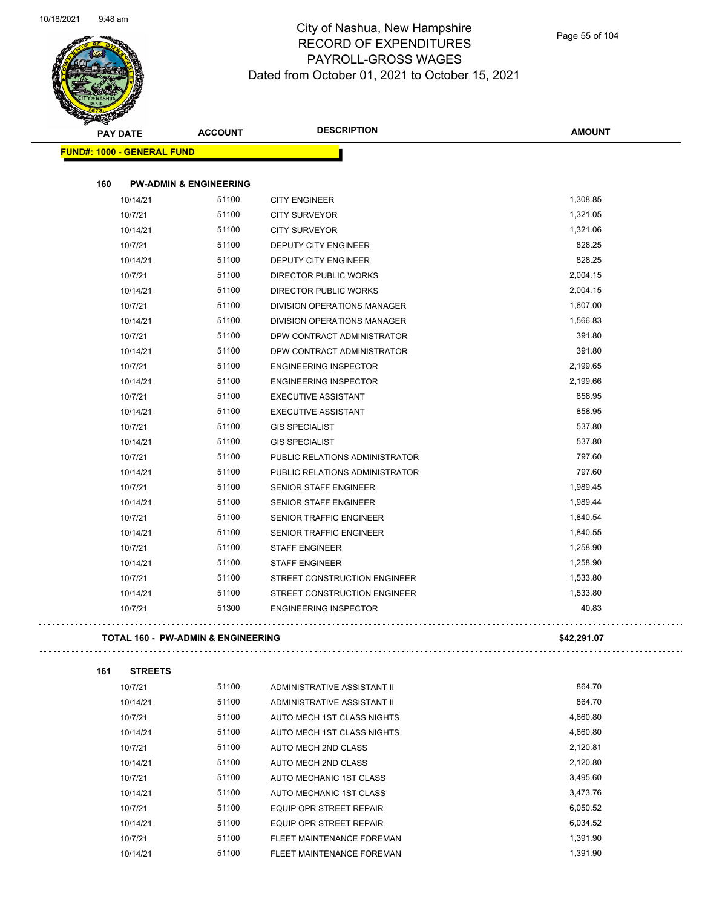

| <b>PAY DATE</b>                   | <b>ACCOUNT</b>                     | <b>DESCRIPTION</b>             | <b>AMOUNT</b> |
|-----------------------------------|------------------------------------|--------------------------------|---------------|
| <b>FUND#: 1000 - GENERAL FUND</b> |                                    |                                |               |
| 160                               | <b>PW-ADMIN &amp; ENGINEERING</b>  |                                |               |
| 10/14/21                          | 51100                              | <b>CITY ENGINEER</b>           | 1,308.85      |
| 10/7/21                           | 51100                              | <b>CITY SURVEYOR</b>           | 1,321.05      |
| 10/14/21                          | 51100                              | <b>CITY SURVEYOR</b>           | 1,321.06      |
| 10/7/21                           | 51100                              | <b>DEPUTY CITY ENGINEER</b>    | 828.25        |
| 10/14/21                          | 51100                              | <b>DEPUTY CITY ENGINEER</b>    | 828.25        |
| 10/7/21                           | 51100                              | DIRECTOR PUBLIC WORKS          | 2,004.15      |
| 10/14/21                          | 51100                              | DIRECTOR PUBLIC WORKS          | 2,004.15      |
| 10/7/21                           | 51100                              | DIVISION OPERATIONS MANAGER    | 1,607.00      |
| 10/14/21                          | 51100                              | DIVISION OPERATIONS MANAGER    | 1,566.83      |
| 10/7/21                           | 51100                              | DPW CONTRACT ADMINISTRATOR     | 391.80        |
| 10/14/21                          | 51100                              | DPW CONTRACT ADMINISTRATOR     | 391.80        |
| 10/7/21                           | 51100                              | <b>ENGINEERING INSPECTOR</b>   | 2,199.65      |
| 10/14/21                          | 51100                              | <b>ENGINEERING INSPECTOR</b>   | 2,199.66      |
| 10/7/21                           | 51100                              | <b>EXECUTIVE ASSISTANT</b>     | 858.95        |
| 10/14/21                          | 51100                              | <b>EXECUTIVE ASSISTANT</b>     | 858.95        |
| 10/7/21                           | 51100                              | <b>GIS SPECIALIST</b>          | 537.80        |
| 10/14/21                          | 51100                              | <b>GIS SPECIALIST</b>          | 537.80        |
| 10/7/21                           | 51100                              | PUBLIC RELATIONS ADMINISTRATOR | 797.60        |
| 10/14/21                          | 51100                              | PUBLIC RELATIONS ADMINISTRATOR | 797.60        |
| 10/7/21                           | 51100                              | <b>SENIOR STAFF ENGINEER</b>   | 1,989.45      |
| 10/14/21                          | 51100                              | <b>SENIOR STAFF ENGINEER</b>   | 1,989.44      |
| 10/7/21                           | 51100                              | SENIOR TRAFFIC ENGINEER        | 1,840.54      |
| 10/14/21                          | 51100                              | SENIOR TRAFFIC ENGINEER        | 1,840.55      |
| 10/7/21                           | 51100                              | <b>STAFF ENGINEER</b>          | 1,258.90      |
| 10/14/21                          | 51100                              | <b>STAFF ENGINEER</b>          | 1,258.90      |
| 10/7/21                           | 51100                              | STREET CONSTRUCTION ENGINEER   | 1,533.80      |
| 10/14/21                          | 51100                              | STREET CONSTRUCTION ENGINEER   | 1,533.80      |
| 10/7/21                           | 51300                              | <b>ENGINEERING INSPECTOR</b>   | 40.83         |
|                                   | TOTAL 160 - PW-ADMIN & ENGINEERING |                                | \$42,291.07   |

| 161 | <b>STREETS</b> |       |                                |          |
|-----|----------------|-------|--------------------------------|----------|
|     | 10/7/21        | 51100 | ADMINISTRATIVE ASSISTANT II    | 864.70   |
|     | 10/14/21       | 51100 | ADMINISTRATIVE ASSISTANT II    | 864.70   |
|     | 10/7/21        | 51100 | AUTO MECH 1ST CLASS NIGHTS     | 4,660.80 |
|     | 10/14/21       | 51100 | AUTO MECH 1ST CLASS NIGHTS     | 4,660.80 |
|     | 10/7/21        | 51100 | AUTO MECH 2ND CLASS            | 2,120.81 |
|     | 10/14/21       | 51100 | AUTO MECH 2ND CLASS            | 2,120.80 |
|     | 10/7/21        | 51100 | AUTO MECHANIC 1ST CLASS        | 3,495.60 |
|     | 10/14/21       | 51100 | AUTO MECHANIC 1ST CLASS        | 3.473.76 |
|     | 10/7/21        | 51100 | EQUIP OPR STREET REPAIR        | 6,050.52 |
|     | 10/14/21       | 51100 | <b>EQUIP OPR STREET REPAIR</b> | 6.034.52 |
|     | 10/7/21        | 51100 | FLEET MAINTENANCE FOREMAN      | 1.391.90 |
|     | 10/14/21       | 51100 | FLEET MAINTENANCE FOREMAN      | 1.391.90 |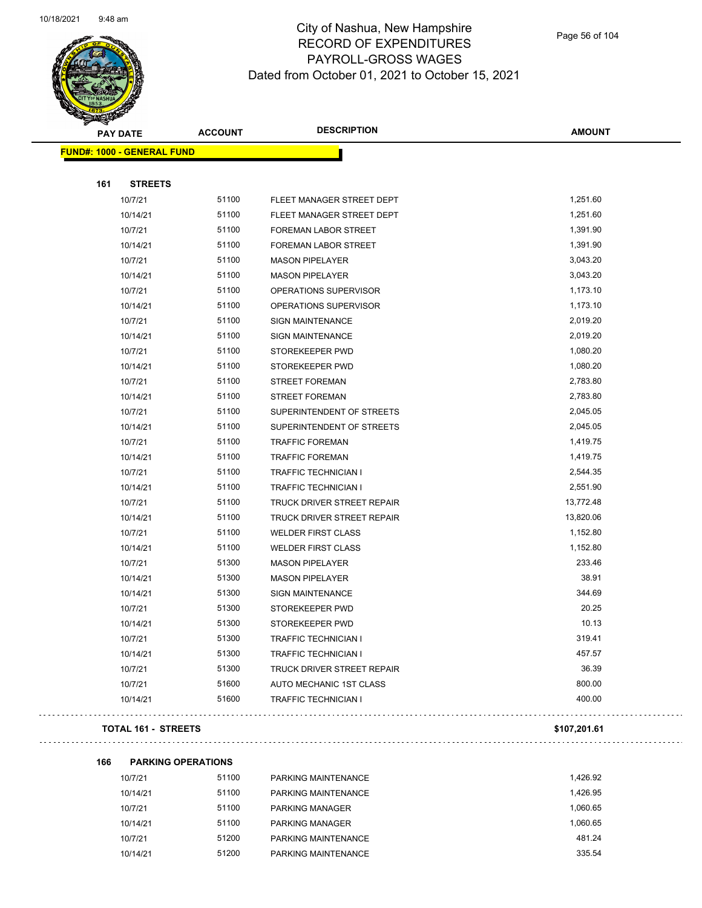

Page 56 of 104

| <b>PAY DATE</b>                   | <b>ACCOUNT</b>    | <b>DESCRIPTION</b>                | <b>AMOUNT</b> |
|-----------------------------------|-------------------|-----------------------------------|---------------|
| <b>FUND#: 1000 - GENERAL FUND</b> |                   |                                   |               |
|                                   |                   |                                   |               |
| 161                               | <b>STREETS</b>    |                                   |               |
|                                   | 51100<br>10/7/21  | FLEET MANAGER STREET DEPT         | 1,251.60      |
|                                   | 51100<br>10/14/21 | FLEET MANAGER STREET DEPT         | 1,251.60      |
|                                   | 51100<br>10/7/21  | FOREMAN LABOR STREET              | 1,391.90      |
|                                   | 51100<br>10/14/21 | FOREMAN LABOR STREET              | 1,391.90      |
|                                   | 51100<br>10/7/21  | <b>MASON PIPELAYER</b>            | 3,043.20      |
|                                   | 51100<br>10/14/21 | <b>MASON PIPELAYER</b>            | 3,043.20      |
|                                   | 51100<br>10/7/21  | OPERATIONS SUPERVISOR             | 1,173.10      |
|                                   | 51100<br>10/14/21 | OPERATIONS SUPERVISOR             | 1,173.10      |
|                                   | 51100<br>10/7/21  | <b>SIGN MAINTENANCE</b>           | 2,019.20      |
|                                   | 51100<br>10/14/21 | <b>SIGN MAINTENANCE</b>           | 2,019.20      |
|                                   | 51100<br>10/7/21  | STOREKEEPER PWD                   | 1,080.20      |
|                                   | 51100<br>10/14/21 | STOREKEEPER PWD                   | 1,080.20      |
|                                   | 51100<br>10/7/21  | <b>STREET FOREMAN</b>             | 2,783.80      |
|                                   | 51100<br>10/14/21 | <b>STREET FOREMAN</b>             | 2,783.80      |
|                                   | 51100<br>10/7/21  | SUPERINTENDENT OF STREETS         | 2,045.05      |
|                                   | 51100<br>10/14/21 | SUPERINTENDENT OF STREETS         | 2,045.05      |
|                                   | 51100<br>10/7/21  | <b>TRAFFIC FOREMAN</b>            | 1,419.75      |
|                                   | 51100<br>10/14/21 | <b>TRAFFIC FOREMAN</b>            | 1,419.75      |
|                                   | 51100<br>10/7/21  | <b>TRAFFIC TECHNICIAN I</b>       | 2,544.35      |
|                                   | 51100<br>10/14/21 | <b>TRAFFIC TECHNICIAN I</b>       | 2,551.90      |
|                                   | 51100<br>10/7/21  | <b>TRUCK DRIVER STREET REPAIR</b> | 13,772.48     |
|                                   | 51100<br>10/14/21 | TRUCK DRIVER STREET REPAIR        | 13,820.06     |
|                                   | 51100<br>10/7/21  | <b>WELDER FIRST CLASS</b>         | 1,152.80      |
|                                   | 51100<br>10/14/21 | <b>WELDER FIRST CLASS</b>         | 1,152.80      |
|                                   | 51300<br>10/7/21  | <b>MASON PIPELAYER</b>            | 233.46        |
|                                   | 51300<br>10/14/21 | <b>MASON PIPELAYER</b>            | 38.91         |
|                                   | 51300<br>10/14/21 | <b>SIGN MAINTENANCE</b>           | 344.69        |
|                                   | 51300<br>10/7/21  | STOREKEEPER PWD                   | 20.25         |
|                                   | 51300<br>10/14/21 | STOREKEEPER PWD                   | 10.13         |
|                                   | 51300<br>10/7/21  | TRAFFIC TECHNICIAN I              | 319.41        |
|                                   | 51300<br>10/14/21 | <b>TRAFFIC TECHNICIAN I</b>       | 457.57        |
|                                   | 51300<br>10/7/21  | TRUCK DRIVER STREET REPAIR        | 36.39         |
| 10/7/21                           | 51600             | AUTO MECHANIC 1ST CLASS           | 800.00        |
|                                   | 51600<br>10/14/21 | <b>TRAFFIC TECHNICIAN I</b>       | 400.00        |
|                                   |                   |                                   |               |

### **TOTAL 161 - STREETS \$107,201.61**

 $\Box$  .

**166 PARKING OPERATIONS**

| 10/7/21  | 51100 | PARKING MAINTENANCE    | 1.426.92 |
|----------|-------|------------------------|----------|
| 10/14/21 | 51100 | PARKING MAINTENANCE    | 1.426.95 |
| 10/7/21  | 51100 | <b>PARKING MANAGER</b> | 1.060.65 |
| 10/14/21 | 51100 | <b>PARKING MANAGER</b> | 1.060.65 |
| 10/7/21  | 51200 | PARKING MAINTENANCE    | 481.24   |
| 10/14/21 | 51200 | PARKING MAINTENANCE    | 335.54   |
|          |       |                        |          |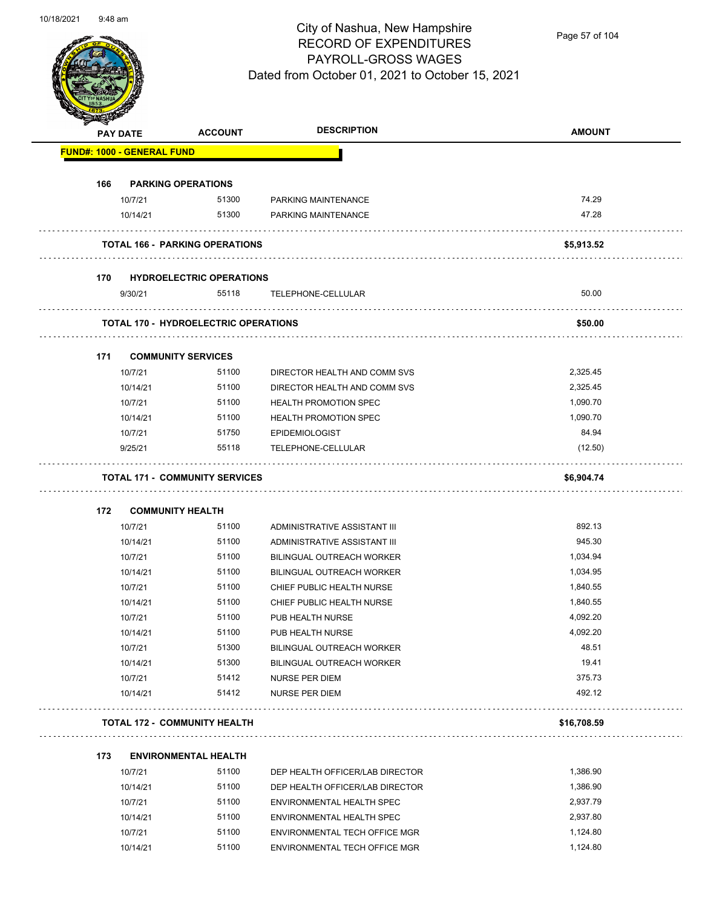

Page 57 of 104

| <b>RESERVED</b> |                                   |                                             |                                  |               |
|-----------------|-----------------------------------|---------------------------------------------|----------------------------------|---------------|
|                 | <b>PAY DATE</b>                   | <b>ACCOUNT</b>                              | <b>DESCRIPTION</b>               | <b>AMOUNT</b> |
|                 | <b>FUND#: 1000 - GENERAL FUND</b> |                                             |                                  |               |
| 166             |                                   | <b>PARKING OPERATIONS</b>                   |                                  |               |
|                 | 10/7/21                           | 51300                                       | PARKING MAINTENANCE              | 74.29         |
|                 | 10/14/21                          | 51300                                       | PARKING MAINTENANCE              | 47.28         |
|                 |                                   |                                             |                                  |               |
|                 |                                   | <b>TOTAL 166 - PARKING OPERATIONS</b>       |                                  | \$5,913.52    |
| 170             |                                   | <b>HYDROELECTRIC OPERATIONS</b>             |                                  |               |
|                 | 9/30/21                           | 55118                                       | TELEPHONE-CELLULAR               | 50.00         |
|                 |                                   | <b>TOTAL 170 - HYDROELECTRIC OPERATIONS</b> |                                  | \$50.00       |
| 171             |                                   | <b>COMMUNITY SERVICES</b>                   |                                  |               |
|                 | 10/7/21                           | 51100                                       | DIRECTOR HEALTH AND COMM SVS     | 2,325.45      |
|                 | 10/14/21                          | 51100                                       | DIRECTOR HEALTH AND COMM SVS     | 2,325.45      |
|                 | 10/7/21                           | 51100                                       | <b>HEALTH PROMOTION SPEC</b>     | 1,090.70      |
|                 | 10/14/21                          | 51100                                       | <b>HEALTH PROMOTION SPEC</b>     | 1,090.70      |
|                 | 10/7/21                           | 51750                                       | <b>EPIDEMIOLOGIST</b>            | 84.94         |
|                 | 9/25/21                           | 55118                                       | TELEPHONE-CELLULAR               | (12.50)       |
|                 |                                   |                                             |                                  |               |
|                 |                                   | <b>TOTAL 171 - COMMUNITY SERVICES</b>       |                                  | \$6,904.74    |
| 172             |                                   | <b>COMMUNITY HEALTH</b>                     |                                  |               |
|                 | 10/7/21                           | 51100                                       | ADMINISTRATIVE ASSISTANT III     | 892.13        |
|                 | 10/14/21                          | 51100                                       | ADMINISTRATIVE ASSISTANT III     | 945.30        |
|                 | 10/7/21                           | 51100                                       | <b>BILINGUAL OUTREACH WORKER</b> | 1,034.94      |
|                 | 10/14/21                          | 51100                                       | <b>BILINGUAL OUTREACH WORKER</b> | 1,034.95      |
|                 | 10/7/21                           | 51100                                       | CHIEF PUBLIC HEALTH NURSE        | 1,840.55      |
|                 | 10/14/21                          | 51100                                       | CHIEF PUBLIC HEALTH NURSE        | 1,840.55      |
|                 | 10/7/21                           | 51100                                       | PUB HEALTH NURSE                 | 4,092.20      |
|                 | 10/14/21                          | 51100                                       | PUB HEALTH NURSE                 | 4,092.20      |
|                 | 10/7/21                           | 51300                                       | BILINGUAL OUTREACH WORKER        | 48.51         |
|                 | 10/14/21                          | 51300                                       | BILINGUAL OUTREACH WORKER        | 19.41         |
|                 | 10/7/21                           | 51412                                       | NURSE PER DIEM                   | 375.73        |
|                 | 10/14/21                          | 51412                                       | <b>NURSE PER DIEM</b>            | 492.12        |
|                 |                                   | <b>TOTAL 172 - COMMUNITY HEALTH</b>         |                                  | \$16,708.59   |
| 173             |                                   | <b>ENVIRONMENTAL HEALTH</b>                 |                                  |               |
|                 | 10/7/21                           | 51100                                       | DEP HEALTH OFFICER/LAB DIRECTOR  | 1,386.90      |
|                 | 10/14/21                          | 51100                                       | DEP HEALTH OFFICER/LAB DIRECTOR  | 1,386.90      |
|                 |                                   | 51100                                       |                                  | 2,937.79      |
|                 | 10/7/21                           | 51100                                       | ENVIRONMENTAL HEALTH SPEC        | 2,937.80      |
|                 | 10/14/21                          |                                             | ENVIRONMENTAL HEALTH SPEC        |               |
|                 | 10/7/21                           | 51100                                       | ENVIRONMENTAL TECH OFFICE MGR    | 1,124.80      |

10/14/21 51100 ENVIRONMENTAL TECH OFFICE MGR 1,124.80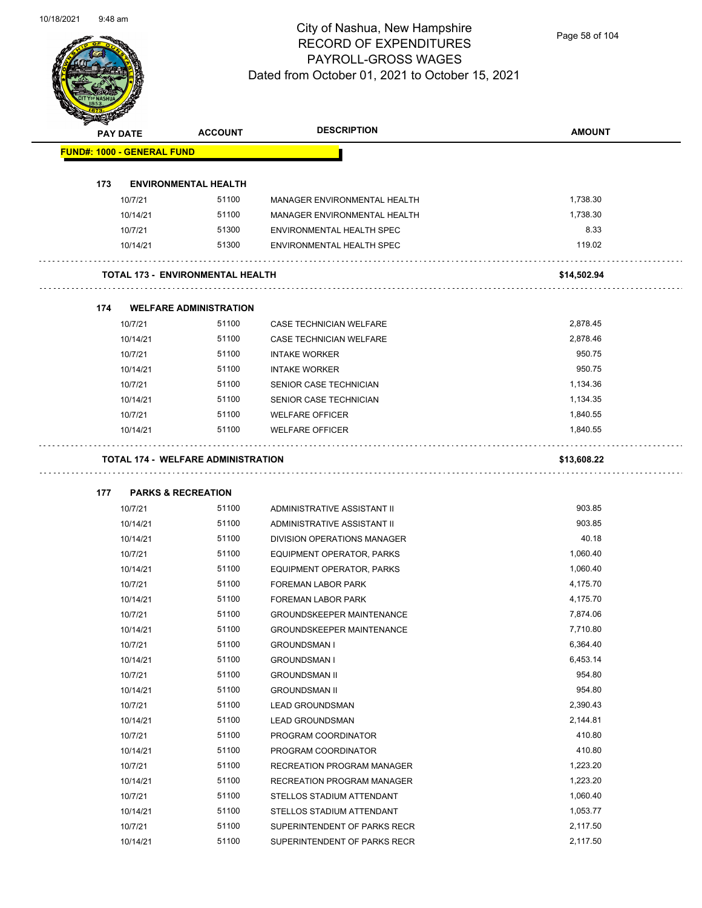

Page 58 of 104

|     | <b>PAY DATE</b>                   | <b>ACCOUNT</b>                          | <b>DESCRIPTION</b>               | <b>AMOUNT</b> |
|-----|-----------------------------------|-----------------------------------------|----------------------------------|---------------|
|     | <b>FUND#: 1000 - GENERAL FUND</b> |                                         |                                  |               |
|     |                                   |                                         |                                  |               |
| 173 |                                   | <b>ENVIRONMENTAL HEALTH</b>             |                                  |               |
|     | 10/7/21                           | 51100                                   | MANAGER ENVIRONMENTAL HEALTH     | 1,738.30      |
|     | 10/14/21                          | 51100                                   | MANAGER ENVIRONMENTAL HEALTH     | 1,738.30      |
|     | 10/7/21                           | 51300                                   | ENVIRONMENTAL HEALTH SPEC        | 8.33          |
|     | 10/14/21                          | 51300                                   | <b>ENVIRONMENTAL HEALTH SPEC</b> | 119.02        |
|     |                                   | <b>TOTAL 173 - ENVIRONMENTAL HEALTH</b> |                                  | \$14,502.94   |
| 174 |                                   | <b>WELFARE ADMINISTRATION</b>           |                                  |               |
|     | 10/7/21                           | 51100                                   | CASE TECHNICIAN WELFARE          | 2,878.45      |
|     | 10/14/21                          | 51100                                   | CASE TECHNICIAN WELFARE          | 2,878.46      |
|     | 10/7/21                           | 51100                                   | <b>INTAKE WORKER</b>             | 950.75        |
|     | 10/14/21                          | 51100                                   | <b>INTAKE WORKER</b>             | 950.75        |
|     | 10/7/21                           | 51100                                   | SENIOR CASE TECHNICIAN           | 1,134.36      |
|     | 10/14/21                          | 51100                                   | SENIOR CASE TECHNICIAN           | 1,134.35      |
|     | 10/7/21                           | 51100                                   | <b>WELFARE OFFICER</b>           | 1,840.55      |
|     | 10/14/21                          | 51100                                   | <b>WELFARE OFFICER</b>           | 1,840.55      |
| 177 |                                   | <b>PARKS &amp; RECREATION</b>           |                                  |               |
|     | 10/7/21                           | 51100                                   | ADMINISTRATIVE ASSISTANT II      | 903.85        |
|     | 10/14/21                          | 51100                                   | ADMINISTRATIVE ASSISTANT II      | 903.85        |
|     | 10/14/21                          | 51100                                   | DIVISION OPERATIONS MANAGER      | 40.18         |
|     | 10/7/21                           | 51100                                   | EQUIPMENT OPERATOR, PARKS        | 1,060.40      |
|     | 10/14/21                          | 51100                                   | <b>EQUIPMENT OPERATOR, PARKS</b> | 1,060.40      |
|     | 10/7/21                           | 51100                                   | FOREMAN LABOR PARK               | 4,175.70      |
|     | 10/14/21                          | 51100                                   | <b>FOREMAN LABOR PARK</b>        | 4,175.70      |
|     | 10/7/21                           | 51100                                   | <b>GROUNDSKEEPER MAINTENANCE</b> | 7,874.06      |
|     | 10/14/21                          | 51100                                   | GROUNDSKEEPER MAINTENANCE        | 7,710.80      |
|     | 10/7/21                           | 51100                                   | <b>GROUNDSMAN I</b>              | 6,364.40      |
|     | 10/14/21                          | 51100                                   | <b>GROUNDSMAN I</b>              | 6,453.14      |
|     | 10/7/21                           | 51100                                   | <b>GROUNDSMAN II</b>             | 954.80        |
|     | 10/14/21                          | 51100                                   | <b>GROUNDSMAN II</b>             | 954.80        |
|     | 10/7/21                           | 51100                                   | <b>LEAD GROUNDSMAN</b>           | 2,390.43      |
|     | 10/14/21                          | 51100                                   | <b>LEAD GROUNDSMAN</b>           | 2,144.81      |
|     | 10/7/21                           | 51100                                   | PROGRAM COORDINATOR              | 410.80        |
|     | 10/14/21                          | 51100                                   | PROGRAM COORDINATOR              | 410.80        |
|     | 10/7/21                           | 51100                                   | RECREATION PROGRAM MANAGER       | 1,223.20      |
|     | 10/14/21                          | 51100                                   | RECREATION PROGRAM MANAGER       | 1,223.20      |
|     | 10/7/21                           | 51100                                   | STELLOS STADIUM ATTENDANT        | 1,060.40      |
|     | 10/14/21                          | 51100                                   | STELLOS STADIUM ATTENDANT        | 1,053.77      |
|     | 10/7/21                           | 51100                                   | SUPERINTENDENT OF PARKS RECR     | 2,117.50      |
|     | 10/14/21                          | 51100                                   | SUPERINTENDENT OF PARKS RECR     | 2,117.50      |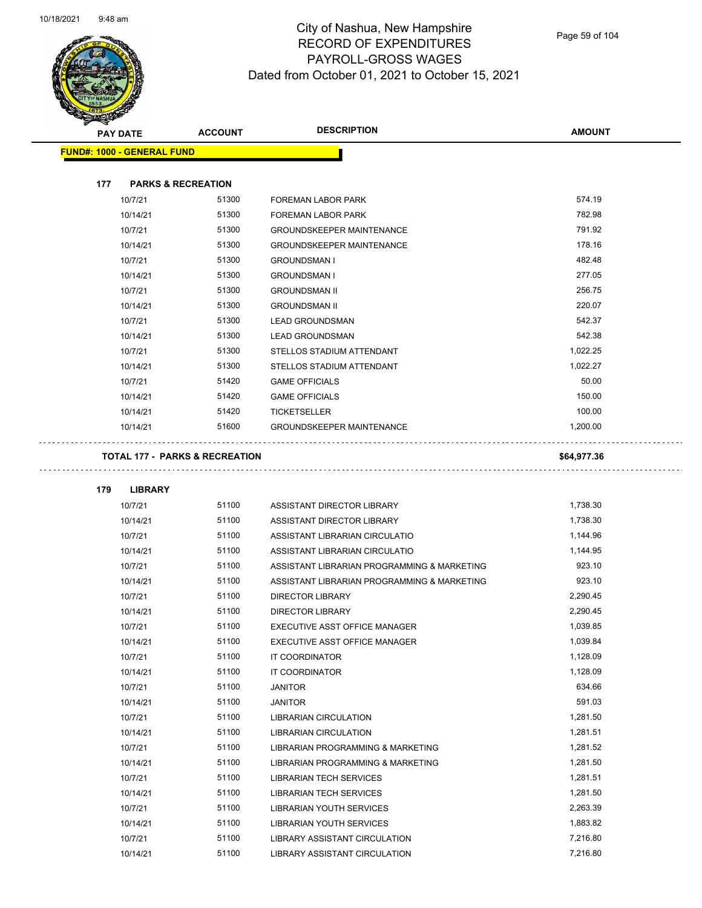

Page 59 of 104

| <b>PAY DATE</b>                           | <b>ACCOUNT</b> | <b>DESCRIPTION</b>                          | <b>AMOUNT</b> |
|-------------------------------------------|----------------|---------------------------------------------|---------------|
| <b>FUND#: 1000 - GENERAL FUND</b>         |                |                                             |               |
|                                           |                |                                             |               |
| 177<br><b>PARKS &amp; RECREATION</b>      |                |                                             |               |
| 10/7/21                                   | 51300          | <b>FOREMAN LABOR PARK</b>                   | 574.19        |
| 10/14/21                                  | 51300          | FOREMAN LABOR PARK                          | 782.98        |
| 10/7/21                                   | 51300          | <b>GROUNDSKEEPER MAINTENANCE</b>            | 791.92        |
| 10/14/21                                  | 51300          | <b>GROUNDSKEEPER MAINTENANCE</b>            | 178.16        |
| 10/7/21                                   | 51300          | <b>GROUNDSMAN I</b>                         | 482.48        |
| 10/14/21                                  | 51300          | <b>GROUNDSMAN I</b>                         | 277.05        |
| 10/7/21                                   | 51300          | <b>GROUNDSMAN II</b>                        | 256.75        |
| 10/14/21                                  | 51300          | <b>GROUNDSMAN II</b>                        | 220.07        |
| 10/7/21                                   | 51300          | <b>LEAD GROUNDSMAN</b>                      | 542.37        |
| 10/14/21                                  | 51300          | <b>LEAD GROUNDSMAN</b>                      | 542.38        |
| 10/7/21                                   | 51300          | STELLOS STADIUM ATTENDANT                   | 1,022.25      |
| 10/14/21                                  | 51300          | STELLOS STADIUM ATTENDANT                   | 1,022.27      |
| 10/7/21                                   | 51420          | <b>GAME OFFICIALS</b>                       | 50.00         |
| 10/14/21                                  | 51420          | <b>GAME OFFICIALS</b>                       | 150.00        |
| 10/14/21                                  | 51420          | <b>TICKETSELLER</b>                         | 100.00        |
| 10/14/21                                  | 51600          | <b>GROUNDSKEEPER MAINTENANCE</b>            | 1,200.00      |
|                                           |                |                                             |               |
| <b>TOTAL 177 - PARKS &amp; RECREATION</b> |                |                                             | \$64,977.36   |
|                                           |                |                                             |               |
| 179<br><b>LIBRARY</b>                     |                |                                             |               |
| 10/7/21                                   | 51100          | ASSISTANT DIRECTOR LIBRARY                  | 1,738.30      |
| 10/14/21                                  | 51100          | ASSISTANT DIRECTOR LIBRARY                  | 1,738.30      |
| 10/7/21                                   | 51100          | ASSISTANT LIBRARIAN CIRCULATIO              | 1,144.96      |
| 10/14/21                                  | 51100          | ASSISTANT LIBRARIAN CIRCULATIO              | 1,144.95      |
| 10/7/21                                   | 51100          | ASSISTANT LIBRARIAN PROGRAMMING & MARKETING | 923.10        |
| 10/14/21                                  | 51100          | ASSISTANT LIBRARIAN PROGRAMMING & MARKETING | 923.10        |
| 10/7/21                                   | 51100          | <b>DIRECTOR LIBRARY</b>                     | 2,290.45      |
| 10/14/21                                  | 51100          | <b>DIRECTOR LIBRARY</b>                     | 2,290.45      |
| 10/7/21                                   | 51100          | EXECUTIVE ASST OFFICE MANAGER               | 1,039.85      |
| 10/14/21                                  | 51100          | EXECUTIVE ASST OFFICE MANAGER               | 1,039.84      |
| 10/7/21                                   | 51100          | IT COORDINATOR                              | 1,128.09      |
| 10/14/21                                  | 51100          | IT COORDINATOR                              | 1,128.09      |
| 10/7/21                                   | 51100          | <b>JANITOR</b>                              | 634.66        |
| 10/14/21                                  | 51100          | <b>JANITOR</b>                              | 591.03        |
| 10/7/21                                   | 51100          | <b>LIBRARIAN CIRCULATION</b>                | 1,281.50      |
| 10/14/21                                  | 51100          | <b>LIBRARIAN CIRCULATION</b>                | 1,281.51      |
| 10/7/21                                   | 51100          | LIBRARIAN PROGRAMMING & MARKETING           | 1,281.52      |
| 10/14/21                                  | 51100          | LIBRARIAN PROGRAMMING & MARKETING           | 1,281.50      |
| 10/7/21                                   | 51100          | <b>LIBRARIAN TECH SERVICES</b>              | 1,281.51      |
| 10/14/21                                  | 51100          | <b>LIBRARIAN TECH SERVICES</b>              | 1,281.50      |
| 10/7/21                                   | 51100          | LIBRARIAN YOUTH SERVICES                    | 2,263.39      |
| 10/14/21                                  | 51100          | LIBRARIAN YOUTH SERVICES                    | 1,883.82      |
| 10/7/21                                   | 51100          | LIBRARY ASSISTANT CIRCULATION               | 7,216.80      |

10/14/21 51100 LIBRARY ASSISTANT CIRCULATION 7,216.80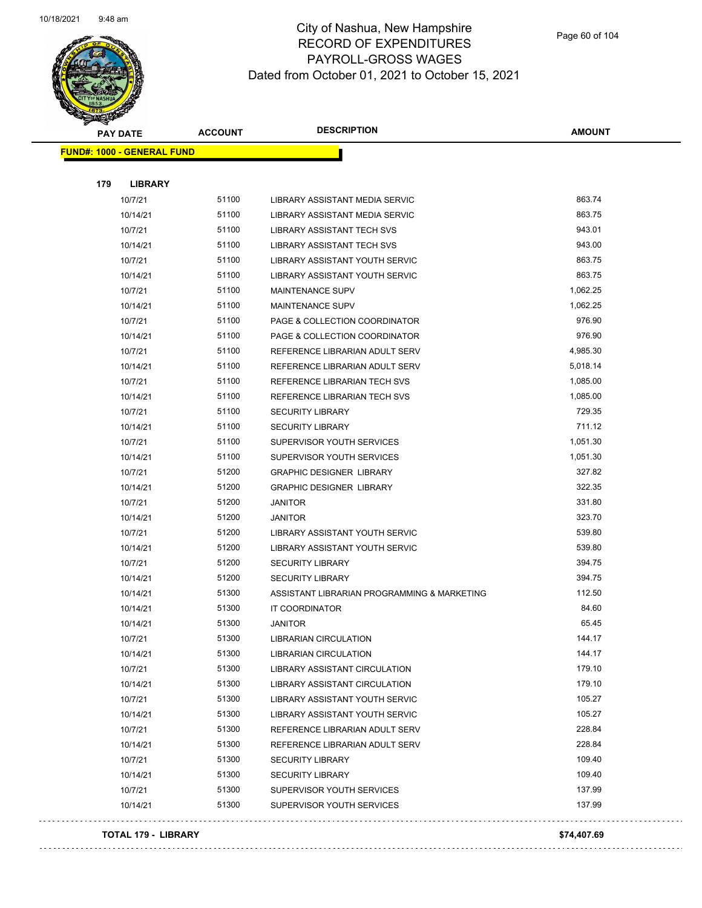

| <b>PAY DATE</b> |                                   | <b>ACCOUNT</b> | <b>DESCRIPTION</b>                          | AMOUNT   |
|-----------------|-----------------------------------|----------------|---------------------------------------------|----------|
|                 | <b>FUND#: 1000 - GENERAL FUND</b> |                |                                             |          |
|                 |                                   |                |                                             |          |
| 179             | <b>LIBRARY</b>                    |                |                                             |          |
|                 | 10/7/21                           | 51100          | LIBRARY ASSISTANT MEDIA SERVIC              | 863.74   |
|                 | 10/14/21                          | 51100          | LIBRARY ASSISTANT MEDIA SERVIC              | 863.75   |
|                 | 10/7/21                           | 51100          | LIBRARY ASSISTANT TECH SVS                  | 943.01   |
|                 | 10/14/21                          | 51100          | LIBRARY ASSISTANT TECH SVS                  | 943.00   |
|                 | 10/7/21                           | 51100          | LIBRARY ASSISTANT YOUTH SERVIC              | 863.75   |
|                 | 10/14/21                          | 51100          | LIBRARY ASSISTANT YOUTH SERVIC              | 863.75   |
|                 | 10/7/21                           | 51100          | <b>MAINTENANCE SUPV</b>                     | 1,062.25 |
|                 | 10/14/21                          | 51100          | <b>MAINTENANCE SUPV</b>                     | 1,062.25 |
|                 | 10/7/21                           | 51100          | PAGE & COLLECTION COORDINATOR               | 976.90   |
|                 | 10/14/21                          | 51100          | PAGE & COLLECTION COORDINATOR               | 976.90   |
|                 | 10/7/21                           | 51100          | REFERENCE LIBRARIAN ADULT SERV              | 4,985.30 |
|                 | 10/14/21                          | 51100          | REFERENCE LIBRARIAN ADULT SERV              | 5,018.14 |
|                 | 10/7/21                           | 51100          | REFERENCE LIBRARIAN TECH SVS                | 1,085.00 |
|                 | 10/14/21                          | 51100          | REFERENCE LIBRARIAN TECH SVS                | 1,085.00 |
|                 | 10/7/21                           | 51100          | <b>SECURITY LIBRARY</b>                     | 729.35   |
|                 | 10/14/21                          | 51100          | <b>SECURITY LIBRARY</b>                     | 711.12   |
|                 | 10/7/21                           | 51100          | SUPERVISOR YOUTH SERVICES                   | 1,051.30 |
|                 | 10/14/21                          | 51100          | SUPERVISOR YOUTH SERVICES                   | 1,051.30 |
|                 | 10/7/21                           | 51200          | <b>GRAPHIC DESIGNER LIBRARY</b>             | 327.82   |
|                 | 10/14/21                          | 51200          | <b>GRAPHIC DESIGNER LIBRARY</b>             | 322.35   |
|                 | 10/7/21                           | 51200          | <b>JANITOR</b>                              | 331.80   |
|                 | 10/14/21                          | 51200          | <b>JANITOR</b>                              | 323.70   |
|                 | 10/7/21                           | 51200          | LIBRARY ASSISTANT YOUTH SERVIC              | 539.80   |
|                 | 10/14/21                          | 51200          | LIBRARY ASSISTANT YOUTH SERVIC              | 539.80   |
|                 | 10/7/21                           | 51200          | <b>SECURITY LIBRARY</b>                     | 394.75   |
|                 | 10/14/21                          | 51200          | <b>SECURITY LIBRARY</b>                     | 394.75   |
|                 | 10/14/21                          | 51300          | ASSISTANT LIBRARIAN PROGRAMMING & MARKETING | 112.50   |
|                 | 10/14/21                          | 51300          | IT COORDINATOR                              | 84.60    |
|                 | 10/14/21                          | 51300          | <b>JANITOR</b>                              | 65.45    |
|                 | 10/7/21                           | 51300          | LIBRARIAN CIRCULATION                       | 144.17   |
|                 | 10/14/21                          | 51300          | <b>LIBRARIAN CIRCULATION</b>                | 144.17   |
|                 | 10/7/21                           | 51300          | LIBRARY ASSISTANT CIRCULATION               | 179.10   |
|                 | 10/14/21                          | 51300          | LIBRARY ASSISTANT CIRCULATION               | 179.10   |
|                 | 10/7/21                           | 51300          | LIBRARY ASSISTANT YOUTH SERVIC              | 105.27   |
|                 | 10/14/21                          | 51300          | LIBRARY ASSISTANT YOUTH SERVIC              | 105.27   |
|                 | 10/7/21                           | 51300          | REFERENCE LIBRARIAN ADULT SERV              | 228.84   |
|                 | 10/14/21                          | 51300          | REFERENCE LIBRARIAN ADULT SERV              | 228.84   |
|                 | 10/7/21                           | 51300          | <b>SECURITY LIBRARY</b>                     | 109.40   |
|                 | 10/14/21                          | 51300          | <b>SECURITY LIBRARY</b>                     | 109.40   |
|                 | 10/7/21                           | 51300          | SUPERVISOR YOUTH SERVICES                   | 137.99   |
|                 | 10/14/21                          | 51300          | SUPERVISOR YOUTH SERVICES                   | 137.99   |
|                 |                                   |                |                                             |          |

### **TOTAL 179 - LIBRARY \$74,407.69**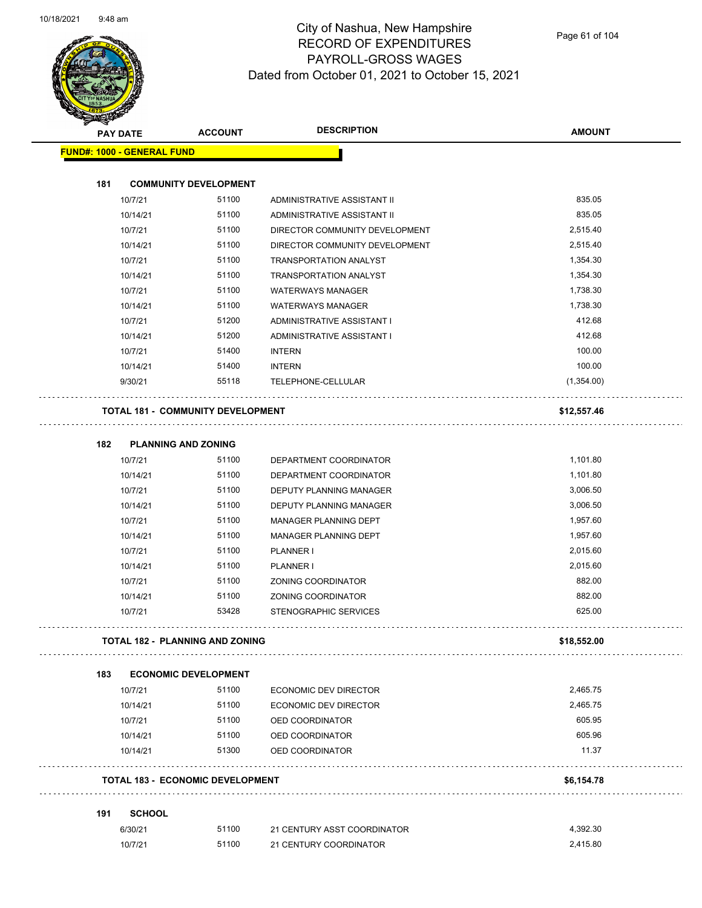

Page 61 of 104

|     | <b>PAY DATE</b>                   | <b>ACCOUNT</b>                           | <b>DESCRIPTION</b>             | <b>AMOUNT</b>      |
|-----|-----------------------------------|------------------------------------------|--------------------------------|--------------------|
|     | <b>FUND#: 1000 - GENERAL FUND</b> |                                          |                                |                    |
| 181 |                                   | <b>COMMUNITY DEVELOPMENT</b>             |                                |                    |
|     | 10/7/21                           | 51100                                    | ADMINISTRATIVE ASSISTANT II    | 835.05             |
|     | 10/14/21                          | 51100                                    | ADMINISTRATIVE ASSISTANT II    | 835.05             |
|     | 10/7/21                           | 51100                                    | DIRECTOR COMMUNITY DEVELOPMENT | 2,515.40           |
|     | 10/14/21                          | 51100                                    | DIRECTOR COMMUNITY DEVELOPMENT | 2,515.40           |
|     | 10/7/21                           | 51100                                    | TRANSPORTATION ANALYST         | 1,354.30           |
|     | 10/14/21                          | 51100                                    | <b>TRANSPORTATION ANALYST</b>  | 1,354.30           |
|     | 10/7/21                           | 51100                                    | <b>WATERWAYS MANAGER</b>       | 1,738.30           |
|     | 10/14/21                          | 51100                                    | <b>WATERWAYS MANAGER</b>       | 1,738.30           |
|     | 10/7/21                           | 51200                                    | ADMINISTRATIVE ASSISTANT I     | 412.68             |
|     | 10/14/21                          | 51200                                    | ADMINISTRATIVE ASSISTANT I     | 412.68             |
|     | 10/7/21                           | 51400                                    | <b>INTERN</b>                  | 100.00             |
|     | 10/14/21                          | 51400                                    | <b>INTERN</b>                  | 100.00             |
|     | 9/30/21                           | 55118                                    | TELEPHONE-CELLULAR             | (1,354.00)         |
|     |                                   | <b>TOTAL 181 - COMMUNITY DEVELOPMENT</b> |                                | \$12,557.46        |
|     |                                   |                                          |                                |                    |
| 182 |                                   | <b>PLANNING AND ZONING</b>               |                                |                    |
|     | 10/7/21                           | 51100                                    | DEPARTMENT COORDINATOR         | 1,101.80           |
|     | 10/14/21                          | 51100                                    | DEPARTMENT COORDINATOR         | 1,101.80           |
|     | 10/7/21                           | 51100                                    | DEPUTY PLANNING MANAGER        | 3,006.50           |
|     | 10/14/21                          | 51100                                    | DEPUTY PLANNING MANAGER        | 3,006.50           |
|     | 10/7/21                           | 51100                                    | MANAGER PLANNING DEPT          | 1,957.60           |
|     | 10/14/21                          | 51100                                    | MANAGER PLANNING DEPT          | 1,957.60           |
|     | 10/7/21                           | 51100                                    | <b>PLANNER I</b>               | 2,015.60           |
|     | 10/14/21                          | 51100                                    | <b>PLANNER I</b>               | 2,015.60<br>882.00 |
|     | 10/7/21                           | 51100                                    | ZONING COORDINATOR             |                    |
|     | 10/14/21                          | 51100                                    | ZONING COORDINATOR             | 882.00             |
|     | 10/7/21                           | 53428                                    | <b>STENOGRAPHIC SERVICES</b>   | 625.00             |
|     |                                   | TOTAL 182 - PLANNING AND ZONING          |                                | \$18,552.00        |
| 183 |                                   | <b>ECONOMIC DEVELOPMENT</b>              |                                |                    |
|     | 10/7/21                           | 51100                                    | <b>ECONOMIC DEV DIRECTOR</b>   | 2,465.75           |
|     | 10/14/21                          | 51100                                    | <b>ECONOMIC DEV DIRECTOR</b>   | 2,465.75           |
|     | 10/7/21                           | 51100                                    | OED COORDINATOR                | 605.95             |
|     | 10/14/21                          | 51100                                    | OED COORDINATOR                | 605.96             |
|     | 10/14/21                          | 51300                                    | OED COORDINATOR                | 11.37              |
|     |                                   | <b>TOTAL 183 - ECONOMIC DEVELOPMENT</b>  |                                | \$6,154.78         |
| 191 | <b>SCHOOL</b>                     |                                          |                                |                    |
|     |                                   | 51100                                    | 21 CENTURY ASST COORDINATOR    | 4,392.30           |
|     | 6/30/21                           |                                          |                                |                    |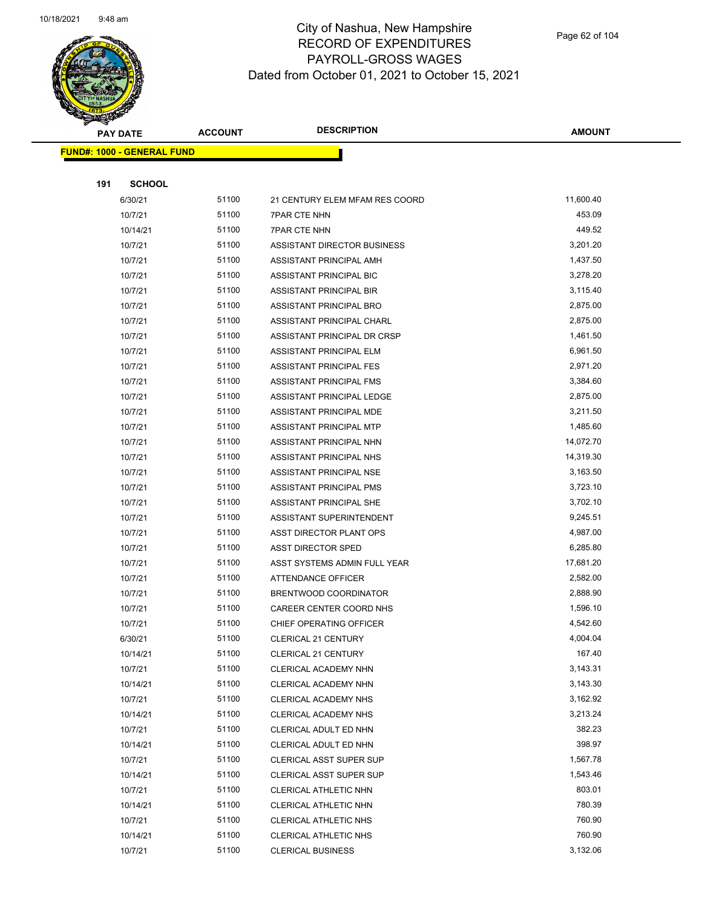

**AMOUNT**

| <b>FUND#: 1000 - GENERAL FUND</b> |       |                                |           |
|-----------------------------------|-------|--------------------------------|-----------|
|                                   |       |                                |           |
| 191<br><b>SCHOOL</b>              |       |                                |           |
| 6/30/21                           | 51100 | 21 CENTURY ELEM MFAM RES COORD | 11,600.40 |
| 10/7/21                           | 51100 | <b>7PAR CTE NHN</b>            | 453.09    |
| 10/14/21                          | 51100 | <b>7PAR CTE NHN</b>            | 449.52    |
| 10/7/21                           | 51100 | ASSISTANT DIRECTOR BUSINESS    | 3,201.20  |
| 10/7/21                           | 51100 | ASSISTANT PRINCIPAL AMH        | 1,437.50  |
| 10/7/21                           | 51100 | ASSISTANT PRINCIPAL BIC        | 3,278.20  |
| 10/7/21                           | 51100 | ASSISTANT PRINCIPAL BIR        | 3,115.40  |
| 10/7/21                           | 51100 | ASSISTANT PRINCIPAL BRO        | 2,875.00  |
| 10/7/21                           | 51100 | ASSISTANT PRINCIPAL CHARL      | 2,875.00  |
| 10/7/21                           | 51100 | ASSISTANT PRINCIPAL DR CRSP    | 1,461.50  |
| 10/7/21                           | 51100 | ASSISTANT PRINCIPAL ELM        | 6,961.50  |
| 10/7/21                           | 51100 | ASSISTANT PRINCIPAL FES        | 2,971.20  |
| 10/7/21                           | 51100 | <b>ASSISTANT PRINCIPAL FMS</b> | 3,384.60  |
| 10/7/21                           | 51100 | ASSISTANT PRINCIPAL LEDGE      | 2,875.00  |
| 10/7/21                           | 51100 | ASSISTANT PRINCIPAL MDE        | 3,211.50  |
| 10/7/21                           | 51100 | ASSISTANT PRINCIPAL MTP        | 1,485.60  |
| 10/7/21                           | 51100 | ASSISTANT PRINCIPAL NHN        | 14,072.70 |
| 10/7/21                           | 51100 | ASSISTANT PRINCIPAL NHS        | 14,319.30 |
| 10/7/21                           | 51100 | ASSISTANT PRINCIPAL NSE        | 3,163.50  |
| 10/7/21                           | 51100 | ASSISTANT PRINCIPAL PMS        | 3,723.10  |
| 10/7/21                           | 51100 | ASSISTANT PRINCIPAL SHE        | 3,702.10  |
| 10/7/21                           | 51100 | ASSISTANT SUPERINTENDENT       | 9,245.51  |
| 10/7/21                           | 51100 | ASST DIRECTOR PLANT OPS        | 4,987.00  |
| 10/7/21                           | 51100 | <b>ASST DIRECTOR SPED</b>      | 6,285.80  |
| 10/7/21                           | 51100 | ASST SYSTEMS ADMIN FULL YEAR   | 17,681.20 |
| 10/7/21                           | 51100 | <b>ATTENDANCE OFFICER</b>      | 2,582.00  |
| 10/7/21                           | 51100 | BRENTWOOD COORDINATOR          | 2,888.90  |
| 10/7/21                           | 51100 | CAREER CENTER COORD NHS        | 1,596.10  |
| 10/7/21                           | 51100 | CHIEF OPERATING OFFICER        | 4,542.60  |
| 6/30/21                           | 51100 | <b>CLERICAL 21 CENTURY</b>     | 4,004.04  |
| 10/14/21                          | 51100 | CLERICAL 21 CENTURY            | 167.40    |
| 10/7/21                           | 51100 | CLERICAL ACADEMY NHN           | 3,143.31  |
| 10/14/21                          | 51100 | CLERICAL ACADEMY NHN           | 3,143.30  |
| 10/7/21                           | 51100 | CLERICAL ACADEMY NHS           | 3,162.92  |
| 10/14/21                          | 51100 | <b>CLERICAL ACADEMY NHS</b>    | 3,213.24  |
| 10/7/21                           | 51100 | CLERICAL ADULT ED NHN          | 382.23    |
| 10/14/21                          | 51100 | CLERICAL ADULT ED NHN          | 398.97    |
| 10/7/21                           | 51100 | <b>CLERICAL ASST SUPER SUP</b> | 1,567.78  |
| 10/14/21                          | 51100 | CLERICAL ASST SUPER SUP        | 1,543.46  |
| 10/7/21                           | 51100 | CLERICAL ATHLETIC NHN          | 803.01    |
| 10/14/21                          | 51100 | CLERICAL ATHLETIC NHN          | 780.39    |
| 10/7/21                           | 51100 | CLERICAL ATHLETIC NHS          | 760.90    |
| 10/14/21                          | 51100 | CLERICAL ATHLETIC NHS          | 760.90    |
| 10/7/21                           | 51100 | <b>CLERICAL BUSINESS</b>       | 3,132.06  |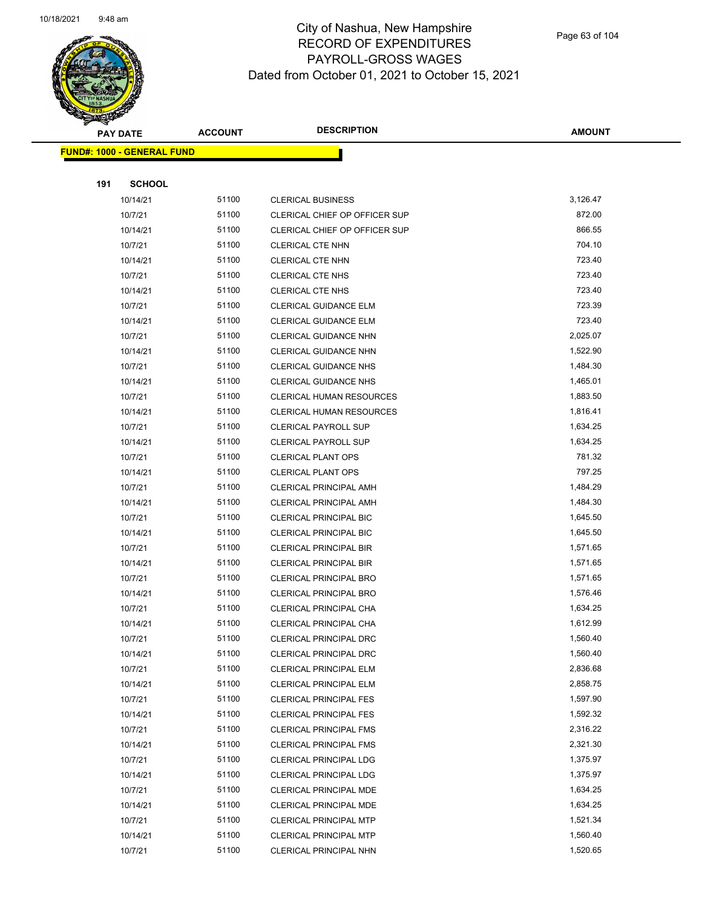

Page 63 of 104

| <b>PAY DATE</b>                   | <b>ACCOUNT</b> | <b>DESCRIPTION</b>              | <b>AMOUNT</b> |
|-----------------------------------|----------------|---------------------------------|---------------|
| <b>FUND#: 1000 - GENERAL FUND</b> |                |                                 |               |
|                                   |                |                                 |               |
| 191<br><b>SCHOOL</b>              |                |                                 |               |
| 10/14/21                          | 51100          | <b>CLERICAL BUSINESS</b>        | 3,126.47      |
| 10/7/21                           | 51100          | CLERICAL CHIEF OP OFFICER SUP   | 872.00        |
| 10/14/21                          | 51100          | CLERICAL CHIEF OP OFFICER SUP   | 866.55        |
| 10/7/21                           | 51100          | <b>CLERICAL CTE NHN</b>         | 704.10        |
| 10/14/21                          | 51100          | <b>CLERICAL CTE NHN</b>         | 723.40        |
| 10/7/21                           | 51100          | <b>CLERICAL CTE NHS</b>         | 723.40        |
| 10/14/21                          | 51100          | <b>CLERICAL CTE NHS</b>         | 723.40        |
| 10/7/21                           | 51100          | CLERICAL GUIDANCE ELM           | 723.39        |
| 10/14/21                          | 51100          | CLERICAL GUIDANCE ELM           | 723.40        |
| 10/7/21                           | 51100          | CLERICAL GUIDANCE NHN           | 2,025.07      |
| 10/14/21                          | 51100          | CLERICAL GUIDANCE NHN           | 1,522.90      |
| 10/7/21                           | 51100          | CLERICAL GUIDANCE NHS           | 1,484.30      |
| 10/14/21                          | 51100          | CLERICAL GUIDANCE NHS           | 1,465.01      |
| 10/7/21                           | 51100          | <b>CLERICAL HUMAN RESOURCES</b> | 1,883.50      |
| 10/14/21                          | 51100          | <b>CLERICAL HUMAN RESOURCES</b> | 1,816.41      |
| 10/7/21                           | 51100          | <b>CLERICAL PAYROLL SUP</b>     | 1,634.25      |
| 10/14/21                          | 51100          | <b>CLERICAL PAYROLL SUP</b>     | 1,634.25      |
| 10/7/21                           | 51100          | <b>CLERICAL PLANT OPS</b>       | 781.32        |
| 10/14/21                          | 51100          | <b>CLERICAL PLANT OPS</b>       | 797.25        |
| 10/7/21                           | 51100          | <b>CLERICAL PRINCIPAL AMH</b>   | 1,484.29      |
| 10/14/21                          | 51100          | CLERICAL PRINCIPAL AMH          | 1,484.30      |
| 10/7/21                           | 51100          | <b>CLERICAL PRINCIPAL BIC</b>   | 1,645.50      |
| 10/14/21                          | 51100          | <b>CLERICAL PRINCIPAL BIC</b>   | 1,645.50      |
| 10/7/21                           | 51100          | <b>CLERICAL PRINCIPAL BIR</b>   | 1,571.65      |
| 10/14/21                          | 51100          | <b>CLERICAL PRINCIPAL BIR</b>   | 1,571.65      |
| 10/7/21                           | 51100          | CLERICAL PRINCIPAL BRO          | 1,571.65      |
| 10/14/21                          | 51100          | <b>CLERICAL PRINCIPAL BRO</b>   | 1,576.46      |
| 10/7/21                           | 51100          | CLERICAL PRINCIPAL CHA          | 1,634.25      |
| 10/14/21                          | 51100          | CLERICAL PRINCIPAL CHA          | 1,612.99      |
| 10/7/21                           | 51100          | <b>CLERICAL PRINCIPAL DRC</b>   | 1,560.40      |
| 10/14/21                          | 51100          | CLERICAL PRINCIPAL DRC          | 1,560.40      |
| 10/7/21                           | 51100          | <b>CLERICAL PRINCIPAL ELM</b>   | 2,836.68      |
| 10/14/21                          | 51100          | <b>CLERICAL PRINCIPAL ELM</b>   | 2,858.75      |
| 10/7/21                           | 51100          | <b>CLERICAL PRINCIPAL FES</b>   | 1,597.90      |
| 10/14/21                          | 51100          | <b>CLERICAL PRINCIPAL FES</b>   | 1,592.32      |
| 10/7/21                           | 51100          | <b>CLERICAL PRINCIPAL FMS</b>   | 2,316.22      |
| 10/14/21                          | 51100          | <b>CLERICAL PRINCIPAL FMS</b>   | 2,321.30      |
| 10/7/21                           | 51100          | <b>CLERICAL PRINCIPAL LDG</b>   | 1,375.97      |
| 10/14/21                          | 51100          | CLERICAL PRINCIPAL LDG          | 1,375.97      |
| 10/7/21                           | 51100          | CLERICAL PRINCIPAL MDE          | 1,634.25      |
| 10/14/21                          | 51100          | CLERICAL PRINCIPAL MDE          | 1,634.25      |
| 10/7/21                           | 51100          | <b>CLERICAL PRINCIPAL MTP</b>   | 1,521.34      |
| 10/14/21                          | 51100          | <b>CLERICAL PRINCIPAL MTP</b>   | 1,560.40      |
| 10/7/21                           | 51100          | CLERICAL PRINCIPAL NHN          | 1,520.65      |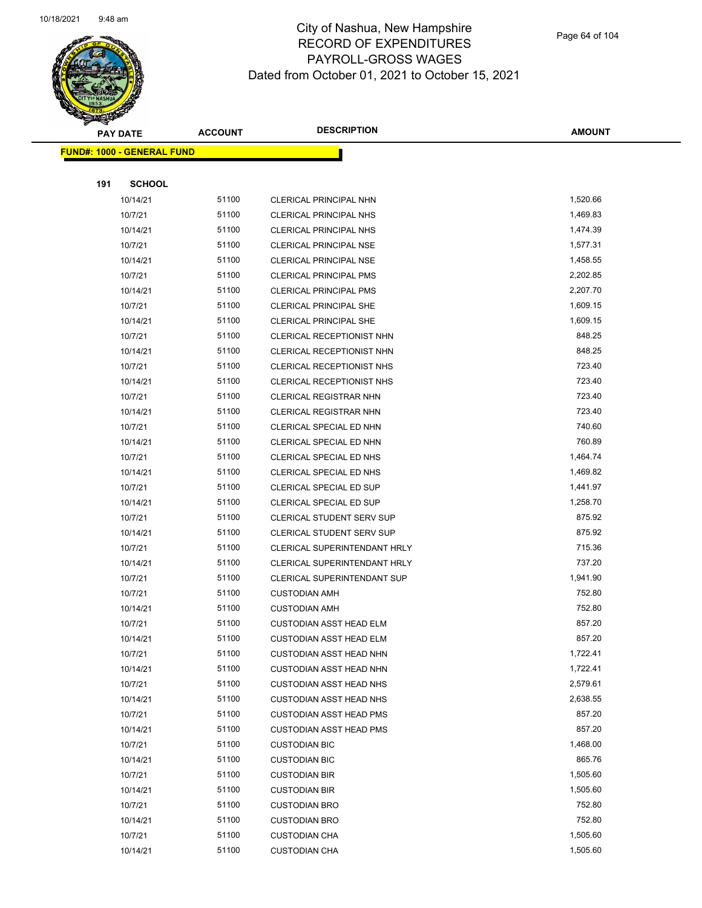

**AMOUNT**

|     | <b>FUND#: 1000 - GENERAL FUND</b> |       |                                  |          |
|-----|-----------------------------------|-------|----------------------------------|----------|
|     |                                   |       |                                  |          |
| 191 | <b>SCHOOL</b>                     | 51100 |                                  | 1,520.66 |
|     | 10/14/21                          | 51100 | <b>CLERICAL PRINCIPAL NHN</b>    | 1,469.83 |
|     | 10/7/21                           |       | <b>CLERICAL PRINCIPAL NHS</b>    |          |
|     | 10/14/21                          | 51100 | <b>CLERICAL PRINCIPAL NHS</b>    | 1,474.39 |
|     | 10/7/21                           | 51100 | <b>CLERICAL PRINCIPAL NSE</b>    | 1,577.31 |
|     | 10/14/21                          | 51100 | <b>CLERICAL PRINCIPAL NSE</b>    | 1,458.55 |
|     | 10/7/21                           | 51100 | <b>CLERICAL PRINCIPAL PMS</b>    | 2,202.85 |
|     | 10/14/21                          | 51100 | <b>CLERICAL PRINCIPAL PMS</b>    | 2,207.70 |
|     | 10/7/21                           | 51100 | <b>CLERICAL PRINCIPAL SHE</b>    | 1,609.15 |
|     | 10/14/21                          | 51100 | CLERICAL PRINCIPAL SHE           | 1,609.15 |
|     | 10/7/21                           | 51100 | CLERICAL RECEPTIONIST NHN        | 848.25   |
|     | 10/14/21                          | 51100 | CLERICAL RECEPTIONIST NHN        | 848.25   |
|     | 10/7/21                           | 51100 | CLERICAL RECEPTIONIST NHS        | 723.40   |
|     | 10/14/21                          | 51100 | CLERICAL RECEPTIONIST NHS        | 723.40   |
|     | 10/7/21                           | 51100 | <b>CLERICAL REGISTRAR NHN</b>    | 723.40   |
|     | 10/14/21                          | 51100 | <b>CLERICAL REGISTRAR NHN</b>    | 723.40   |
|     | 10/7/21                           | 51100 | CLERICAL SPECIAL ED NHN          | 740.60   |
|     | 10/14/21                          | 51100 | CLERICAL SPECIAL ED NHN          | 760.89   |
|     | 10/7/21                           | 51100 | CLERICAL SPECIAL ED NHS          | 1,464.74 |
|     | 10/14/21                          | 51100 | CLERICAL SPECIAL ED NHS          | 1,469.82 |
|     | 10/7/21                           | 51100 | CLERICAL SPECIAL ED SUP          | 1,441.97 |
|     | 10/14/21                          | 51100 | <b>CLERICAL SPECIAL ED SUP</b>   | 1,258.70 |
|     | 10/7/21                           | 51100 | <b>CLERICAL STUDENT SERV SUP</b> | 875.92   |
|     | 10/14/21                          | 51100 | CLERICAL STUDENT SERV SUP        | 875.92   |
|     | 10/7/21                           | 51100 | CLERICAL SUPERINTENDANT HRLY     | 715.36   |
|     | 10/14/21                          | 51100 | CLERICAL SUPERINTENDANT HRLY     | 737.20   |
|     | 10/7/21                           | 51100 | CLERICAL SUPERINTENDANT SUP      | 1,941.90 |
|     | 10/7/21                           | 51100 | <b>CUSTODIAN AMH</b>             | 752.80   |
|     | 10/14/21                          | 51100 | <b>CUSTODIAN AMH</b>             | 752.80   |
|     | 10/7/21                           | 51100 | <b>CUSTODIAN ASST HEAD ELM</b>   | 857.20   |
|     | 10/14/21                          | 51100 | <b>CUSTODIAN ASST HEAD ELM</b>   | 857.20   |
|     | 10/7/21                           | 51100 | CUSTODIAN ASST HEAD NHN          | 1,722.41 |
|     | 10/14/21                          | 51100 | <b>CUSTODIAN ASST HEAD NHN</b>   | 1,722.41 |
|     | 10/7/21                           | 51100 | <b>CUSTODIAN ASST HEAD NHS</b>   | 2,579.61 |
|     | 10/14/21                          | 51100 | <b>CUSTODIAN ASST HEAD NHS</b>   | 2,638.55 |
|     | 10/7/21                           | 51100 | <b>CUSTODIAN ASST HEAD PMS</b>   | 857.20   |
|     | 10/14/21                          | 51100 | <b>CUSTODIAN ASST HEAD PMS</b>   | 857.20   |
|     | 10/7/21                           | 51100 | <b>CUSTODIAN BIC</b>             | 1,468.00 |
|     | 10/14/21                          | 51100 | <b>CUSTODIAN BIC</b>             | 865.76   |
|     | 10/7/21                           | 51100 | <b>CUSTODIAN BIR</b>             | 1,505.60 |
|     | 10/14/21                          | 51100 | <b>CUSTODIAN BIR</b>             | 1,505.60 |
|     | 10/7/21                           | 51100 | <b>CUSTODIAN BRO</b>             | 752.80   |
|     | 10/14/21                          | 51100 | <b>CUSTODIAN BRO</b>             | 752.80   |
|     | 10/7/21                           | 51100 | <b>CUSTODIAN CHA</b>             | 1,505.60 |
|     | 10/14/21                          | 51100 | <b>CUSTODIAN CHA</b>             | 1,505.60 |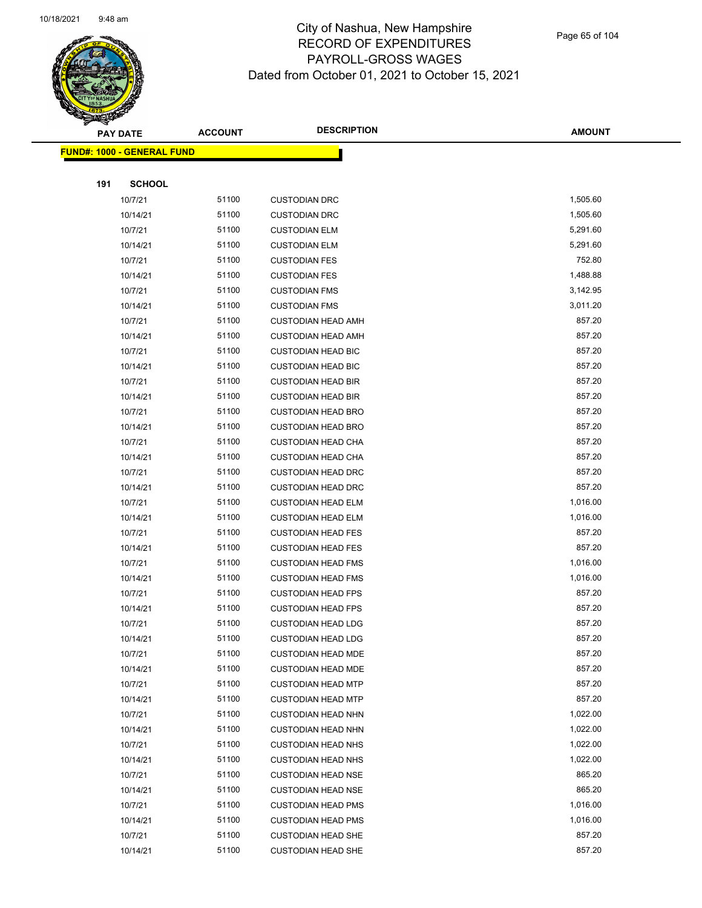

Page 65 of 104

|     | PAY DATE                          | <b>DESCRIPTION</b><br><b>ACCOUNT</b> | <b>AMOUNT</b>             |          |
|-----|-----------------------------------|--------------------------------------|---------------------------|----------|
|     | <b>FUND#: 1000 - GENERAL FUND</b> |                                      |                           |          |
|     |                                   |                                      |                           |          |
| 191 | <b>SCHOOL</b>                     |                                      |                           |          |
|     | 10/7/21                           | 51100                                | <b>CUSTODIAN DRC</b>      | 1,505.60 |
|     | 10/14/21                          | 51100                                | <b>CUSTODIAN DRC</b>      | 1,505.60 |
|     | 10/7/21                           | 51100                                | <b>CUSTODIAN ELM</b>      | 5,291.60 |
|     | 10/14/21                          | 51100                                | <b>CUSTODIAN ELM</b>      | 5,291.60 |
|     | 10/7/21                           | 51100                                | <b>CUSTODIAN FES</b>      | 752.80   |
|     | 10/14/21                          | 51100                                | <b>CUSTODIAN FES</b>      | 1,488.88 |
|     | 10/7/21                           | 51100                                | <b>CUSTODIAN FMS</b>      | 3,142.95 |
|     | 10/14/21                          | 51100                                | <b>CUSTODIAN FMS</b>      | 3,011.20 |
|     | 10/7/21                           | 51100                                | <b>CUSTODIAN HEAD AMH</b> | 857.20   |
|     | 10/14/21                          | 51100                                | <b>CUSTODIAN HEAD AMH</b> | 857.20   |
|     | 10/7/21                           | 51100                                | <b>CUSTODIAN HEAD BIC</b> | 857.20   |
|     | 10/14/21                          | 51100                                | <b>CUSTODIAN HEAD BIC</b> | 857.20   |
|     | 10/7/21                           | 51100                                | <b>CUSTODIAN HEAD BIR</b> | 857.20   |
|     | 10/14/21                          | 51100                                | <b>CUSTODIAN HEAD BIR</b> | 857.20   |
|     | 10/7/21                           | 51100                                | <b>CUSTODIAN HEAD BRO</b> | 857.20   |
|     | 10/14/21                          | 51100                                | <b>CUSTODIAN HEAD BRO</b> | 857.20   |
|     | 10/7/21                           | 51100                                | <b>CUSTODIAN HEAD CHA</b> | 857.20   |
|     | 10/14/21                          | 51100                                | <b>CUSTODIAN HEAD CHA</b> | 857.20   |
|     | 10/7/21                           | 51100                                | <b>CUSTODIAN HEAD DRC</b> | 857.20   |
|     | 10/14/21                          | 51100                                | <b>CUSTODIAN HEAD DRC</b> | 857.20   |
|     | 10/7/21                           | 51100                                | <b>CUSTODIAN HEAD ELM</b> | 1,016.00 |
|     | 10/14/21                          | 51100                                | <b>CUSTODIAN HEAD ELM</b> | 1,016.00 |
|     | 10/7/21                           | 51100                                | <b>CUSTODIAN HEAD FES</b> | 857.20   |
|     | 10/14/21                          | 51100                                | <b>CUSTODIAN HEAD FES</b> | 857.20   |
|     | 10/7/21                           | 51100                                | <b>CUSTODIAN HEAD FMS</b> | 1,016.00 |
|     | 10/14/21                          | 51100                                | <b>CUSTODIAN HEAD FMS</b> | 1,016.00 |
|     | 10/7/21                           | 51100                                | <b>CUSTODIAN HEAD FPS</b> | 857.20   |
|     | 10/14/21                          | 51100                                | <b>CUSTODIAN HEAD FPS</b> | 857.20   |
|     | 10/7/21                           | 51100                                | <b>CUSTODIAN HEAD LDG</b> | 857.20   |
|     | 10/14/21                          | 51100                                | <b>CUSTODIAN HEAD LDG</b> | 857.20   |
|     | 10/7/21                           | 51100                                | <b>CUSTODIAN HEAD MDE</b> | 857.20   |
|     | 10/14/21                          | 51100                                | <b>CUSTODIAN HEAD MDE</b> | 857.20   |
|     | 10/7/21                           | 51100                                | <b>CUSTODIAN HEAD MTP</b> | 857.20   |
|     | 10/14/21                          | 51100                                | <b>CUSTODIAN HEAD MTP</b> | 857.20   |
|     | 10/7/21                           | 51100                                | <b>CUSTODIAN HEAD NHN</b> | 1,022.00 |
|     | 10/14/21                          | 51100                                | <b>CUSTODIAN HEAD NHN</b> | 1,022.00 |
|     | 10/7/21                           | 51100                                | <b>CUSTODIAN HEAD NHS</b> | 1,022.00 |
|     | 10/14/21                          | 51100                                | <b>CUSTODIAN HEAD NHS</b> | 1,022.00 |
|     | 10/7/21                           | 51100                                | <b>CUSTODIAN HEAD NSE</b> | 865.20   |
|     | 10/14/21                          | 51100                                | <b>CUSTODIAN HEAD NSE</b> | 865.20   |
|     | 10/7/21                           | 51100                                | <b>CUSTODIAN HEAD PMS</b> | 1,016.00 |
|     | 10/14/21                          | 51100                                | <b>CUSTODIAN HEAD PMS</b> | 1,016.00 |
|     | 10/7/21                           | 51100                                | <b>CUSTODIAN HEAD SHE</b> | 857.20   |
|     | 10/14/21                          | 51100                                | <b>CUSTODIAN HEAD SHE</b> | 857.20   |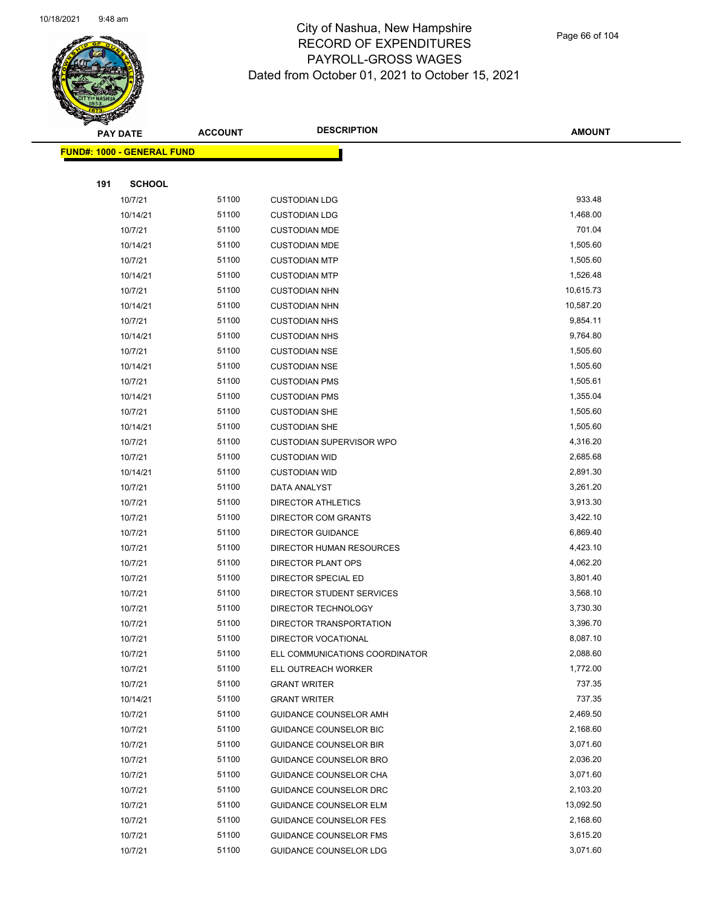

Page 66 of 104

|     | <b>PAY DATE</b>                    | <b>ACCOUNT</b> | <b>DESCRIPTION</b>              | <b>AMOUNT</b> |
|-----|------------------------------------|----------------|---------------------------------|---------------|
|     | <u> FUND#: 1000 - GENERAL FUND</u> |                |                                 |               |
|     |                                    |                |                                 |               |
| 191 | <b>SCHOOL</b>                      |                |                                 |               |
|     | 10/7/21                            | 51100          | <b>CUSTODIAN LDG</b>            | 933.48        |
|     | 10/14/21                           | 51100          | <b>CUSTODIAN LDG</b>            | 1,468.00      |
|     | 10/7/21                            | 51100          | <b>CUSTODIAN MDE</b>            | 701.04        |
|     | 10/14/21                           | 51100          | <b>CUSTODIAN MDE</b>            | 1,505.60      |
|     | 10/7/21                            | 51100          | <b>CUSTODIAN MTP</b>            | 1,505.60      |
|     | 10/14/21                           | 51100          | <b>CUSTODIAN MTP</b>            | 1,526.48      |
|     | 10/7/21                            | 51100          | <b>CUSTODIAN NHN</b>            | 10,615.73     |
|     | 10/14/21                           | 51100          | <b>CUSTODIAN NHN</b>            | 10,587.20     |
|     | 10/7/21                            | 51100          | <b>CUSTODIAN NHS</b>            | 9,854.11      |
|     | 10/14/21                           | 51100          | <b>CUSTODIAN NHS</b>            | 9,764.80      |
|     | 10/7/21                            | 51100          | <b>CUSTODIAN NSE</b>            | 1,505.60      |
|     | 10/14/21                           | 51100          | <b>CUSTODIAN NSE</b>            | 1,505.60      |
|     | 10/7/21                            | 51100          | <b>CUSTODIAN PMS</b>            | 1,505.61      |
|     | 10/14/21                           | 51100          | <b>CUSTODIAN PMS</b>            | 1,355.04      |
|     | 10/7/21                            | 51100          | <b>CUSTODIAN SHE</b>            | 1,505.60      |
|     | 10/14/21                           | 51100          | <b>CUSTODIAN SHE</b>            | 1,505.60      |
|     | 10/7/21                            | 51100          | <b>CUSTODIAN SUPERVISOR WPO</b> | 4,316.20      |
|     | 10/7/21                            | 51100          | <b>CUSTODIAN WID</b>            | 2,685.68      |
|     | 10/14/21                           | 51100          | <b>CUSTODIAN WID</b>            | 2,891.30      |
|     | 10/7/21                            | 51100          | DATA ANALYST                    | 3,261.20      |
|     | 10/7/21                            | 51100          | DIRECTOR ATHLETICS              | 3,913.30      |
|     | 10/7/21                            | 51100          | DIRECTOR COM GRANTS             | 3,422.10      |
|     | 10/7/21                            | 51100          | <b>DIRECTOR GUIDANCE</b>        | 6,869.40      |
|     | 10/7/21                            | 51100          | DIRECTOR HUMAN RESOURCES        | 4,423.10      |
|     | 10/7/21                            | 51100          | DIRECTOR PLANT OPS              | 4,062.20      |
|     | 10/7/21                            | 51100          | DIRECTOR SPECIAL ED             | 3,801.40      |
|     | 10/7/21                            | 51100          | DIRECTOR STUDENT SERVICES       | 3,568.10      |
|     | 10/7/21                            | 51100          | DIRECTOR TECHNOLOGY             | 3,730.30      |
|     | 10/7/21                            | 51100          | DIRECTOR TRANSPORTATION         | 3,396.70      |
|     | 10/7/21                            | 51100          | DIRECTOR VOCATIONAL             | 8,087.10      |
|     | 10/7/21                            | 51100          | ELL COMMUNICATIONS COORDINATOR  | 2,088.60      |
|     | 10/7/21                            | 51100          | ELL OUTREACH WORKER             | 1,772.00      |
|     | 10/7/21                            | 51100          | <b>GRANT WRITER</b>             | 737.35        |
|     | 10/14/21                           | 51100          | <b>GRANT WRITER</b>             | 737.35        |
|     | 10/7/21                            | 51100          | GUIDANCE COUNSELOR AMH          | 2,469.50      |
|     | 10/7/21                            | 51100          | GUIDANCE COUNSELOR BIC          | 2,168.60      |
|     | 10/7/21                            | 51100          | <b>GUIDANCE COUNSELOR BIR</b>   | 3,071.60      |
|     | 10/7/21                            | 51100          | GUIDANCE COUNSELOR BRO          | 2,036.20      |
|     | 10/7/21                            | 51100          | GUIDANCE COUNSELOR CHA          | 3,071.60      |
|     | 10/7/21                            | 51100          | <b>GUIDANCE COUNSELOR DRC</b>   | 2,103.20      |
|     | 10/7/21                            | 51100          | <b>GUIDANCE COUNSELOR ELM</b>   | 13,092.50     |
|     | 10/7/21                            | 51100          | GUIDANCE COUNSELOR FES          | 2,168.60      |
|     | 10/7/21                            | 51100          | GUIDANCE COUNSELOR FMS          | 3,615.20      |
|     | 10/7/21                            | 51100          | <b>GUIDANCE COUNSELOR LDG</b>   | 3,071.60      |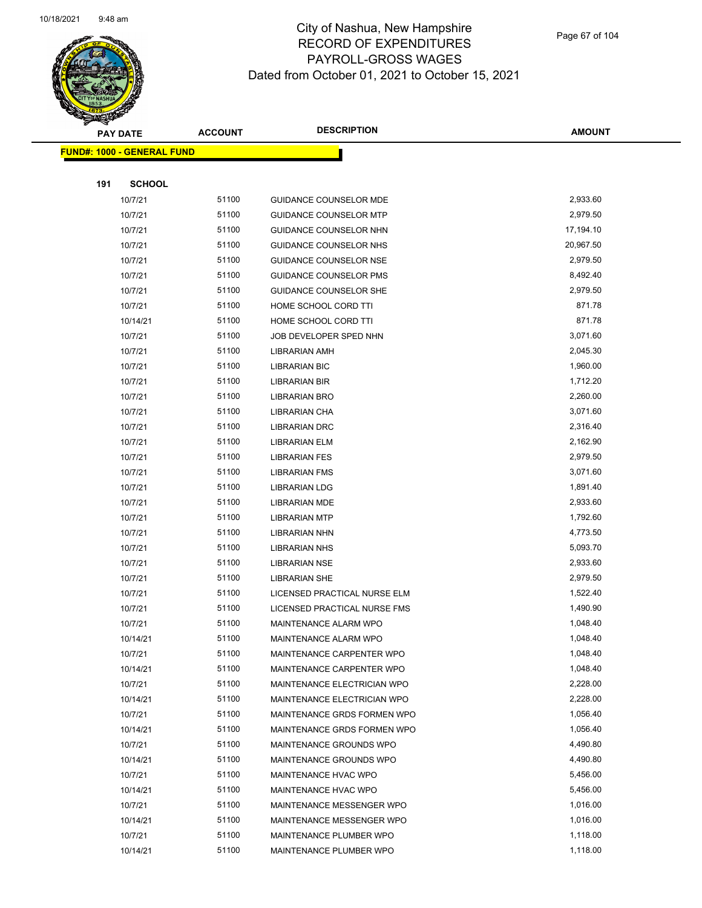

Page 67 of 104

|     | <b>PAY DATE</b>                   | <b>ACCOUNT</b> | <b>DESCRIPTION</b>                           | <b>AMOUNT</b>        |
|-----|-----------------------------------|----------------|----------------------------------------------|----------------------|
|     | <b>FUND#: 1000 - GENERAL FUND</b> |                |                                              |                      |
|     |                                   |                |                                              |                      |
| 191 | <b>SCHOOL</b>                     |                |                                              |                      |
|     | 10/7/21                           | 51100          | GUIDANCE COUNSELOR MDE                       | 2,933.60             |
|     | 10/7/21                           | 51100          | <b>GUIDANCE COUNSELOR MTP</b>                | 2,979.50             |
|     | 10/7/21                           | 51100          | GUIDANCE COUNSELOR NHN                       | 17,194.10            |
|     | 10/7/21                           | 51100          | GUIDANCE COUNSELOR NHS                       | 20,967.50            |
|     | 10/7/21                           | 51100          | <b>GUIDANCE COUNSELOR NSE</b>                | 2,979.50             |
|     | 10/7/21                           | 51100          | <b>GUIDANCE COUNSELOR PMS</b>                | 8,492.40             |
|     | 10/7/21                           | 51100          | GUIDANCE COUNSELOR SHE                       | 2,979.50             |
|     | 10/7/21                           | 51100          | HOME SCHOOL CORD TTI                         | 871.78               |
|     | 10/14/21                          | 51100          | HOME SCHOOL CORD TTI                         | 871.78               |
|     | 10/7/21                           | 51100          | JOB DEVELOPER SPED NHN                       | 3,071.60             |
|     | 10/7/21                           | 51100          | <b>LIBRARIAN AMH</b>                         | 2,045.30             |
|     | 10/7/21                           | 51100          | <b>LIBRARIAN BIC</b>                         | 1,960.00             |
|     | 10/7/21                           | 51100          | <b>LIBRARIAN BIR</b>                         | 1,712.20             |
|     | 10/7/21                           | 51100          | LIBRARIAN BRO                                | 2,260.00             |
|     | 10/7/21                           | 51100          | LIBRARIAN CHA                                | 3,071.60             |
|     | 10/7/21                           | 51100          | LIBRARIAN DRC                                | 2,316.40             |
|     | 10/7/21                           | 51100          | LIBRARIAN ELM                                | 2,162.90             |
|     | 10/7/21                           | 51100          | <b>LIBRARIAN FES</b>                         | 2,979.50             |
|     | 10/7/21                           | 51100          | <b>LIBRARIAN FMS</b>                         | 3,071.60             |
|     | 10/7/21                           | 51100          | <b>LIBRARIAN LDG</b>                         | 1,891.40             |
|     | 10/7/21                           | 51100          | <b>LIBRARIAN MDE</b>                         | 2,933.60             |
|     | 10/7/21                           | 51100          | <b>LIBRARIAN MTP</b>                         | 1,792.60             |
|     | 10/7/21                           | 51100          | <b>LIBRARIAN NHN</b>                         | 4,773.50             |
|     | 10/7/21                           | 51100          | <b>LIBRARIAN NHS</b>                         | 5,093.70             |
|     | 10/7/21                           | 51100          | <b>LIBRARIAN NSE</b>                         | 2,933.60             |
|     | 10/7/21                           | 51100          | <b>LIBRARIAN SHE</b>                         | 2,979.50             |
|     | 10/7/21                           | 51100          | LICENSED PRACTICAL NURSE ELM                 | 1,522.40             |
|     | 10/7/21                           | 51100          | LICENSED PRACTICAL NURSE FMS                 | 1,490.90             |
|     | 10/7/21                           | 51100          | MAINTENANCE ALARM WPO                        | 1,048.40             |
|     | 10/14/21                          | 51100          | MAINTENANCE ALARM WPO                        | 1,048.40             |
|     | 10/7/21                           | 51100          | MAINTENANCE CARPENTER WPO                    | 1,048.40             |
|     | 10/14/21                          | 51100          | MAINTENANCE CARPENTER WPO                    | 1,048.40             |
|     | 10/7/21                           | 51100          | MAINTENANCE ELECTRICIAN WPO                  | 2,228.00             |
|     | 10/14/21                          | 51100          | MAINTENANCE ELECTRICIAN WPO                  | 2,228.00             |
|     | 10/7/21                           | 51100          | MAINTENANCE GRDS FORMEN WPO                  | 1,056.40<br>1,056.40 |
|     | 10/14/21                          | 51100<br>51100 | MAINTENANCE GRDS FORMEN WPO                  | 4,490.80             |
|     | 10/7/21<br>10/14/21               | 51100          | MAINTENANCE GROUNDS WPO                      | 4,490.80             |
|     |                                   | 51100          | MAINTENANCE GROUNDS WPO                      | 5,456.00             |
|     | 10/7/21<br>10/14/21               | 51100          | MAINTENANCE HVAC WPO<br>MAINTENANCE HVAC WPO | 5,456.00             |
|     | 10/7/21                           | 51100          | MAINTENANCE MESSENGER WPO                    | 1,016.00             |
|     | 10/14/21                          | 51100          | MAINTENANCE MESSENGER WPO                    | 1,016.00             |
|     | 10/7/21                           | 51100          | MAINTENANCE PLUMBER WPO                      | 1,118.00             |
|     | 10/14/21                          | 51100          | MAINTENANCE PLUMBER WPO                      | 1,118.00             |
|     |                                   |                |                                              |                      |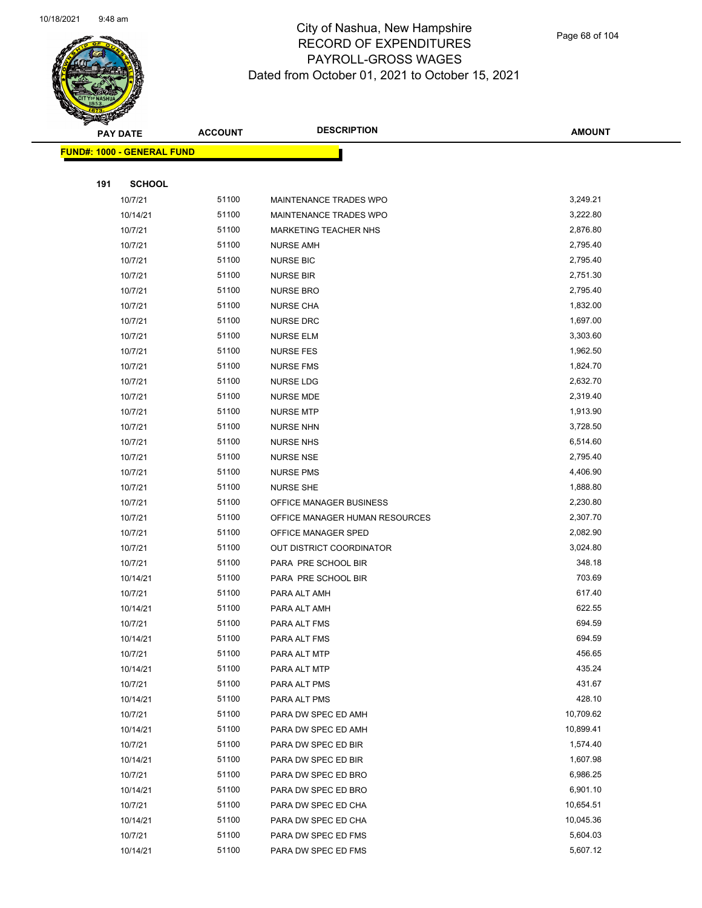

Page 68 of 104

|     | PAY DATE                          | <b>ACCOUNT</b> | <b>DESCRIPTION</b>                         | <b>AMOUNT</b>    |
|-----|-----------------------------------|----------------|--------------------------------------------|------------------|
|     | <b>FUND#: 1000 - GENERAL FUND</b> |                |                                            |                  |
|     |                                   |                |                                            |                  |
| 191 | <b>SCHOOL</b>                     |                |                                            |                  |
|     | 10/7/21                           | 51100          | MAINTENANCE TRADES WPO                     | 3,249.21         |
|     | 10/14/21                          | 51100          | MAINTENANCE TRADES WPO                     | 3,222.80         |
|     | 10/7/21                           | 51100          | <b>MARKETING TEACHER NHS</b>               | 2,876.80         |
|     | 10/7/21                           | 51100          | <b>NURSE AMH</b>                           | 2,795.40         |
|     | 10/7/21                           | 51100          | <b>NURSE BIC</b>                           | 2,795.40         |
|     | 10/7/21                           | 51100          | <b>NURSE BIR</b>                           | 2,751.30         |
|     | 10/7/21                           | 51100          | <b>NURSE BRO</b>                           | 2,795.40         |
|     | 10/7/21                           | 51100          | <b>NURSE CHA</b>                           | 1,832.00         |
|     | 10/7/21                           | 51100          | <b>NURSE DRC</b>                           | 1,697.00         |
|     | 10/7/21                           | 51100          | <b>NURSE ELM</b>                           | 3,303.60         |
|     | 10/7/21                           | 51100          | <b>NURSE FES</b>                           | 1,962.50         |
|     | 10/7/21                           | 51100          | <b>NURSE FMS</b>                           | 1,824.70         |
|     | 10/7/21                           | 51100          | NURSE LDG                                  | 2,632.70         |
|     | 10/7/21                           | 51100          | <b>NURSE MDE</b>                           | 2,319.40         |
|     | 10/7/21                           | 51100          | <b>NURSE MTP</b>                           | 1,913.90         |
|     | 10/7/21                           | 51100          | <b>NURSE NHN</b>                           | 3,728.50         |
|     | 10/7/21                           | 51100          | <b>NURSE NHS</b>                           | 6,514.60         |
|     | 10/7/21                           | 51100          | <b>NURSE NSE</b>                           | 2,795.40         |
|     | 10/7/21                           | 51100          | <b>NURSE PMS</b>                           | 4,406.90         |
|     | 10/7/21                           | 51100          | <b>NURSE SHE</b>                           | 1,888.80         |
|     | 10/7/21                           | 51100          | OFFICE MANAGER BUSINESS                    | 2,230.80         |
|     | 10/7/21                           | 51100          | OFFICE MANAGER HUMAN RESOURCES             | 2,307.70         |
|     | 10/7/21                           | 51100          | OFFICE MANAGER SPED                        | 2,082.90         |
|     | 10/7/21                           | 51100          | OUT DISTRICT COORDINATOR                   | 3,024.80         |
|     | 10/7/21                           | 51100          | PARA PRE SCHOOL BIR                        | 348.18           |
|     | 10/14/21                          | 51100          | PARA PRE SCHOOL BIR                        | 703.69           |
|     | 10/7/21                           | 51100          | PARA ALT AMH                               | 617.40           |
|     | 10/14/21                          | 51100          | PARA ALT AMH                               | 622.55           |
|     | 10/7/21                           | 51100          | PARA ALT FMS                               | 694.59           |
|     | 10/14/21                          | 51100          | PARA ALT FMS                               | 694.59           |
|     | 10/7/21                           | 51100          | PARA ALT MTP                               | 456.65           |
|     | 10/14/21                          | 51100          | PARA ALT MTP                               | 435.24           |
|     | 10/7/21                           | 51100<br>51100 | PARA ALT PMS                               | 431.67<br>428.10 |
|     | 10/14/21                          | 51100          | PARA ALT PMS                               | 10,709.62        |
|     | 10/7/21<br>10/14/21               | 51100          | PARA DW SPEC ED AMH<br>PARA DW SPEC ED AMH | 10,899.41        |
|     | 10/7/21                           | 51100          | PARA DW SPEC ED BIR                        | 1,574.40         |
|     | 10/14/21                          | 51100          | PARA DW SPEC ED BIR                        | 1,607.98         |
|     | 10/7/21                           | 51100          | PARA DW SPEC ED BRO                        | 6,986.25         |
|     | 10/14/21                          | 51100          | PARA DW SPEC ED BRO                        | 6,901.10         |
|     | 10/7/21                           | 51100          | PARA DW SPEC ED CHA                        | 10,654.51        |
|     | 10/14/21                          | 51100          | PARA DW SPEC ED CHA                        | 10,045.36        |
|     | 10/7/21                           | 51100          | PARA DW SPEC ED FMS                        | 5,604.03         |
|     | 10/14/21                          | 51100          | PARA DW SPEC ED FMS                        | 5,607.12         |
|     |                                   |                |                                            |                  |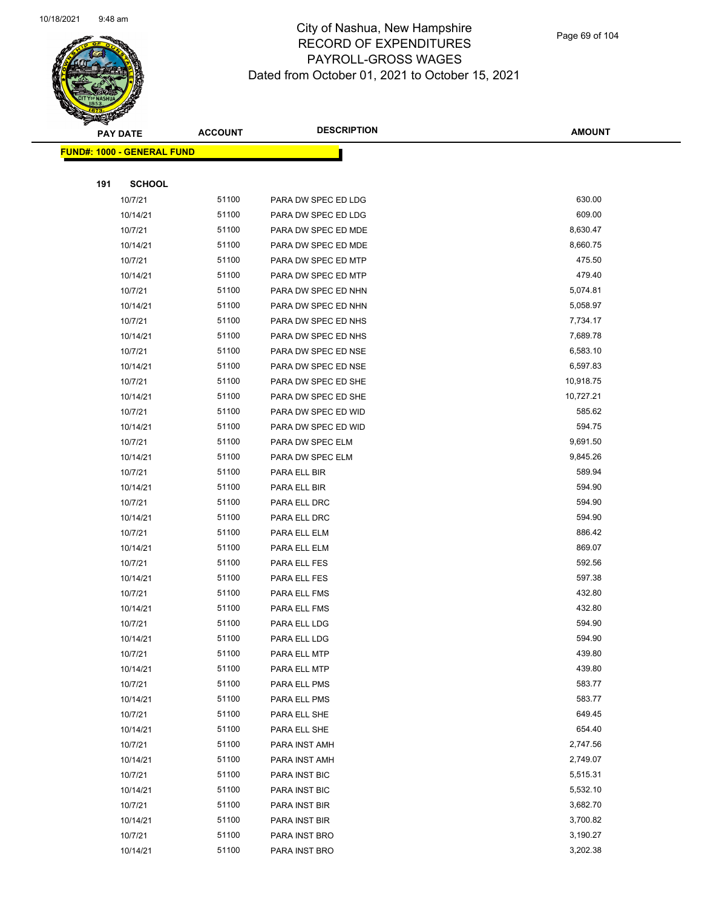

Page 69 of 104

|     | PAY DATE                          | <b>ACCOUNT</b> | <b>DESCRIPTION</b>   | <b>AMOUNT</b> |
|-----|-----------------------------------|----------------|----------------------|---------------|
|     | <b>FUND#: 1000 - GENERAL FUND</b> |                |                      |               |
|     |                                   |                |                      |               |
| 191 | <b>SCHOOL</b>                     |                |                      |               |
|     | 10/7/21                           | 51100          | PARA DW SPEC ED LDG  | 630.00        |
|     | 10/14/21                          | 51100          | PARA DW SPEC ED LDG  | 609.00        |
|     | 10/7/21                           | 51100          | PARA DW SPEC ED MDE  | 8,630.47      |
|     | 10/14/21                          | 51100          | PARA DW SPEC ED MDE  | 8,660.75      |
|     | 10/7/21                           | 51100          | PARA DW SPEC ED MTP  | 475.50        |
|     | 10/14/21                          | 51100          | PARA DW SPEC ED MTP  | 479.40        |
|     | 10/7/21                           | 51100          | PARA DW SPEC ED NHN  | 5,074.81      |
|     | 10/14/21                          | 51100          | PARA DW SPEC ED NHN  | 5,058.97      |
|     | 10/7/21                           | 51100          | PARA DW SPEC ED NHS  | 7,734.17      |
|     | 10/14/21                          | 51100          | PARA DW SPEC ED NHS  | 7,689.78      |
|     | 10/7/21                           | 51100          | PARA DW SPEC ED NSE  | 6,583.10      |
|     | 10/14/21                          | 51100          | PARA DW SPEC ED NSE  | 6,597.83      |
|     | 10/7/21                           | 51100          | PARA DW SPEC ED SHE  | 10,918.75     |
|     | 10/14/21                          | 51100          | PARA DW SPEC ED SHE  | 10,727.21     |
|     | 10/7/21                           | 51100          | PARA DW SPEC ED WID  | 585.62        |
|     | 10/14/21                          | 51100          | PARA DW SPEC ED WID  | 594.75        |
|     | 10/7/21                           | 51100          | PARA DW SPEC ELM     | 9,691.50      |
|     | 10/14/21                          | 51100          | PARA DW SPEC ELM     | 9,845.26      |
|     | 10/7/21                           | 51100          | PARA ELL BIR         | 589.94        |
|     | 10/14/21                          | 51100          | PARA ELL BIR         | 594.90        |
|     | 10/7/21                           | 51100          | PARA ELL DRC         | 594.90        |
|     | 10/14/21                          | 51100          | PARA ELL DRC         | 594.90        |
|     | 10/7/21                           | 51100          | PARA ELL ELM         | 886.42        |
|     | 10/14/21                          | 51100          | PARA ELL ELM         | 869.07        |
|     | 10/7/21                           | 51100          | PARA ELL FES         | 592.56        |
|     | 10/14/21                          | 51100          | PARA ELL FES         | 597.38        |
|     | 10/7/21                           | 51100          | PARA ELL FMS         | 432.80        |
|     | 10/14/21                          | 51100          | PARA ELL FMS         | 432.80        |
|     | 10/7/21                           | 51100          | PARA ELL LDG         | 594.90        |
|     | 10/14/21                          | 51100          | PARA ELL LDG         | 594.90        |
|     | 10/7/21                           | 51100          | PARA ELL MTP         | 439.80        |
|     | 10/14/21                          | 51100          | PARA ELL MTP         | 439.80        |
|     | 10/7/21                           | 51100          | PARA ELL PMS         | 583.77        |
|     | 10/14/21                          | 51100          | PARA ELL PMS         | 583.77        |
|     | 10/7/21                           | 51100          | PARA ELL SHE         | 649.45        |
|     | 10/14/21                          | 51100          | PARA ELL SHE         | 654.40        |
|     | 10/7/21                           | 51100          | PARA INST AMH        | 2,747.56      |
|     | 10/14/21                          | 51100          | PARA INST AMH        | 2,749.07      |
|     | 10/7/21                           | 51100          | PARA INST BIC        | 5,515.31      |
|     | 10/14/21                          | 51100          | <b>PARA INST BIC</b> | 5,532.10      |
|     | 10/7/21                           | 51100          | PARA INST BIR        | 3,682.70      |
|     | 10/14/21                          | 51100          | PARA INST BIR        | 3,700.82      |
|     | 10/7/21                           | 51100          | PARA INST BRO        | 3,190.27      |
|     | 10/14/21                          | 51100          | PARA INST BRO        | 3,202.38      |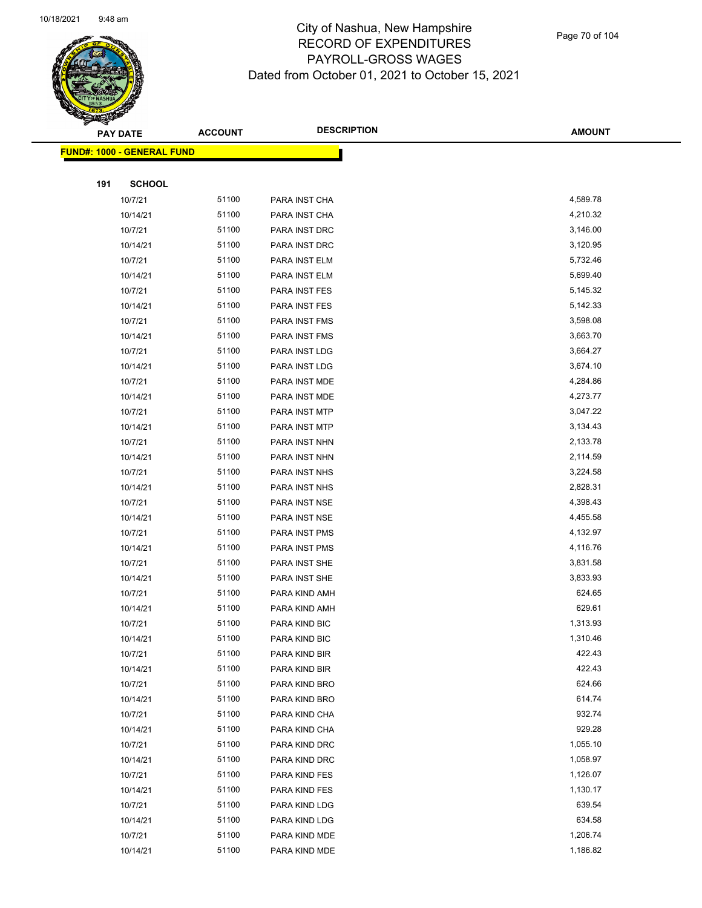

Page 70 of 104

|     | <b>PAY DATE</b>                   | <b>ACCOUNT</b> | <b>DESCRIPTION</b> | <b>AMOUNT</b> |
|-----|-----------------------------------|----------------|--------------------|---------------|
|     | <b>FUND#: 1000 - GENERAL FUND</b> |                |                    |               |
|     |                                   |                |                    |               |
| 191 | <b>SCHOOL</b>                     |                |                    |               |
|     | 10/7/21                           | 51100          | PARA INST CHA      | 4,589.78      |
|     | 10/14/21                          | 51100          | PARA INST CHA      | 4,210.32      |
|     | 10/7/21                           | 51100          | PARA INST DRC      | 3,146.00      |
|     | 10/14/21                          | 51100          | PARA INST DRC      | 3,120.95      |
|     | 10/7/21                           | 51100          | PARA INST ELM      | 5,732.46      |
|     | 10/14/21                          | 51100          | PARA INST ELM      | 5,699.40      |
|     | 10/7/21                           | 51100          | PARA INST FES      | 5,145.32      |
|     | 10/14/21                          | 51100          | PARA INST FES      | 5,142.33      |
|     | 10/7/21                           | 51100          | PARA INST FMS      | 3,598.08      |
|     | 10/14/21                          | 51100          | PARA INST FMS      | 3,663.70      |
|     | 10/7/21                           | 51100          | PARA INST LDG      | 3,664.27      |
|     | 10/14/21                          | 51100          | PARA INST LDG      | 3,674.10      |
|     | 10/7/21                           | 51100          | PARA INST MDE      | 4,284.86      |
|     | 10/14/21                          | 51100          | PARA INST MDE      | 4,273.77      |
|     | 10/7/21                           | 51100          | PARA INST MTP      | 3,047.22      |
|     | 10/14/21                          | 51100          | PARA INST MTP      | 3,134.43      |
|     | 10/7/21                           | 51100          | PARA INST NHN      | 2,133.78      |
|     | 10/14/21                          | 51100          | PARA INST NHN      | 2,114.59      |
|     | 10/7/21                           | 51100          | PARA INST NHS      | 3,224.58      |
|     | 10/14/21                          | 51100          | PARA INST NHS      | 2,828.31      |
|     | 10/7/21                           | 51100          | PARA INST NSE      | 4,398.43      |
|     | 10/14/21                          | 51100          | PARA INST NSE      | 4,455.58      |
|     | 10/7/21                           | 51100          | PARA INST PMS      | 4,132.97      |
|     | 10/14/21                          | 51100          | PARA INST PMS      | 4,116.76      |
|     | 10/7/21                           | 51100          | PARA INST SHE      | 3,831.58      |
|     | 10/14/21                          | 51100          | PARA INST SHE      | 3,833.93      |
|     | 10/7/21                           | 51100          | PARA KIND AMH      | 624.65        |
|     | 10/14/21                          | 51100          | PARA KIND AMH      | 629.61        |
|     | 10/7/21                           | 51100          | PARA KIND BIC      | 1,313.93      |
|     | 10/14/21                          | 51100          | PARA KIND BIC      | 1,310.46      |
|     | 10/7/21                           | 51100          | PARA KIND BIR      | 422.43        |
|     | 10/14/21                          | 51100          | PARA KIND BIR      | 422.43        |
|     | 10/7/21                           | 51100          | PARA KIND BRO      | 624.66        |
|     | 10/14/21                          | 51100          | PARA KIND BRO      | 614.74        |
|     | 10/7/21                           | 51100          | PARA KIND CHA      | 932.74        |
|     | 10/14/21                          | 51100          | PARA KIND CHA      | 929.28        |
|     | 10/7/21                           | 51100          | PARA KIND DRC      | 1,055.10      |
|     | 10/14/21                          | 51100          | PARA KIND DRC      | 1,058.97      |
|     | 10/7/21                           | 51100          | PARA KIND FES      | 1,126.07      |
|     | 10/14/21                          | 51100          | PARA KIND FES      | 1,130.17      |
|     | 10/7/21                           | 51100          | PARA KIND LDG      | 639.54        |
|     | 10/14/21                          | 51100          | PARA KIND LDG      | 634.58        |
|     | 10/7/21                           | 51100          | PARA KIND MDE      | 1,206.74      |
|     | 10/14/21                          | 51100          | PARA KIND MDE      | 1,186.82      |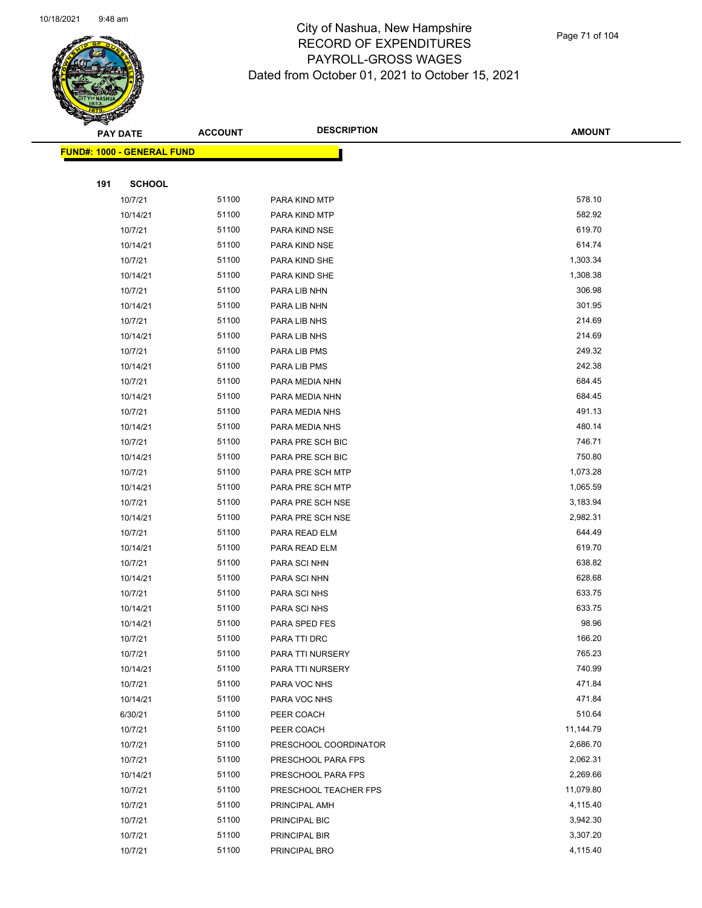

|     | <b>PAY DATE</b>                   | <b>ACCOUNT</b> | <b>DESCRIPTION</b>    | <b>AMOUNT</b> |
|-----|-----------------------------------|----------------|-----------------------|---------------|
|     | <b>FUND#: 1000 - GENERAL FUND</b> |                |                       |               |
|     |                                   |                |                       |               |
| 191 | <b>SCHOOL</b>                     |                |                       |               |
|     | 10/7/21                           | 51100          | PARA KIND MTP         | 578.10        |
|     | 10/14/21                          | 51100          | PARA KIND MTP         | 582.92        |
|     | 10/7/21                           | 51100          | PARA KIND NSE         | 619.70        |
|     | 10/14/21                          | 51100          | PARA KIND NSE         | 614.74        |
|     | 10/7/21                           | 51100          | PARA KIND SHE         | 1,303.34      |
|     | 10/14/21                          | 51100          | PARA KIND SHE         | 1,308.38      |
|     | 10/7/21                           | 51100          | PARA LIB NHN          | 306.98        |
|     | 10/14/21                          | 51100          | PARA LIB NHN          | 301.95        |
|     | 10/7/21                           | 51100          | PARA LIB NHS          | 214.69        |
|     | 10/14/21                          | 51100          | PARA LIB NHS          | 214.69        |
|     | 10/7/21                           | 51100          | PARA LIB PMS          | 249.32        |
|     | 10/14/21                          | 51100          | PARA LIB PMS          | 242.38        |
|     | 10/7/21                           | 51100          | PARA MEDIA NHN        | 684.45        |
|     | 10/14/21                          | 51100          | PARA MEDIA NHN        | 684.45        |
|     | 10/7/21                           | 51100          | PARA MEDIA NHS        | 491.13        |
|     | 10/14/21                          | 51100          | PARA MEDIA NHS        | 480.14        |
|     | 10/7/21                           | 51100          | PARA PRE SCH BIC      | 746.71        |
|     | 10/14/21                          | 51100          | PARA PRE SCH BIC      | 750.80        |
|     | 10/7/21                           | 51100          | PARA PRE SCH MTP      | 1,073.28      |
|     | 10/14/21                          | 51100          | PARA PRE SCH MTP      | 1,065.59      |
|     | 10/7/21                           | 51100          | PARA PRE SCH NSE      | 3,183.94      |
|     | 10/14/21                          | 51100          | PARA PRE SCH NSE      | 2,982.31      |
|     | 10/7/21                           | 51100          | PARA READ ELM         | 644.49        |
|     | 10/14/21                          | 51100          | PARA READ ELM         | 619.70        |
|     | 10/7/21                           | 51100          | PARA SCI NHN          | 638.82        |
|     | 10/14/21                          | 51100          | PARA SCI NHN          | 628.68        |
|     | 10/7/21                           | 51100          | PARA SCI NHS          | 633.75        |
|     | 10/14/21                          | 51100          | PARA SCI NHS          | 633.75        |
|     | 10/14/21                          | 51100          | PARA SPED FES         | 98.96         |
|     | 10/7/21                           | 51100          | PARA TTI DRC          | 166.20        |
|     | 10/7/21                           | 51100          | PARA TTI NURSERY      | 765.23        |
|     | 10/14/21                          | 51100          | PARA TTI NURSERY      | 740.99        |
|     | 10/7/21                           | 51100          | PARA VOC NHS          | 471.84        |
|     | 10/14/21                          | 51100          | PARA VOC NHS          | 471.84        |
|     | 6/30/21                           | 51100          | PEER COACH            | 510.64        |
|     | 10/7/21                           | 51100          | PEER COACH            | 11,144.79     |
|     | 10/7/21                           | 51100          | PRESCHOOL COORDINATOR | 2,686.70      |
|     | 10/7/21                           | 51100          | PRESCHOOL PARA FPS    | 2,062.31      |
|     | 10/14/21                          | 51100          | PRESCHOOL PARA FPS    | 2,269.66      |
|     | 10/7/21                           | 51100          | PRESCHOOL TEACHER FPS | 11,079.80     |
|     | 10/7/21                           | 51100          | PRINCIPAL AMH         | 4,115.40      |
|     | 10/7/21                           | 51100          | PRINCIPAL BIC         | 3,942.30      |
|     | 10/7/21                           | 51100          | PRINCIPAL BIR         | 3,307.20      |
|     | 10/7/21                           | 51100          | PRINCIPAL BRO         | 4,115.40      |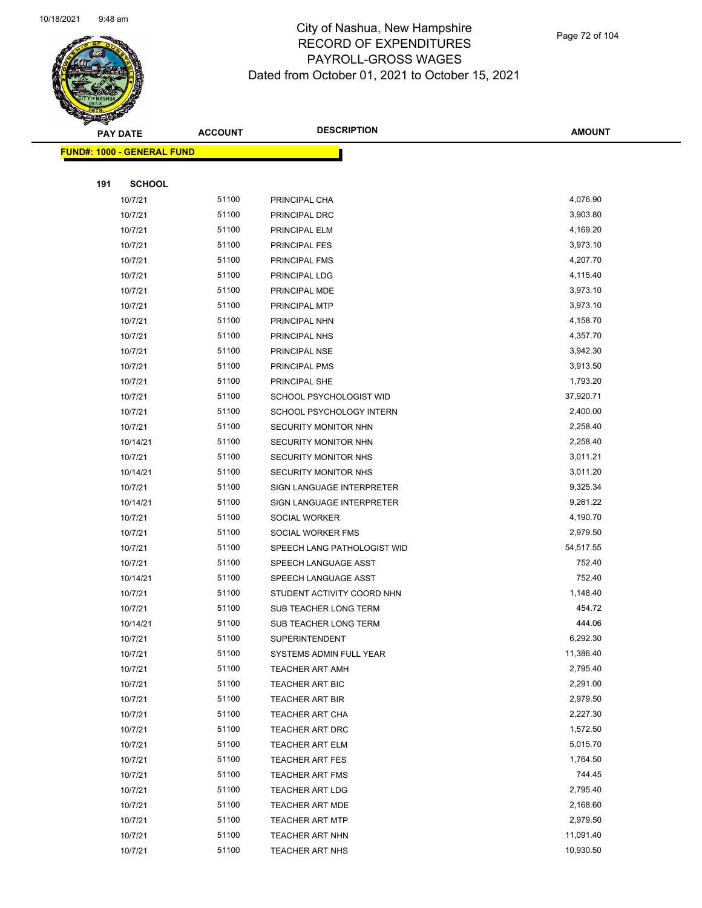

Page 72 of 104

|     | PAY DATE                          | <b>ACCOUNT</b> | <b>DESCRIPTION</b>                               | <b>AMOUNT</b>        |  |
|-----|-----------------------------------|----------------|--------------------------------------------------|----------------------|--|
|     | <b>FUND#: 1000 - GENERAL FUND</b> |                |                                                  |                      |  |
|     |                                   |                |                                                  |                      |  |
| 191 | <b>SCHOOL</b>                     |                |                                                  |                      |  |
|     | 10/7/21                           | 51100          | PRINCIPAL CHA                                    | 4,076.90             |  |
|     | 10/7/21                           | 51100          | PRINCIPAL DRC                                    | 3,903.80             |  |
|     | 10/7/21                           | 51100          | PRINCIPAL ELM                                    | 4,169.20             |  |
|     | 10/7/21                           | 51100          | PRINCIPAL FES                                    | 3,973.10             |  |
|     | 10/7/21                           | 51100          | PRINCIPAL FMS                                    | 4,207.70             |  |
|     | 10/7/21                           | 51100          | PRINCIPAL LDG                                    | 4,115.40             |  |
|     | 10/7/21                           | 51100          | PRINCIPAL MDE                                    | 3,973.10             |  |
|     | 10/7/21                           | 51100          | PRINCIPAL MTP                                    | 3,973.10             |  |
|     | 10/7/21                           | 51100          | PRINCIPAL NHN                                    | 4,158.70             |  |
|     | 10/7/21                           | 51100          | PRINCIPAL NHS                                    | 4,357.70             |  |
|     | 10/7/21                           | 51100          | PRINCIPAL NSE                                    | 3,942.30             |  |
|     | 10/7/21                           | 51100          | PRINCIPAL PMS                                    | 3,913.50             |  |
|     | 10/7/21                           | 51100          | PRINCIPAL SHE                                    | 1,793.20             |  |
|     | 10/7/21                           | 51100          | SCHOOL PSYCHOLOGIST WID                          | 37,920.71            |  |
|     | 10/7/21                           | 51100          | SCHOOL PSYCHOLOGY INTERN                         | 2,400.00             |  |
|     | 10/7/21                           | 51100          | SECURITY MONITOR NHN                             | 2,258.40             |  |
|     | 10/14/21                          | 51100          | SECURITY MONITOR NHN                             | 2,258.40             |  |
|     | 10/7/21                           | 51100          | SECURITY MONITOR NHS                             | 3,011.21             |  |
|     | 10/14/21                          | 51100          | <b>SECURITY MONITOR NHS</b>                      | 3,011.20             |  |
|     | 10/7/21                           | 51100          | SIGN LANGUAGE INTERPRETER                        | 9,325.34             |  |
|     | 10/14/21                          | 51100          | SIGN LANGUAGE INTERPRETER                        | 9,261.22             |  |
|     | 10/7/21                           | 51100          | SOCIAL WORKER                                    | 4,190.70             |  |
|     | 10/7/21                           | 51100          | SOCIAL WORKER FMS                                | 2,979.50             |  |
|     | 10/7/21                           | 51100          | SPEECH LANG PATHOLOGIST WID                      | 54,517.55            |  |
|     | 10/7/21                           | 51100          | SPEECH LANGUAGE ASST                             | 752.40               |  |
|     | 10/14/21                          | 51100          | SPEECH LANGUAGE ASST                             | 752.40               |  |
|     | 10/7/21                           | 51100          | STUDENT ACTIVITY COORD NHN                       | 1,148.40             |  |
|     | 10/7/21                           | 51100          | SUB TEACHER LONG TERM                            | 454.72               |  |
|     | 10/14/21                          | 51100          | SUB TEACHER LONG TERM                            | 444.06               |  |
|     | 10/7/21                           | 51100          | SUPERINTENDENT                                   | 6,292.30             |  |
|     | 10/7/21                           | 51100          | SYSTEMS ADMIN FULL YEAR                          | 11,386.40            |  |
|     | 10/7/21                           | 51100          | <b>TEACHER ART AMH</b>                           | 2,795.40             |  |
|     | 10/7/21                           | 51100          | TEACHER ART BIC                                  | 2,291.00             |  |
|     | 10/7/21                           | 51100          | TEACHER ART BIR                                  | 2,979.50             |  |
|     | 10/7/21                           | 51100          | <b>TEACHER ART CHA</b>                           | 2,227.30             |  |
|     | 10/7/21                           | 51100          | <b>TEACHER ART DRC</b>                           | 1,572.50             |  |
|     | 10/7/21                           | 51100          | <b>TEACHER ART ELM</b>                           | 5,015.70<br>1,764.50 |  |
|     | 10/7/21                           | 51100          | <b>TEACHER ART FES</b>                           | 744.45               |  |
|     | 10/7/21                           | 51100<br>51100 | <b>TEACHER ART FMS</b>                           | 2,795.40             |  |
|     | 10/7/21<br>10/7/21                | 51100          | <b>TEACHER ART LDG</b>                           | 2,168.60             |  |
|     | 10/7/21                           | 51100          | <b>TEACHER ART MDE</b><br><b>TEACHER ART MTP</b> | 2,979.50             |  |
|     | 10/7/21                           | 51100          | <b>TEACHER ART NHN</b>                           | 11,091.40            |  |
|     | 10/7/21                           | 51100          | <b>TEACHER ART NHS</b>                           | 10,930.50            |  |
|     |                                   |                |                                                  |                      |  |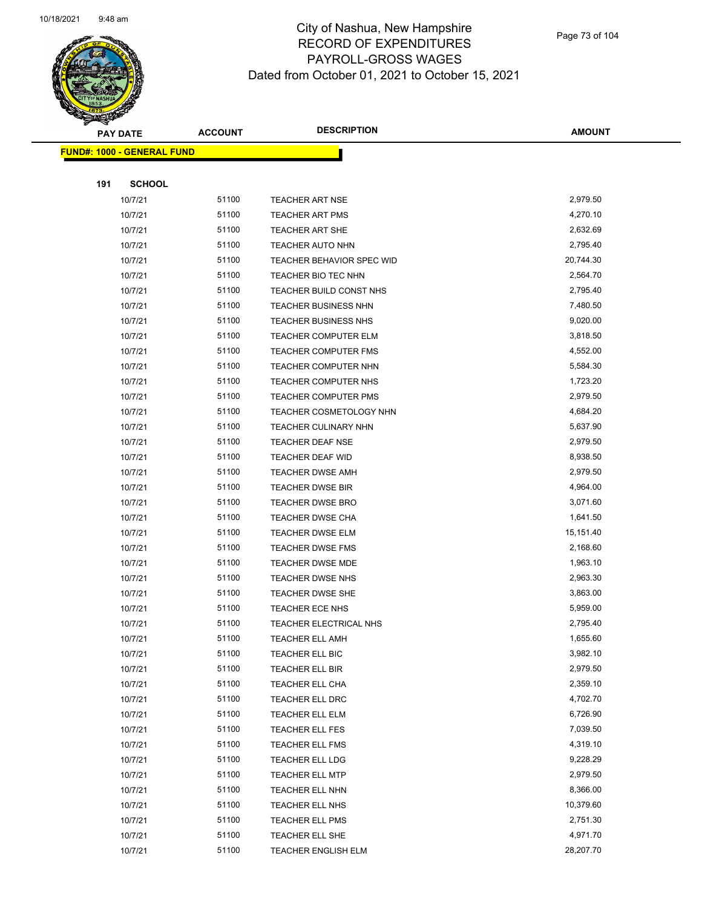

Page 73 of 104

|     | <u> FUND#: 1000 - GENERAL FUND</u> |                |                                             |                      |
|-----|------------------------------------|----------------|---------------------------------------------|----------------------|
|     |                                    |                |                                             |                      |
| 191 | <b>SCHOOL</b>                      |                |                                             |                      |
|     | 10/7/21                            | 51100          | <b>TEACHER ART NSE</b>                      | 2,979.50             |
|     | 10/7/21                            | 51100          | <b>TEACHER ART PMS</b>                      | 4,270.10             |
|     | 10/7/21                            | 51100          | TEACHER ART SHE                             | 2,632.69             |
|     | 10/7/21                            | 51100          | <b>TEACHER AUTO NHN</b>                     | 2,795.40             |
|     | 10/7/21                            | 51100          | TEACHER BEHAVIOR SPEC WID                   | 20,744.30            |
|     | 10/7/21                            | 51100          | TEACHER BIO TEC NHN                         | 2,564.70             |
|     | 10/7/21                            | 51100          | TEACHER BUILD CONST NHS                     | 2,795.40             |
|     | 10/7/21                            | 51100          | <b>TEACHER BUSINESS NHN</b>                 | 7,480.50             |
|     | 10/7/21                            | 51100          | TEACHER BUSINESS NHS                        | 9,020.00             |
|     | 10/7/21                            | 51100          | <b>TEACHER COMPUTER ELM</b>                 | 3,818.50             |
|     | 10/7/21                            | 51100          | <b>TEACHER COMPUTER FMS</b>                 | 4,552.00             |
|     | 10/7/21                            | 51100          | TEACHER COMPUTER NHN                        | 5,584.30             |
|     | 10/7/21                            | 51100          | TEACHER COMPUTER NHS                        | 1,723.20             |
|     | 10/7/21                            | 51100          | TEACHER COMPUTER PMS                        | 2,979.50             |
|     | 10/7/21                            | 51100          | TEACHER COSMETOLOGY NHN                     | 4,684.20             |
|     | 10/7/21                            | 51100          | TEACHER CULINARY NHN                        | 5,637.90             |
|     | 10/7/21                            | 51100          | TEACHER DEAF NSE                            | 2,979.50             |
|     | 10/7/21                            | 51100          | TEACHER DEAF WID                            | 8,938.50             |
|     | 10/7/21                            | 51100<br>51100 | TEACHER DWSE AMH                            | 2,979.50<br>4,964.00 |
|     | 10/7/21<br>10/7/21                 | 51100          | TEACHER DWSE BIR<br><b>TEACHER DWSE BRO</b> | 3,071.60             |
|     | 10/7/21                            | 51100          | <b>TEACHER DWSE CHA</b>                     | 1,641.50             |
|     | 10/7/21                            | 51100          | <b>TEACHER DWSE ELM</b>                     | 15,151.40            |
|     | 10/7/21                            | 51100          | TEACHER DWSE FMS                            | 2,168.60             |
|     | 10/7/21                            | 51100          | TEACHER DWSE MDE                            | 1,963.10             |
|     | 10/7/21                            | 51100          | <b>TEACHER DWSE NHS</b>                     | 2,963.30             |
|     | 10/7/21                            | 51100          | TEACHER DWSE SHE                            | 3,863.00             |
|     | 10/7/21                            | 51100          | <b>TEACHER ECE NHS</b>                      | 5,959.00             |
|     | 10/7/21                            | 51100          | TEACHER ELECTRICAL NHS                      | 2,795.40             |
|     | 10/7/21                            | 51100          | <b>TEACHER ELL AMH</b>                      | 1,655.60             |
|     | 10/7/21                            | 51100          | TEACHER ELL BIC                             | 3,982.10             |
|     | 10/7/21                            | 51100          | TEACHER ELL BIR                             | 2,979.50             |
|     | 10/7/21                            | 51100          | TEACHER ELL CHA                             | 2,359.10             |
|     | 10/7/21                            | 51100          | TEACHER ELL DRC                             | 4,702.70             |
|     | 10/7/21                            | 51100          | TEACHER ELL ELM                             | 6,726.90             |
|     | 10/7/21                            | 51100          | TEACHER ELL FES                             | 7,039.50             |
|     | 10/7/21                            | 51100          | TEACHER ELL FMS                             | 4,319.10             |
|     | 10/7/21                            | 51100          | TEACHER ELL LDG                             | 9,228.29             |
|     | 10/7/21                            | 51100          | TEACHER ELL MTP                             | 2,979.50             |
|     | 10/7/21                            | 51100          | TEACHER ELL NHN                             | 8,366.00             |
|     | 10/7/21                            | 51100          | TEACHER ELL NHS                             | 10,379.60            |
|     | 10/7/21                            | 51100          | TEACHER ELL PMS                             | 2,751.30             |
|     | 10/7/21                            | 51100          | TEACHER ELL SHE                             | 4,971.70             |
|     | 10/7/21                            | 51100          | TEACHER ENGLISH ELM                         | 28,207.70            |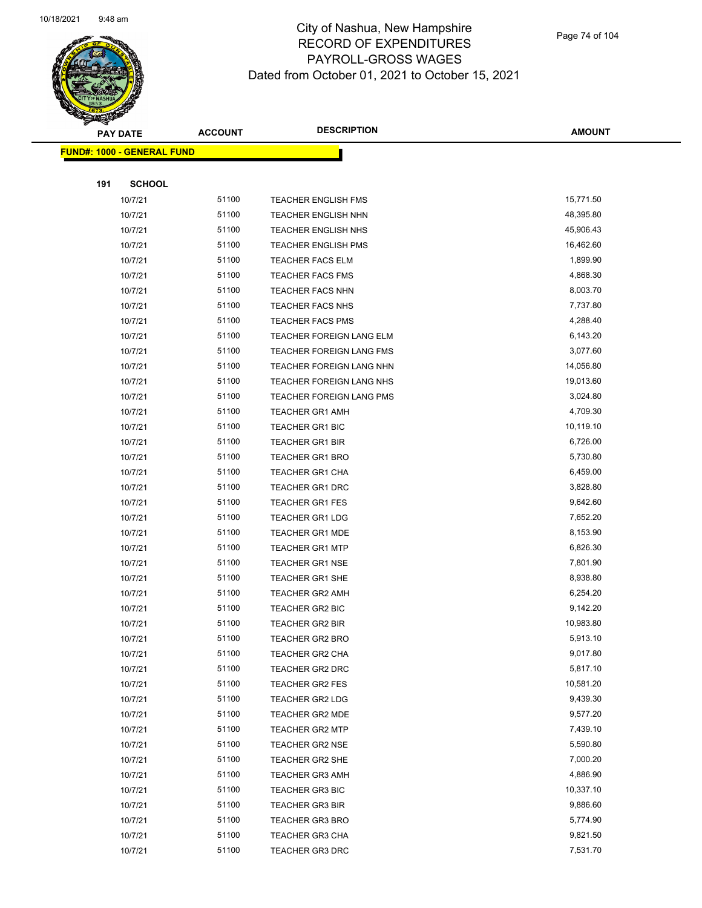

Page 74 of 104

|     | <u> FUND#: 1000 - GENERAL FUND</u> |                |                                                      |                       |
|-----|------------------------------------|----------------|------------------------------------------------------|-----------------------|
|     |                                    |                |                                                      |                       |
| 191 | <b>SCHOOL</b>                      |                |                                                      |                       |
|     | 10/7/21                            | 51100          | TEACHER ENGLISH FMS                                  | 15,771.50             |
|     | 10/7/21                            | 51100          | <b>TEACHER ENGLISH NHN</b>                           | 48,395.80             |
|     | 10/7/21                            | 51100          | <b>TEACHER ENGLISH NHS</b>                           | 45,906.43             |
|     | 10/7/21                            | 51100          | <b>TEACHER ENGLISH PMS</b>                           | 16,462.60             |
|     | 10/7/21                            | 51100          | <b>TEACHER FACS ELM</b>                              | 1,899.90              |
|     | 10/7/21                            | 51100          | <b>TEACHER FACS FMS</b>                              | 4,868.30              |
|     | 10/7/21                            | 51100          | <b>TEACHER FACS NHN</b>                              | 8,003.70              |
|     | 10/7/21                            | 51100          | <b>TEACHER FACS NHS</b>                              | 7,737.80              |
|     | 10/7/21                            | 51100          | <b>TEACHER FACS PMS</b>                              | 4,288.40              |
|     | 10/7/21                            | 51100<br>51100 | TEACHER FOREIGN LANG ELM                             | 6,143.20<br>3,077.60  |
|     | 10/7/21<br>10/7/21                 | 51100          | TEACHER FOREIGN LANG FMS<br>TEACHER FOREIGN LANG NHN | 14,056.80             |
|     | 10/7/21                            | 51100          | TEACHER FOREIGN LANG NHS                             | 19,013.60             |
|     | 10/7/21                            | 51100          | TEACHER FOREIGN LANG PMS                             | 3,024.80              |
|     | 10/7/21                            | 51100          | TEACHER GR1 AMH                                      | 4,709.30              |
|     | 10/7/21                            | 51100          | <b>TEACHER GR1 BIC</b>                               | 10,119.10             |
|     | 10/7/21                            | 51100          | <b>TEACHER GR1 BIR</b>                               | 6,726.00              |
|     | 10/7/21                            | 51100          | TEACHER GR1 BRO                                      | 5,730.80              |
|     | 10/7/21                            | 51100          | <b>TEACHER GR1 CHA</b>                               | 6,459.00              |
|     | 10/7/21                            | 51100          | TEACHER GR1 DRC                                      | 3,828.80              |
|     | 10/7/21                            | 51100          | <b>TEACHER GR1 FES</b>                               | 9,642.60              |
|     | 10/7/21                            | 51100          | <b>TEACHER GR1 LDG</b>                               | 7,652.20              |
|     | 10/7/21                            | 51100          | <b>TEACHER GR1 MDE</b>                               | 8,153.90              |
|     | 10/7/21                            | 51100          | <b>TEACHER GR1 MTP</b>                               | 6,826.30              |
|     | 10/7/21                            | 51100          | <b>TEACHER GR1 NSE</b>                               | 7,801.90              |
|     | 10/7/21                            | 51100          | <b>TEACHER GR1 SHE</b>                               | 8,938.80              |
|     | 10/7/21                            | 51100          | <b>TEACHER GR2 AMH</b>                               | 6,254.20              |
|     | 10/7/21                            | 51100          | TEACHER GR2 BIC                                      | 9,142.20              |
|     | 10/7/21                            | 51100          | <b>TEACHER GR2 BIR</b>                               | 10,983.80             |
|     | 10/7/21                            | 51100          | TEACHER GR2 BRO                                      | 5,913.10              |
|     | 10/7/21                            | 51100          | TEACHER GR2 CHA                                      | 9,017.80              |
|     | 10/7/21                            | 51100<br>51100 | TEACHER GR2 DRC                                      | 5,817.10<br>10,581.20 |
|     | 10/7/21<br>10/7/21                 | 51100          | <b>TEACHER GR2 FES</b><br><b>TEACHER GR2 LDG</b>     | 9,439.30              |
|     | 10/7/21                            | 51100          | <b>TEACHER GR2 MDE</b>                               | 9,577.20              |
|     | 10/7/21                            | 51100          | <b>TEACHER GR2 MTP</b>                               | 7,439.10              |
|     | 10/7/21                            | 51100          | <b>TEACHER GR2 NSE</b>                               | 5,590.80              |
|     | 10/7/21                            | 51100          | <b>TEACHER GR2 SHE</b>                               | 7,000.20              |
|     | 10/7/21                            | 51100          | <b>TEACHER GR3 AMH</b>                               | 4,886.90              |
|     | 10/7/21                            | 51100          | <b>TEACHER GR3 BIC</b>                               | 10,337.10             |
|     | 10/7/21                            | 51100          | <b>TEACHER GR3 BIR</b>                               | 9,886.60              |
|     | 10/7/21                            | 51100          | <b>TEACHER GR3 BRO</b>                               | 5,774.90              |
|     | 10/7/21                            | 51100          | <b>TEACHER GR3 CHA</b>                               | 9,821.50              |
|     | 10/7/21                            | 51100          | TEACHER GR3 DRC                                      | 7,531.70              |
|     |                                    |                |                                                      |                       |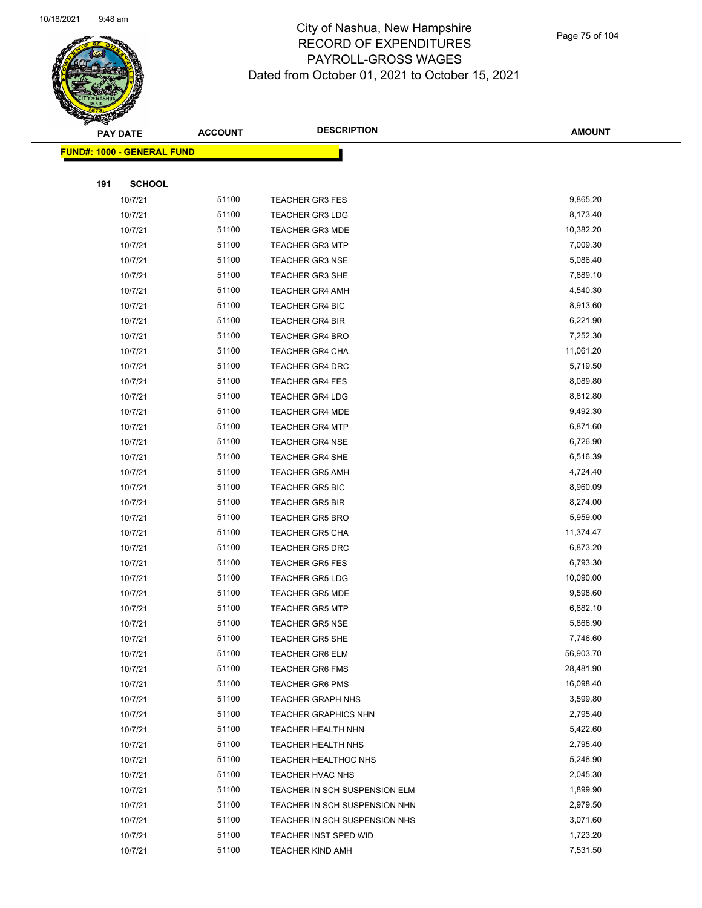

Page 75 of 104

|     | <u> FUND#: 1000 - GENERAL FUND</u> |       |                               |           |
|-----|------------------------------------|-------|-------------------------------|-----------|
|     |                                    |       |                               |           |
| 191 | <b>SCHOOL</b>                      |       |                               |           |
|     | 10/7/21                            | 51100 | <b>TEACHER GR3 FES</b>        | 9,865.20  |
|     | 10/7/21                            | 51100 | <b>TEACHER GR3 LDG</b>        | 8,173.40  |
|     | 10/7/21                            | 51100 | <b>TEACHER GR3 MDE</b>        | 10,382.20 |
|     | 10/7/21                            | 51100 | <b>TEACHER GR3 MTP</b>        | 7,009.30  |
|     | 10/7/21                            | 51100 | <b>TEACHER GR3 NSE</b>        | 5,086.40  |
|     | 10/7/21                            | 51100 | <b>TEACHER GR3 SHE</b>        | 7,889.10  |
|     | 10/7/21                            | 51100 | <b>TEACHER GR4 AMH</b>        | 4,540.30  |
|     | 10/7/21                            | 51100 | <b>TEACHER GR4 BIC</b>        | 8,913.60  |
|     | 10/7/21                            | 51100 | <b>TEACHER GR4 BIR</b>        | 6,221.90  |
|     | 10/7/21                            | 51100 | <b>TEACHER GR4 BRO</b>        | 7,252.30  |
|     | 10/7/21                            | 51100 | <b>TEACHER GR4 CHA</b>        | 11,061.20 |
|     | 10/7/21                            | 51100 | <b>TEACHER GR4 DRC</b>        | 5,719.50  |
|     | 10/7/21                            | 51100 | <b>TEACHER GR4 FES</b>        | 8,089.80  |
|     | 10/7/21                            | 51100 | <b>TEACHER GR4 LDG</b>        | 8,812.80  |
|     | 10/7/21                            | 51100 | <b>TEACHER GR4 MDE</b>        | 9,492.30  |
|     | 10/7/21                            | 51100 | <b>TEACHER GR4 MTP</b>        | 6,871.60  |
|     | 10/7/21                            | 51100 | <b>TEACHER GR4 NSE</b>        | 6,726.90  |
|     | 10/7/21                            | 51100 | <b>TEACHER GR4 SHE</b>        | 6,516.39  |
|     | 10/7/21                            | 51100 | <b>TEACHER GR5 AMH</b>        | 4,724.40  |
|     | 10/7/21                            | 51100 | <b>TEACHER GR5 BIC</b>        | 8,960.09  |
|     | 10/7/21                            | 51100 | <b>TEACHER GR5 BIR</b>        | 8,274.00  |
|     | 10/7/21                            | 51100 | <b>TEACHER GR5 BRO</b>        | 5,959.00  |
|     | 10/7/21                            | 51100 | <b>TEACHER GR5 CHA</b>        | 11,374.47 |
|     | 10/7/21                            | 51100 | <b>TEACHER GR5 DRC</b>        | 6,873.20  |
|     | 10/7/21                            | 51100 | <b>TEACHER GR5 FES</b>        | 6,793.30  |
|     | 10/7/21                            | 51100 | <b>TEACHER GR5 LDG</b>        | 10,090.00 |
|     | 10/7/21                            | 51100 | <b>TEACHER GR5 MDE</b>        | 9,598.60  |
|     | 10/7/21                            | 51100 | <b>TEACHER GR5 MTP</b>        | 6,882.10  |
|     | 10/7/21                            | 51100 | <b>TEACHER GR5 NSE</b>        | 5,866.90  |
|     | 10/7/21                            | 51100 | TEACHER GR5 SHE               | 7,746.60  |
|     | 10/7/21                            | 51100 | TEACHER GR6 ELM               | 56,903.70 |
|     | 10/7/21                            | 51100 | <b>TEACHER GR6 FMS</b>        | 28,481.90 |
|     | 10/7/21                            | 51100 | <b>TEACHER GR6 PMS</b>        | 16,098.40 |
|     | 10/7/21                            | 51100 | <b>TEACHER GRAPH NHS</b>      | 3,599.80  |
|     | 10/7/21                            | 51100 | <b>TEACHER GRAPHICS NHN</b>   | 2,795.40  |
|     | 10/7/21                            | 51100 | <b>TEACHER HEALTH NHN</b>     | 5,422.60  |
|     | 10/7/21                            | 51100 | <b>TEACHER HEALTH NHS</b>     | 2,795.40  |
|     | 10/7/21                            | 51100 | TEACHER HEALTHOC NHS          | 5,246.90  |
|     | 10/7/21                            | 51100 | TEACHER HVAC NHS              | 2,045.30  |
|     | 10/7/21                            | 51100 | TEACHER IN SCH SUSPENSION ELM | 1,899.90  |
|     | 10/7/21                            | 51100 | TEACHER IN SCH SUSPENSION NHN | 2,979.50  |
|     | 10/7/21                            | 51100 | TEACHER IN SCH SUSPENSION NHS | 3,071.60  |
|     | 10/7/21                            | 51100 | TEACHER INST SPED WID         | 1,723.20  |
|     | 10/7/21                            | 51100 | TEACHER KIND AMH              | 7,531.50  |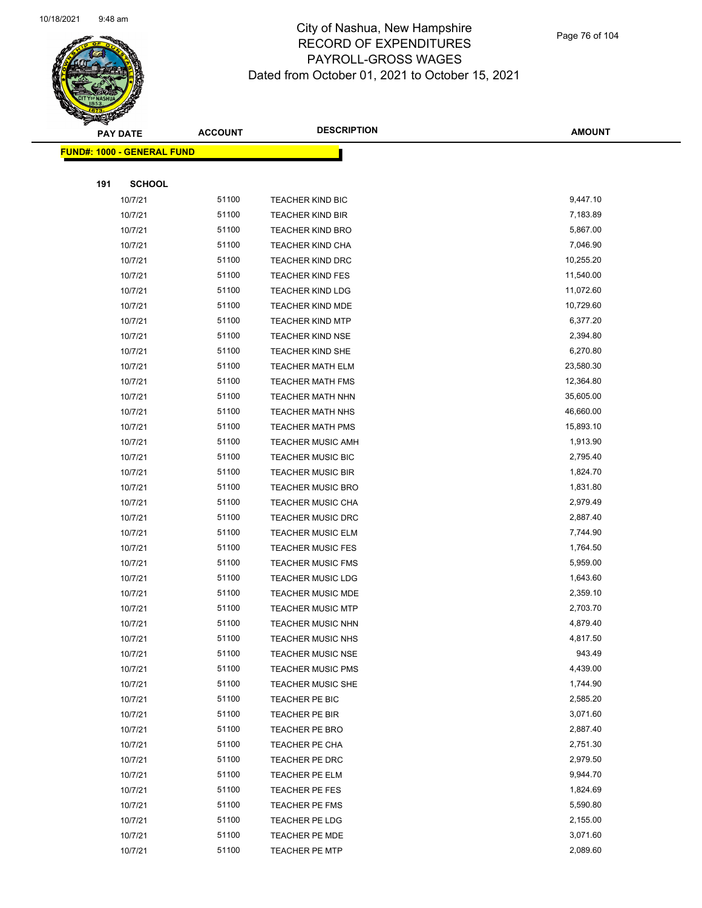

Page 76 of 104

|     | <b>PAY DATE</b>                   | <b>ACCOUNT</b> | <b>DESCRIPTION</b>       | <b>AMOUNT</b> |
|-----|-----------------------------------|----------------|--------------------------|---------------|
|     | <b>FUND#: 1000 - GENERAL FUND</b> |                |                          |               |
|     |                                   |                |                          |               |
| 191 | <b>SCHOOL</b>                     |                |                          |               |
|     | 10/7/21                           | 51100          | <b>TEACHER KIND BIC</b>  | 9,447.10      |
|     | 10/7/21                           | 51100          | <b>TEACHER KIND BIR</b>  | 7,183.89      |
|     | 10/7/21                           | 51100          | <b>TEACHER KIND BRO</b>  | 5,867.00      |
|     | 10/7/21                           | 51100          | <b>TEACHER KIND CHA</b>  | 7,046.90      |
|     | 10/7/21                           | 51100          | <b>TEACHER KIND DRC</b>  | 10,255.20     |
|     | 10/7/21                           | 51100          | <b>TEACHER KIND FES</b>  | 11,540.00     |
|     | 10/7/21                           | 51100          | <b>TEACHER KIND LDG</b>  | 11,072.60     |
|     | 10/7/21                           | 51100          | <b>TEACHER KIND MDE</b>  | 10,729.60     |
|     | 10/7/21                           | 51100          | <b>TEACHER KIND MTP</b>  | 6,377.20      |
|     | 10/7/21                           | 51100          | <b>TEACHER KIND NSE</b>  | 2,394.80      |
|     | 10/7/21                           | 51100          | <b>TEACHER KIND SHE</b>  | 6,270.80      |
|     | 10/7/21                           | 51100          | <b>TEACHER MATH ELM</b>  | 23,580.30     |
|     | 10/7/21                           | 51100          | <b>TEACHER MATH FMS</b>  | 12,364.80     |
|     | 10/7/21                           | 51100          | <b>TEACHER MATH NHN</b>  | 35,605.00     |
|     | 10/7/21                           | 51100          | TEACHER MATH NHS         | 46,660.00     |
|     | 10/7/21                           | 51100          | <b>TEACHER MATH PMS</b>  | 15,893.10     |
|     | 10/7/21                           | 51100          | <b>TEACHER MUSIC AMH</b> | 1,913.90      |
|     | 10/7/21                           | 51100          | <b>TEACHER MUSIC BIC</b> | 2,795.40      |
|     | 10/7/21                           | 51100          | <b>TEACHER MUSIC BIR</b> | 1,824.70      |
|     | 10/7/21                           | 51100          | <b>TEACHER MUSIC BRO</b> | 1,831.80      |
|     | 10/7/21                           | 51100          | <b>TEACHER MUSIC CHA</b> | 2,979.49      |
|     | 10/7/21                           | 51100          | <b>TEACHER MUSIC DRC</b> | 2,887.40      |
|     | 10/7/21                           | 51100          | <b>TEACHER MUSIC ELM</b> | 7,744.90      |
|     | 10/7/21                           | 51100          | <b>TEACHER MUSIC FES</b> | 1,764.50      |
|     | 10/7/21                           | 51100          | <b>TEACHER MUSIC FMS</b> | 5,959.00      |
|     | 10/7/21                           | 51100          | <b>TEACHER MUSIC LDG</b> | 1,643.60      |
|     | 10/7/21                           | 51100          | <b>TEACHER MUSIC MDE</b> | 2,359.10      |
|     | 10/7/21                           | 51100          | <b>TEACHER MUSIC MTP</b> | 2,703.70      |
|     | 10/7/21                           | 51100          | TEACHER MUSIC NHN        | 4,879.40      |
|     | 10/7/21                           | 51100          | TEACHER MUSIC NHS        | 4,817.50      |
|     | 10/7/21                           | 51100          | <b>TEACHER MUSIC NSE</b> | 943.49        |
|     | 10/7/21                           | 51100          | <b>TEACHER MUSIC PMS</b> | 4,439.00      |
|     | 10/7/21                           | 51100          | <b>TEACHER MUSIC SHE</b> | 1,744.90      |
|     | 10/7/21                           | 51100          | TEACHER PE BIC           | 2,585.20      |
|     | 10/7/21                           | 51100          | TEACHER PE BIR           | 3,071.60      |
|     | 10/7/21                           | 51100          | TEACHER PE BRO           | 2,887.40      |
|     | 10/7/21                           | 51100          | TEACHER PE CHA           | 2,751.30      |
|     | 10/7/21                           | 51100          | TEACHER PE DRC           | 2,979.50      |
|     | 10/7/21                           | 51100          | TEACHER PE ELM           | 9,944.70      |
|     | 10/7/21                           | 51100          | TEACHER PE FES           | 1,824.69      |
|     | 10/7/21                           | 51100          | TEACHER PE FMS           | 5,590.80      |
|     | 10/7/21                           | 51100          | TEACHER PE LDG           | 2,155.00      |
|     | 10/7/21                           | 51100          | TEACHER PE MDE           | 3,071.60      |
|     | 10/7/21                           | 51100          | <b>TEACHER PE MTP</b>    | 2,089.60      |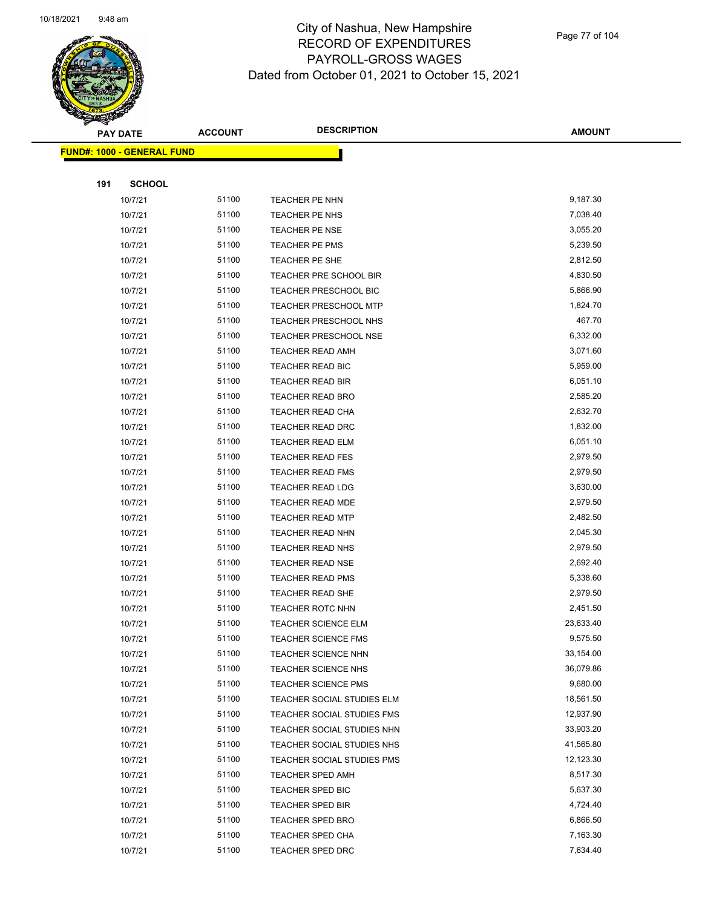

Page 77 of 104

|     | PAY DATE                          | <b>ACCOUNT</b> | <b>DESCRIPTION</b>           | <b>AMOUNT</b> |
|-----|-----------------------------------|----------------|------------------------------|---------------|
|     | <b>FUND#: 1000 - GENERAL FUND</b> |                |                              |               |
|     |                                   |                |                              |               |
| 191 | <b>SCHOOL</b>                     |                |                              |               |
|     | 10/7/21                           | 51100          | TEACHER PE NHN               | 9,187.30      |
|     | 10/7/21                           | 51100          | <b>TEACHER PE NHS</b>        | 7,038.40      |
|     | 10/7/21                           | 51100          | <b>TEACHER PE NSE</b>        | 3,055.20      |
|     | 10/7/21                           | 51100          | TEACHER PE PMS               | 5,239.50      |
|     | 10/7/21                           | 51100          | TEACHER PE SHE               | 2,812.50      |
|     | 10/7/21                           | 51100          | TEACHER PRE SCHOOL BIR       | 4,830.50      |
|     | 10/7/21                           | 51100          | TEACHER PRESCHOOL BIC        | 5,866.90      |
|     | 10/7/21                           | 51100          | <b>TEACHER PRESCHOOL MTP</b> | 1,824.70      |
|     | 10/7/21                           | 51100          | TEACHER PRESCHOOL NHS        | 467.70        |
|     | 10/7/21                           | 51100          | TEACHER PRESCHOOL NSE        | 6,332.00      |
|     | 10/7/21                           | 51100          | TEACHER READ AMH             | 3,071.60      |
|     | 10/7/21                           | 51100          | TEACHER READ BIC             | 5,959.00      |
|     | 10/7/21                           | 51100          | TEACHER READ BIR             | 6,051.10      |
|     | 10/7/21                           | 51100          | <b>TEACHER READ BRO</b>      | 2,585.20      |
|     | 10/7/21                           | 51100          | TEACHER READ CHA             | 2,632.70      |
|     | 10/7/21                           | 51100          | <b>TEACHER READ DRC</b>      | 1,832.00      |
|     | 10/7/21                           | 51100          | TEACHER READ ELM             | 6,051.10      |
|     | 10/7/21                           | 51100          | <b>TEACHER READ FES</b>      | 2,979.50      |
|     | 10/7/21                           | 51100          | <b>TEACHER READ FMS</b>      | 2,979.50      |
|     | 10/7/21                           | 51100          | TEACHER READ LDG             | 3,630.00      |
|     | 10/7/21                           | 51100          | TEACHER READ MDE             | 2,979.50      |
|     | 10/7/21                           | 51100          | <b>TEACHER READ MTP</b>      | 2,482.50      |
|     | 10/7/21                           | 51100          | TEACHER READ NHN             | 2,045.30      |
|     | 10/7/21                           | 51100          | TEACHER READ NHS             | 2,979.50      |
|     | 10/7/21                           | 51100          | <b>TEACHER READ NSE</b>      | 2,692.40      |
|     | 10/7/21                           | 51100          | <b>TEACHER READ PMS</b>      | 5,338.60      |
|     | 10/7/21                           | 51100          | <b>TEACHER READ SHE</b>      | 2,979.50      |
|     | 10/7/21                           | 51100          | <b>TEACHER ROTC NHN</b>      | 2,451.50      |
|     | 10/7/21                           | 51100          | <b>TEACHER SCIENCE ELM</b>   | 23,633.40     |
|     | 10/7/21                           | 51100          | TEACHER SCIENCE FMS          | 9,575.50      |
|     | 10/7/21                           | 51100          | TEACHER SCIENCE NHN          | 33,154.00     |
|     | 10/7/21                           | 51100          | <b>TEACHER SCIENCE NHS</b>   | 36,079.86     |
|     | 10/7/21                           | 51100          | <b>TEACHER SCIENCE PMS</b>   | 9,680.00      |
|     | 10/7/21                           | 51100          | TEACHER SOCIAL STUDIES ELM   | 18,561.50     |
|     | 10/7/21                           | 51100          | TEACHER SOCIAL STUDIES FMS   | 12,937.90     |
|     | 10/7/21                           | 51100          | TEACHER SOCIAL STUDIES NHN   | 33,903.20     |
|     | 10/7/21                           | 51100          | TEACHER SOCIAL STUDIES NHS   | 41,565.80     |
|     | 10/7/21                           | 51100          | TEACHER SOCIAL STUDIES PMS   | 12,123.30     |
|     | 10/7/21                           | 51100          | <b>TEACHER SPED AMH</b>      | 8,517.30      |
|     | 10/7/21                           | 51100          | TEACHER SPED BIC             | 5,637.30      |
|     | 10/7/21                           | 51100          | <b>TEACHER SPED BIR</b>      | 4,724.40      |
|     | 10/7/21                           | 51100          | <b>TEACHER SPED BRO</b>      | 6,866.50      |
|     | 10/7/21                           | 51100          | TEACHER SPED CHA             | 7,163.30      |
|     | 10/7/21                           | 51100          | TEACHER SPED DRC             | 7,634.40      |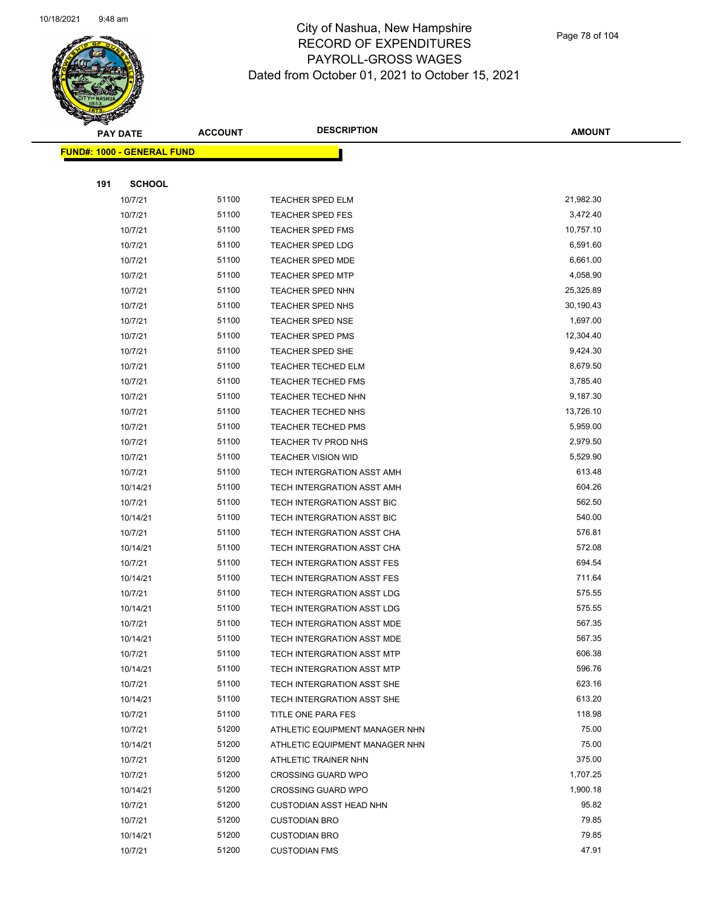

Page 78 of 104

|     | <b>PAY DATE</b>                   | <b>ACCOUNT</b> | <b>DESCRIPTION</b>             | <b>AMOUNT</b> |
|-----|-----------------------------------|----------------|--------------------------------|---------------|
|     | <b>FUND#: 1000 - GENERAL FUND</b> |                |                                |               |
|     |                                   |                |                                |               |
| 191 | <b>SCHOOL</b>                     |                |                                |               |
|     | 10/7/21                           | 51100          | TEACHER SPED ELM               | 21,982.30     |
|     | 10/7/21                           | 51100          | <b>TEACHER SPED FES</b>        | 3,472.40      |
|     | 10/7/21                           | 51100          | <b>TEACHER SPED FMS</b>        | 10,757.10     |
|     | 10/7/21                           | 51100          | <b>TEACHER SPED LDG</b>        | 6,591.60      |
|     | 10/7/21                           | 51100          | <b>TEACHER SPED MDE</b>        | 6,661.00      |
|     | 10/7/21                           | 51100          | <b>TEACHER SPED MTP</b>        | 4,058.90      |
|     | 10/7/21                           | 51100          | <b>TEACHER SPED NHN</b>        | 25,325.89     |
|     | 10/7/21                           | 51100          | TEACHER SPED NHS               | 30,190.43     |
|     | 10/7/21                           | 51100          | <b>TEACHER SPED NSE</b>        | 1,697.00      |
|     | 10/7/21                           | 51100          | <b>TEACHER SPED PMS</b>        | 12,304.40     |
|     | 10/7/21                           | 51100          | <b>TEACHER SPED SHE</b>        | 9,424.30      |
|     | 10/7/21                           | 51100          | <b>TEACHER TECHED ELM</b>      | 8,679.50      |
|     | 10/7/21                           | 51100          | <b>TEACHER TECHED FMS</b>      | 3,785.40      |
|     | 10/7/21                           | 51100          | TEACHER TECHED NHN             | 9,187.30      |
|     | 10/7/21                           | 51100          | TEACHER TECHED NHS             | 13,726.10     |
|     | 10/7/21                           | 51100          | <b>TEACHER TECHED PMS</b>      | 5,959.00      |
|     | 10/7/21                           | 51100          | TEACHER TV PROD NHS            | 2,979.50      |
|     | 10/7/21                           | 51100          | <b>TEACHER VISION WID</b>      | 5,529.90      |
|     | 10/7/21                           | 51100          | TECH INTERGRATION ASST AMH     | 613.48        |
|     | 10/14/21                          | 51100          | TECH INTERGRATION ASST AMH     | 604.26        |
|     | 10/7/21                           | 51100          | TECH INTERGRATION ASST BIC     | 562.50        |
|     | 10/14/21                          | 51100          | TECH INTERGRATION ASST BIC     | 540.00        |
|     | 10/7/21                           | 51100          | TECH INTERGRATION ASST CHA     | 576.81        |
|     | 10/14/21                          | 51100          | TECH INTERGRATION ASST CHA     | 572.08        |
|     | 10/7/21                           | 51100          | TECH INTERGRATION ASST FES     | 694.54        |
|     | 10/14/21                          | 51100          | TECH INTERGRATION ASST FES     | 711.64        |
|     | 10/7/21                           | 51100          | TECH INTERGRATION ASST LDG     | 575.55        |
|     | 10/14/21                          | 51100          | TECH INTERGRATION ASST LDG     | 575.55        |
|     | 10/7/21                           | 51100          | TECH INTERGRATION ASST MDE     | 567.35        |
|     | 10/14/21                          | 51100          | TECH INTERGRATION ASST MDE     | 567.35        |
|     | 10/7/21                           | 51100          | TECH INTERGRATION ASST MTP     | 606.38        |
|     | 10/14/21                          | 51100          | TECH INTERGRATION ASST MTP     | 596.76        |
|     | 10/7/21                           | 51100          | TECH INTERGRATION ASST SHE     | 623.16        |
|     | 10/14/21                          | 51100          | TECH INTERGRATION ASST SHE     | 613.20        |
|     | 10/7/21                           | 51100          | TITLE ONE PARA FES             | 118.98        |
|     | 10/7/21                           | 51200          | ATHLETIC EQUIPMENT MANAGER NHN | 75.00         |
|     | 10/14/21                          | 51200          | ATHLETIC EQUIPMENT MANAGER NHN | 75.00         |
|     | 10/7/21                           | 51200          | ATHLETIC TRAINER NHN           | 375.00        |
|     | 10/7/21                           | 51200          | <b>CROSSING GUARD WPO</b>      | 1,707.25      |
|     | 10/14/21                          | 51200          | <b>CROSSING GUARD WPO</b>      | 1,900.18      |
|     | 10/7/21                           | 51200          | <b>CUSTODIAN ASST HEAD NHN</b> | 95.82         |
|     | 10/7/21                           | 51200          | <b>CUSTODIAN BRO</b>           | 79.85         |
|     | 10/14/21                          | 51200          | <b>CUSTODIAN BRO</b>           | 79.85         |
|     | 10/7/21                           | 51200          | <b>CUSTODIAN FMS</b>           | 47.91         |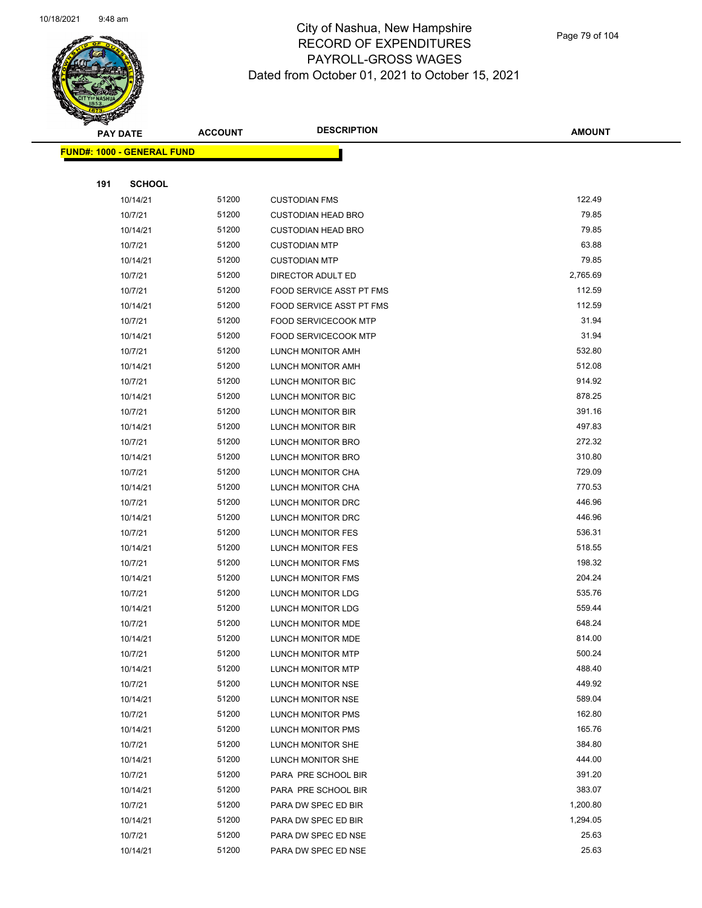

Page 79 of 104

|     | PAY DATE                           | <b>ACCOUNT</b> | <b>DESCRIPTION</b>          | <b>AMOUNT</b> |
|-----|------------------------------------|----------------|-----------------------------|---------------|
|     | <u> FUND#: 1000 - GENERAL FUND</u> |                |                             |               |
|     |                                    |                |                             |               |
| 191 | <b>SCHOOL</b>                      |                |                             |               |
|     | 10/14/21                           | 51200          | <b>CUSTODIAN FMS</b>        | 122.49        |
|     | 10/7/21                            | 51200          | <b>CUSTODIAN HEAD BRO</b>   | 79.85         |
|     | 10/14/21                           | 51200          | <b>CUSTODIAN HEAD BRO</b>   | 79.85         |
|     | 10/7/21                            | 51200          | <b>CUSTODIAN MTP</b>        | 63.88         |
|     | 10/14/21                           | 51200          | <b>CUSTODIAN MTP</b>        | 79.85         |
|     | 10/7/21                            | 51200          | DIRECTOR ADULT ED           | 2,765.69      |
|     | 10/7/21                            | 51200          | FOOD SERVICE ASST PT FMS    | 112.59        |
|     | 10/14/21                           | 51200          | FOOD SERVICE ASST PT FMS    | 112.59        |
|     | 10/7/21                            | 51200          | <b>FOOD SERVICECOOK MTP</b> | 31.94         |
|     | 10/14/21                           | 51200          | <b>FOOD SERVICECOOK MTP</b> | 31.94         |
|     | 10/7/21                            | 51200          | LUNCH MONITOR AMH           | 532.80        |
|     | 10/14/21                           | 51200          | LUNCH MONITOR AMH           | 512.08        |
|     | 10/7/21                            | 51200          | LUNCH MONITOR BIC           | 914.92        |
|     | 10/14/21                           | 51200          | <b>LUNCH MONITOR BIC</b>    | 878.25        |
|     | 10/7/21                            | 51200          | LUNCH MONITOR BIR           | 391.16        |
|     | 10/14/21                           | 51200          | LUNCH MONITOR BIR           | 497.83        |
|     | 10/7/21                            | 51200          | LUNCH MONITOR BRO           | 272.32        |
|     | 10/14/21                           | 51200          | LUNCH MONITOR BRO           | 310.80        |
|     | 10/7/21                            | 51200          | LUNCH MONITOR CHA           | 729.09        |
|     | 10/14/21                           | 51200          | LUNCH MONITOR CHA           | 770.53        |
|     | 10/7/21                            | 51200          | LUNCH MONITOR DRC           | 446.96        |
|     | 10/14/21                           | 51200          | LUNCH MONITOR DRC           | 446.96        |
|     | 10/7/21                            | 51200          | LUNCH MONITOR FES           | 536.31        |
|     | 10/14/21                           | 51200          | LUNCH MONITOR FES           | 518.55        |
|     | 10/7/21                            | 51200          | LUNCH MONITOR FMS           | 198.32        |
|     | 10/14/21                           | 51200          | LUNCH MONITOR FMS           | 204.24        |
|     | 10/7/21                            | 51200          | LUNCH MONITOR LDG           | 535.76        |
|     | 10/14/21                           | 51200          | LUNCH MONITOR LDG           | 559.44        |
|     | 10/7/21                            | 51200          | LUNCH MONITOR MDE           | 648.24        |
|     | 10/14/21                           | 51200          | LUNCH MONITOR MDE           | 814.00        |
|     | 10/7/21                            | 51200          | <b>LUNCH MONITOR MTP</b>    | 500.24        |
|     | 10/14/21                           | 51200          | LUNCH MONITOR MTP           | 488.40        |
|     | 10/7/21                            | 51200          | LUNCH MONITOR NSE           | 449.92        |
|     | 10/14/21                           | 51200          | LUNCH MONITOR NSE           | 589.04        |
|     | 10/7/21                            | 51200          | LUNCH MONITOR PMS           | 162.80        |
|     | 10/14/21                           | 51200          | LUNCH MONITOR PMS           | 165.76        |
|     | 10/7/21                            | 51200          | LUNCH MONITOR SHE           | 384.80        |
|     | 10/14/21                           | 51200          | LUNCH MONITOR SHE           | 444.00        |
|     | 10/7/21                            | 51200          | PARA PRE SCHOOL BIR         | 391.20        |
|     | 10/14/21                           | 51200          | PARA PRE SCHOOL BIR         | 383.07        |
|     | 10/7/21                            | 51200          | PARA DW SPEC ED BIR         | 1,200.80      |
|     | 10/14/21                           | 51200          | PARA DW SPEC ED BIR         | 1,294.05      |
|     | 10/7/21                            | 51200          | PARA DW SPEC ED NSE         | 25.63         |
|     | 10/14/21                           | 51200          | PARA DW SPEC ED NSE         | 25.63         |
|     |                                    |                |                             |               |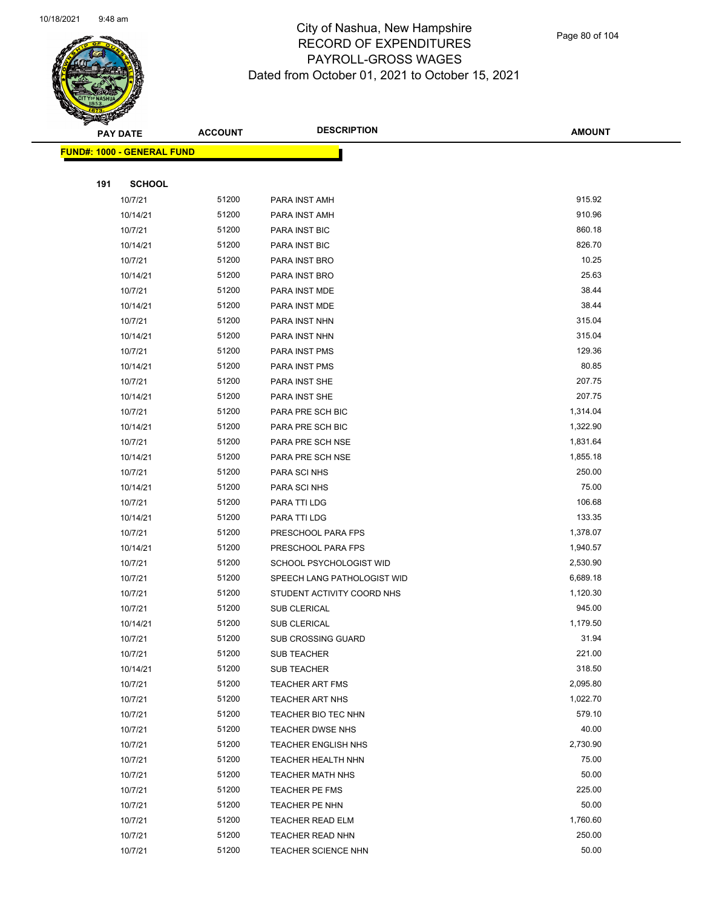

Page 80 of 104

|     | PAY DATE                           | <b>ACCOUNT</b> | <b>DESCRIPTION</b>          | <b>AMOUNT</b> |
|-----|------------------------------------|----------------|-----------------------------|---------------|
|     | <u> FUND#: 1000 - GENERAL FUND</u> |                |                             |               |
|     |                                    |                |                             |               |
| 191 | <b>SCHOOL</b>                      |                |                             |               |
|     | 10/7/21                            | 51200          | PARA INST AMH               | 915.92        |
|     | 10/14/21                           | 51200          | PARA INST AMH               | 910.96        |
|     | 10/7/21                            | 51200          | PARA INST BIC               | 860.18        |
|     | 10/14/21                           | 51200          | PARA INST BIC               | 826.70        |
|     | 10/7/21                            | 51200          | PARA INST BRO               | 10.25         |
|     | 10/14/21                           | 51200          | PARA INST BRO               | 25.63         |
|     | 10/7/21                            | 51200          | PARA INST MDE               | 38.44         |
|     | 10/14/21                           | 51200          | PARA INST MDE               | 38.44         |
|     | 10/7/21                            | 51200          | PARA INST NHN               | 315.04        |
|     | 10/14/21                           | 51200          | PARA INST NHN               | 315.04        |
|     | 10/7/21                            | 51200          | PARA INST PMS               | 129.36        |
|     | 10/14/21                           | 51200          | PARA INST PMS               | 80.85         |
|     | 10/7/21                            | 51200          | PARA INST SHE               | 207.75        |
|     | 10/14/21                           | 51200          | PARA INST SHE               | 207.75        |
|     | 10/7/21                            | 51200          | PARA PRE SCH BIC            | 1,314.04      |
|     | 10/14/21                           | 51200          | PARA PRE SCH BIC            | 1,322.90      |
|     | 10/7/21                            | 51200          | PARA PRE SCH NSE            | 1,831.64      |
|     | 10/14/21                           | 51200          | PARA PRE SCH NSE            | 1,855.18      |
|     | 10/7/21                            | 51200          | PARA SCI NHS                | 250.00        |
|     | 10/14/21                           | 51200          | PARA SCI NHS                | 75.00         |
|     | 10/7/21                            | 51200          | PARA TTI LDG                | 106.68        |
|     | 10/14/21                           | 51200          | PARA TTI LDG                | 133.35        |
|     | 10/7/21                            | 51200          | PRESCHOOL PARA FPS          | 1,378.07      |
|     | 10/14/21                           | 51200          | PRESCHOOL PARA FPS          | 1,940.57      |
|     | 10/7/21                            | 51200          | SCHOOL PSYCHOLOGIST WID     | 2,530.90      |
|     | 10/7/21                            | 51200          | SPEECH LANG PATHOLOGIST WID | 6,689.18      |
|     | 10/7/21                            | 51200          | STUDENT ACTIVITY COORD NHS  | 1,120.30      |
|     | 10/7/21                            | 51200          | <b>SUB CLERICAL</b>         | 945.00        |
|     | 10/14/21                           | 51200          | SUB CLERICAL                | 1,179.50      |
|     | 10/7/21                            | 51200          | SUB CROSSING GUARD          | 31.94         |
|     | 10/7/21                            | 51200          | <b>SUB TEACHER</b>          | 221.00        |
|     | 10/14/21                           | 51200          | <b>SUB TEACHER</b>          | 318.50        |
|     | 10/7/21                            | 51200          | <b>TEACHER ART FMS</b>      | 2,095.80      |
|     | 10/7/21                            | 51200          | <b>TEACHER ART NHS</b>      | 1,022.70      |
|     | 10/7/21                            | 51200          | TEACHER BIO TEC NHN         | 579.10        |
|     | 10/7/21                            | 51200          | TEACHER DWSE NHS            | 40.00         |
|     | 10/7/21                            | 51200          | <b>TEACHER ENGLISH NHS</b>  | 2,730.90      |
|     | 10/7/21                            | 51200          | TEACHER HEALTH NHN          | 75.00         |
|     | 10/7/21                            | 51200          | <b>TEACHER MATH NHS</b>     | 50.00         |
|     | 10/7/21                            | 51200          | TEACHER PE FMS              | 225.00        |
|     | 10/7/21                            | 51200          | TEACHER PE NHN              | 50.00         |
|     | 10/7/21                            | 51200          | <b>TEACHER READ ELM</b>     | 1,760.60      |
|     | 10/7/21                            | 51200          | <b>TEACHER READ NHN</b>     | 250.00        |
|     | 10/7/21                            | 51200          | TEACHER SCIENCE NHN         | 50.00         |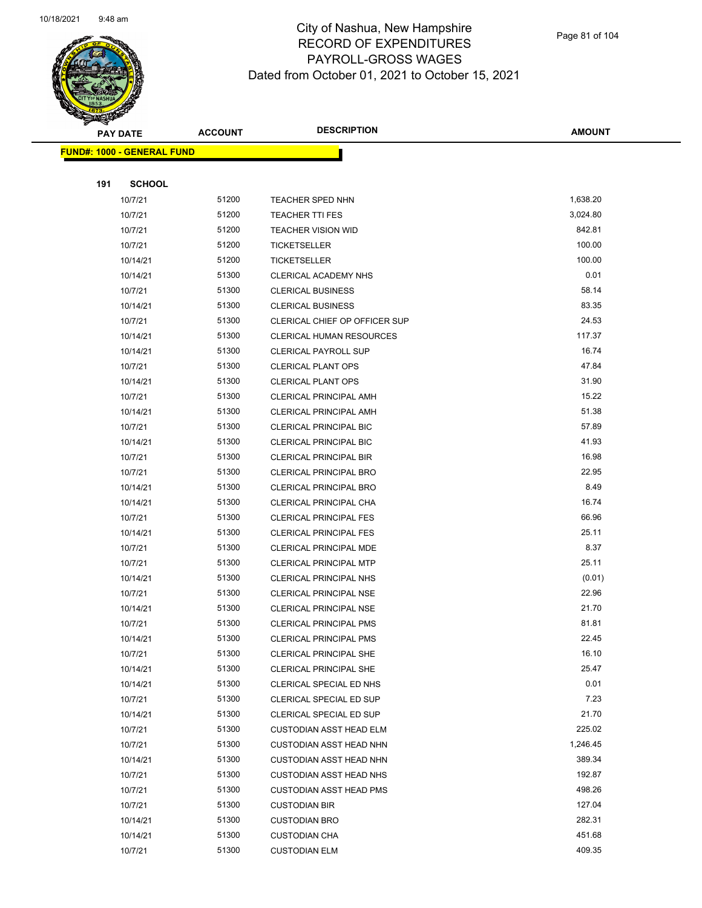

Page 81 of 104

|     | <u> FUND#: 1000 - GENERAL FUND</u> |                |                                                    |                  |
|-----|------------------------------------|----------------|----------------------------------------------------|------------------|
|     |                                    |                |                                                    |                  |
| 191 | <b>SCHOOL</b>                      |                |                                                    |                  |
|     | 10/7/21                            | 51200          | <b>TEACHER SPED NHN</b>                            | 1,638.20         |
|     | 10/7/21                            | 51200          | <b>TEACHER TTI FES</b>                             | 3,024.80         |
|     | 10/7/21                            | 51200          | <b>TEACHER VISION WID</b>                          | 842.81<br>100.00 |
|     | 10/7/21                            | 51200<br>51200 | <b>TICKETSELLER</b>                                | 100.00           |
|     | 10/14/21<br>10/14/21               | 51300          | <b>TICKETSELLER</b><br><b>CLERICAL ACADEMY NHS</b> | 0.01             |
|     | 10/7/21                            | 51300          | <b>CLERICAL BUSINESS</b>                           | 58.14            |
|     | 10/14/21                           | 51300          | <b>CLERICAL BUSINESS</b>                           | 83.35            |
|     | 10/7/21                            | 51300          | CLERICAL CHIEF OP OFFICER SUP                      | 24.53            |
|     | 10/14/21                           | 51300          | CLERICAL HUMAN RESOURCES                           | 117.37           |
|     | 10/14/21                           | 51300          | <b>CLERICAL PAYROLL SUP</b>                        | 16.74            |
|     | 10/7/21                            | 51300          | <b>CLERICAL PLANT OPS</b>                          | 47.84            |
|     | 10/14/21                           | 51300          | <b>CLERICAL PLANT OPS</b>                          | 31.90            |
|     | 10/7/21                            | 51300          | <b>CLERICAL PRINCIPAL AMH</b>                      | 15.22            |
|     | 10/14/21                           | 51300          | <b>CLERICAL PRINCIPAL AMH</b>                      | 51.38            |
|     | 10/7/21                            | 51300          | <b>CLERICAL PRINCIPAL BIC</b>                      | 57.89            |
|     | 10/14/21                           | 51300          | CLERICAL PRINCIPAL BIC                             | 41.93            |
|     | 10/7/21                            | 51300          | <b>CLERICAL PRINCIPAL BIR</b>                      | 16.98            |
|     | 10/7/21                            | 51300          | CLERICAL PRINCIPAL BRO                             | 22.95            |
|     | 10/14/21                           | 51300          | CLERICAL PRINCIPAL BRO                             | 8.49             |
|     | 10/14/21                           | 51300          | CLERICAL PRINCIPAL CHA                             | 16.74            |
|     | 10/7/21                            | 51300          | <b>CLERICAL PRINCIPAL FES</b>                      | 66.96            |
|     | 10/14/21                           | 51300          | <b>CLERICAL PRINCIPAL FES</b>                      | 25.11            |
|     | 10/7/21                            | 51300          | CLERICAL PRINCIPAL MDE                             | 8.37             |
|     | 10/7/21                            | 51300          | <b>CLERICAL PRINCIPAL MTP</b>                      | 25.11            |
|     | 10/14/21                           | 51300          | <b>CLERICAL PRINCIPAL NHS</b>                      | (0.01)           |
|     | 10/7/21                            | 51300          | CLERICAL PRINCIPAL NSE                             | 22.96            |
|     | 10/14/21                           | 51300          | <b>CLERICAL PRINCIPAL NSE</b>                      | 21.70            |
|     | 10/7/21                            | 51300          | <b>CLERICAL PRINCIPAL PMS</b>                      | 81.81            |
|     | 10/14/21                           | 51300          | CLERICAL PRINCIPAL PMS                             | 22.45            |
|     | 10/7/21                            | 51300          | CLERICAL PRINCIPAL SHE                             | 16.10            |
|     | 10/14/21                           | 51300          | <b>CLERICAL PRINCIPAL SHE</b>                      | 25.47<br>0.01    |
|     | 10/14/21<br>10/7/21                | 51300<br>51300 | CLERICAL SPECIAL ED NHS                            | 7.23             |
|     | 10/14/21                           | 51300          | CLERICAL SPECIAL ED SUP<br>CLERICAL SPECIAL ED SUP | 21.70            |
|     | 10/7/21                            | 51300          | <b>CUSTODIAN ASST HEAD ELM</b>                     | 225.02           |
|     | 10/7/21                            | 51300          | <b>CUSTODIAN ASST HEAD NHN</b>                     | 1,246.45         |
|     | 10/14/21                           | 51300          | <b>CUSTODIAN ASST HEAD NHN</b>                     | 389.34           |
|     | 10/7/21                            | 51300          | <b>CUSTODIAN ASST HEAD NHS</b>                     | 192.87           |
|     | 10/7/21                            | 51300          | <b>CUSTODIAN ASST HEAD PMS</b>                     | 498.26           |
|     | 10/7/21                            | 51300          | <b>CUSTODIAN BIR</b>                               | 127.04           |
|     | 10/14/21                           | 51300          | <b>CUSTODIAN BRO</b>                               | 282.31           |
|     | 10/14/21                           | 51300          | <b>CUSTODIAN CHA</b>                               | 451.68           |
|     | 10/7/21                            | 51300          | <b>CUSTODIAN ELM</b>                               | 409.35           |
|     |                                    |                |                                                    |                  |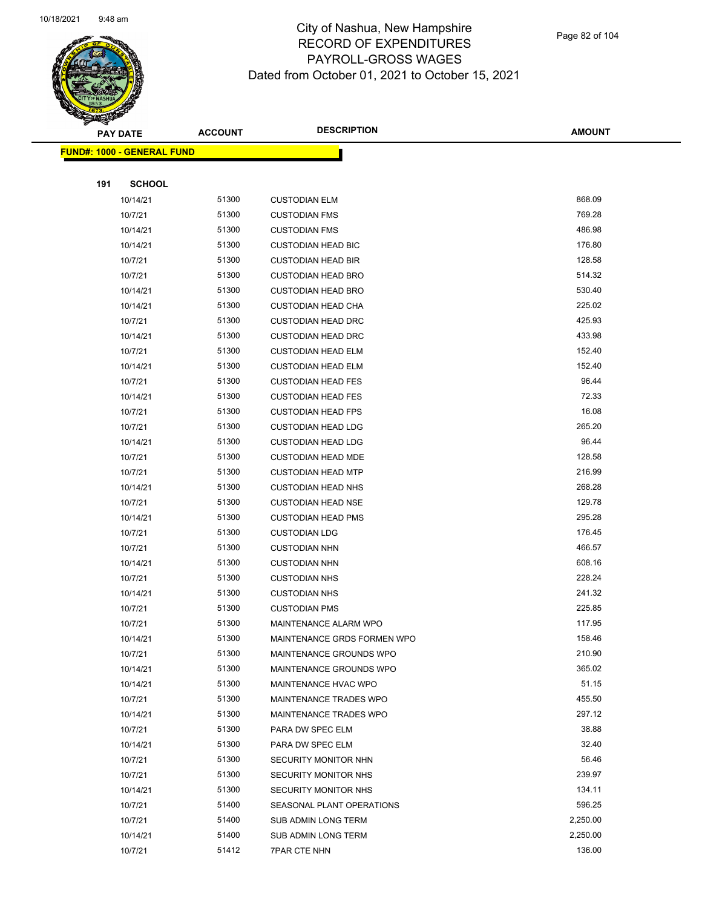

|     | <u> FUND#: 1000 - GENERAL FUND</u> |                |                              |                  |
|-----|------------------------------------|----------------|------------------------------|------------------|
|     |                                    |                |                              |                  |
| 191 | <b>SCHOOL</b>                      |                |                              |                  |
|     | 10/14/21                           | 51300          | <b>CUSTODIAN ELM</b>         | 868.09           |
|     | 10/7/21                            | 51300          | <b>CUSTODIAN FMS</b>         | 769.28           |
|     | 10/14/21                           | 51300          | <b>CUSTODIAN FMS</b>         | 486.98           |
|     | 10/14/21                           | 51300          | <b>CUSTODIAN HEAD BIC</b>    | 176.80           |
|     | 10/7/21                            | 51300          | <b>CUSTODIAN HEAD BIR</b>    | 128.58           |
|     | 10/7/21                            | 51300          | <b>CUSTODIAN HEAD BRO</b>    | 514.32           |
|     | 10/14/21                           | 51300          | <b>CUSTODIAN HEAD BRO</b>    | 530.40           |
|     | 10/14/21                           | 51300          | <b>CUSTODIAN HEAD CHA</b>    | 225.02           |
|     | 10/7/21                            | 51300          | <b>CUSTODIAN HEAD DRC</b>    | 425.93           |
|     | 10/14/21                           | 51300          | <b>CUSTODIAN HEAD DRC</b>    | 433.98           |
|     | 10/7/21                            | 51300          | <b>CUSTODIAN HEAD ELM</b>    | 152.40           |
|     | 10/14/21                           | 51300          | <b>CUSTODIAN HEAD ELM</b>    | 152.40           |
|     | 10/7/21                            | 51300          | <b>CUSTODIAN HEAD FES</b>    | 96.44            |
|     | 10/14/21                           | 51300          | <b>CUSTODIAN HEAD FES</b>    | 72.33            |
|     | 10/7/21                            | 51300          | <b>CUSTODIAN HEAD FPS</b>    | 16.08            |
|     | 10/7/21                            | 51300          | <b>CUSTODIAN HEAD LDG</b>    | 265.20           |
|     | 10/14/21                           | 51300          | <b>CUSTODIAN HEAD LDG</b>    | 96.44            |
|     | 10/7/21                            | 51300          | <b>CUSTODIAN HEAD MDE</b>    | 128.58           |
|     | 10/7/21                            | 51300          | <b>CUSTODIAN HEAD MTP</b>    | 216.99           |
|     | 10/14/21                           | 51300          | <b>CUSTODIAN HEAD NHS</b>    | 268.28           |
|     | 10/7/21                            | 51300          | <b>CUSTODIAN HEAD NSE</b>    | 129.78           |
|     | 10/14/21                           | 51300          | <b>CUSTODIAN HEAD PMS</b>    | 295.28           |
|     | 10/7/21                            | 51300          | <b>CUSTODIAN LDG</b>         | 176.45           |
|     | 10/7/21                            | 51300          | <b>CUSTODIAN NHN</b>         | 466.57           |
|     | 10/14/21                           | 51300          | <b>CUSTODIAN NHN</b>         | 608.16           |
|     | 10/7/21                            | 51300          | <b>CUSTODIAN NHS</b>         | 228.24           |
|     | 10/14/21                           | 51300          | <b>CUSTODIAN NHS</b>         | 241.32           |
|     | 10/7/21                            | 51300          | <b>CUSTODIAN PMS</b>         | 225.85           |
|     | 10/7/21                            | 51300          | <b>MAINTENANCE ALARM WPO</b> | 117.95           |
|     | 10/14/21                           | 51300          | MAINTENANCE GRDS FORMEN WPO  | 158.46           |
|     | 10/7/21                            | 51300          | MAINTENANCE GROUNDS WPO      | 210.90           |
|     | 10/14/21                           | 51300          | MAINTENANCE GROUNDS WPO      | 365.02           |
|     | 10/14/21                           | 51300          | MAINTENANCE HVAC WPO         | 51.15            |
|     | 10/7/21                            | 51300          | MAINTENANCE TRADES WPO       | 455.50           |
|     | 10/14/21                           | 51300          | MAINTENANCE TRADES WPO       | 297.12           |
|     | 10/7/21                            | 51300          | PARA DW SPEC ELM             | 38.88            |
|     | 10/14/21                           | 51300          | PARA DW SPEC ELM             | 32.40            |
|     | 10/7/21                            | 51300          | SECURITY MONITOR NHN         | 56.46            |
|     | 10/7/21                            | 51300<br>51300 | SECURITY MONITOR NHS         | 239.97<br>134.11 |
|     | 10/14/21                           | 51400          | <b>SECURITY MONITOR NHS</b>  | 596.25           |
|     | 10/7/21                            | 51400          | SEASONAL PLANT OPERATIONS    | 2,250.00         |
|     | 10/7/21                            | 51400          | SUB ADMIN LONG TERM          | 2,250.00         |
|     | 10/14/21                           | 51412          | SUB ADMIN LONG TERM          | 136.00           |
|     | 10/7/21                            |                | <b>7PAR CTE NHN</b>          |                  |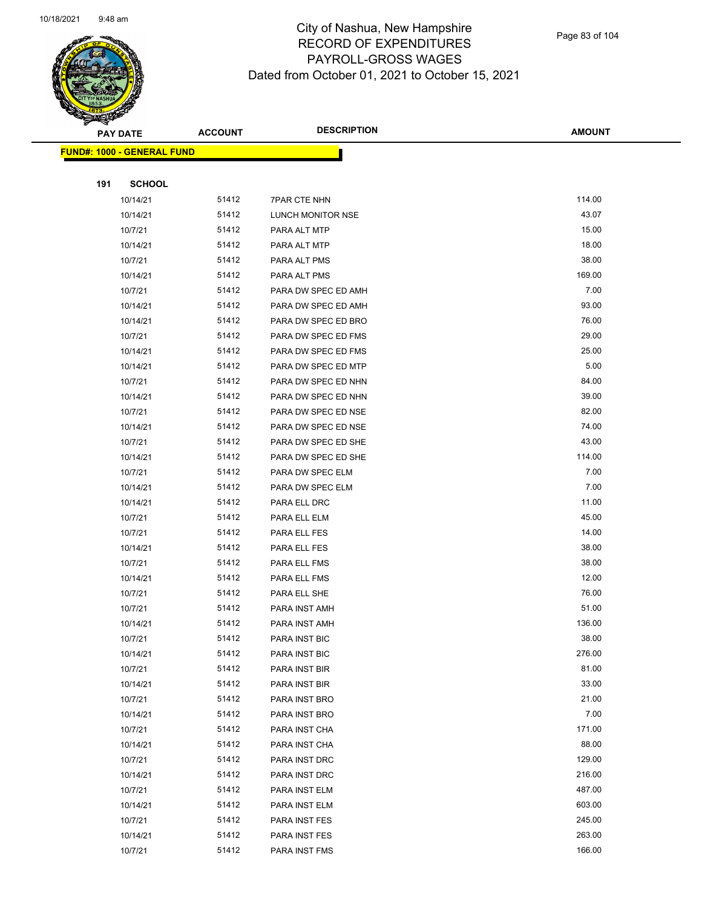

Page 83 of 104

|     | <b>PAY DATE</b>                   | <b>ACCOUNT</b> | <b>DESCRIPTION</b>  | <b>AMOUNT</b>    |
|-----|-----------------------------------|----------------|---------------------|------------------|
|     | <b>FUND#: 1000 - GENERAL FUND</b> |                |                     |                  |
|     |                                   |                |                     |                  |
| 191 | <b>SCHOOL</b>                     |                |                     |                  |
|     | 10/14/21                          | 51412          | <b>7PAR CTE NHN</b> | 114.00           |
|     | 10/14/21                          | 51412          | LUNCH MONITOR NSE   | 43.07            |
|     | 10/7/21                           | 51412          | PARA ALT MTP        | 15.00            |
|     | 10/14/21                          | 51412          | PARA ALT MTP        | 18.00            |
|     | 10/7/21                           | 51412          | PARA ALT PMS        | 38.00            |
|     | 10/14/21                          | 51412          | PARA ALT PMS        | 169.00           |
|     | 10/7/21                           | 51412          | PARA DW SPEC ED AMH | 7.00             |
|     | 10/14/21                          | 51412          | PARA DW SPEC ED AMH | 93.00            |
|     | 10/14/21                          | 51412          | PARA DW SPEC ED BRO | 76.00            |
|     | 10/7/21                           | 51412          | PARA DW SPEC ED FMS | 29.00            |
|     | 10/14/21                          | 51412          | PARA DW SPEC ED FMS | 25.00            |
|     | 10/14/21                          | 51412          | PARA DW SPEC ED MTP | 5.00             |
|     | 10/7/21                           | 51412          | PARA DW SPEC ED NHN | 84.00            |
|     | 10/14/21                          | 51412          | PARA DW SPEC ED NHN | 39.00            |
|     | 10/7/21                           | 51412          | PARA DW SPEC ED NSE | 82.00            |
|     | 10/14/21                          | 51412          | PARA DW SPEC ED NSE | 74.00            |
|     | 10/7/21                           | 51412          | PARA DW SPEC ED SHE | 43.00            |
|     | 10/14/21                          | 51412          | PARA DW SPEC ED SHE | 114.00           |
|     | 10/7/21                           | 51412          | PARA DW SPEC ELM    | 7.00             |
|     | 10/14/21                          | 51412          | PARA DW SPEC ELM    | 7.00             |
|     | 10/14/21                          | 51412          | PARA ELL DRC        | 11.00            |
|     | 10/7/21                           | 51412          | PARA ELL ELM        | 45.00            |
|     | 10/7/21                           | 51412          | PARA ELL FES        | 14.00            |
|     | 10/14/21                          | 51412          | PARA ELL FES        | 38.00            |
|     | 10/7/21                           | 51412          | PARA ELL FMS        | 38.00            |
|     | 10/14/21                          | 51412          | PARA ELL FMS        | 12.00            |
|     | 10/7/21                           | 51412          | PARA ELL SHE        | 76.00            |
|     | 10/7/21                           | 51412          | PARA INST AMH       | 51.00            |
|     | 10/14/21                          | 51412          | PARA INST AMH       | 136.00           |
|     | 10/7/21                           | 51412          | PARA INST BIC       | 38.00            |
|     | 10/14/21                          | 51412          | PARA INST BIC       | 276.00           |
|     | 10/7/21                           | 51412          | PARA INST BIR       | 81.00            |
|     | 10/14/21                          | 51412          | PARA INST BIR       | 33.00            |
|     | 10/7/21                           | 51412          | PARA INST BRO       | 21.00            |
|     | 10/14/21                          | 51412          | PARA INST BRO       | 7.00             |
|     | 10/7/21                           | 51412          | PARA INST CHA       | 171.00           |
|     | 10/14/21                          | 51412          | PARA INST CHA       | 88.00            |
|     | 10/7/21                           | 51412          | PARA INST DRC       | 129.00           |
|     | 10/14/21                          | 51412          | PARA INST DRC       | 216.00           |
|     | 10/7/21                           | 51412          | PARA INST ELM       | 487.00<br>603.00 |
|     | 10/14/21                          | 51412          | PARA INST ELM       | 245.00           |
|     | 10/7/21                           | 51412          | PARA INST FES       |                  |
|     | 10/14/21<br>10/7/21               | 51412<br>51412 | PARA INST FES       | 263.00<br>166.00 |
|     |                                   |                | PARA INST FMS       |                  |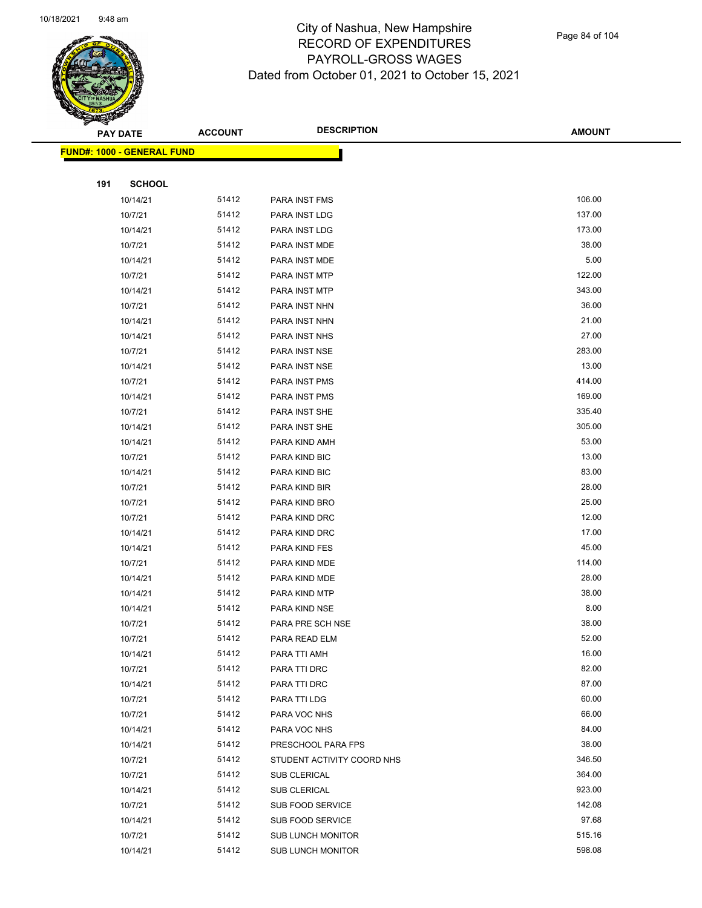

|     | <b>PAY DATE</b>                   | <b>ACCOUNT</b> | <b>DESCRIPTION</b>                      | <b>AMOUNT</b>  |
|-----|-----------------------------------|----------------|-----------------------------------------|----------------|
|     | <b>FUND#: 1000 - GENERAL FUND</b> |                |                                         |                |
|     |                                   |                |                                         |                |
| 191 | <b>SCHOOL</b>                     |                |                                         |                |
|     | 10/14/21                          | 51412          | PARA INST FMS                           | 106.00         |
|     | 10/7/21                           | 51412          | PARA INST LDG                           | 137.00         |
|     | 10/14/21                          | 51412          | PARA INST LDG                           | 173.00         |
|     | 10/7/21                           | 51412          | PARA INST MDE                           | 38.00          |
|     | 10/14/21                          | 51412          | PARA INST MDE                           | 5.00           |
|     | 10/7/21                           | 51412          | PARA INST MTP                           | 122.00         |
|     | 10/14/21                          | 51412          | PARA INST MTP                           | 343.00         |
|     | 10/7/21                           | 51412          | PARA INST NHN                           | 36.00          |
|     | 10/14/21                          | 51412          | PARA INST NHN                           | 21.00          |
|     | 10/14/21                          | 51412          | PARA INST NHS                           | 27.00          |
|     | 10/7/21                           | 51412          | PARA INST NSE                           | 283.00         |
|     | 10/14/21                          | 51412          | PARA INST NSE                           | 13.00          |
|     | 10/7/21                           | 51412          | PARA INST PMS                           | 414.00         |
|     | 10/14/21                          | 51412          | PARA INST PMS                           | 169.00         |
|     | 10/7/21                           | 51412          | PARA INST SHE                           | 335.40         |
|     | 10/14/21                          | 51412          | PARA INST SHE                           | 305.00         |
|     | 10/14/21                          | 51412          | PARA KIND AMH                           | 53.00          |
|     | 10/7/21                           | 51412          | PARA KIND BIC                           | 13.00          |
|     | 10/14/21                          | 51412          | PARA KIND BIC                           | 83.00          |
|     | 10/7/21                           | 51412          | PARA KIND BIR                           | 28.00          |
|     | 10/7/21                           | 51412          | PARA KIND BRO                           | 25.00          |
|     | 10/7/21                           | 51412          | PARA KIND DRC                           | 12.00          |
|     | 10/14/21                          | 51412          | PARA KIND DRC                           | 17.00          |
|     | 10/14/21                          | 51412          | PARA KIND FES                           | 45.00          |
|     | 10/7/21                           | 51412          | PARA KIND MDE                           | 114.00         |
|     | 10/14/21                          | 51412          | PARA KIND MDE                           | 28.00          |
|     | 10/14/21                          | 51412          | PARA KIND MTP                           | 38.00          |
|     | 10/14/21                          | 51412          | PARA KIND NSE                           | 8.00           |
|     | 10/7/21                           | 51412          | PARA PRE SCH NSE                        | 38.00          |
|     | 10/7/21                           | 51412          | PARA READ ELM                           | 52.00          |
|     | 10/14/21                          | 51412          | PARA TTI AMH                            | 16.00          |
|     | 10/7/21                           | 51412          | PARA TTI DRC                            | 82.00          |
|     | 10/14/21                          | 51412          | PARA TTI DRC                            | 87.00          |
|     | 10/7/21                           | 51412          | PARA TTI LDG                            | 60.00          |
|     | 10/7/21                           | 51412          | PARA VOC NHS                            | 66.00<br>84.00 |
|     | 10/14/21                          | 51412          | PARA VOC NHS                            | 38.00          |
|     | 10/14/21                          | 51412          | PRESCHOOL PARA FPS                      | 346.50         |
|     | 10/7/21                           | 51412          | STUDENT ACTIVITY COORD NHS              | 364.00         |
|     | 10/7/21                           | 51412<br>51412 | SUB CLERICAL                            | 923.00         |
|     | 10/14/21                          | 51412          | SUB CLERICAL<br><b>SUB FOOD SERVICE</b> | 142.08         |
|     | 10/7/21<br>10/14/21               | 51412          | SUB FOOD SERVICE                        | 97.68          |
|     | 10/7/21                           | 51412          | SUB LUNCH MONITOR                       | 515.16         |
|     | 10/14/21                          | 51412          | <b>SUB LUNCH MONITOR</b>                | 598.08         |
|     |                                   |                |                                         |                |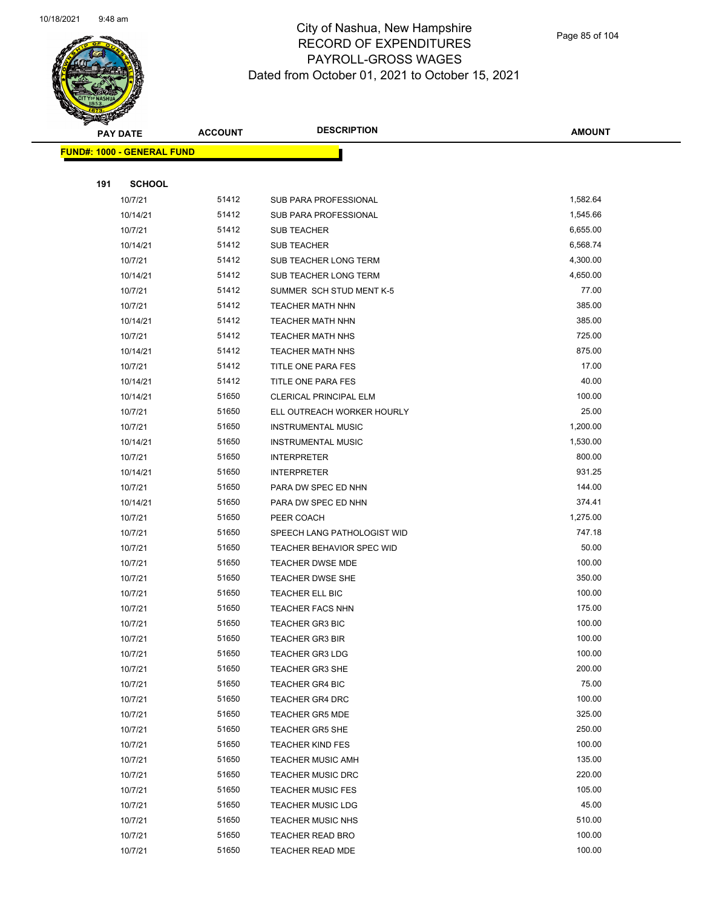

Page 85 of 104

|     | <b>PAY DATE</b>                    | <b>ACCOUNT</b> | <b>DESCRIPTION</b>               | <b>AMOUNT</b> |  |
|-----|------------------------------------|----------------|----------------------------------|---------------|--|
|     | <u> FUND#: 1000 - GENERAL FUND</u> |                |                                  |               |  |
|     |                                    |                |                                  |               |  |
| 191 | <b>SCHOOL</b>                      |                |                                  |               |  |
|     | 10/7/21                            | 51412          | SUB PARA PROFESSIONAL            | 1,582.64      |  |
|     | 10/14/21                           | 51412          | SUB PARA PROFESSIONAL            | 1,545.66      |  |
|     | 10/7/21                            | 51412          | <b>SUB TEACHER</b>               | 6,655.00      |  |
|     | 10/14/21                           | 51412          | <b>SUB TEACHER</b>               | 6,568.74      |  |
|     | 10/7/21                            | 51412          | SUB TEACHER LONG TERM            | 4,300.00      |  |
|     | 10/14/21                           | 51412          | SUB TEACHER LONG TERM            | 4,650.00      |  |
|     | 10/7/21                            | 51412          | SUMMER SCH STUD MENT K-5         | 77.00         |  |
|     | 10/7/21                            | 51412          | <b>TEACHER MATH NHN</b>          | 385.00        |  |
|     | 10/14/21                           | 51412          | <b>TEACHER MATH NHN</b>          | 385.00        |  |
|     | 10/7/21                            | 51412          | <b>TEACHER MATH NHS</b>          | 725.00        |  |
|     | 10/14/21                           | 51412          | <b>TEACHER MATH NHS</b>          | 875.00        |  |
|     | 10/7/21                            | 51412          | TITLE ONE PARA FES               | 17.00         |  |
|     | 10/14/21                           | 51412          | TITLE ONE PARA FES               | 40.00         |  |
|     | 10/14/21                           | 51650          | <b>CLERICAL PRINCIPAL ELM</b>    | 100.00        |  |
|     | 10/7/21                            | 51650          | ELL OUTREACH WORKER HOURLY       | 25.00         |  |
|     | 10/7/21                            | 51650          | <b>INSTRUMENTAL MUSIC</b>        | 1,200.00      |  |
|     | 10/14/21                           | 51650          | <b>INSTRUMENTAL MUSIC</b>        | 1,530.00      |  |
|     | 10/7/21                            | 51650          | <b>INTERPRETER</b>               | 800.00        |  |
|     | 10/14/21                           | 51650          | <b>INTERPRETER</b>               | 931.25        |  |
|     | 10/7/21                            | 51650          | PARA DW SPEC ED NHN              | 144.00        |  |
|     | 10/14/21                           | 51650          | PARA DW SPEC ED NHN              | 374.41        |  |
|     | 10/7/21                            | 51650          | PEER COACH                       | 1,275.00      |  |
|     | 10/7/21                            | 51650          | SPEECH LANG PATHOLOGIST WID      | 747.18        |  |
|     | 10/7/21                            | 51650          | <b>TEACHER BEHAVIOR SPEC WID</b> | 50.00         |  |
|     | 10/7/21                            | 51650          | TEACHER DWSE MDE                 | 100.00        |  |
|     | 10/7/21                            | 51650          | <b>TEACHER DWSE SHE</b>          | 350.00        |  |
|     | 10/7/21                            | 51650          | <b>TEACHER ELL BIC</b>           | 100.00        |  |
|     | 10/7/21                            | 51650          | <b>TEACHER FACS NHN</b>          | 175.00        |  |
|     | 10/7/21                            | 51650          | <b>TEACHER GR3 BIC</b>           | 100.00        |  |
|     | 10/7/21                            | 51650          | TEACHER GR3 BIR                  | 100.00        |  |
|     | 10/7/21                            | 51650          | <b>TEACHER GR3 LDG</b>           | 100.00        |  |
|     | 10/7/21                            | 51650          | <b>TEACHER GR3 SHE</b>           | 200.00        |  |
|     | 10/7/21                            | 51650          | <b>TEACHER GR4 BIC</b>           | 75.00         |  |
|     | 10/7/21                            | 51650          | <b>TEACHER GR4 DRC</b>           | 100.00        |  |
|     | 10/7/21                            | 51650          | <b>TEACHER GR5 MDE</b>           | 325.00        |  |
|     | 10/7/21                            | 51650          | <b>TEACHER GR5 SHE</b>           | 250.00        |  |
|     | 10/7/21                            | 51650          | <b>TEACHER KIND FES</b>          | 100.00        |  |
|     | 10/7/21                            | 51650          | <b>TEACHER MUSIC AMH</b>         | 135.00        |  |
|     | 10/7/21                            | 51650          | <b>TEACHER MUSIC DRC</b>         | 220.00        |  |
|     | 10/7/21                            | 51650          | <b>TEACHER MUSIC FES</b>         | 105.00        |  |
|     | 10/7/21                            | 51650          | <b>TEACHER MUSIC LDG</b>         | 45.00         |  |
|     | 10/7/21                            | 51650          | <b>TEACHER MUSIC NHS</b>         | 510.00        |  |
|     | 10/7/21                            | 51650          | <b>TEACHER READ BRO</b>          | 100.00        |  |
|     | 10/7/21                            | 51650          | TEACHER READ MDE                 | 100.00        |  |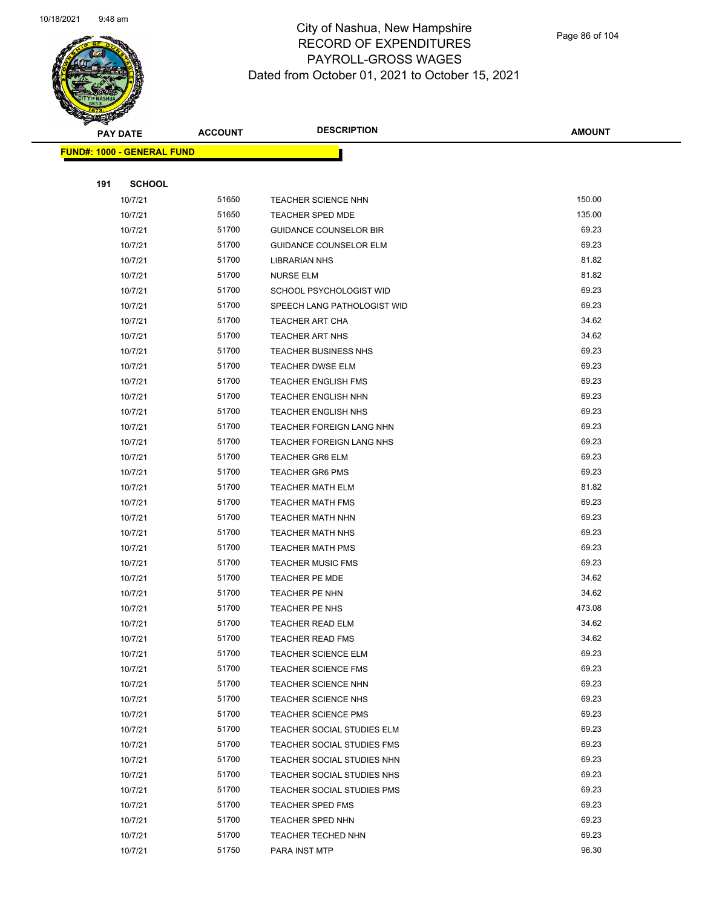

|     | <b>FUND#: 1000 - GENERAL FUND</b> |       |                               |        |
|-----|-----------------------------------|-------|-------------------------------|--------|
|     |                                   |       |                               |        |
| 191 | <b>SCHOOL</b>                     |       |                               |        |
|     | 10/7/21                           | 51650 | <b>TEACHER SCIENCE NHN</b>    | 150.00 |
|     | 10/7/21                           | 51650 | <b>TEACHER SPED MDE</b>       | 135.00 |
|     | 10/7/21                           | 51700 | <b>GUIDANCE COUNSELOR BIR</b> | 69.23  |
|     | 10/7/21                           | 51700 | <b>GUIDANCE COUNSELOR ELM</b> | 69.23  |
|     | 10/7/21                           | 51700 | <b>LIBRARIAN NHS</b>          | 81.82  |
|     | 10/7/21                           | 51700 | <b>NURSE ELM</b>              | 81.82  |
|     | 10/7/21                           | 51700 | SCHOOL PSYCHOLOGIST WID       | 69.23  |
|     | 10/7/21                           | 51700 | SPEECH LANG PATHOLOGIST WID   | 69.23  |
|     | 10/7/21                           | 51700 | <b>TEACHER ART CHA</b>        | 34.62  |
|     | 10/7/21                           | 51700 | <b>TEACHER ART NHS</b>        | 34.62  |
|     | 10/7/21                           | 51700 | <b>TEACHER BUSINESS NHS</b>   | 69.23  |
|     | 10/7/21                           | 51700 | <b>TEACHER DWSE ELM</b>       | 69.23  |
|     | 10/7/21                           | 51700 | <b>TEACHER ENGLISH FMS</b>    | 69.23  |
|     | 10/7/21                           | 51700 | <b>TEACHER ENGLISH NHN</b>    | 69.23  |
|     | 10/7/21                           | 51700 | <b>TEACHER ENGLISH NHS</b>    | 69.23  |
|     | 10/7/21                           | 51700 | TEACHER FOREIGN LANG NHN      | 69.23  |
|     | 10/7/21                           | 51700 | TEACHER FOREIGN LANG NHS      | 69.23  |
|     | 10/7/21                           | 51700 | <b>TEACHER GR6 ELM</b>        | 69.23  |
|     | 10/7/21                           | 51700 | <b>TEACHER GR6 PMS</b>        | 69.23  |
|     | 10/7/21                           | 51700 | <b>TEACHER MATH ELM</b>       | 81.82  |
|     | 10/7/21                           | 51700 | <b>TEACHER MATH FMS</b>       | 69.23  |
|     | 10/7/21                           | 51700 | <b>TEACHER MATH NHN</b>       | 69.23  |
|     | 10/7/21                           | 51700 | <b>TEACHER MATH NHS</b>       | 69.23  |
|     | 10/7/21                           | 51700 | <b>TEACHER MATH PMS</b>       | 69.23  |
|     | 10/7/21                           | 51700 | <b>TEACHER MUSIC FMS</b>      | 69.23  |
|     | 10/7/21                           | 51700 | <b>TEACHER PE MDE</b>         | 34.62  |
|     | 10/7/21                           | 51700 | TEACHER PE NHN                | 34.62  |
|     | 10/7/21                           | 51700 | TEACHER PE NHS                | 473.08 |
|     | 10/7/21                           | 51700 | <b>TEACHER READ ELM</b>       | 34.62  |
|     | 10/7/21                           | 51700 | <b>TEACHER READ FMS</b>       | 34.62  |
|     | 10/7/21                           | 51700 | TEACHER SCIENCE ELM           | 69.23  |
|     | 10/7/21                           | 51700 | <b>TEACHER SCIENCE FMS</b>    | 69.23  |
|     | 10/7/21                           | 51700 | <b>TEACHER SCIENCE NHN</b>    | 69.23  |
|     | 10/7/21                           | 51700 | <b>TEACHER SCIENCE NHS</b>    | 69.23  |
|     | 10/7/21                           | 51700 | TEACHER SCIENCE PMS           | 69.23  |
|     | 10/7/21                           | 51700 | TEACHER SOCIAL STUDIES ELM    | 69.23  |
|     | 10/7/21                           | 51700 | TEACHER SOCIAL STUDIES FMS    | 69.23  |
|     | 10/7/21                           | 51700 | TEACHER SOCIAL STUDIES NHN    | 69.23  |
|     | 10/7/21                           | 51700 | TEACHER SOCIAL STUDIES NHS    | 69.23  |
|     | 10/7/21                           | 51700 | TEACHER SOCIAL STUDIES PMS    | 69.23  |
|     | 10/7/21                           | 51700 | <b>TEACHER SPED FMS</b>       | 69.23  |
|     | 10/7/21                           | 51700 | TEACHER SPED NHN              | 69.23  |
|     | 10/7/21                           | 51700 | <b>TEACHER TECHED NHN</b>     | 69.23  |
|     | 10/7/21                           | 51750 | PARA INST MTP                 | 96.30  |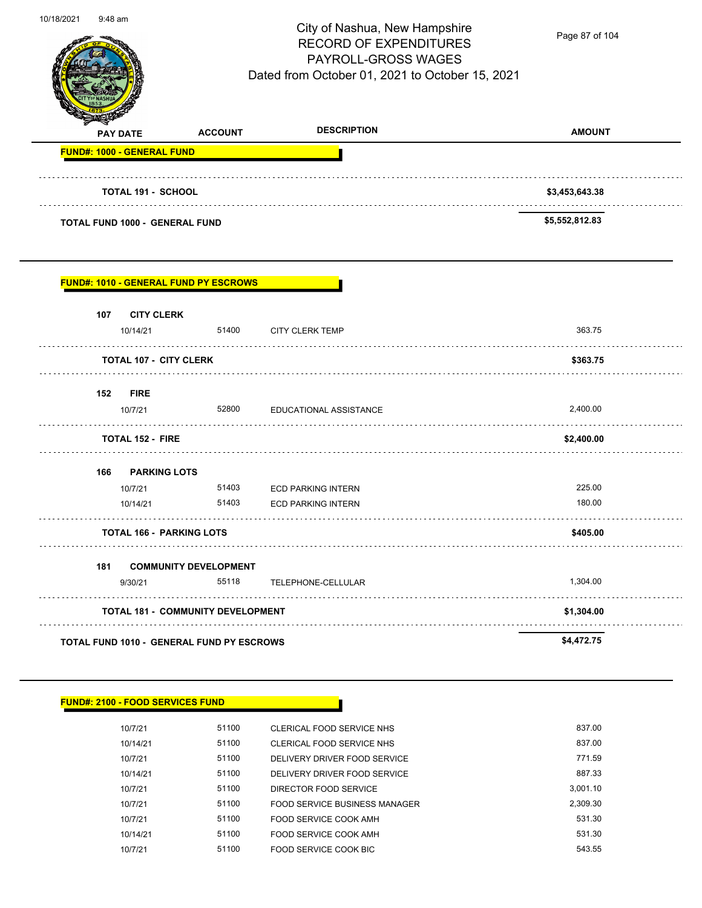

Page 87 of 104

| <b>PAY DATE</b>                              | <b>ACCOUNT</b>                           | <b>DESCRIPTION</b>        | <b>AMOUNT</b>  |
|----------------------------------------------|------------------------------------------|---------------------------|----------------|
| <b>FUND#: 1000 - GENERAL FUND</b>            |                                          |                           |                |
| <b>TOTAL 191 - SCHOOL</b>                    |                                          |                           | \$3,453,643.38 |
| <b>TOTAL FUND 1000 - GENERAL FUND</b>        |                                          |                           | \$5,552,812.83 |
| <b>FUND#: 1010 - GENERAL FUND PY ESCROWS</b> |                                          |                           |                |
| 107 CITY CLERK                               |                                          |                           |                |
| 10/14/21                                     | 51400                                    | <b>CITY CLERK TEMP</b>    | 363.75         |
| <b>TOTAL 107 - CITY CLERK</b>                |                                          |                           | \$363.75       |
| 152 FIRE                                     |                                          |                           |                |
| 10/7/21                                      | 52800<br>.                               | EDUCATIONAL ASSISTANCE    | 2,400.00       |
| <b>TOTAL 152 - FIRE</b>                      |                                          |                           | \$2,400.00     |
| 166 PARKING LOTS                             |                                          |                           |                |
| 10/7/21                                      | 51403                                    | <b>ECD PARKING INTERN</b> | 225.00         |
| 10/14/21                                     | 51403                                    | <b>ECD PARKING INTERN</b> | 180.00         |
| <b>TOTAL 166 - PARKING LOTS</b>              |                                          |                           | \$405.00       |
| 181 COMMUNITY DEVELOPMENT                    |                                          |                           |                |
| 9/30/21                                      | 55118                                    | TELEPHONE-CELLULAR        | 1,304.00       |
|                                              | <b>TOTAL 181 - COMMUNITY DEVELOPMENT</b> |                           | \$1,304.00     |
|                                              |                                          |                           |                |

| <b>FUND#: 2100 - FOOD SERVICES FUND</b> |  |  |
|-----------------------------------------|--|--|
|-----------------------------------------|--|--|

| 10/7/21  | 51100 | CLERICAL FOOD SERVICE NHS     | 837.00   |
|----------|-------|-------------------------------|----------|
| 10/14/21 | 51100 | CLERICAL FOOD SERVICE NHS     | 837.00   |
| 10/7/21  | 51100 | DELIVERY DRIVER FOOD SERVICE  | 771.59   |
| 10/14/21 | 51100 | DELIVERY DRIVER FOOD SERVICE  | 887.33   |
| 10/7/21  | 51100 | DIRECTOR FOOD SERVICE         | 3.001.10 |
| 10/7/21  | 51100 | FOOD SERVICE BUSINESS MANAGER | 2.309.30 |
| 10/7/21  | 51100 | FOOD SERVICE COOK AMH         | 531.30   |
| 10/14/21 | 51100 | FOOD SERVICE COOK AMH         | 531.30   |
| 10/7/21  | 51100 | FOOD SERVICE COOK BIC         | 543.55   |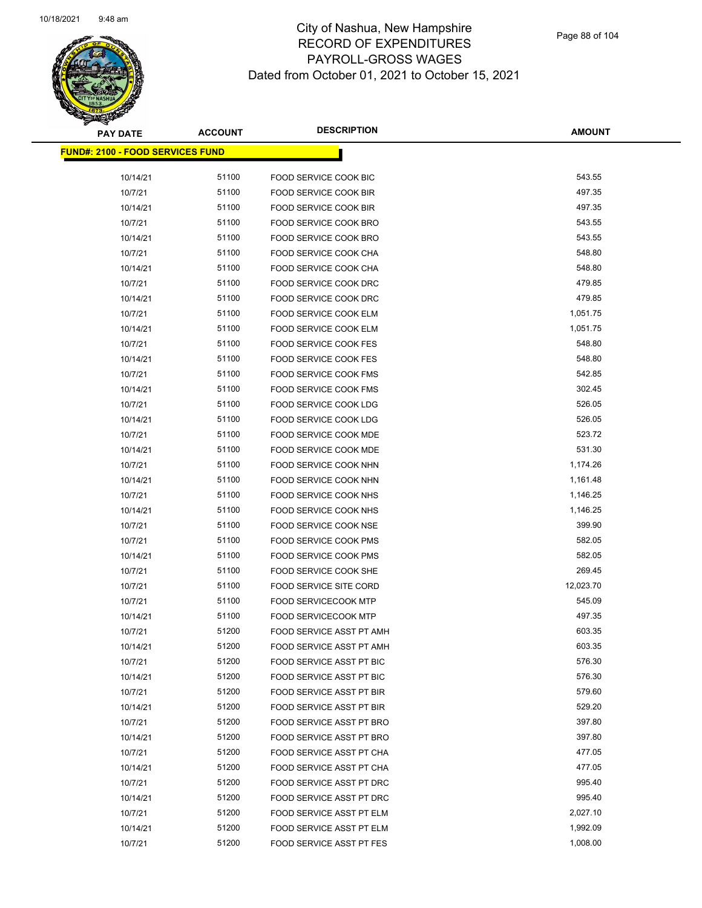| PAY DATE                                 | <b>ACCOUNT</b> | <b>DESCRIPTION</b>              | <b>AMOUNT</b> |
|------------------------------------------|----------------|---------------------------------|---------------|
| <u> FUND#: 2100 - FOOD SERVICES FUND</u> |                |                                 |               |
|                                          |                |                                 |               |
| 10/14/21                                 | 51100          | FOOD SERVICE COOK BIC           | 543.55        |
| 10/7/21                                  | 51100          | FOOD SERVICE COOK BIR           | 497.35        |
| 10/14/21                                 | 51100          | FOOD SERVICE COOK BIR           | 497.35        |
| 10/7/21                                  | 51100          | FOOD SERVICE COOK BRO           | 543.55        |
| 10/14/21                                 | 51100          | FOOD SERVICE COOK BRO           | 543.55        |
| 10/7/21                                  | 51100          | FOOD SERVICE COOK CHA           | 548.80        |
| 10/14/21                                 | 51100          | FOOD SERVICE COOK CHA           | 548.80        |
| 10/7/21                                  | 51100          | FOOD SERVICE COOK DRC           | 479.85        |
| 10/14/21                                 | 51100          | FOOD SERVICE COOK DRC           | 479.85        |
| 10/7/21                                  | 51100          | FOOD SERVICE COOK ELM           | 1,051.75      |
| 10/14/21                                 | 51100          | FOOD SERVICE COOK ELM           | 1,051.75      |
| 10/7/21                                  | 51100          | <b>FOOD SERVICE COOK FES</b>    | 548.80        |
| 10/14/21                                 | 51100          | <b>FOOD SERVICE COOK FES</b>    | 548.80        |
| 10/7/21                                  | 51100          | <b>FOOD SERVICE COOK FMS</b>    | 542.85        |
| 10/14/21                                 | 51100          | FOOD SERVICE COOK FMS           | 302.45        |
| 10/7/21                                  | 51100          | FOOD SERVICE COOK LDG           | 526.05        |
| 10/14/21                                 | 51100          | FOOD SERVICE COOK LDG           | 526.05        |
| 10/7/21                                  | 51100          | FOOD SERVICE COOK MDE           | 523.72        |
| 10/14/21                                 | 51100          | FOOD SERVICE COOK MDE           | 531.30        |
| 10/7/21                                  | 51100          | FOOD SERVICE COOK NHN           | 1,174.26      |
| 10/14/21                                 | 51100          | FOOD SERVICE COOK NHN           | 1,161.48      |
| 10/7/21                                  | 51100          | FOOD SERVICE COOK NHS           | 1,146.25      |
| 10/14/21                                 | 51100          | <b>FOOD SERVICE COOK NHS</b>    | 1,146.25      |
| 10/7/21                                  | 51100          | FOOD SERVICE COOK NSE           | 399.90        |
| 10/7/21                                  | 51100          | FOOD SERVICE COOK PMS           | 582.05        |
| 10/14/21                                 | 51100          | FOOD SERVICE COOK PMS           | 582.05        |
| 10/7/21                                  | 51100          | FOOD SERVICE COOK SHE           | 269.45        |
| 10/7/21                                  | 51100          | <b>FOOD SERVICE SITE CORD</b>   | 12,023.70     |
| 10/7/21                                  | 51100          | <b>FOOD SERVICECOOK MTP</b>     | 545.09        |
| 10/14/21                                 | 51100          | <b>FOOD SERVICECOOK MTP</b>     | 497.35        |
| 10/7/21                                  | 51200          | FOOD SERVICE ASST PT AMH        | 603.35        |
| 10/14/21                                 | 51200          | FOOD SERVICE ASST PT AMH        | 603.35        |
| 10/7/21                                  | 51200          | FOOD SERVICE ASST PT BIC        | 576.30        |
| 10/14/21                                 | 51200          | FOOD SERVICE ASST PT BIC        | 576.30        |
| 10/7/21                                  | 51200          | FOOD SERVICE ASST PT BIR        | 579.60        |
| 10/14/21                                 | 51200          | FOOD SERVICE ASST PT BIR        | 529.20        |
| 10/7/21                                  | 51200          | FOOD SERVICE ASST PT BRO        | 397.80        |
| 10/14/21                                 | 51200          | FOOD SERVICE ASST PT BRO        | 397.80        |
| 10/7/21                                  | 51200          | FOOD SERVICE ASST PT CHA        | 477.05        |
| 10/14/21                                 | 51200          | FOOD SERVICE ASST PT CHA        | 477.05        |
| 10/7/21                                  | 51200          | FOOD SERVICE ASST PT DRC        | 995.40        |
| 10/14/21                                 | 51200          | FOOD SERVICE ASST PT DRC        | 995.40        |
| 10/7/21                                  | 51200          | FOOD SERVICE ASST PT ELM        | 2,027.10      |
| 10/14/21                                 | 51200          | FOOD SERVICE ASST PT ELM        | 1,992.09      |
| 10/7/21                                  | 51200          | <b>FOOD SERVICE ASST PT FES</b> | 1,008.00      |
|                                          |                |                                 |               |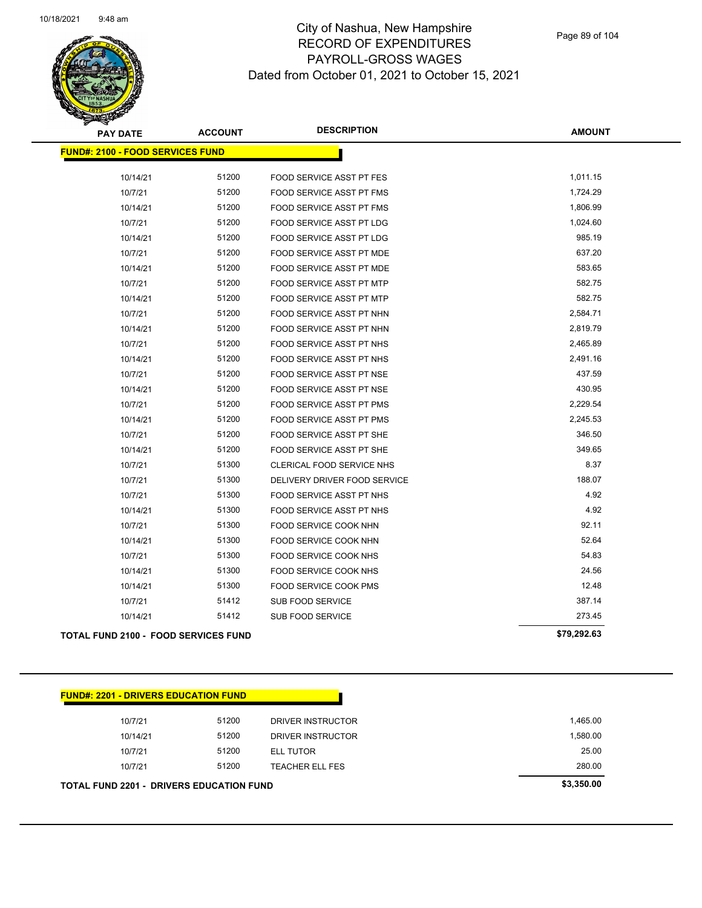

Page 89 of 104

| <b>PAY DATE</b>                             | <b>ACCOUNT</b> | <b>DESCRIPTION</b>              | <b>AMOUNT</b> |  |  |  |
|---------------------------------------------|----------------|---------------------------------|---------------|--|--|--|
| <b>FUND#: 2100 - FOOD SERVICES FUND</b>     |                |                                 |               |  |  |  |
| 10/14/21                                    | 51200          | FOOD SERVICE ASST PT FES        | 1,011.15      |  |  |  |
| 10/7/21                                     | 51200          | FOOD SERVICE ASST PT FMS        | 1,724.29      |  |  |  |
| 10/14/21                                    | 51200          | FOOD SERVICE ASST PT FMS        | 1,806.99      |  |  |  |
| 10/7/21                                     | 51200          | FOOD SERVICE ASST PT LDG        | 1,024.60      |  |  |  |
| 10/14/21                                    | 51200          | <b>FOOD SERVICE ASST PT LDG</b> | 985.19        |  |  |  |
| 10/7/21                                     | 51200          | FOOD SERVICE ASST PT MDE        | 637.20        |  |  |  |
| 10/14/21                                    | 51200          | FOOD SERVICE ASST PT MDE        | 583.65        |  |  |  |
| 10/7/21                                     | 51200          | FOOD SERVICE ASST PT MTP        | 582.75        |  |  |  |
| 10/14/21                                    | 51200          | FOOD SERVICE ASST PT MTP        | 582.75        |  |  |  |
| 10/7/21                                     | 51200          | FOOD SERVICE ASST PT NHN        | 2,584.71      |  |  |  |
| 10/14/21                                    | 51200          | FOOD SERVICE ASST PT NHN        | 2,819.79      |  |  |  |
| 10/7/21                                     | 51200          | FOOD SERVICE ASST PT NHS        | 2,465.89      |  |  |  |
| 10/14/21                                    | 51200          | FOOD SERVICE ASST PT NHS        | 2,491.16      |  |  |  |
| 10/7/21                                     | 51200          | FOOD SERVICE ASST PT NSE        | 437.59        |  |  |  |
| 10/14/21                                    | 51200          | FOOD SERVICE ASST PT NSE        | 430.95        |  |  |  |
| 10/7/21                                     | 51200          | <b>FOOD SERVICE ASST PT PMS</b> | 2,229.54      |  |  |  |
| 10/14/21                                    | 51200          | FOOD SERVICE ASST PT PMS        | 2,245.53      |  |  |  |
| 10/7/21                                     | 51200          | FOOD SERVICE ASST PT SHE        | 346.50        |  |  |  |
| 10/14/21                                    | 51200          | FOOD SERVICE ASST PT SHE        | 349.65        |  |  |  |
| 10/7/21                                     | 51300          | CLERICAL FOOD SERVICE NHS       | 8.37          |  |  |  |
| 10/7/21                                     | 51300          | DELIVERY DRIVER FOOD SERVICE    | 188.07        |  |  |  |
| 10/7/21                                     | 51300          | FOOD SERVICE ASST PT NHS        | 4.92          |  |  |  |
| 10/14/21                                    | 51300          | FOOD SERVICE ASST PT NHS        | 4.92          |  |  |  |
| 10/7/21                                     | 51300          | FOOD SERVICE COOK NHN           | 92.11         |  |  |  |
| 10/14/21                                    | 51300          | FOOD SERVICE COOK NHN           | 52.64         |  |  |  |
| 10/7/21                                     | 51300          | FOOD SERVICE COOK NHS           | 54.83         |  |  |  |
| 10/14/21                                    | 51300          | FOOD SERVICE COOK NHS           | 24.56         |  |  |  |
| 10/14/21                                    | 51300          | FOOD SERVICE COOK PMS           | 12.48         |  |  |  |
| 10/7/21                                     | 51412          | SUB FOOD SERVICE                | 387.14        |  |  |  |
| 10/14/21                                    | 51412          | SUB FOOD SERVICE                | 273.45        |  |  |  |
| <b>TOTAL FUND 2100 - FOOD SERVICES FUND</b> |                |                                 | \$79,292.63   |  |  |  |

|  |  | <b>FUND#: 2201 - DRIVERS EDUCATION FUND</b> |
|--|--|---------------------------------------------|
|--|--|---------------------------------------------|

| <b>TOTAL FUND 2201 - DRIVERS EDUCATION FUND</b> | \$3,350.00 |                        |          |
|-------------------------------------------------|------------|------------------------|----------|
| 10/7/21                                         | 51200      | <b>TEACHER ELL FES</b> | 280.00   |
| 10/7/21                                         | 51200      | <b>ELL TUTOR</b>       | 25.00    |
| 10/14/21                                        | 51200      | DRIVER INSTRUCTOR      | 1,580.00 |
| 10/7/21                                         | 51200      | DRIVER INSTRUCTOR      | 1.465.00 |
|                                                 |            |                        |          |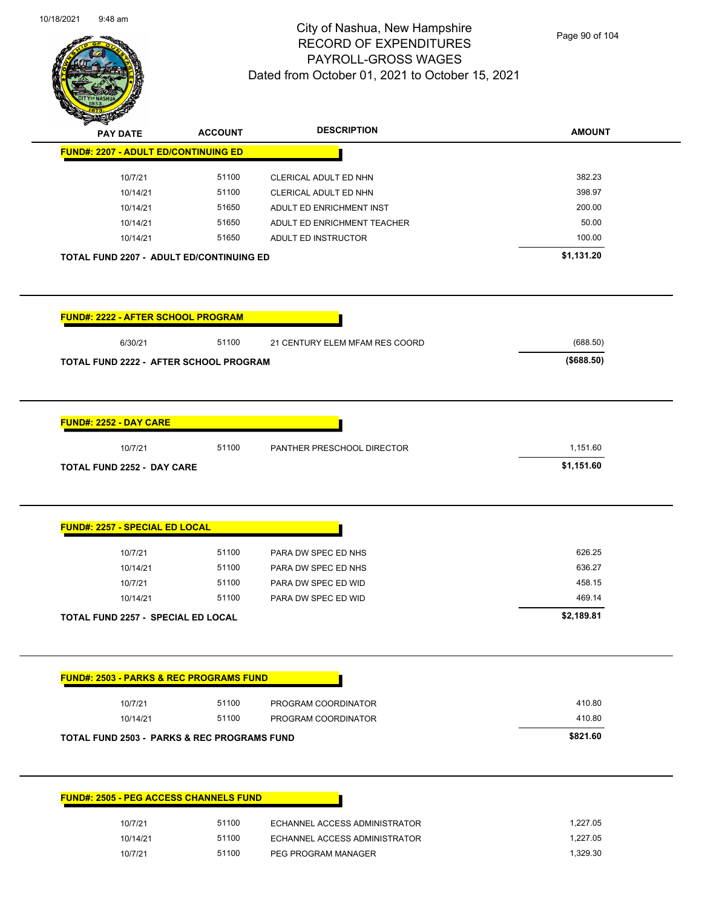

Page 90 of 104

| <b>PAY DATE</b>                                        | <b>ACCOUNT</b> | <b>DESCRIPTION</b>             | <b>AMOUNT</b> |
|--------------------------------------------------------|----------------|--------------------------------|---------------|
| <b>FUND#: 2207 - ADULT ED/CONTINUING ED</b>            |                |                                |               |
| 10/7/21                                                | 51100          | CLERICAL ADULT ED NHN          | 382.23        |
| 10/14/21                                               | 51100          | CLERICAL ADULT ED NHN          | 398.97        |
| 10/14/21                                               | 51650          | ADULT ED ENRICHMENT INST       | 200.00        |
| 10/14/21                                               | 51650          | ADULT ED ENRICHMENT TEACHER    | 50.00         |
| 10/14/21                                               | 51650          | ADULT ED INSTRUCTOR            | 100.00        |
| <b>TOTAL FUND 2207 - ADULT ED/CONTINUING ED</b>        |                |                                | \$1,131.20    |
| <b>FUND#: 2222 - AFTER SCHOOL PROGRAM</b>              |                |                                |               |
| 6/30/21                                                | 51100          | 21 CENTURY ELEM MFAM RES COORD | (688.50)      |
| <b>TOTAL FUND 2222 - AFTER SCHOOL PROGRAM</b>          |                |                                | (\$688.50)    |
|                                                        |                |                                |               |
|                                                        |                |                                |               |
| <b>FUND#: 2252 - DAY CARE</b>                          | 51100          |                                | 1,151.60      |
| 10/7/21<br><b>TOTAL FUND 2252 - DAY CARE</b>           |                | PANTHER PRESCHOOL DIRECTOR     | \$1,151.60    |
|                                                        |                |                                |               |
| <b>FUND#: 2257 - SPECIAL ED LOCAL</b>                  |                |                                |               |
| 10/7/21                                                | 51100          | PARA DW SPEC ED NHS            | 626.25        |
| 10/14/21                                               | 51100          | PARA DW SPEC ED NHS            | 636.27        |
| 10/7/21                                                | 51100          | PARA DW SPEC ED WID            | 458.15        |
| 10/14/21                                               | 51100          | PARA DW SPEC ED WID            | 469.14        |
| TOTAL FUND 2257 -  SPECIAL ED LOCAL                    |                |                                | \$2,189.81    |
| <b>FUND#: 2503 - PARKS &amp; REC PROGRAMS FUND</b>     |                |                                |               |
| 10/7/21                                                | 51100          | PROGRAM COORDINATOR            | 410.80        |
| 10/14/21                                               | 51100          | PROGRAM COORDINATOR            | 410.80        |
| <b>TOTAL FUND 2503 - PARKS &amp; REC PROGRAMS FUND</b> |                |                                | \$821.60      |
|                                                        |                |                                |               |
| <b>FUND#: 2505 - PEG ACCESS CHANNELS FUND</b>          |                |                                |               |
|                                                        |                |                                |               |
| 10/7/21                                                | 51100          | ECHANNEL ACCESS ADMINISTRATOR  | 1,227.05      |
| 10/14/21                                               | 51100          | ECHANNEL ACCESS ADMINISTRATOR  | 1,227.05      |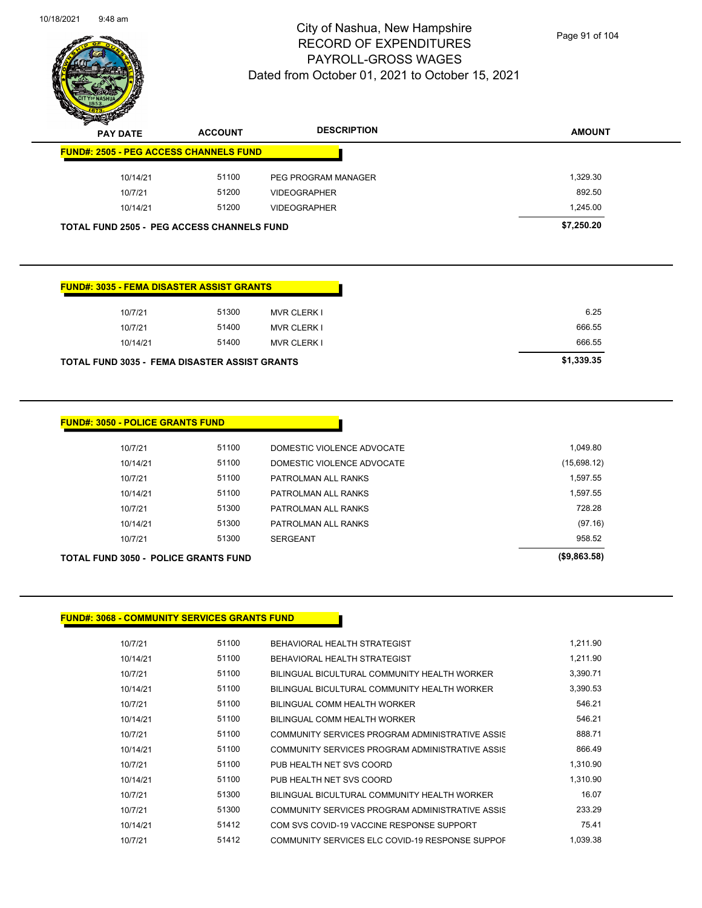

Page 91 of 104

| $\cdot$<br>. .<br><b>PAY DATE</b>                 | <b>ACCOUNT</b> | <b>DESCRIPTION</b>  | <b>AMOUNT</b> |
|---------------------------------------------------|----------------|---------------------|---------------|
| <b>FUND#: 2505 - PEG ACCESS CHANNELS FUND</b>     |                |                     |               |
| 10/14/21                                          | 51100          | PEG PROGRAM MANAGER | 1,329.30      |
| 10/7/21                                           | 51200          | <b>VIDEOGRAPHER</b> | 892.50        |
| 10/14/21                                          | 51200          | <b>VIDEOGRAPHER</b> | 1,245.00      |
| <b>TOTAL FUND 2505 - PEG ACCESS CHANNELS FUND</b> |                |                     | \$7,250.20    |

#### **FUND#: 3035 - FEMA DISASTER ASSIST GRANTS**

|          | TOTAL FUND 3035 - FEMA DISASTER ASSIST GRANTS |       |                    | \$1,339.35 |
|----------|-----------------------------------------------|-------|--------------------|------------|
| 10/14/21 |                                               | 51400 | <b>MVR CLERK I</b> | 666.55     |
| 10/7/21  |                                               | 51400 | <b>MVR CLERK I</b> | 666.55     |
| 10/7/21  |                                               | 51300 | <b>MVR CLERK I</b> | 6.25       |
|          |                                               |       |                    |            |

#### **FUND#: 3050 - POLICE GRANTS FUND**

| TOTAL FUND 3050 - POLICE GRANTS FUND. | (\$9,863.58) |                            |             |
|---------------------------------------|--------------|----------------------------|-------------|
| 10/7/21                               | 51300        | <b>SERGEANT</b>            | 958.52      |
| 10/14/21                              | 51300        | PATROLMAN ALL RANKS        | (97.16)     |
| 10/7/21                               | 51300        | PATROLMAN ALL RANKS        | 728.28      |
| 10/14/21                              | 51100        | PATROLMAN ALL RANKS        | 1,597.55    |
| 10/7/21                               | 51100        | PATROLMAN ALL RANKS        | 1,597.55    |
| 10/14/21                              | 51100        | DOMESTIC VIOLENCE ADVOCATE | (15,698.12) |
| 10/7/21                               | 51100        | DOMESTIC VIOLENCE ADVOCATE | 1,049.80    |
|                                       |              |                            |             |

#### **FUND#: 3068 - COMMUNITY SERVICES GRANTS FUND**

| 10/7/21  | 51100 | BEHAVIORAL HEALTH STRATEGIST                    | 1,211.90 |
|----------|-------|-------------------------------------------------|----------|
| 10/14/21 | 51100 | BEHAVIORAL HEALTH STRATEGIST                    | 1,211.90 |
| 10/7/21  | 51100 | BILINGUAL BICULTURAL COMMUNITY HEALTH WORKER    | 3.390.71 |
| 10/14/21 | 51100 | BILINGUAL BICULTURAL COMMUNITY HEALTH WORKER    | 3,390.53 |
| 10/7/21  | 51100 | BILINGUAL COMM HEALTH WORKER                    | 546.21   |
| 10/14/21 | 51100 | BILINGUAL COMM HEALTH WORKER                    | 546.21   |
| 10/7/21  | 51100 | COMMUNITY SERVICES PROGRAM ADMINISTRATIVE ASSIS | 888.71   |
| 10/14/21 | 51100 | COMMUNITY SERVICES PROGRAM ADMINISTRATIVE ASSIS | 866.49   |
| 10/7/21  | 51100 | PUB HEALTH NET SVS COORD                        | 1,310.90 |
| 10/14/21 | 51100 | PUB HEALTH NET SVS COORD                        | 1,310.90 |
| 10/7/21  | 51300 | BILINGUAL BICULTURAL COMMUNITY HEALTH WORKER    | 16.07    |
| 10/7/21  | 51300 | COMMUNITY SERVICES PROGRAM ADMINISTRATIVE ASSIS | 233.29   |
| 10/14/21 | 51412 | COM SVS COVID-19 VACCINE RESPONSE SUPPORT       | 75.41    |
| 10/7/21  | 51412 | COMMUNITY SERVICES ELC COVID-19 RESPONSE SUPPOF | 1.039.38 |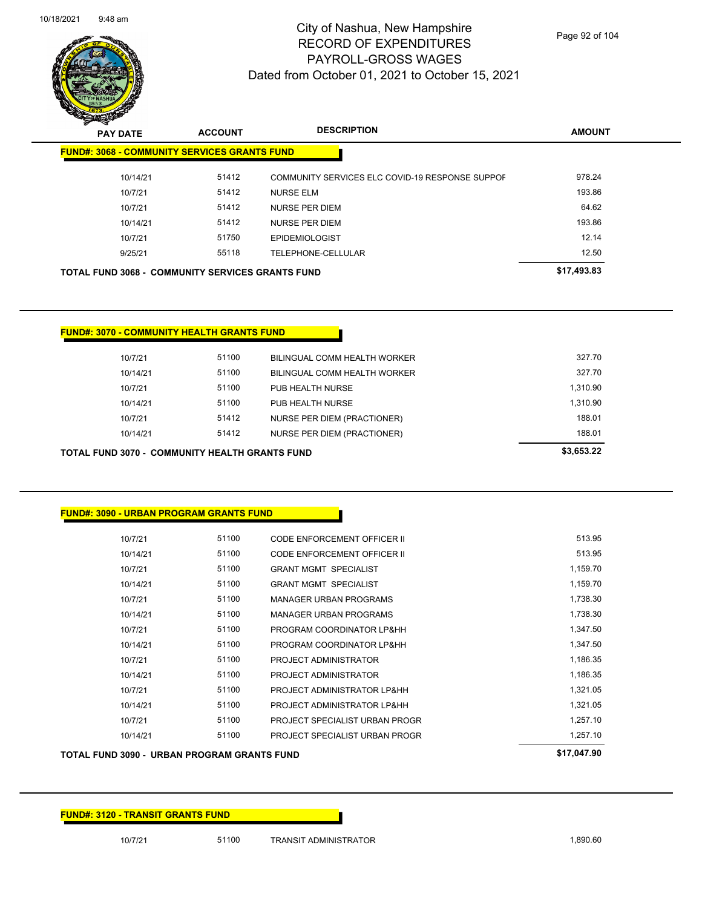

Page 92 of 104

| $\mathscr{D} \curvearrowright$<br><b>PAY DATE</b> | <b>ACCOUNT</b>                                          | <b>DESCRIPTION</b>                              | <b>AMOUNT</b> |
|---------------------------------------------------|---------------------------------------------------------|-------------------------------------------------|---------------|
|                                                   | <b>FUND#: 3068 - COMMUNITY SERVICES GRANTS FUND</b>     |                                                 |               |
| 10/14/21                                          | 51412                                                   | COMMUNITY SERVICES ELC COVID-19 RESPONSE SUPPOF | 978.24        |
| 10/7/21                                           | 51412                                                   | <b>NURSE ELM</b>                                | 193.86        |
| 10/7/21                                           | 51412                                                   | <b>NURSE PER DIEM</b>                           | 64.62         |
| 10/14/21                                          | 51412                                                   | NURSE PER DIEM                                  | 193.86        |
| 10/7/21                                           | 51750                                                   | <b>EPIDEMIOLOGIST</b>                           | 12.14         |
| 9/25/21                                           | 55118                                                   | TELEPHONE-CELLULAR                              | 12.50         |
|                                                   | <b>TOTAL FUND 3068 - COMMUNITY SERVICES GRANTS FUND</b> |                                                 | \$17,493.83   |

|  | <b>FUND#: 3070 - COMMUNITY HEALTH GRANTS FUND</b> |
|--|---------------------------------------------------|
|  |                                                   |

|          |       |                                    | 0.00000  |
|----------|-------|------------------------------------|----------|
| 10/14/21 | 51412 | NURSE PER DIEM (PRACTIONER)        | 188.01   |
| 10/7/21  | 51412 | <b>NURSE PER DIEM (PRACTIONER)</b> | 188.01   |
| 10/14/21 | 51100 | PUB HEALTH NURSE                   | 1.310.90 |
| 10/7/21  | 51100 | PUB HEALTH NURSE                   | 1.310.90 |
| 10/14/21 | 51100 | BILINGUAL COMM HEALTH WORKER       | 327.70   |
| 10/7/21  | 51100 | BILINGUAL COMM HEALTH WORKER       | 327.70   |
|          |       |                                    |          |

| TOTAL FUND 3070 - COMMUNITY HEALTH GRANTS FUND | \$3,653,22 |
|------------------------------------------------|------------|
|------------------------------------------------|------------|

| <b>FUND#: 3090 - URBAN PROGRAM GRANTS FUND</b> |       |                                    |          |
|------------------------------------------------|-------|------------------------------------|----------|
| 10/7/21                                        | 51100 | <b>CODE ENFORCEMENT OFFICER II</b> | 513.95   |
| 10/14/21                                       | 51100 | <b>CODE ENFORCEMENT OFFICER II</b> | 513.95   |
| 10/7/21                                        | 51100 | <b>GRANT MGMT SPECIALIST</b>       | 1,159.70 |
| 10/14/21                                       | 51100 | <b>GRANT MGMT SPECIALIST</b>       | 1,159.70 |
| 10/7/21                                        | 51100 | <b>MANAGER URBAN PROGRAMS</b>      | 1,738.30 |
| 10/14/21                                       | 51100 | <b>MANAGER URBAN PROGRAMS</b>      | 1,738.30 |
| 10/7/21                                        | 51100 | PROGRAM COORDINATOR LP&HH          | 1,347.50 |
| 10/14/21                                       | 51100 | PROGRAM COORDINATOR LP&HH          | 1,347.50 |
| 10/7/21                                        | 51100 | PROJECT ADMINISTRATOR              | 1,186.35 |
| 10/14/21                                       | 51100 | PROJECT ADMINISTRATOR              | 1,186.35 |
| 10/7/21                                        | 51100 | PROJECT ADMINISTRATOR LP&HH        | 1,321.05 |
| 10/14/21                                       | 51100 | PROJECT ADMINISTRATOR LP&HH        | 1,321.05 |
| 10/7/21                                        | 51100 | PROJECT SPECIALIST URBAN PROGR     | 1,257.10 |
| 10/14/21                                       | 51100 | PROJECT SPECIALIST URBAN PROGR     | 1,257.10 |

## **TOTAL FUND 3090 - URBAN PROGRAM GRANTS FUND <b>\$17,047.90**

**FUND#: 3120 - TRANSIT GRANTS FUND**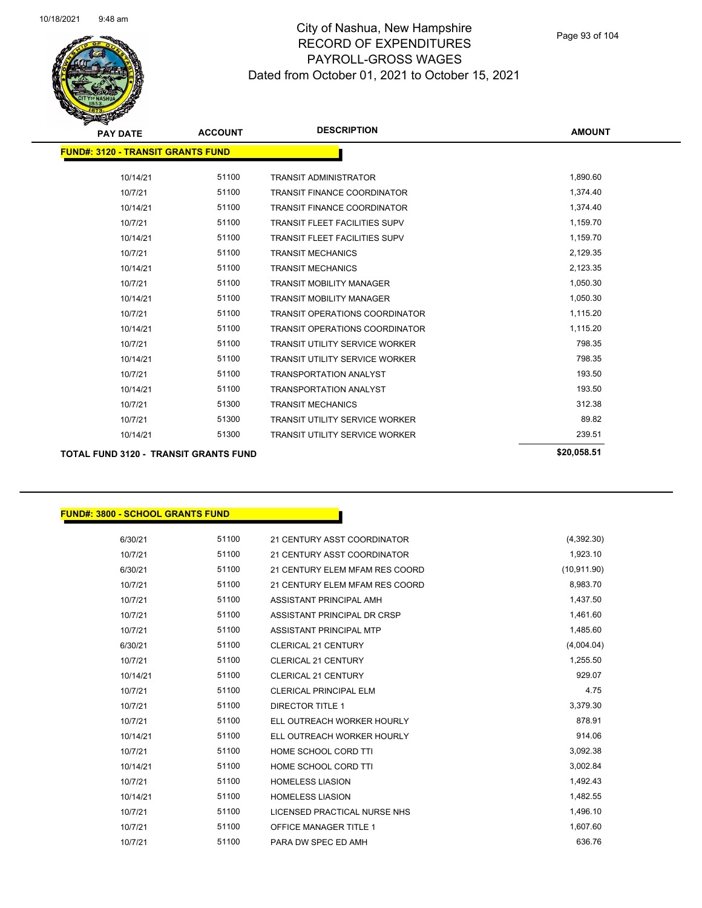

| <b>PAY DATE</b>                              | <b>ACCOUNT</b> | <b>DESCRIPTION</b>                    | <b>AMOUNT</b> |
|----------------------------------------------|----------------|---------------------------------------|---------------|
| <b>FUND#: 3120 - TRANSIT GRANTS FUND</b>     |                |                                       |               |
| 10/14/21                                     | 51100          | <b>TRANSIT ADMINISTRATOR</b>          | 1,890.60      |
| 10/7/21                                      | 51100          | <b>TRANSIT FINANCE COORDINATOR</b>    | 1,374.40      |
| 10/14/21                                     | 51100          | <b>TRANSIT FINANCE COORDINATOR</b>    | 1,374.40      |
| 10/7/21                                      | 51100          | <b>TRANSIT FLEET FACILITIES SUPV</b>  | 1,159.70      |
| 10/14/21                                     | 51100          | <b>TRANSIT FLEET FACILITIES SUPV</b>  | 1,159.70      |
| 10/7/21                                      | 51100          | <b>TRANSIT MECHANICS</b>              | 2,129.35      |
| 10/14/21                                     | 51100          | <b>TRANSIT MECHANICS</b>              | 2,123.35      |
| 10/7/21                                      | 51100          | <b>TRANSIT MOBILITY MANAGER</b>       | 1,050.30      |
| 10/14/21                                     | 51100          | <b>TRANSIT MOBILITY MANAGER</b>       | 1,050.30      |
| 10/7/21                                      | 51100          | <b>TRANSIT OPERATIONS COORDINATOR</b> | 1,115.20      |
| 10/14/21                                     | 51100          | <b>TRANSIT OPERATIONS COORDINATOR</b> | 1,115.20      |
| 10/7/21                                      | 51100          | <b>TRANSIT UTILITY SERVICE WORKER</b> | 798.35        |
| 10/14/21                                     | 51100          | <b>TRANSIT UTILITY SERVICE WORKER</b> | 798.35        |
| 10/7/21                                      | 51100          | <b>TRANSPORTATION ANALYST</b>         | 193.50        |
| 10/14/21                                     | 51100          | <b>TRANSPORTATION ANALYST</b>         | 193.50        |
| 10/7/21                                      | 51300          | <b>TRANSIT MECHANICS</b>              | 312.38        |
| 10/7/21                                      | 51300          | <b>TRANSIT UTILITY SERVICE WORKER</b> | 89.82         |
| 10/14/21                                     | 51300          | <b>TRANSIT UTILITY SERVICE WORKER</b> | 239.51        |
| <b>TOTAL FUND 3120 - TRANSIT GRANTS FUND</b> |                |                                       | \$20,058.51   |

#### **FUND#: 3800 - SCHOOL GRANTS FUND**

| 6/30/21  | 51100 | 21 CENTURY ASST COORDINATOR    | (4,392.30)   |
|----------|-------|--------------------------------|--------------|
| 10/7/21  | 51100 | 21 CENTURY ASST COORDINATOR    | 1,923.10     |
| 6/30/21  | 51100 | 21 CENTURY ELEM MFAM RES COORD | (10, 911.90) |
| 10/7/21  | 51100 | 21 CENTURY ELEM MFAM RES COORD | 8,983.70     |
| 10/7/21  | 51100 | ASSISTANT PRINCIPAL AMH        | 1,437.50     |
| 10/7/21  | 51100 | ASSISTANT PRINCIPAL DR CRSP    | 1,461.60     |
| 10/7/21  | 51100 | ASSISTANT PRINCIPAL MTP        | 1,485.60     |
| 6/30/21  | 51100 | <b>CLERICAL 21 CENTURY</b>     | (4,004.04)   |
| 10/7/21  | 51100 | <b>CLERICAL 21 CENTURY</b>     | 1,255.50     |
| 10/14/21 | 51100 | <b>CLERICAL 21 CENTURY</b>     | 929.07       |
| 10/7/21  | 51100 | <b>CLERICAL PRINCIPAL ELM</b>  | 4.75         |
| 10/7/21  | 51100 | <b>DIRECTOR TITLE 1</b>        | 3,379.30     |
| 10/7/21  | 51100 | ELL OUTREACH WORKER HOURLY     | 878.91       |
| 10/14/21 | 51100 | ELL OUTREACH WORKER HOURLY     | 914.06       |
| 10/7/21  | 51100 | HOME SCHOOL CORD TTI           | 3,092.38     |
| 10/14/21 | 51100 | HOME SCHOOL CORD TTI           | 3,002.84     |
| 10/7/21  | 51100 | <b>HOMELESS LIASION</b>        | 1,492.43     |
| 10/14/21 | 51100 | <b>HOMELESS LIASION</b>        | 1,482.55     |
| 10/7/21  | 51100 | LICENSED PRACTICAL NURSE NHS   | 1,496.10     |
| 10/7/21  | 51100 | <b>OFFICE MANAGER TITLE 1</b>  | 1,607.60     |
| 10/7/21  | 51100 | PARA DW SPEC ED AMH            | 636.76       |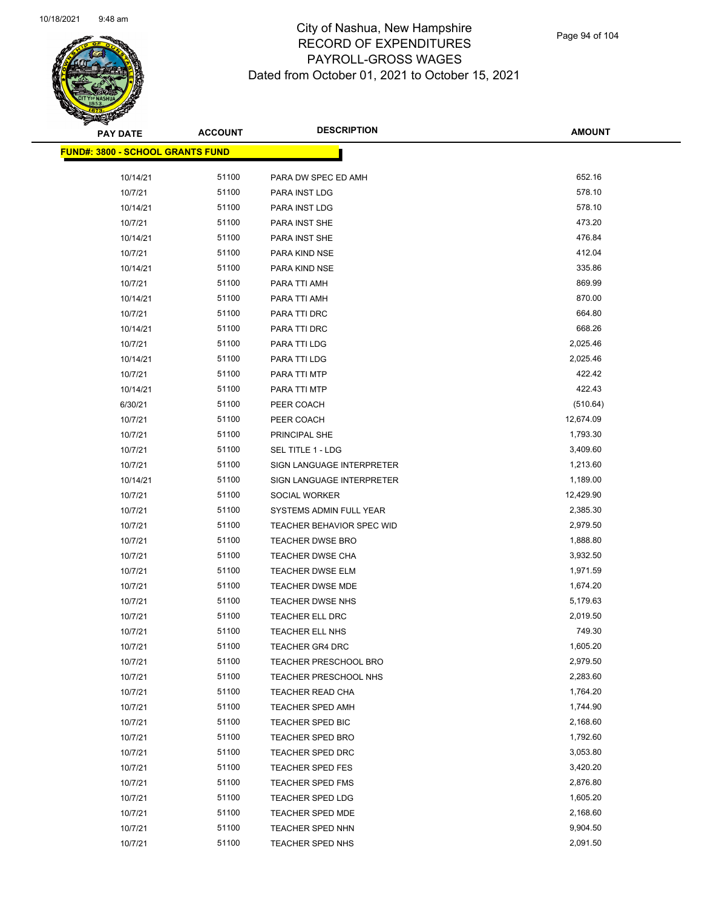

Page 94 of 104

| <b>PAY DATE</b>                         | <b>ACCOUNT</b> | <b>DESCRIPTION</b>        | <b>AMOUNT</b> |
|-----------------------------------------|----------------|---------------------------|---------------|
| <b>FUND#: 3800 - SCHOOL GRANTS FUND</b> |                |                           |               |
|                                         |                |                           |               |
| 10/14/21                                | 51100          | PARA DW SPEC ED AMH       | 652.16        |
| 10/7/21                                 | 51100          | PARA INST LDG             | 578.10        |
| 10/14/21                                | 51100          | PARA INST LDG             | 578.10        |
| 10/7/21                                 | 51100          | PARA INST SHE             | 473.20        |
| 10/14/21                                | 51100          | PARA INST SHE             | 476.84        |
| 10/7/21                                 | 51100          | PARA KIND NSE             | 412.04        |
| 10/14/21                                | 51100          | PARA KIND NSE             | 335.86        |
| 10/7/21                                 | 51100          | PARA TTI AMH              | 869.99        |
| 10/14/21                                | 51100          | PARA TTI AMH              | 870.00        |
| 10/7/21                                 | 51100          | PARA TTI DRC              | 664.80        |
| 10/14/21                                | 51100          | PARA TTI DRC              | 668.26        |
| 10/7/21                                 | 51100          | PARA TTI LDG              | 2,025.46      |
| 10/14/21                                | 51100          | PARA TTI LDG              | 2,025.46      |
| 10/7/21                                 | 51100          | PARA TTI MTP              | 422.42        |
| 10/14/21                                | 51100          | PARA TTI MTP              | 422.43        |
| 6/30/21                                 | 51100          | PEER COACH                | (510.64)      |
| 10/7/21                                 | 51100          | PEER COACH                | 12,674.09     |
| 10/7/21                                 | 51100          | PRINCIPAL SHE             | 1,793.30      |
| 10/7/21                                 | 51100          | <b>SEL TITLE 1 - LDG</b>  | 3,409.60      |
| 10/7/21                                 | 51100          | SIGN LANGUAGE INTERPRETER | 1,213.60      |
| 10/14/21                                | 51100          | SIGN LANGUAGE INTERPRETER | 1,189.00      |
| 10/7/21                                 | 51100          | SOCIAL WORKER             | 12,429.90     |
| 10/7/21                                 | 51100          | SYSTEMS ADMIN FULL YEAR   | 2,385.30      |
| 10/7/21                                 | 51100          | TEACHER BEHAVIOR SPEC WID | 2,979.50      |
| 10/7/21                                 | 51100          | <b>TEACHER DWSE BRO</b>   | 1,888.80      |
| 10/7/21                                 | 51100          | <b>TEACHER DWSE CHA</b>   | 3,932.50      |
| 10/7/21                                 | 51100          | TEACHER DWSE ELM          | 1,971.59      |
| 10/7/21                                 | 51100          | TEACHER DWSE MDE          | 1,674.20      |
| 10/7/21                                 | 51100          | TEACHER DWSE NHS          | 5,179.63      |
| 10/7/21                                 | 51100          | TEACHER ELL DRC           | 2,019.50      |
| 10/7/21                                 | 51100          | <b>TEACHER ELL NHS</b>    | 749.30        |
| 10/7/21                                 | 51100          | TEACHER GR4 DRC           | 1,605.20      |
| 10/7/21                                 | 51100          | TEACHER PRESCHOOL BRO     | 2,979.50      |
| 10/7/21                                 | 51100          | TEACHER PRESCHOOL NHS     | 2,283.60      |
| 10/7/21                                 | 51100          | <b>TEACHER READ CHA</b>   | 1,764.20      |
| 10/7/21                                 | 51100          | <b>TEACHER SPED AMH</b>   | 1,744.90      |
| 10/7/21                                 | 51100          | TEACHER SPED BIC          | 2,168.60      |
| 10/7/21                                 | 51100          | <b>TEACHER SPED BRO</b>   | 1,792.60      |
| 10/7/21                                 | 51100          | TEACHER SPED DRC          | 3,053.80      |
| 10/7/21                                 | 51100          | TEACHER SPED FES          | 3,420.20      |
| 10/7/21                                 | 51100          | <b>TEACHER SPED FMS</b>   | 2,876.80      |
| 10/7/21                                 | 51100          | <b>TEACHER SPED LDG</b>   | 1,605.20      |
| 10/7/21                                 | 51100          | TEACHER SPED MDE          | 2,168.60      |
| 10/7/21                                 | 51100          | TEACHER SPED NHN          | 9,904.50      |
| 10/7/21                                 | 51100          | TEACHER SPED NHS          | 2,091.50      |
|                                         |                |                           |               |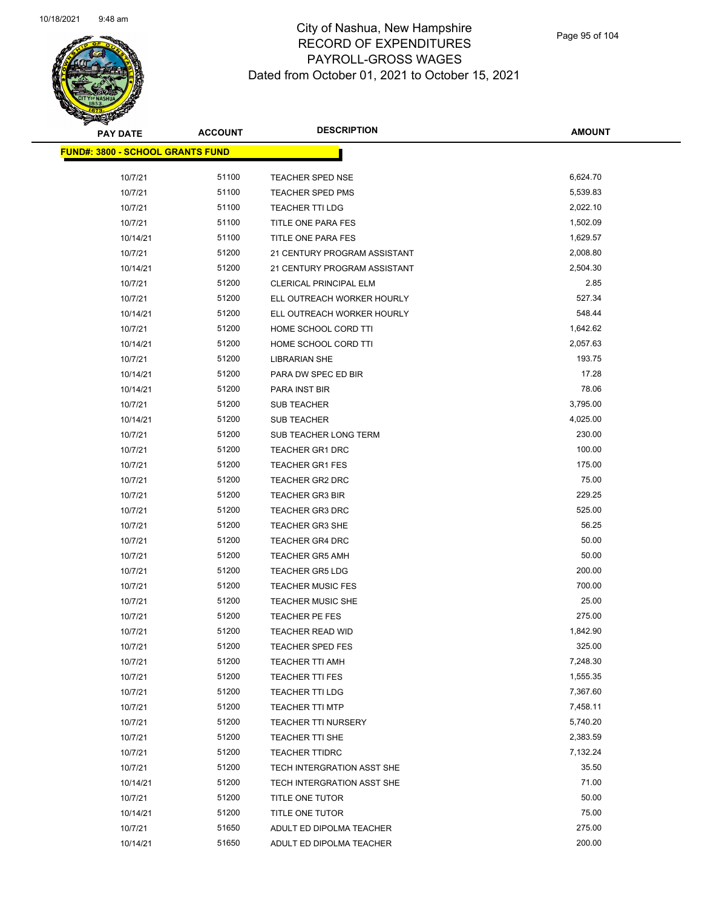

| $\blacktriangleleft$ .<br><b>PAY DATE</b> | <b>ACCOUNT</b> | <b>DESCRIPTION</b>            | <b>AMOUNT</b> |
|-------------------------------------------|----------------|-------------------------------|---------------|
| <u> FUND#: 3800 - SCHOOL GRANTS FUND</u>  |                |                               |               |
| 10/7/21                                   | 51100          | <b>TEACHER SPED NSE</b>       | 6,624.70      |
| 10/7/21                                   | 51100          | <b>TEACHER SPED PMS</b>       | 5,539.83      |
| 10/7/21                                   | 51100          | <b>TEACHER TTI LDG</b>        | 2,022.10      |
| 10/7/21                                   | 51100          | TITLE ONE PARA FES            | 1,502.09      |
| 10/14/21                                  | 51100          | TITLE ONE PARA FES            | 1,629.57      |
| 10/7/21                                   | 51200          | 21 CENTURY PROGRAM ASSISTANT  | 2,008.80      |
| 10/14/21                                  | 51200          | 21 CENTURY PROGRAM ASSISTANT  | 2,504.30      |
| 10/7/21                                   | 51200          | <b>CLERICAL PRINCIPAL ELM</b> | 2.85          |
| 10/7/21                                   | 51200          | ELL OUTREACH WORKER HOURLY    | 527.34        |
| 10/14/21                                  | 51200          | ELL OUTREACH WORKER HOURLY    | 548.44        |
| 10/7/21                                   | 51200          | HOME SCHOOL CORD TTI          | 1,642.62      |
| 10/14/21                                  | 51200          | HOME SCHOOL CORD TTI          | 2,057.63      |
| 10/7/21                                   | 51200          | <b>LIBRARIAN SHE</b>          | 193.75        |
| 10/14/21                                  | 51200          | PARA DW SPEC ED BIR           | 17.28         |
| 10/14/21                                  | 51200          | PARA INST BIR                 | 78.06         |
| 10/7/21                                   | 51200          | <b>SUB TEACHER</b>            | 3,795.00      |
| 10/14/21                                  | 51200          | <b>SUB TEACHER</b>            | 4,025.00      |
| 10/7/21                                   | 51200          | SUB TEACHER LONG TERM         | 230.00        |
| 10/7/21                                   | 51200          | <b>TEACHER GR1 DRC</b>        | 100.00        |
| 10/7/21                                   | 51200          | <b>TEACHER GR1 FES</b>        | 175.00        |
| 10/7/21                                   | 51200          | <b>TEACHER GR2 DRC</b>        | 75.00         |
| 10/7/21                                   | 51200          | <b>TEACHER GR3 BIR</b>        | 229.25        |
| 10/7/21                                   | 51200          | <b>TEACHER GR3 DRC</b>        | 525.00        |
| 10/7/21                                   | 51200          | <b>TEACHER GR3 SHE</b>        | 56.25         |
| 10/7/21                                   | 51200          | <b>TEACHER GR4 DRC</b>        | 50.00         |
| 10/7/21                                   | 51200          | <b>TEACHER GR5 AMH</b>        | 50.00         |
| 10/7/21                                   | 51200          | <b>TEACHER GR5 LDG</b>        | 200.00        |
| 10/7/21                                   | 51200          | <b>TEACHER MUSIC FES</b>      | 700.00        |
| 10/7/21                                   | 51200          | TEACHER MUSIC SHE             | 25.00         |
| 10/7/21                                   | 51200          | TEACHER PE FES                | 275.00        |
| 10/7/21                                   | 51200          | TEACHER READ WID              | 1,842.90      |
| 10/7/21                                   | 51200          | <b>TEACHER SPED FES</b>       | 325.00        |
| 10/7/21                                   | 51200          | TEACHER TTI AMH               | 7,248.30      |
| 10/7/21                                   | 51200          | <b>TEACHER TTI FES</b>        | 1,555.35      |
| 10/7/21                                   | 51200          | TEACHER TTI LDG               | 7,367.60      |
| 10/7/21                                   | 51200          | <b>TEACHER TTI MTP</b>        | 7,458.11      |
| 10/7/21                                   | 51200          | <b>TEACHER TTI NURSERY</b>    | 5,740.20      |
| 10/7/21                                   | 51200          | TEACHER TTI SHE               | 2,383.59      |
| 10/7/21                                   | 51200          | <b>TEACHER TTIDRC</b>         | 7,132.24      |
| 10/7/21                                   | 51200          | TECH INTERGRATION ASST SHE    | 35.50         |
| 10/14/21                                  | 51200          | TECH INTERGRATION ASST SHE    | 71.00         |
| 10/7/21                                   | 51200          | TITLE ONE TUTOR               | 50.00         |
| 10/14/21                                  | 51200          | TITLE ONE TUTOR               | 75.00         |
| 10/7/21                                   | 51650          | ADULT ED DIPOLMA TEACHER      | 275.00        |
| 10/14/21                                  | 51650          | ADULT ED DIPOLMA TEACHER      | 200.00        |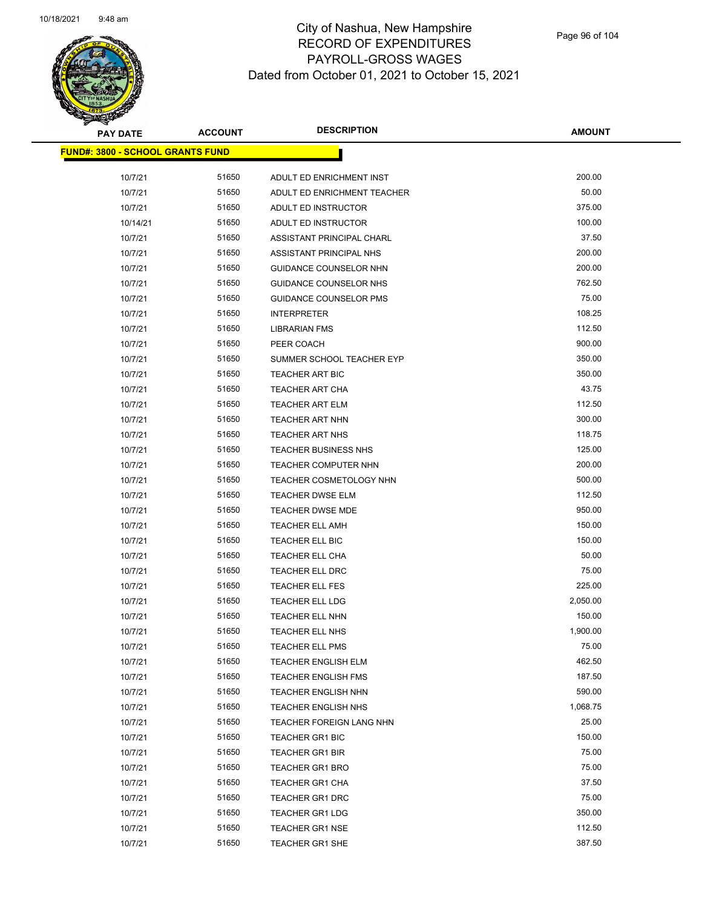

| <b>PAY DATE</b>                          | <b>ACCOUNT</b> | <b>DESCRIPTION</b>             | <b>AMOUNT</b> |
|------------------------------------------|----------------|--------------------------------|---------------|
| <u> FUND#: 3800 - SCHOOL GRANTS FUND</u> |                |                                |               |
| 10/7/21                                  | 51650          | ADULT ED ENRICHMENT INST       | 200.00        |
| 10/7/21                                  | 51650          | ADULT ED ENRICHMENT TEACHER    | 50.00         |
| 10/7/21                                  | 51650          | ADULT ED INSTRUCTOR            | 375.00        |
| 10/14/21                                 | 51650          | ADULT ED INSTRUCTOR            | 100.00        |
| 10/7/21                                  | 51650          | ASSISTANT PRINCIPAL CHARL      | 37.50         |
| 10/7/21                                  | 51650          | ASSISTANT PRINCIPAL NHS        | 200.00        |
| 10/7/21                                  | 51650          | GUIDANCE COUNSELOR NHN         | 200.00        |
| 10/7/21                                  | 51650          | <b>GUIDANCE COUNSELOR NHS</b>  | 762.50        |
| 10/7/21                                  | 51650          | <b>GUIDANCE COUNSELOR PMS</b>  | 75.00         |
| 10/7/21                                  | 51650          | <b>INTERPRETER</b>             | 108.25        |
| 10/7/21                                  | 51650          | <b>LIBRARIAN FMS</b>           | 112.50        |
| 10/7/21                                  | 51650          | PEER COACH                     | 900.00        |
| 10/7/21                                  | 51650          | SUMMER SCHOOL TEACHER EYP      | 350.00        |
| 10/7/21                                  | 51650          | <b>TEACHER ART BIC</b>         | 350.00        |
| 10/7/21                                  | 51650          | <b>TEACHER ART CHA</b>         | 43.75         |
| 10/7/21                                  | 51650          | <b>TEACHER ART ELM</b>         | 112.50        |
| 10/7/21                                  | 51650          | <b>TEACHER ART NHN</b>         | 300.00        |
| 10/7/21                                  | 51650          | <b>TEACHER ART NHS</b>         | 118.75        |
| 10/7/21                                  | 51650          | <b>TEACHER BUSINESS NHS</b>    | 125.00        |
| 10/7/21                                  | 51650          | <b>TEACHER COMPUTER NHN</b>    | 200.00        |
| 10/7/21                                  | 51650          | <b>TEACHER COSMETOLOGY NHN</b> | 500.00        |
| 10/7/21                                  | 51650          | <b>TEACHER DWSE ELM</b>        | 112.50        |
| 10/7/21                                  | 51650          | <b>TEACHER DWSE MDE</b>        | 950.00        |
| 10/7/21                                  | 51650          | <b>TEACHER ELL AMH</b>         | 150.00        |
| 10/7/21                                  | 51650          | TEACHER ELL BIC                | 150.00        |
| 10/7/21                                  | 51650          | TEACHER ELL CHA                | 50.00         |
| 10/7/21                                  | 51650          | TEACHER ELL DRC                | 75.00         |
| 10/7/21                                  | 51650          | <b>TEACHER ELL FES</b>         | 225.00        |
| 10/7/21                                  | 51650          | TEACHER ELL LDG                | 2,050.00      |
| 10/7/21                                  | 51650          | TEACHER ELL NHN                | 150.00        |
| 10/7/21                                  | 51650          | TEACHER ELL NHS                | 1,900.00      |
| 10/7/21                                  | 51650          | <b>TEACHER ELL PMS</b>         | 75.00         |
| 10/7/21                                  | 51650          | <b>TEACHER ENGLISH ELM</b>     | 462.50        |
| 10/7/21                                  | 51650          | <b>TEACHER ENGLISH FMS</b>     | 187.50        |
| 10/7/21                                  | 51650          | <b>TEACHER ENGLISH NHN</b>     | 590.00        |
| 10/7/21                                  | 51650          | TEACHER ENGLISH NHS            | 1,068.75      |
| 10/7/21                                  | 51650          | TEACHER FOREIGN LANG NHN       | 25.00         |
| 10/7/21                                  | 51650          | <b>TEACHER GR1 BIC</b>         | 150.00        |
| 10/7/21                                  | 51650          | <b>TEACHER GR1 BIR</b>         | 75.00         |
| 10/7/21                                  | 51650          | <b>TEACHER GR1 BRO</b>         | 75.00         |
| 10/7/21                                  | 51650          | <b>TEACHER GR1 CHA</b>         | 37.50         |
| 10/7/21                                  | 51650          | <b>TEACHER GR1 DRC</b>         | 75.00         |
| 10/7/21                                  | 51650          | <b>TEACHER GR1 LDG</b>         | 350.00        |
| 10/7/21                                  | 51650          | <b>TEACHER GR1 NSE</b>         | 112.50        |
| 10/7/21                                  | 51650          | TEACHER GR1 SHE                | 387.50        |
|                                          |                |                                |               |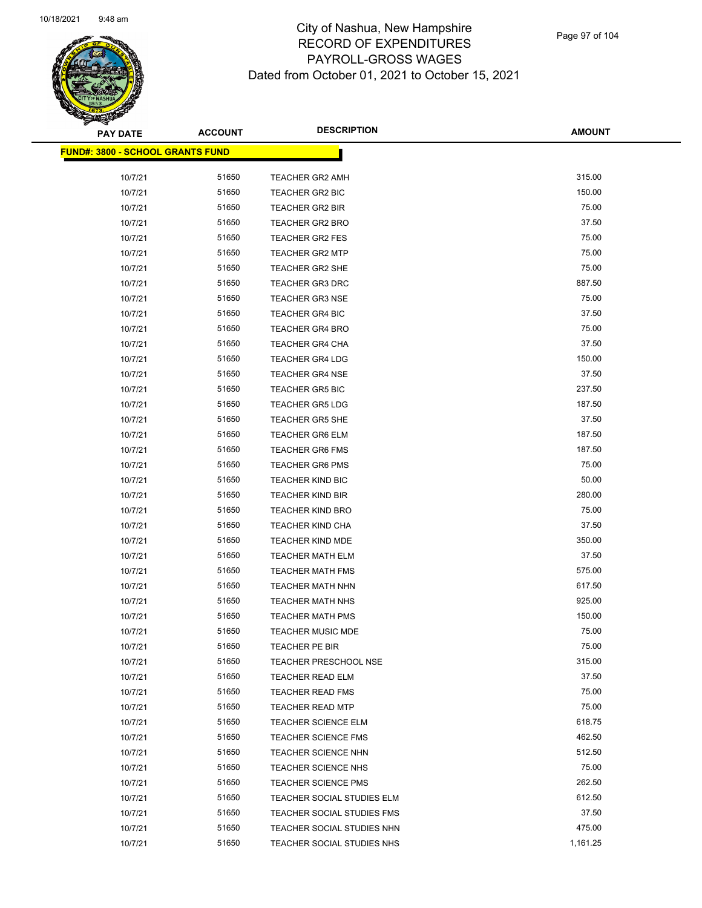

| <b>PAY DATE</b>                          | <b>ACCOUNT</b> | <b>DESCRIPTION</b>           | <b>AMOUNT</b> |
|------------------------------------------|----------------|------------------------------|---------------|
| <u> FUND#: 3800 - SCHOOL GRANTS FUND</u> |                |                              |               |
|                                          |                |                              |               |
| 10/7/21                                  | 51650          | <b>TEACHER GR2 AMH</b>       | 315.00        |
| 10/7/21                                  | 51650          | <b>TEACHER GR2 BIC</b>       | 150.00        |
| 10/7/21                                  | 51650          | <b>TEACHER GR2 BIR</b>       | 75.00         |
| 10/7/21                                  | 51650          | <b>TEACHER GR2 BRO</b>       | 37.50         |
| 10/7/21                                  | 51650          | <b>TEACHER GR2 FES</b>       | 75.00         |
| 10/7/21                                  | 51650          | <b>TEACHER GR2 MTP</b>       | 75.00         |
| 10/7/21                                  | 51650          | <b>TEACHER GR2 SHE</b>       | 75.00         |
| 10/7/21                                  | 51650          | <b>TEACHER GR3 DRC</b>       | 887.50        |
| 10/7/21                                  | 51650          | <b>TEACHER GR3 NSE</b>       | 75.00         |
| 10/7/21                                  | 51650          | <b>TEACHER GR4 BIC</b>       | 37.50         |
| 10/7/21                                  | 51650          | <b>TEACHER GR4 BRO</b>       | 75.00         |
| 10/7/21                                  | 51650          | <b>TEACHER GR4 CHA</b>       | 37.50         |
| 10/7/21                                  | 51650          | <b>TEACHER GR4 LDG</b>       | 150.00        |
| 10/7/21                                  | 51650          | <b>TEACHER GR4 NSE</b>       | 37.50         |
| 10/7/21                                  | 51650          | <b>TEACHER GR5 BIC</b>       | 237.50        |
| 10/7/21                                  | 51650          | <b>TEACHER GR5 LDG</b>       | 187.50        |
| 10/7/21                                  | 51650          | <b>TEACHER GR5 SHE</b>       | 37.50         |
| 10/7/21                                  | 51650          | <b>TEACHER GR6 ELM</b>       | 187.50        |
| 10/7/21                                  | 51650          | <b>TEACHER GR6 FMS</b>       | 187.50        |
| 10/7/21                                  | 51650          | <b>TEACHER GR6 PMS</b>       | 75.00         |
| 10/7/21                                  | 51650          | <b>TEACHER KIND BIC</b>      | 50.00         |
| 10/7/21                                  | 51650          | <b>TEACHER KIND BIR</b>      | 280.00        |
| 10/7/21                                  | 51650          | <b>TEACHER KIND BRO</b>      | 75.00         |
| 10/7/21                                  | 51650          | <b>TEACHER KIND CHA</b>      | 37.50         |
| 10/7/21                                  | 51650          | <b>TEACHER KIND MDE</b>      | 350.00        |
| 10/7/21                                  | 51650          | <b>TEACHER MATH ELM</b>      | 37.50         |
| 10/7/21                                  | 51650          | <b>TEACHER MATH FMS</b>      | 575.00        |
| 10/7/21                                  | 51650          | <b>TEACHER MATH NHN</b>      | 617.50        |
| 10/7/21                                  | 51650          | <b>TEACHER MATH NHS</b>      | 925.00        |
| 10/7/21                                  | 51650          | <b>TEACHER MATH PMS</b>      | 150.00        |
| 10/7/21                                  | 51650          | <b>TEACHER MUSIC MDE</b>     | 75.00         |
| 10/7/21                                  | 51650          | TEACHER PE BIR               | 75.00         |
| 10/7/21                                  | 51650          | <b>TEACHER PRESCHOOL NSE</b> | 315.00        |
| 10/7/21                                  | 51650          | <b>TEACHER READ ELM</b>      | 37.50         |
| 10/7/21                                  | 51650          | <b>TEACHER READ FMS</b>      | 75.00         |
| 10/7/21                                  | 51650          | <b>TEACHER READ MTP</b>      | 75.00         |
| 10/7/21                                  | 51650          | <b>TEACHER SCIENCE ELM</b>   | 618.75        |
| 10/7/21                                  | 51650          | <b>TEACHER SCIENCE FMS</b>   | 462.50        |
| 10/7/21                                  | 51650          | <b>TEACHER SCIENCE NHN</b>   | 512.50        |
| 10/7/21                                  | 51650          | TEACHER SCIENCE NHS          | 75.00         |
| 10/7/21                                  | 51650          | TEACHER SCIENCE PMS          | 262.50        |
| 10/7/21                                  | 51650          | TEACHER SOCIAL STUDIES ELM   | 612.50        |
| 10/7/21                                  | 51650          | TEACHER SOCIAL STUDIES FMS   | 37.50         |
| 10/7/21                                  | 51650          | TEACHER SOCIAL STUDIES NHN   | 475.00        |
| 10/7/21                                  | 51650          | TEACHER SOCIAL STUDIES NHS   | 1,161.25      |
|                                          |                |                              |               |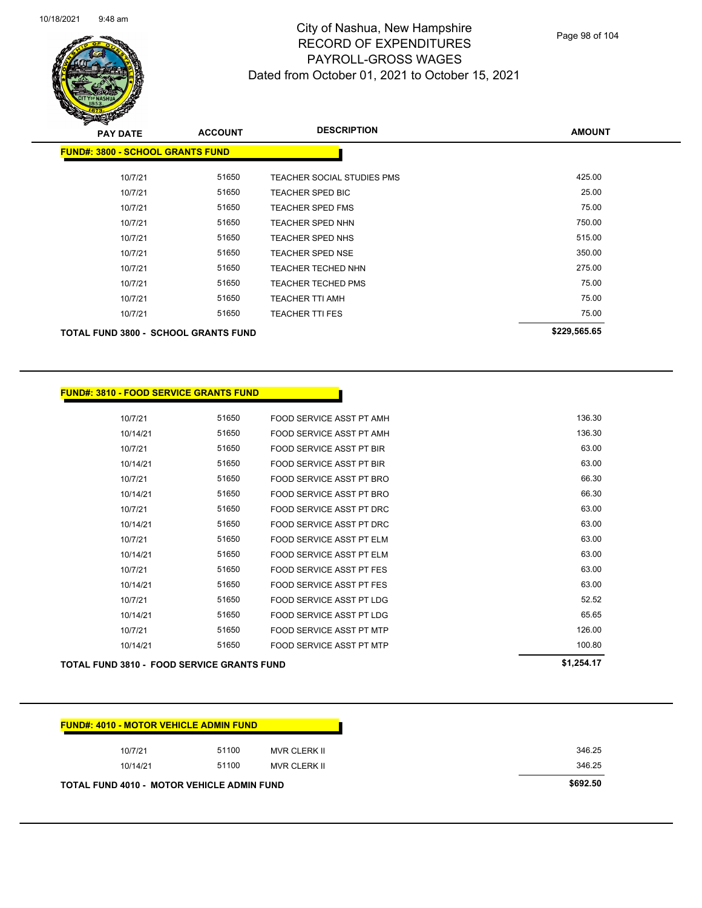| 10/18/2021 | $9:48$ am |
|------------|-----------|
|------------|-----------|



**FUND#: 3810 - FOOD SERVICE GRANTS FUND**

## City of Nashua, New Hampshire RECORD OF EXPENDITURES PAYROLL-GROSS WAGES Dated from October 01, 2021 to October 15, 2021

Page 98 of 104

| s<br>$\tilde{\phantom{a}}$<br><b>PAY DATE</b> | <b>ACCOUNT</b> | <b>DESCRIPTION</b>         | <b>AMOUNT</b> |
|-----------------------------------------------|----------------|----------------------------|---------------|
| <b>FUND#: 3800 - SCHOOL GRANTS FUND</b>       |                |                            |               |
| 10/7/21                                       | 51650          | TEACHER SOCIAL STUDIES PMS | 425.00        |
| 10/7/21                                       | 51650          | TEACHER SPED BIC           | 25.00         |
| 10/7/21                                       | 51650          | <b>TEACHER SPED FMS</b>    | 75.00         |
| 10/7/21                                       | 51650          | <b>TEACHER SPED NHN</b>    | 750.00        |
| 10/7/21                                       | 51650          | <b>TEACHER SPED NHS</b>    | 515.00        |
| 10/7/21                                       | 51650          | <b>TEACHER SPED NSE</b>    | 350.00        |
| 10/7/21                                       | 51650          | <b>TEACHER TECHED NHN</b>  | 275.00        |
| 10/7/21                                       | 51650          | <b>TEACHER TECHED PMS</b>  | 75.00         |
| 10/7/21                                       | 51650          | <b>TEACHER TTI AMH</b>     | 75.00         |
| 10/7/21                                       | 51650          | <b>TEACHER TTI FES</b>     | 75.00         |
| <b>TOTAL FUND 3800 - SCHOOL GRANTS FUND</b>   |                |                            | \$229,565.65  |

| <b>TOTAL FUND 3810 - FOOD SERVICE GRANTS FUND</b> |       |                                 | \$1,254.17 |
|---------------------------------------------------|-------|---------------------------------|------------|
| 10/14/21                                          | 51650 | FOOD SERVICE ASST PT MTP        | 100.80     |
| 10/7/21                                           | 51650 | FOOD SERVICE ASST PT MTP        | 126.00     |
| 10/14/21                                          | 51650 | FOOD SERVICE ASST PT LDG        | 65.65      |
| 10/7/21                                           | 51650 | FOOD SERVICE ASST PT LDG        | 52.52      |
| 10/14/21                                          | 51650 | <b>FOOD SERVICE ASST PT FES</b> | 63.00      |
| 10/7/21                                           | 51650 | <b>FOOD SERVICE ASST PT FES</b> | 63.00      |
| 10/14/21                                          | 51650 | FOOD SERVICE ASST PT ELM        | 63.00      |
| 10/7/21                                           | 51650 | FOOD SERVICE ASST PT ELM        | 63.00      |
| 10/14/21                                          | 51650 | FOOD SERVICE ASST PT DRC        | 63.00      |
| 10/7/21                                           | 51650 | FOOD SERVICE ASST PT DRC        | 63.00      |
| 10/14/21                                          | 51650 | FOOD SERVICE ASST PT BRO        | 66.30      |
| 10/7/21                                           | 51650 | FOOD SERVICE ASST PT BRO        | 66.30      |
| 10/14/21                                          | 51650 | <b>FOOD SERVICE ASST PT BIR</b> | 63.00      |
| 10/7/21                                           | 51650 | <b>FOOD SERVICE ASST PT BIR</b> | 63.00      |
| 10/14/21                                          | 51650 | FOOD SERVICE ASST PT AMH        | 136.30     |
| 10/7/21                                           | 51650 | FOOD SERVICE ASST PT AMH        | 136.30     |
|                                                   |       |                                 |            |

| 10/7/21  | 51100 | MVR CLERK II | 346.25 |
|----------|-------|--------------|--------|
| 10/14/21 | 51100 | MVR CLERK II | 346.25 |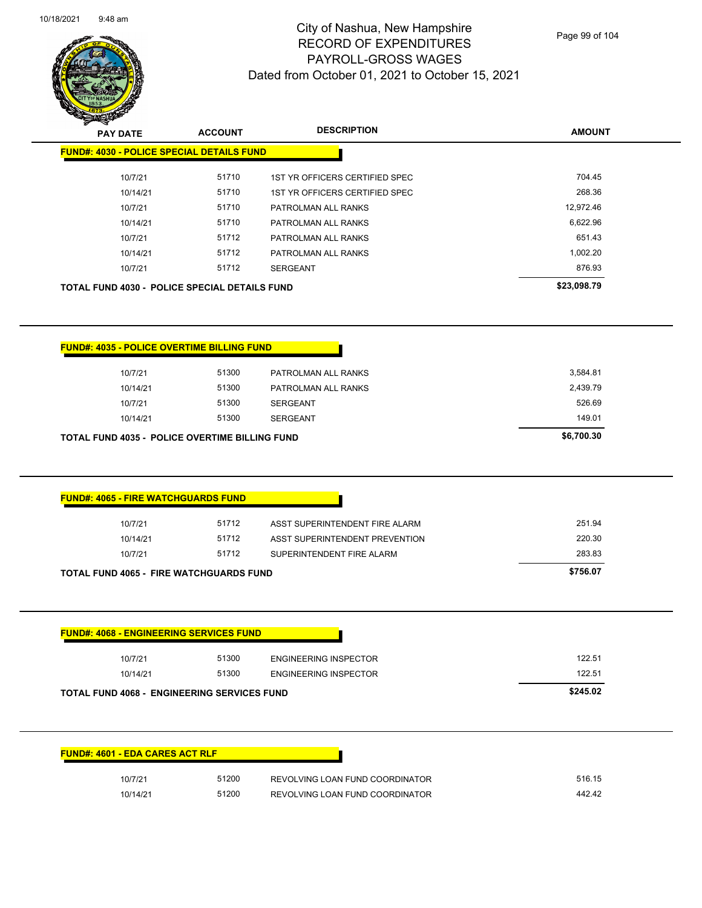L.



## City of Nashua, New Hampshire RECORD OF EXPENDITURES PAYROLL-GROSS WAGES Dated from October 01, 2021 to October 15, 2021

Page 99 of 104

| <b>Contraction</b><br><b>PAY DATE</b>                                                                                                          |                |                                                                    |                  |
|------------------------------------------------------------------------------------------------------------------------------------------------|----------------|--------------------------------------------------------------------|------------------|
|                                                                                                                                                | <b>ACCOUNT</b> | <b>DESCRIPTION</b>                                                 | <b>AMOUNT</b>    |
| <b>FUND#: 4030 - POLICE SPECIAL DETAILS FUND</b>                                                                                               |                |                                                                    |                  |
| 10/7/21                                                                                                                                        | 51710          | 1ST YR OFFICERS CERTIFIED SPEC                                     | 704.45           |
| 10/14/21                                                                                                                                       | 51710          | 1ST YR OFFICERS CERTIFIED SPEC                                     | 268.36           |
| 10/7/21                                                                                                                                        | 51710          | PATROLMAN ALL RANKS                                                | 12,972.46        |
| 10/14/21                                                                                                                                       | 51710          | PATROLMAN ALL RANKS                                                | 6,622.96         |
| 10/7/21                                                                                                                                        | 51712          | PATROLMAN ALL RANKS                                                | 651.43           |
| 10/14/21                                                                                                                                       | 51712          | PATROLMAN ALL RANKS                                                | 1,002.20         |
| 10/7/21                                                                                                                                        | 51712          | <b>SERGEANT</b>                                                    | 876.93           |
| <b>TOTAL FUND 4030 - POLICE SPECIAL DETAILS FUND</b>                                                                                           |                |                                                                    | \$23,098.79      |
|                                                                                                                                                |                |                                                                    |                  |
| <b>FUND#: 4035 - POLICE OVERTIME BILLING FUND</b>                                                                                              |                |                                                                    |                  |
| 10/7/21                                                                                                                                        | 51300          | PATROLMAN ALL RANKS                                                | 3,584.81         |
| 10/14/21                                                                                                                                       | 51300          | PATROLMAN ALL RANKS                                                | 2,439.79         |
| 10/7/21                                                                                                                                        | 51300          | <b>SERGEANT</b>                                                    | 526.69           |
| 10/14/21                                                                                                                                       | 51300          | <b>SERGEANT</b>                                                    | 149.01           |
|                                                                                                                                                |                |                                                                    |                  |
|                                                                                                                                                |                |                                                                    |                  |
| 10/7/21                                                                                                                                        | 51712          | ASST SUPERINTENDENT FIRE ALARM                                     | 251.94           |
| 10/14/21                                                                                                                                       | 51712          | ASST SUPERINTENDENT PREVENTION                                     | 220.30           |
| 10/7/21                                                                                                                                        | 51712          | SUPERINTENDENT FIRE ALARM                                          | 283.83           |
|                                                                                                                                                |                |                                                                    | \$756.07         |
| <b>FUND#: 4065 - FIRE WATCHGUARDS FUND</b><br><b>TOTAL FUND 4065 - FIRE WATCHGUARDS FUND</b><br><b>FUND#: 4068 - ENGINEERING SERVICES FUND</b> |                |                                                                    |                  |
| 10/7/21                                                                                                                                        | 51300          | <b>ENGINEERING INSPECTOR</b>                                       | 122.51           |
| 10/14/21                                                                                                                                       | 51300          | <b>ENGINEERING INSPECTOR</b>                                       | 122.51           |
|                                                                                                                                                |                |                                                                    | \$245.02         |
| <b>TOTAL FUND 4068 - ENGINEERING SERVICES FUND</b><br><b>FUND#: 4601 - EDA CARES ACT RLF</b>                                                   |                |                                                                    |                  |
|                                                                                                                                                |                |                                                                    |                  |
| 10/7/21<br>10/14/21                                                                                                                            | 51200<br>51200 | REVOLVING LOAN FUND COORDINATOR<br>REVOLVING LOAN FUND COORDINATOR | 516.15<br>442.42 |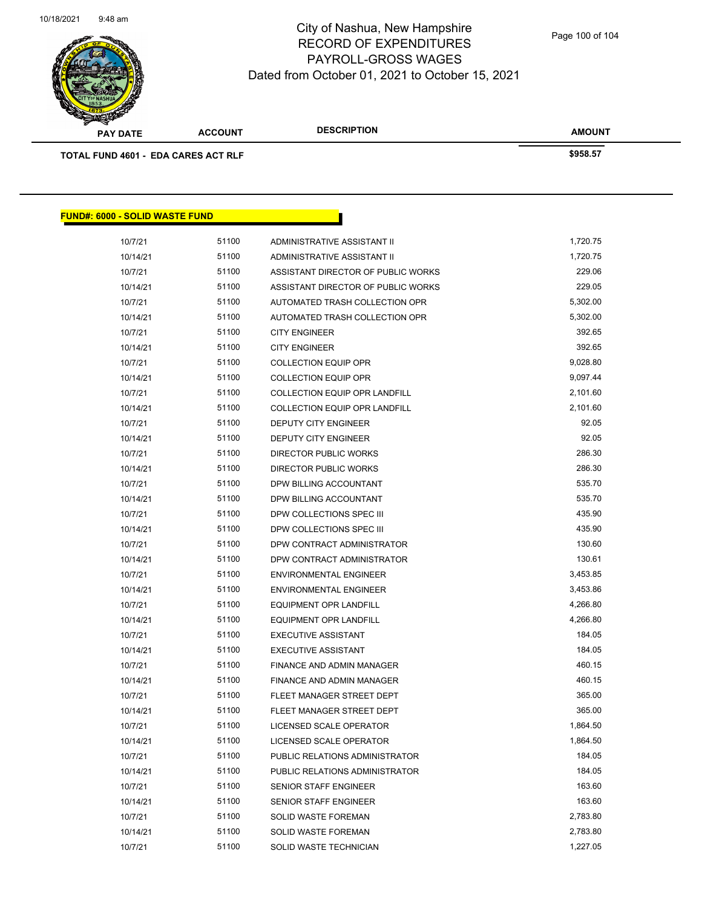

| ____<br><b>PAY DATE</b>                    | <b>ACCOUNT</b> | <b>DESCRIPTION</b> | <b>AMOUNT</b> |
|--------------------------------------------|----------------|--------------------|---------------|
| <b>TOTAL FUND 4601 - EDA CARES ACT RLF</b> |                |                    | \$958.57      |

| <u> FUND#: 6000 - SOLID WASTE FUND</u> |       |                                      |          |
|----------------------------------------|-------|--------------------------------------|----------|
| 10/7/21                                | 51100 | ADMINISTRATIVE ASSISTANT II          | 1,720.75 |
| 10/14/21                               | 51100 | ADMINISTRATIVE ASSISTANT II          | 1,720.75 |
| 10/7/21                                | 51100 | ASSISTANT DIRECTOR OF PUBLIC WORKS   | 229.06   |
| 10/14/21                               | 51100 | ASSISTANT DIRECTOR OF PUBLIC WORKS   | 229.05   |
| 10/7/21                                | 51100 | AUTOMATED TRASH COLLECTION OPR       | 5,302.00 |
| 10/14/21                               | 51100 | AUTOMATED TRASH COLLECTION OPR       | 5,302.00 |
| 10/7/21                                | 51100 | <b>CITY ENGINEER</b>                 | 392.65   |
| 10/14/21                               | 51100 | <b>CITY ENGINEER</b>                 | 392.65   |
| 10/7/21                                | 51100 | <b>COLLECTION EQUIP OPR</b>          | 9,028.80 |
| 10/14/21                               | 51100 | <b>COLLECTION EQUIP OPR</b>          | 9,097.44 |
| 10/7/21                                | 51100 | <b>COLLECTION EQUIP OPR LANDFILL</b> | 2,101.60 |
| 10/14/21                               | 51100 | <b>COLLECTION EQUIP OPR LANDFILL</b> | 2,101.60 |
| 10/7/21                                | 51100 | <b>DEPUTY CITY ENGINEER</b>          | 92.05    |
| 10/14/21                               | 51100 | <b>DEPUTY CITY ENGINEER</b>          | 92.05    |
| 10/7/21                                | 51100 | DIRECTOR PUBLIC WORKS                | 286.30   |
| 10/14/21                               | 51100 | DIRECTOR PUBLIC WORKS                | 286.30   |
| 10/7/21                                | 51100 | DPW BILLING ACCOUNTANT               | 535.70   |
| 10/14/21                               | 51100 | DPW BILLING ACCOUNTANT               | 535.70   |
| 10/7/21                                | 51100 | DPW COLLECTIONS SPEC III             | 435.90   |
| 10/14/21                               | 51100 | DPW COLLECTIONS SPEC III             | 435.90   |
| 10/7/21                                | 51100 | DPW CONTRACT ADMINISTRATOR           | 130.60   |
| 10/14/21                               | 51100 | DPW CONTRACT ADMINISTRATOR           | 130.61   |
| 10/7/21                                | 51100 | <b>ENVIRONMENTAL ENGINEER</b>        | 3,453.85 |
| 10/14/21                               | 51100 | <b>ENVIRONMENTAL ENGINEER</b>        | 3,453.86 |
| 10/7/21                                | 51100 | <b>EQUIPMENT OPR LANDFILL</b>        | 4,266.80 |
| 10/14/21                               | 51100 | <b>EQUIPMENT OPR LANDFILL</b>        | 4,266.80 |
| 10/7/21                                | 51100 | <b>EXECUTIVE ASSISTANT</b>           | 184.05   |
| 10/14/21                               | 51100 | <b>EXECUTIVE ASSISTANT</b>           | 184.05   |
| 10/7/21                                | 51100 | <b>FINANCE AND ADMIN MANAGER</b>     | 460.15   |
| 10/14/21                               | 51100 | FINANCE AND ADMIN MANAGER            | 460.15   |
| 10/7/21                                | 51100 | FLEET MANAGER STREET DEPT            | 365.00   |
| 10/14/21                               | 51100 | FLEET MANAGER STREET DEPT            | 365.00   |
| 10/7/21                                | 51100 | LICENSED SCALE OPERATOR              | 1,864.50 |
| 10/14/21                               | 51100 | LICENSED SCALE OPERATOR              | 1,864.50 |
| 10/7/21                                | 51100 | PUBLIC RELATIONS ADMINISTRATOR       | 184.05   |
| 10/14/21                               | 51100 | PUBLIC RELATIONS ADMINISTRATOR       | 184.05   |
| 10/7/21                                | 51100 | SENIOR STAFF ENGINEER                | 163.60   |
| 10/14/21                               | 51100 | <b>SENIOR STAFF ENGINEER</b>         | 163.60   |
| 10/7/21                                | 51100 | SOLID WASTE FOREMAN                  | 2,783.80 |
| 10/14/21                               | 51100 | SOLID WASTE FOREMAN                  | 2,783.80 |
| 10/7/21                                | 51100 | SOLID WASTE TECHNICIAN               | 1,227.05 |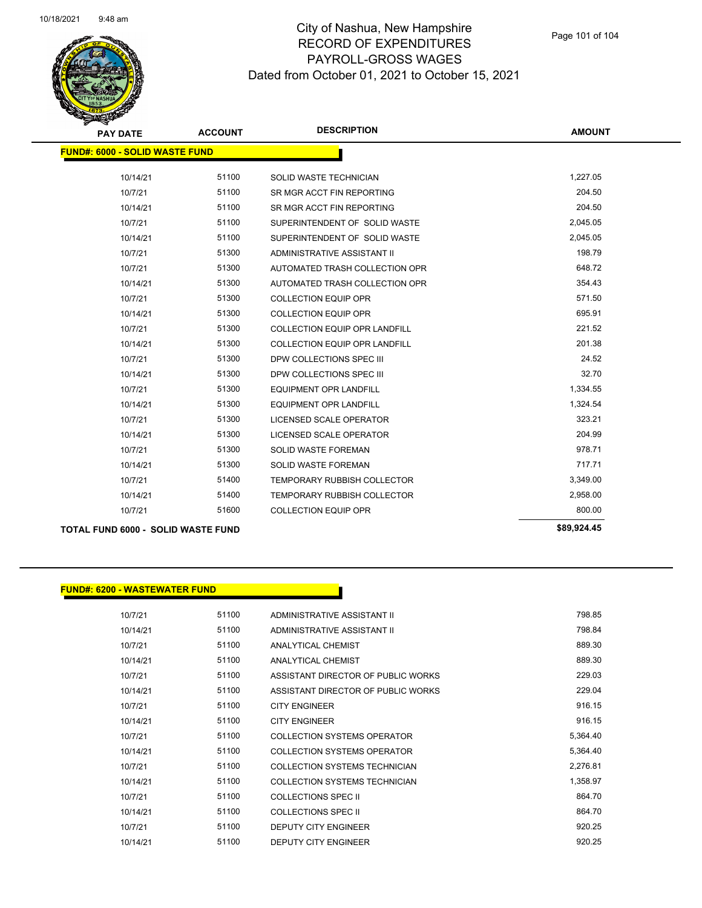

| <b>PAY DATE</b>                       | <b>ACCOUNT</b> | <b>DESCRIPTION</b>                   | <b>AMOUNT</b> |
|---------------------------------------|----------------|--------------------------------------|---------------|
| <b>FUND#: 6000 - SOLID WASTE FUND</b> |                |                                      |               |
| 10/14/21                              | 51100          | SOLID WASTE TECHNICIAN               | 1,227.05      |
| 10/7/21                               | 51100          | SR MGR ACCT FIN REPORTING            | 204.50        |
| 10/14/21                              | 51100          | SR MGR ACCT FIN REPORTING            | 204.50        |
| 10/7/21                               | 51100          | SUPERINTENDENT OF SOLID WASTE        | 2,045.05      |
| 10/14/21                              | 51100          | SUPERINTENDENT OF SOLID WASTE        | 2,045.05      |
| 10/7/21                               | 51300          | ADMINISTRATIVE ASSISTANT II          | 198.79        |
| 10/7/21                               | 51300          | AUTOMATED TRASH COLLECTION OPR       | 648.72        |
| 10/14/21                              | 51300          | AUTOMATED TRASH COLLECTION OPR       | 354.43        |
| 10/7/21                               | 51300          | <b>COLLECTION EQUIP OPR</b>          | 571.50        |
| 10/14/21                              | 51300          | <b>COLLECTION EQUIP OPR</b>          | 695.91        |
| 10/7/21                               | 51300          | <b>COLLECTION EQUIP OPR LANDFILL</b> | 221.52        |
| 10/14/21                              | 51300          | COLLECTION EQUIP OPR LANDFILL        | 201.38        |
| 10/7/21                               | 51300          | DPW COLLECTIONS SPEC III             | 24.52         |
| 10/14/21                              | 51300          | DPW COLLECTIONS SPEC III             | 32.70         |
| 10/7/21                               | 51300          | <b>EQUIPMENT OPR LANDFILL</b>        | 1,334.55      |
| 10/14/21                              | 51300          | <b>EQUIPMENT OPR LANDFILL</b>        | 1,324.54      |
| 10/7/21                               | 51300          | LICENSED SCALE OPERATOR              | 323.21        |
| 10/14/21                              | 51300          | LICENSED SCALE OPERATOR              | 204.99        |
| 10/7/21                               | 51300          | <b>SOLID WASTE FOREMAN</b>           | 978.71        |
| 10/14/21                              | 51300          | <b>SOLID WASTE FOREMAN</b>           | 717.71        |
| 10/7/21                               | 51400          | <b>TEMPORARY RUBBISH COLLECTOR</b>   | 3,349.00      |
| 10/14/21                              | 51400          | <b>TEMPORARY RUBBISH COLLECTOR</b>   | 2,958.00      |
| 10/7/21                               | 51600          | <b>COLLECTION EQUIP OPR</b>          | 800.00        |
|                                       |                |                                      |               |

**TOTAL FUND 6000 - SOLID WASTE FUND \$89,924.45** 

#### **FUND#: 6200 - WASTEWATER FUND**

| 10/7/21  | 51100 | ADMINISTRATIVE ASSISTANT II        | 798.85   |
|----------|-------|------------------------------------|----------|
| 10/14/21 | 51100 | ADMINISTRATIVE ASSISTANT II        | 798.84   |
| 10/7/21  | 51100 | ANALYTICAL CHEMIST                 | 889.30   |
| 10/14/21 | 51100 | <b>ANALYTICAL CHEMIST</b>          | 889.30   |
| 10/7/21  | 51100 | ASSISTANT DIRECTOR OF PUBLIC WORKS | 229.03   |
| 10/14/21 | 51100 | ASSISTANT DIRECTOR OF PUBLIC WORKS | 229.04   |
| 10/7/21  | 51100 | <b>CITY ENGINEER</b>               | 916.15   |
| 10/14/21 | 51100 | <b>CITY ENGINEER</b>               | 916.15   |
| 10/7/21  | 51100 | COLLECTION SYSTEMS OPERATOR        | 5,364.40 |
| 10/14/21 | 51100 | COLLECTION SYSTEMS OPERATOR        | 5.364.40 |
| 10/7/21  | 51100 | COLLECTION SYSTEMS TECHNICIAN      | 2,276.81 |
| 10/14/21 | 51100 | COLLECTION SYSTEMS TECHNICIAN      | 1,358.97 |
| 10/7/21  | 51100 | <b>COLLECTIONS SPEC II</b>         | 864.70   |
| 10/14/21 | 51100 | COLLECTIONS SPEC II                | 864.70   |
| 10/7/21  | 51100 | DEPUTY CITY ENGINEER               | 920.25   |
| 10/14/21 | 51100 | <b>DEPUTY CITY ENGINEER</b>        | 920.25   |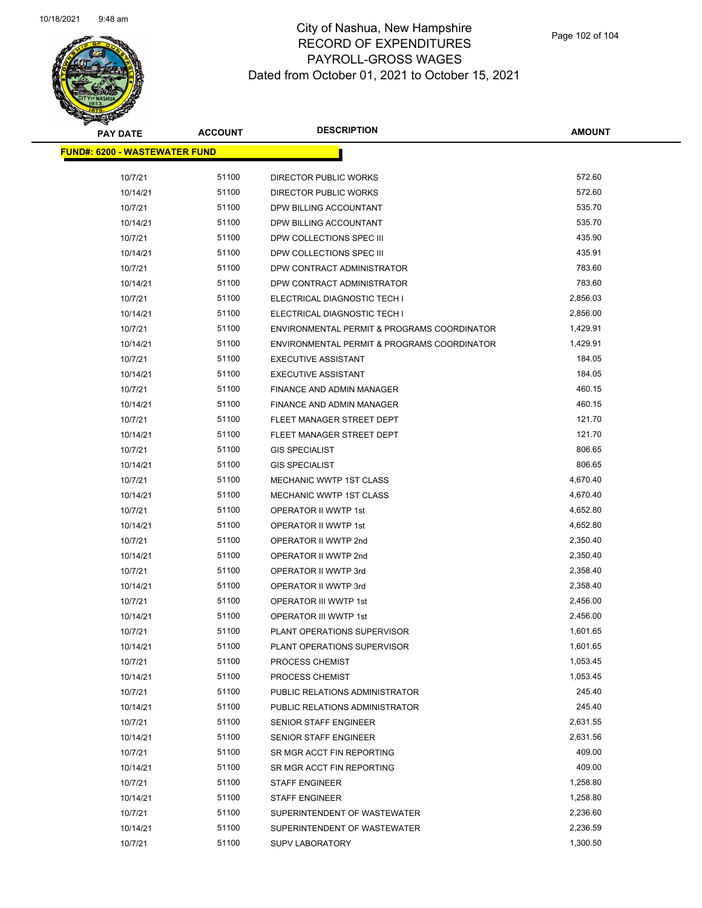

| <b>PAY DATE</b>                      | <b>ACCOUNT</b> | <b>DESCRIPTION</b>                          | <b>AMOUNT</b> |  |
|--------------------------------------|----------------|---------------------------------------------|---------------|--|
| <b>FUND#: 6200 - WASTEWATER FUND</b> |                |                                             |               |  |
|                                      |                |                                             |               |  |
| 10/7/21                              | 51100          | DIRECTOR PUBLIC WORKS                       | 572.60        |  |
| 10/14/21                             | 51100          | DIRECTOR PUBLIC WORKS                       | 572.60        |  |
| 10/7/21                              | 51100          | DPW BILLING ACCOUNTANT                      | 535.70        |  |
| 10/14/21                             | 51100          | DPW BILLING ACCOUNTANT                      | 535.70        |  |
| 10/7/21                              | 51100          | DPW COLLECTIONS SPEC III                    | 435.90        |  |
| 10/14/21                             | 51100          | DPW COLLECTIONS SPEC III                    | 435.91        |  |
| 10/7/21                              | 51100          | DPW CONTRACT ADMINISTRATOR                  | 783.60        |  |
| 10/14/21                             | 51100          | DPW CONTRACT ADMINISTRATOR                  | 783.60        |  |
| 10/7/21                              | 51100          | ELECTRICAL DIAGNOSTIC TECH I                | 2,856.03      |  |
| 10/14/21                             | 51100          | ELECTRICAL DIAGNOSTIC TECH I                | 2,856.00      |  |
| 10/7/21                              | 51100          | ENVIRONMENTAL PERMIT & PROGRAMS COORDINATOR | 1,429.91      |  |
| 10/14/21                             | 51100          | ENVIRONMENTAL PERMIT & PROGRAMS COORDINATOR | 1,429.91      |  |
| 10/7/21                              | 51100          | <b>EXECUTIVE ASSISTANT</b>                  | 184.05        |  |
| 10/14/21                             | 51100          | <b>EXECUTIVE ASSISTANT</b>                  | 184.05        |  |
| 10/7/21                              | 51100          | <b>FINANCE AND ADMIN MANAGER</b>            | 460.15        |  |
| 10/14/21                             | 51100          | FINANCE AND ADMIN MANAGER                   | 460.15        |  |
| 10/7/21                              | 51100          | FLEET MANAGER STREET DEPT                   | 121.70        |  |
| 10/14/21                             | 51100          | FLEET MANAGER STREET DEPT                   | 121.70        |  |
| 10/7/21                              | 51100          | <b>GIS SPECIALIST</b>                       | 806.65        |  |
| 10/14/21                             | 51100          | <b>GIS SPECIALIST</b>                       | 806.65        |  |
| 10/7/21                              | 51100          | <b>MECHANIC WWTP 1ST CLASS</b>              | 4,670.40      |  |
| 10/14/21                             | 51100          | <b>MECHANIC WWTP 1ST CLASS</b>              | 4,670.40      |  |
| 10/7/21                              | 51100          | OPERATOR II WWTP 1st                        | 4,652.80      |  |
| 10/14/21                             | 51100          | OPERATOR II WWTP 1st                        | 4,652.80      |  |
| 10/7/21                              | 51100          | OPERATOR II WWTP 2nd                        | 2,350.40      |  |
| 10/14/21                             | 51100          | OPERATOR II WWTP 2nd                        | 2,350.40      |  |
| 10/7/21                              | 51100          | OPERATOR II WWTP 3rd                        | 2,358.40      |  |
| 10/14/21                             | 51100          | OPERATOR II WWTP 3rd                        | 2,358.40      |  |
| 10/7/21                              | 51100          | OPERATOR III WWTP 1st                       | 2,456.00      |  |
| 10/14/21                             | 51100          | OPERATOR III WWTP 1st                       | 2,456.00      |  |
| 10/7/21                              | 51100          | PLANT OPERATIONS SUPERVISOR                 | 1,601.65      |  |
| 10/14/21                             | 51100          | PLANT OPERATIONS SUPERVISOR                 | 1,601.65      |  |
| 10/7/21                              | 51100          | PROCESS CHEMIST                             | 1,053.45      |  |
| 10/14/21                             | 51100          | PROCESS CHEMIST                             | 1,053.45      |  |
| 10/7/21                              | 51100          | PUBLIC RELATIONS ADMINISTRATOR              | 245.40        |  |
| 10/14/21                             | 51100          | PUBLIC RELATIONS ADMINISTRATOR              | 245.40        |  |
| 10/7/21                              | 51100          | SENIOR STAFF ENGINEER                       | 2,631.55      |  |
| 10/14/21                             | 51100          | <b>SENIOR STAFF ENGINEER</b>                | 2,631.56      |  |
| 10/7/21                              | 51100          | SR MGR ACCT FIN REPORTING                   | 409.00        |  |
| 10/14/21                             | 51100          | SR MGR ACCT FIN REPORTING                   | 409.00        |  |
| 10/7/21                              | 51100          | <b>STAFF ENGINEER</b>                       | 1,258.80      |  |
| 10/14/21                             | 51100          | <b>STAFF ENGINEER</b>                       | 1,258.80      |  |
| 10/7/21                              | 51100          | SUPERINTENDENT OF WASTEWATER                | 2,236.60      |  |
| 10/14/21                             | 51100          | SUPERINTENDENT OF WASTEWATER                | 2,236.59      |  |
| 10/7/21                              | 51100          | <b>SUPV LABORATORY</b>                      | 1,300.50      |  |
|                                      |                |                                             |               |  |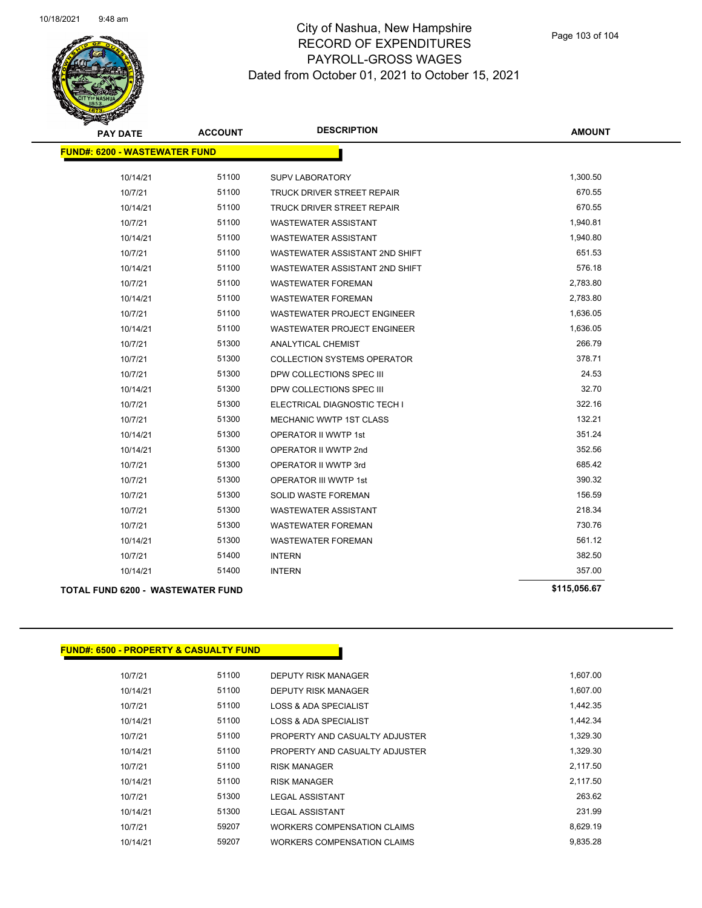

| <b>PAY DATE</b>                          | <b>ACCOUNT</b> | <b>DESCRIPTION</b>                 | <b>AMOUNT</b> |
|------------------------------------------|----------------|------------------------------------|---------------|
| <b>FUND#: 6200 - WASTEWATER FUND</b>     |                |                                    |               |
| 10/14/21                                 | 51100          | <b>SUPV LABORATORY</b>             | 1,300.50      |
| 10/7/21                                  | 51100          | TRUCK DRIVER STREET REPAIR         | 670.55        |
| 10/14/21                                 | 51100          | TRUCK DRIVER STREET REPAIR         | 670.55        |
| 10/7/21                                  | 51100          | <b>WASTEWATER ASSISTANT</b>        | 1,940.81      |
| 10/14/21                                 | 51100          | <b>WASTEWATER ASSISTANT</b>        | 1,940.80      |
| 10/7/21                                  | 51100          | WASTEWATER ASSISTANT 2ND SHIFT     | 651.53        |
| 10/14/21                                 | 51100          | WASTEWATER ASSISTANT 2ND SHIFT     | 576.18        |
| 10/7/21                                  | 51100          | <b>WASTEWATER FOREMAN</b>          | 2,783.80      |
| 10/14/21                                 | 51100          | <b>WASTEWATER FOREMAN</b>          | 2,783.80      |
| 10/7/21                                  | 51100          | <b>WASTEWATER PROJECT ENGINEER</b> | 1,636.05      |
| 10/14/21                                 | 51100          | <b>WASTEWATER PROJECT ENGINEER</b> | 1,636.05      |
| 10/7/21                                  | 51300          | ANALYTICAL CHEMIST                 | 266.79        |
| 10/7/21                                  | 51300          | <b>COLLECTION SYSTEMS OPERATOR</b> | 378.71        |
| 10/7/21                                  | 51300          | DPW COLLECTIONS SPEC III           | 24.53         |
| 10/14/21                                 | 51300          | DPW COLLECTIONS SPEC III           | 32.70         |
| 10/7/21                                  | 51300          | ELECTRICAL DIAGNOSTIC TECH I       | 322.16        |
| 10/7/21                                  | 51300          | <b>MECHANIC WWTP 1ST CLASS</b>     | 132.21        |
| 10/14/21                                 | 51300          | <b>OPERATOR II WWTP 1st</b>        | 351.24        |
| 10/14/21                                 | 51300          | OPERATOR II WWTP 2nd               | 352.56        |
| 10/7/21                                  | 51300          | OPERATOR II WWTP 3rd               | 685.42        |
| 10/7/21                                  | 51300          | <b>OPERATOR III WWTP 1st</b>       | 390.32        |
| 10/7/21                                  | 51300          | SOLID WASTE FOREMAN                | 156.59        |
| 10/7/21                                  | 51300          | <b>WASTEWATER ASSISTANT</b>        | 218.34        |
| 10/7/21                                  | 51300          | <b>WASTEWATER FOREMAN</b>          | 730.76        |
| 10/14/21                                 | 51300          | <b>WASTEWATER FOREMAN</b>          | 561.12        |
| 10/7/21                                  | 51400          | <b>INTERN</b>                      | 382.50        |
| 10/14/21                                 | 51400          | <b>INTERN</b>                      | 357.00        |
| <b>TOTAL FUND 6200 - WASTEWATER FUND</b> |                |                                    | \$115,056.67  |

#### **FUND#: 6500 - PROPERTY & CASUALTY FUND**

| 10/7/21  | 51100 | DEPUTY RISK MANAGER            | 1.607.00 |
|----------|-------|--------------------------------|----------|
| 10/14/21 | 51100 | <b>DEPUTY RISK MANAGER</b>     | 1.607.00 |
| 10/7/21  | 51100 | LOSS & ADA SPECIALIST          | 1,442.35 |
| 10/14/21 | 51100 | LOSS & ADA SPECIALIST          | 1,442.34 |
| 10/7/21  | 51100 | PROPERTY AND CASUALTY ADJUSTER | 1,329.30 |
| 10/14/21 | 51100 | PROPERTY AND CASUALTY ADJUSTER | 1,329.30 |
| 10/7/21  | 51100 | <b>RISK MANAGER</b>            | 2,117.50 |
| 10/14/21 | 51100 | <b>RISK MANAGER</b>            | 2,117.50 |
| 10/7/21  | 51300 | <b>LEGAL ASSISTANT</b>         | 263.62   |
| 10/14/21 | 51300 | <b>LEGAL ASSISTANT</b>         | 231.99   |
| 10/7/21  | 59207 | WORKERS COMPENSATION CLAIMS    | 8,629.19 |
| 10/14/21 | 59207 | WORKERS COMPENSATION CLAIMS    | 9,835.28 |
|          |       |                                |          |